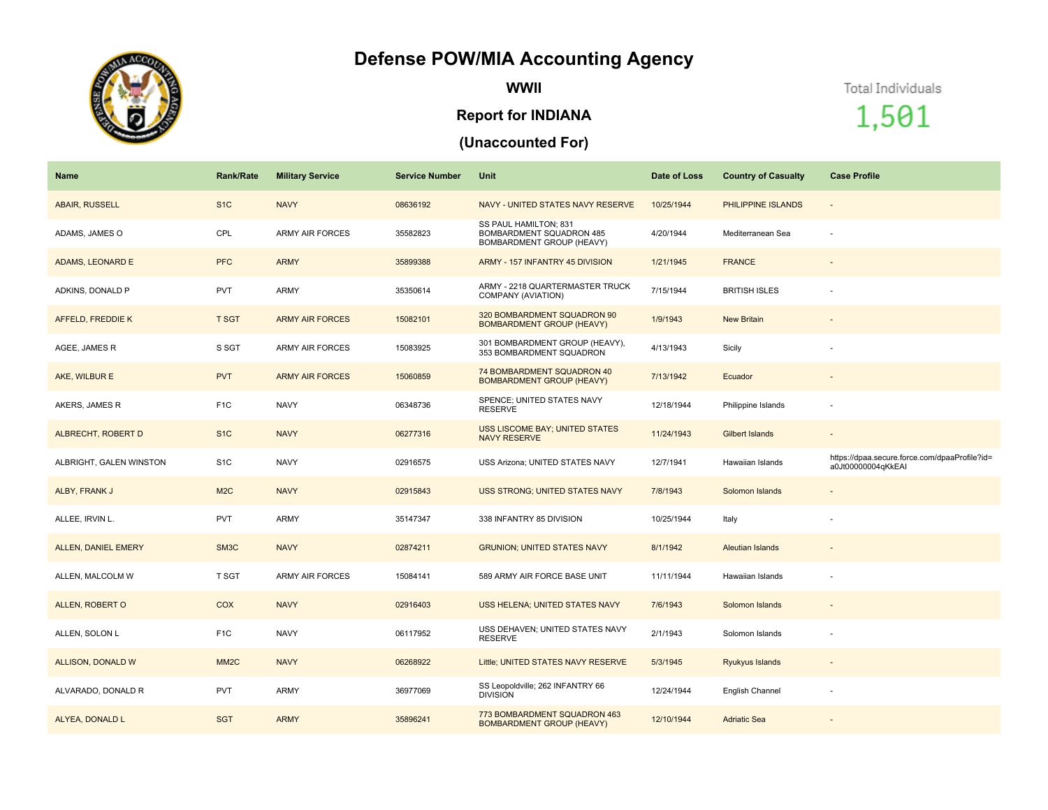## **Defense POW/MIA Accounting Agency**



**WWII**

## **Report for INDIANA**

## **(Unaccounted For)**

Total Individuals

1,501

| <b>Name</b>                | <b>Rank/Rate</b>  | <b>Military Service</b> | <b>Service Number</b> | Unit                                                                           | Date of Loss | <b>Country of Casualty</b> | <b>Case Profile</b>                                                 |
|----------------------------|-------------------|-------------------------|-----------------------|--------------------------------------------------------------------------------|--------------|----------------------------|---------------------------------------------------------------------|
| <b>ABAIR, RUSSELL</b>      | S <sub>1C</sub>   | <b>NAVY</b>             | 08636192              | NAVY - UNITED STATES NAVY RESERVE                                              | 10/25/1944   | PHILIPPINE ISLANDS         | $\overline{\phantom{a}}$                                            |
| ADAMS, JAMES O             | CPL               | <b>ARMY AIR FORCES</b>  | 35582823              | SS PAUL HAMILTON; 831<br>BOMBARDMENT SQUADRON 485<br>BOMBARDMENT GROUP (HEAVY) | 4/20/1944    | Mediterranean Sea          | $\sim$                                                              |
| ADAMS, LEONARD E           | <b>PFC</b>        | <b>ARMY</b>             | 35899388              | ARMY - 157 INFANTRY 45 DIVISION                                                | 1/21/1945    | <b>FRANCE</b>              |                                                                     |
| ADKINS, DONALD P           | <b>PVT</b>        | ARMY                    | 35350614              | ARMY - 2218 QUARTERMASTER TRUCK<br>COMPANY (AVIATION)                          | 7/15/1944    | <b>BRITISH ISLES</b>       |                                                                     |
| AFFELD, FREDDIE K          | <b>T SGT</b>      | <b>ARMY AIR FORCES</b>  | 15082101              | 320 BOMBARDMENT SQUADRON 90<br><b>BOMBARDMENT GROUP (HEAVY)</b>                | 1/9/1943     | <b>New Britain</b>         |                                                                     |
| AGEE, JAMES R              | S SGT             | <b>ARMY AIR FORCES</b>  | 15083925              | 301 BOMBARDMENT GROUP (HEAVY),<br>353 BOMBARDMENT SQUADRON                     | 4/13/1943    | Sicily                     |                                                                     |
| AKE, WILBUR E              | <b>PVT</b>        | <b>ARMY AIR FORCES</b>  | 15060859              | 74 BOMBARDMENT SQUADRON 40<br><b>BOMBARDMENT GROUP (HEAVY)</b>                 | 7/13/1942    | Ecuador                    |                                                                     |
| AKERS, JAMES R             | F <sub>1</sub> C  | <b>NAVY</b>             | 06348736              | SPENCE; UNITED STATES NAVY<br><b>RESERVE</b>                                   | 12/18/1944   | Philippine Islands         |                                                                     |
| <b>ALBRECHT, ROBERT D</b>  | S <sub>1</sub> C  | <b>NAVY</b>             | 06277316              | <b>USS LISCOME BAY; UNITED STATES</b><br><b>NAVY RESERVE</b>                   | 11/24/1943   | Gilbert Islands            | $\overline{\phantom{a}}$                                            |
| ALBRIGHT, GALEN WINSTON    | S <sub>1</sub> C  | <b>NAVY</b>             | 02916575              | USS Arizona; UNITED STATES NAVY                                                | 12/7/1941    | Hawaiian Islands           | https://dpaa.secure.force.com/dpaaProfile?id=<br>a0Jt00000004qKkEAI |
| ALBY, FRANK J              | M <sub>2C</sub>   | <b>NAVY</b>             | 02915843              | <b>USS STRONG; UNITED STATES NAVY</b>                                          | 7/8/1943     | Solomon Islands            |                                                                     |
| ALLEE, IRVIN L.            | <b>PVT</b>        | ARMY                    | 35147347              | 338 INFANTRY 85 DIVISION                                                       | 10/25/1944   | Italy                      |                                                                     |
| <b>ALLEN, DANIEL EMERY</b> | SM3C              | <b>NAVY</b>             | 02874211              | <b>GRUNION; UNITED STATES NAVY</b>                                             | 8/1/1942     | <b>Aleutian Islands</b>    | $\overline{\phantom{a}}$                                            |
| ALLEN, MALCOLM W           | T SGT             | ARMY AIR FORCES         | 15084141              | 589 ARMY AIR FORCE BASE UNIT                                                   | 11/11/1944   | Hawaiian Islands           |                                                                     |
| ALLEN, ROBERT O            | <b>COX</b>        | <b>NAVY</b>             | 02916403              | USS HELENA; UNITED STATES NAVY                                                 | 7/6/1943     | Solomon Islands            |                                                                     |
| ALLEN, SOLON L             | F <sub>1</sub> C  | <b>NAVY</b>             | 06117952              | USS DEHAVEN; UNITED STATES NAVY<br><b>RESERVE</b>                              | 2/1/1943     | Solomon Islands            |                                                                     |
| ALLISON, DONALD W          | MM <sub>2</sub> C | <b>NAVY</b>             | 06268922              | Little; UNITED STATES NAVY RESERVE                                             | 5/3/1945     | Ryukyus Islands            | $\sim$                                                              |
| ALVARADO, DONALD R         | <b>PVT</b>        | ARMY                    | 36977069              | SS Leopoldville; 262 INFANTRY 66<br><b>DIVISION</b>                            | 12/24/1944   | English Channel            |                                                                     |
| ALYEA, DONALD L            | <b>SGT</b>        | <b>ARMY</b>             | 35896241              | 773 BOMBARDMENT SQUADRON 463<br><b>BOMBARDMENT GROUP (HEAVY)</b>               | 12/10/1944   | <b>Adriatic Sea</b>        |                                                                     |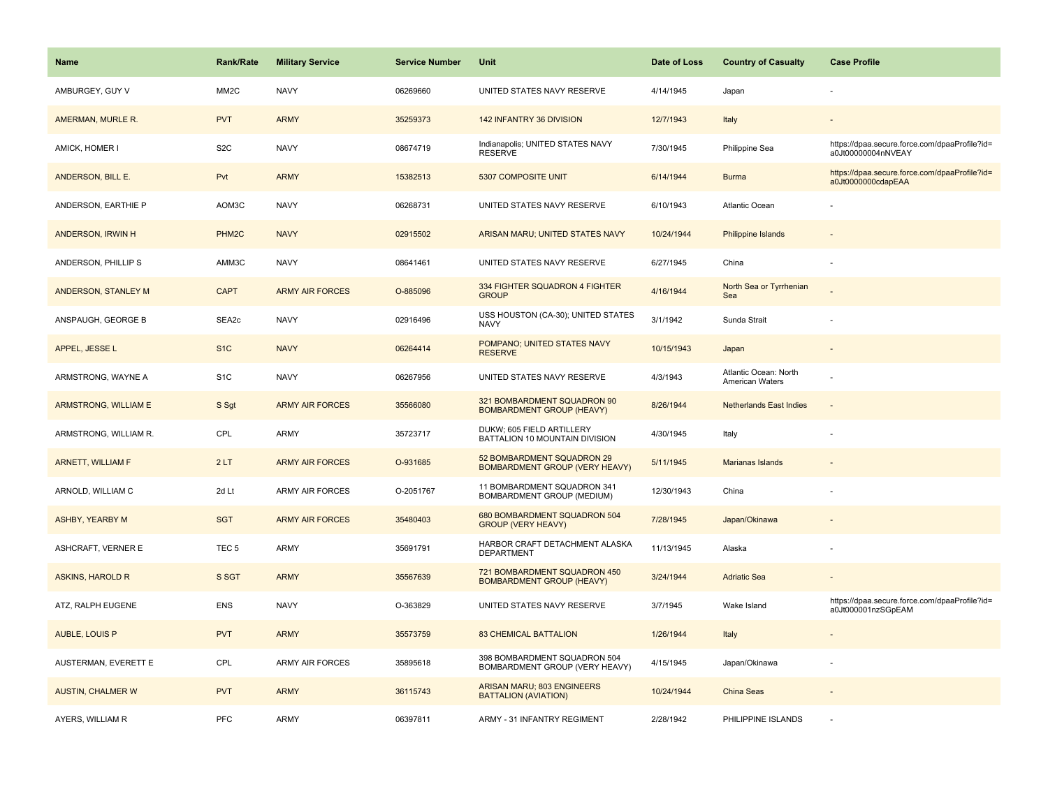| <b>Name</b>              | <b>Rank/Rate</b>  | <b>Military Service</b> | <b>Service Number</b> | Unit                                                                | Date of Loss | <b>Country of Casualty</b>               | <b>Case Profile</b>                                                 |
|--------------------------|-------------------|-------------------------|-----------------------|---------------------------------------------------------------------|--------------|------------------------------------------|---------------------------------------------------------------------|
| AMBURGEY, GUY V          | MM2C              | <b>NAVY</b>             | 06269660              | UNITED STATES NAVY RESERVE                                          | 4/14/1945    | Japan                                    |                                                                     |
| AMERMAN, MURLE R.        | <b>PVT</b>        | <b>ARMY</b>             | 35259373              | 142 INFANTRY 36 DIVISION                                            | 12/7/1943    | Italy                                    |                                                                     |
| AMICK, HOMER I           | S <sub>2</sub> C  | <b>NAVY</b>             | 08674719              | Indianapolis; UNITED STATES NAVY<br><b>RESERVE</b>                  | 7/30/1945    | Philippine Sea                           | https://dpaa.secure.force.com/dpaaProfile?id=<br>a0Jt00000004nNVEAY |
| ANDERSON, BILL E.        | Pvt               | <b>ARMY</b>             | 15382513              | 5307 COMPOSITE UNIT                                                 | 6/14/1944    | <b>Burma</b>                             | https://dpaa.secure.force.com/dpaaProfile?id=<br>a0Jt0000000cdapEAA |
| ANDERSON, EARTHIE P      | AOM3C             | <b>NAVY</b>             | 06268731              | UNITED STATES NAVY RESERVE                                          | 6/10/1943    | Atlantic Ocean                           |                                                                     |
| ANDERSON, IRWIN H        | PHM <sub>2C</sub> | <b>NAVY</b>             | 02915502              | ARISAN MARU; UNITED STATES NAVY                                     | 10/24/1944   | <b>Philippine Islands</b>                |                                                                     |
| ANDERSON, PHILLIP S      | AMM3C             | <b>NAVY</b>             | 08641461              | UNITED STATES NAVY RESERVE                                          | 6/27/1945    | China                                    |                                                                     |
| ANDERSON, STANLEY M      | <b>CAPT</b>       | <b>ARMY AIR FORCES</b>  | O-885096              | 334 FIGHTER SQUADRON 4 FIGHTER<br><b>GROUP</b>                      | 4/16/1944    | North Sea or Tyrrhenian<br>Sea           |                                                                     |
| ANSPAUGH, GEORGE B       | SEA2c             | <b>NAVY</b>             | 02916496              | USS HOUSTON (CA-30); UNITED STATES<br><b>NAVY</b>                   | 3/1/1942     | Sunda Strait                             |                                                                     |
| APPEL, JESSE L           | S <sub>1C</sub>   | <b>NAVY</b>             | 06264414              | POMPANO; UNITED STATES NAVY<br><b>RESERVE</b>                       | 10/15/1943   | Japan                                    |                                                                     |
| ARMSTRONG, WAYNE A       | S <sub>1</sub> C  | <b>NAVY</b>             | 06267956              | UNITED STATES NAVY RESERVE                                          | 4/3/1943     | Atlantic Ocean: North<br>American Waters |                                                                     |
| ARMSTRONG, WILLIAM E     | S Sgt             | <b>ARMY AIR FORCES</b>  | 35566080              | 321 BOMBARDMENT SQUADRON 90<br><b>BOMBARDMENT GROUP (HEAVY)</b>     | 8/26/1944    | <b>Netherlands East Indies</b>           | $\sim$                                                              |
| ARMSTRONG, WILLIAM R.    | CPL               | <b>ARMY</b>             | 35723717              | DUKW; 605 FIELD ARTILLERY<br>BATTALION 10 MOUNTAIN DIVISION         | 4/30/1945    | Italy                                    |                                                                     |
| <b>ARNETT, WILLIAM F</b> | 2LT               | <b>ARMY AIR FORCES</b>  | O-931685              | 52 BOMBARDMENT SQUADRON 29<br><b>BOMBARDMENT GROUP (VERY HEAVY)</b> | 5/11/1945    | Marianas Islands                         |                                                                     |
| ARNOLD, WILLIAM C        | 2d Lt             | <b>ARMY AIR FORCES</b>  | O-2051767             | 11 BOMBARDMENT SQUADRON 341<br>BOMBARDMENT GROUP (MEDIUM)           | 12/30/1943   | China                                    |                                                                     |
| <b>ASHBY, YEARBY M</b>   | <b>SGT</b>        | <b>ARMY AIR FORCES</b>  | 35480403              | 680 BOMBARDMENT SQUADRON 504<br><b>GROUP (VERY HEAVY)</b>           | 7/28/1945    | Japan/Okinawa                            |                                                                     |
| ASHCRAFT, VERNER E       | TEC <sub>5</sub>  | <b>ARMY</b>             | 35691791              | HARBOR CRAFT DETACHMENT ALASKA<br><b>DEPARTMENT</b>                 | 11/13/1945   | Alaska                                   |                                                                     |
| <b>ASKINS, HAROLD R</b>  | S SGT             | <b>ARMY</b>             | 35567639              | 721 BOMBARDMENT SQUADRON 450<br><b>BOMBARDMENT GROUP (HEAVY)</b>    | 3/24/1944    | <b>Adriatic Sea</b>                      |                                                                     |
| ATZ, RALPH EUGENE        | <b>ENS</b>        | <b>NAVY</b>             | O-363829              | UNITED STATES NAVY RESERVE                                          | 3/7/1945     | Wake Island                              | https://dpaa.secure.force.com/dpaaProfile?id=<br>a0Jt000001nzSGpEAM |
| <b>AUBLE, LOUIS P</b>    | <b>PVT</b>        | <b>ARMY</b>             | 35573759              | <b>83 CHEMICAL BATTALION</b>                                        | 1/26/1944    | Italy                                    |                                                                     |
| AUSTERMAN, EVERETT E     | CPL               | <b>ARMY AIR FORCES</b>  | 35895618              | 398 BOMBARDMENT SQUADRON 504<br>BOMBARDMENT GROUP (VERY HEAVY)      | 4/15/1945    | Japan/Okinawa                            |                                                                     |
| <b>AUSTIN, CHALMER W</b> | <b>PVT</b>        | <b>ARMY</b>             | 36115743              | ARISAN MARU; 803 ENGINEERS<br><b>BATTALION (AVIATION)</b>           | 10/24/1944   | China Seas                               |                                                                     |
| AYERS, WILLIAM R         | PFC               | <b>ARMY</b>             | 06397811              | ARMY - 31 INFANTRY REGIMENT                                         | 2/28/1942    | PHILIPPINE ISLANDS                       |                                                                     |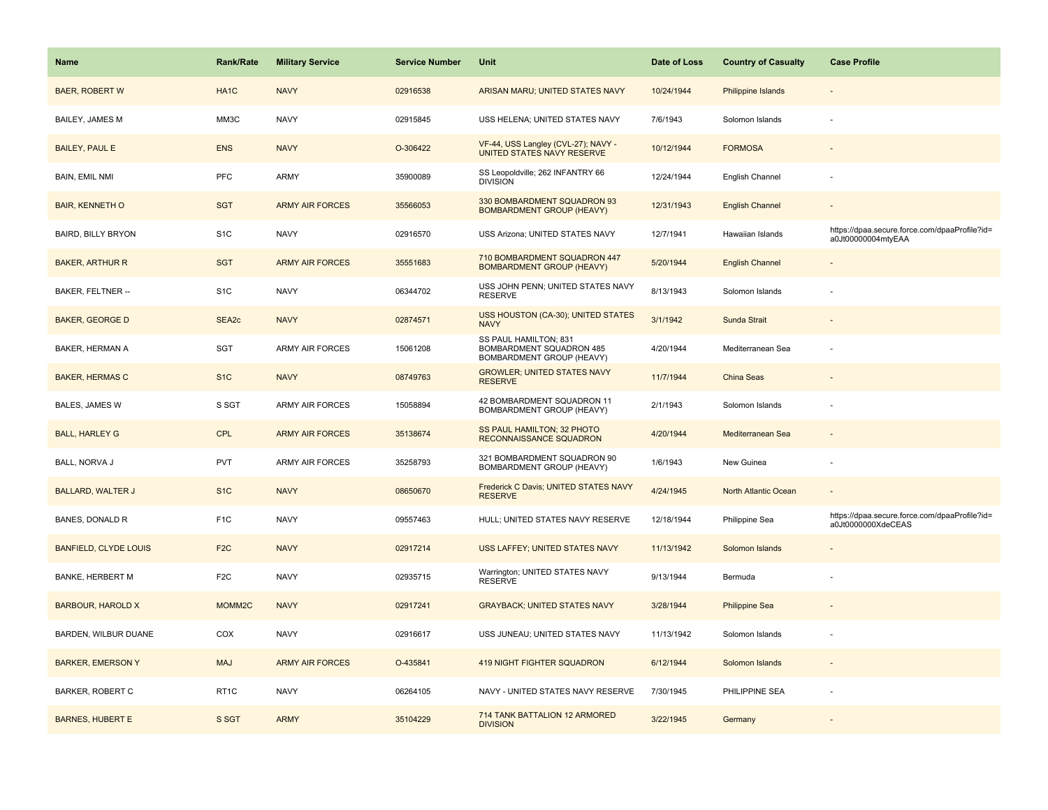| <b>Name</b>                  | <b>Rank/Rate</b>  | <b>Military Service</b> | <b>Service Number</b> | Unit                                                                           | Date of Loss | <b>Country of Casualty</b> | <b>Case Profile</b>                                                 |
|------------------------------|-------------------|-------------------------|-----------------------|--------------------------------------------------------------------------------|--------------|----------------------------|---------------------------------------------------------------------|
| <b>BAER, ROBERT W</b>        | HA <sub>1</sub> C | <b>NAVY</b>             | 02916538              | ARISAN MARU; UNITED STATES NAVY                                                | 10/24/1944   | Philippine Islands         |                                                                     |
| BAILEY, JAMES M              | MM3C              | <b>NAVY</b>             | 02915845              | USS HELENA; UNITED STATES NAVY                                                 | 7/6/1943     | Solomon Islands            |                                                                     |
| <b>BAILEY, PAUL E</b>        | <b>ENS</b>        | <b>NAVY</b>             | O-306422              | VF-44, USS Langley (CVL-27); NAVY -<br>UNITED STATES NAVY RESERVE              | 10/12/1944   | <b>FORMOSA</b>             |                                                                     |
| <b>BAIN, EMIL NMI</b>        | PFC               | ARMY                    | 35900089              | SS Leopoldville; 262 INFANTRY 66<br><b>DIVISION</b>                            | 12/24/1944   | English Channel            |                                                                     |
| <b>BAIR, KENNETH O</b>       | <b>SGT</b>        | <b>ARMY AIR FORCES</b>  | 35566053              | 330 BOMBARDMENT SQUADRON 93<br><b>BOMBARDMENT GROUP (HEAVY)</b>                | 12/31/1943   | <b>English Channel</b>     |                                                                     |
| <b>BAIRD, BILLY BRYON</b>    | S <sub>1</sub> C  | <b>NAVY</b>             | 02916570              | USS Arizona; UNITED STATES NAVY                                                | 12/7/1941    | Hawaiian Islands           | https://dpaa.secure.force.com/dpaaProfile?id=<br>a0Jt00000004mtyEAA |
| <b>BAKER, ARTHUR R</b>       | <b>SGT</b>        | <b>ARMY AIR FORCES</b>  | 35551683              | 710 BOMBARDMENT SQUADRON 447<br><b>BOMBARDMENT GROUP (HEAVY)</b>               | 5/20/1944    | <b>English Channel</b>     |                                                                     |
| BAKER, FELTNER --            | S <sub>1</sub> C  | <b>NAVY</b>             | 06344702              | USS JOHN PENN; UNITED STATES NAVY<br><b>RESERVE</b>                            | 8/13/1943    | Solomon Islands            |                                                                     |
| <b>BAKER, GEORGE D</b>       | SEA <sub>2c</sub> | <b>NAVY</b>             | 02874571              | USS HOUSTON (CA-30); UNITED STATES<br><b>NAVY</b>                              | 3/1/1942     | Sunda Strait               |                                                                     |
| BAKER, HERMAN A              | <b>SGT</b>        | <b>ARMY AIR FORCES</b>  | 15061208              | SS PAUL HAMILTON; 831<br>BOMBARDMENT SQUADRON 485<br>BOMBARDMENT GROUP (HEAVY) | 4/20/1944    | Mediterranean Sea          |                                                                     |
| <b>BAKER, HERMAS C</b>       | S <sub>1</sub> C  | <b>NAVY</b>             | 08749763              | <b>GROWLER; UNITED STATES NAVY</b><br><b>RESERVE</b>                           | 11/7/1944    | <b>China Seas</b>          |                                                                     |
| BALES, JAMES W               | S SGT             | <b>ARMY AIR FORCES</b>  | 15058894              | 42 BOMBARDMENT SQUADRON 11<br>BOMBARDMENT GROUP (HEAVY)                        | 2/1/1943     | Solomon Islands            |                                                                     |
| <b>BALL, HARLEY G</b>        | <b>CPL</b>        | <b>ARMY AIR FORCES</b>  | 35138674              | SS PAUL HAMILTON; 32 PHOTO<br>RECONNAISSANCE SQUADRON                          | 4/20/1944    | Mediterranean Sea          |                                                                     |
| BALL, NORVA J                | <b>PVT</b>        | <b>ARMY AIR FORCES</b>  | 35258793              | 321 BOMBARDMENT SQUADRON 90<br>BOMBARDMENT GROUP (HEAVY)                       | 1/6/1943     | New Guinea                 |                                                                     |
| <b>BALLARD, WALTER J</b>     | S <sub>1</sub> C  | <b>NAVY</b>             | 08650670              | Frederick C Davis; UNITED STATES NAVY<br><b>RESERVE</b>                        | 4/24/1945    | North Atlantic Ocean       |                                                                     |
| BANES, DONALD R              | F <sub>1</sub> C  | <b>NAVY</b>             | 09557463              | HULL; UNITED STATES NAVY RESERVE                                               | 12/18/1944   | Philippine Sea             | https://dpaa.secure.force.com/dpaaProfile?id=<br>a0Jt0000000XdeCEAS |
| <b>BANFIELD, CLYDE LOUIS</b> | F <sub>2</sub> C  | <b>NAVY</b>             | 02917214              | USS LAFFEY; UNITED STATES NAVY                                                 | 11/13/1942   | Solomon Islands            |                                                                     |
| <b>BANKE, HERBERT M</b>      | F <sub>2</sub> C  | <b>NAVY</b>             | 02935715              | Warrington; UNITED STATES NAVY<br><b>RESERVE</b>                               | 9/13/1944    | Bermuda                    |                                                                     |
| <b>BARBOUR, HAROLD X</b>     | MOMM2C            | <b>NAVY</b>             | 02917241              | <b>GRAYBACK; UNITED STATES NAVY</b>                                            | 3/28/1944    | <b>Philippine Sea</b>      |                                                                     |
| BARDEN, WILBUR DUANE         | COX               | <b>NAVY</b>             | 02916617              | USS JUNEAU; UNITED STATES NAVY                                                 | 11/13/1942   | Solomon Islands            |                                                                     |
| <b>BARKER, EMERSON Y</b>     | <b>MAJ</b>        | <b>ARMY AIR FORCES</b>  | O-435841              | 419 NIGHT FIGHTER SQUADRON                                                     | 6/12/1944    | Solomon Islands            |                                                                     |
| <b>BARKER, ROBERT C</b>      | RT <sub>1</sub> C | <b>NAVY</b>             | 06264105              | NAVY - UNITED STATES NAVY RESERVE                                              | 7/30/1945    | PHILIPPINE SEA             |                                                                     |
| <b>BARNES, HUBERT E</b>      | S SGT             | <b>ARMY</b>             | 35104229              | 714 TANK BATTALION 12 ARMORED<br><b>DIVISION</b>                               | 3/22/1945    | Germany                    |                                                                     |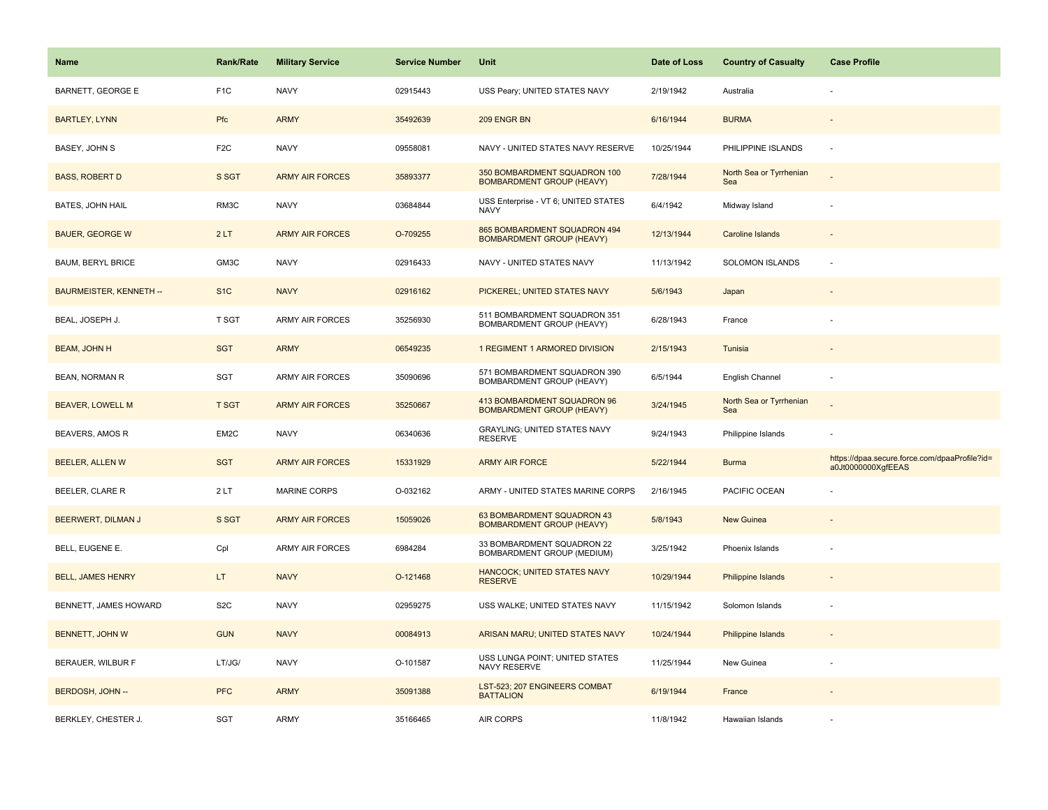| <b>Name</b>                    | <b>Rank/Rate</b> | <b>Military Service</b> | <b>Service Number</b> | Unit                                                             | Date of Loss | <b>Country of Casualty</b>     | <b>Case Profile</b>                                                 |
|--------------------------------|------------------|-------------------------|-----------------------|------------------------------------------------------------------|--------------|--------------------------------|---------------------------------------------------------------------|
| <b>BARNETT, GEORGE E</b>       | F <sub>1</sub> C | <b>NAVY</b>             | 02915443              | USS Peary; UNITED STATES NAVY                                    | 2/19/1942    | Australia                      |                                                                     |
| <b>BARTLEY, LYNN</b>           | Pfc              | <b>ARMY</b>             | 35492639              | 209 ENGR BN                                                      | 6/16/1944    | <b>BURMA</b>                   |                                                                     |
| BASEY, JOHN S                  | F <sub>2</sub> C | <b>NAVY</b>             | 09558081              | NAVY - UNITED STATES NAVY RESERVE                                | 10/25/1944   | PHILIPPINE ISLANDS             |                                                                     |
| <b>BASS, ROBERT D</b>          | S SGT            | <b>ARMY AIR FORCES</b>  | 35893377              | 350 BOMBARDMENT SQUADRON 100<br><b>BOMBARDMENT GROUP (HEAVY)</b> | 7/28/1944    | North Sea or Tyrrhenian<br>Sea |                                                                     |
| <b>BATES, JOHN HAIL</b>        | RM3C             | <b>NAVY</b>             | 03684844              | USS Enterprise - VT 6; UNITED STATES<br><b>NAVY</b>              | 6/4/1942     | Midway Island                  |                                                                     |
| <b>BAUER, GEORGE W</b>         | 2LT              | <b>ARMY AIR FORCES</b>  | O-709255              | 865 BOMBARDMENT SQUADRON 494<br><b>BOMBARDMENT GROUP (HEAVY)</b> | 12/13/1944   | Caroline Islands               |                                                                     |
| <b>BAUM, BERYL BRICE</b>       | GM3C             | <b>NAVY</b>             | 02916433              | NAVY - UNITED STATES NAVY                                        | 11/13/1942   | SOLOMON ISLANDS                |                                                                     |
| <b>BAURMEISTER, KENNETH --</b> | S <sub>1</sub> C | <b>NAVY</b>             | 02916162              | PICKEREL; UNITED STATES NAVY                                     | 5/6/1943     | Japan                          |                                                                     |
| BEAL, JOSEPH J.                | T SGT            | <b>ARMY AIR FORCES</b>  | 35256930              | 511 BOMBARDMENT SQUADRON 351<br>BOMBARDMENT GROUP (HEAVY)        | 6/28/1943    | France                         |                                                                     |
| <b>BEAM, JOHN H</b>            | <b>SGT</b>       | <b>ARMY</b>             | 06549235              | 1 REGIMENT 1 ARMORED DIVISION                                    | 2/15/1943    | Tunisia                        |                                                                     |
| <b>BEAN, NORMAN R</b>          | SGT              | ARMY AIR FORCES         | 35090696              | 571 BOMBARDMENT SQUADRON 390<br>BOMBARDMENT GROUP (HEAVY)        | 6/5/1944     | English Channel                |                                                                     |
| <b>BEAVER, LOWELL M</b>        | <b>T SGT</b>     | <b>ARMY AIR FORCES</b>  | 35250667              | 413 BOMBARDMENT SQUADRON 96<br><b>BOMBARDMENT GROUP (HEAVY)</b>  | 3/24/1945    | North Sea or Tyrrhenian<br>Sea |                                                                     |
| BEAVERS, AMOS R                | EM2C             | <b>NAVY</b>             | 06340636              | <b>GRAYLING; UNITED STATES NAVY</b><br><b>RESERVE</b>            | 9/24/1943    | Philippine Islands             |                                                                     |
| <b>BEELER, ALLEN W</b>         | <b>SGT</b>       | <b>ARMY AIR FORCES</b>  | 15331929              | <b>ARMY AIR FORCE</b>                                            | 5/22/1944    | <b>Burma</b>                   | https://dpaa.secure.force.com/dpaaProfile?id=<br>a0Jt0000000XgfEEAS |
| BEELER, CLARE R                | 2LT              | <b>MARINE CORPS</b>     | O-032162              | ARMY - UNITED STATES MARINE CORPS                                | 2/16/1945    | PACIFIC OCEAN                  |                                                                     |
| BEERWERT, DILMAN J             | S SGT            | <b>ARMY AIR FORCES</b>  | 15059026              | 63 BOMBARDMENT SQUADRON 43<br><b>BOMBARDMENT GROUP (HEAVY)</b>   | 5/8/1943     | New Guinea                     |                                                                     |
| BELL, EUGENE E.                | Cpl              | ARMY AIR FORCES         | 6984284               | 33 BOMBARDMENT SQUADRON 22<br>BOMBARDMENT GROUP (MEDIUM)         | 3/25/1942    | Phoenix Islands                |                                                                     |
| <b>BELL, JAMES HENRY</b>       | LT.              | <b>NAVY</b>             | O-121468              | HANCOCK; UNITED STATES NAVY<br><b>RESERVE</b>                    | 10/29/1944   | Philippine Islands             |                                                                     |
| BENNETT, JAMES HOWARD          | S <sub>2</sub> C | <b>NAVY</b>             | 02959275              | USS WALKE; UNITED STATES NAVY                                    | 11/15/1942   | Solomon Islands                |                                                                     |
| BENNETT, JOHN W                | <b>GUN</b>       | <b>NAVY</b>             | 00084913              | ARISAN MARU; UNITED STATES NAVY                                  | 10/24/1944   | Philippine Islands             |                                                                     |
| BERAUER, WILBUR F              | LT/JG/           | <b>NAVY</b>             | O-101587              | USS LUNGA POINT; UNITED STATES<br>NAVY RESERVE                   | 11/25/1944   | New Guinea                     |                                                                     |
| BERDOSH, JOHN --               | <b>PFC</b>       | <b>ARMY</b>             | 35091388              | LST-523; 207 ENGINEERS COMBAT<br><b>BATTALION</b>                | 6/19/1944    | France                         |                                                                     |
| BERKLEY, CHESTER J.            | <b>SGT</b>       | <b>ARMY</b>             | 35166465              | AIR CORPS                                                        | 11/8/1942    | Hawaiian Islands               |                                                                     |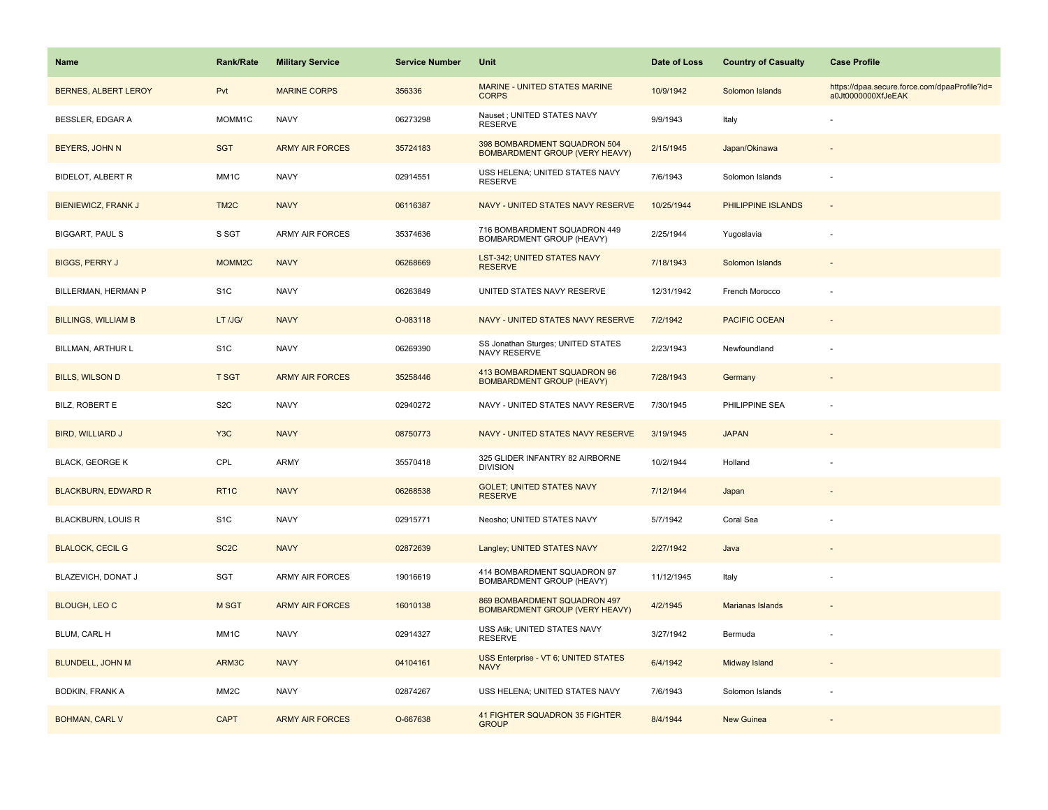| Name                        | <b>Rank/Rate</b>   | <b>Military Service</b> | <b>Service Number</b> | Unit                                                                  | Date of Loss | <b>Country of Casualty</b> | <b>Case Profile</b>                                                 |
|-----------------------------|--------------------|-------------------------|-----------------------|-----------------------------------------------------------------------|--------------|----------------------------|---------------------------------------------------------------------|
| <b>BERNES, ALBERT LEROY</b> | Pvt                | <b>MARINE CORPS</b>     | 356336                | <b>MARINE - UNITED STATES MARINE</b><br><b>CORPS</b>                  | 10/9/1942    | Solomon Islands            | https://dpaa.secure.force.com/dpaaProfile?id=<br>a0Jt0000000XfJeEAK |
| <b>BESSLER, EDGAR A</b>     | MOMM1C             | <b>NAVY</b>             | 06273298              | Nauset ; UNITED STATES NAVY<br><b>RESERVE</b>                         | 9/9/1943     | Italy                      |                                                                     |
| BEYERS, JOHN N              | <b>SGT</b>         | <b>ARMY AIR FORCES</b>  | 35724183              | 398 BOMBARDMENT SQUADRON 504<br><b>BOMBARDMENT GROUP (VERY HEAVY)</b> | 2/15/1945    | Japan/Okinawa              |                                                                     |
| <b>BIDELOT, ALBERT R</b>    | MM1C               | <b>NAVY</b>             | 02914551              | USS HELENA; UNITED STATES NAVY<br><b>RESERVE</b>                      | 7/6/1943     | Solomon Islands            |                                                                     |
| BIENIEWICZ, FRANK J         | TM <sub>2</sub> C  | <b>NAVY</b>             | 06116387              | NAVY - UNITED STATES NAVY RESERVE                                     | 10/25/1944   | PHILIPPINE ISLANDS         |                                                                     |
| <b>BIGGART, PAUL S</b>      | S SGT              | <b>ARMY AIR FORCES</b>  | 35374636              | 716 BOMBARDMENT SQUADRON 449<br>BOMBARDMENT GROUP (HEAVY)             | 2/25/1944    | Yugoslavia                 |                                                                     |
| <b>BIGGS, PERRY J</b>       | MOMM <sub>2C</sub> | <b>NAVY</b>             | 06268669              | LST-342; UNITED STATES NAVY<br><b>RESERVE</b>                         | 7/18/1943    | Solomon Islands            |                                                                     |
| BILLERMAN, HERMAN P         | S <sub>1</sub> C   | <b>NAVY</b>             | 06263849              | UNITED STATES NAVY RESERVE                                            | 12/31/1942   | French Morocco             |                                                                     |
| <b>BILLINGS, WILLIAM B</b>  | LT /JG/            | <b>NAVY</b>             | O-083118              | NAVY - UNITED STATES NAVY RESERVE                                     | 7/2/1942     | <b>PACIFIC OCEAN</b>       |                                                                     |
| BILLMAN, ARTHUR L           | S <sub>1</sub> C   | <b>NAVY</b>             | 06269390              | SS Jonathan Sturges; UNITED STATES<br>NAVY RESERVE                    | 2/23/1943    | Newfoundland               |                                                                     |
| <b>BILLS, WILSON D</b>      | <b>T SGT</b>       | <b>ARMY AIR FORCES</b>  | 35258446              | 413 BOMBARDMENT SQUADRON 96<br><b>BOMBARDMENT GROUP (HEAVY)</b>       | 7/28/1943    | Germany                    |                                                                     |
| BILZ, ROBERT E              | S <sub>2</sub> C   | <b>NAVY</b>             | 02940272              | NAVY - UNITED STATES NAVY RESERVE                                     | 7/30/1945    | PHILIPPINE SEA             |                                                                     |
| <b>BIRD, WILLIARD J</b>     | Y <sub>3</sub> C   | <b>NAVY</b>             | 08750773              | NAVY - UNITED STATES NAVY RESERVE                                     | 3/19/1945    | <b>JAPAN</b>               |                                                                     |
| <b>BLACK, GEORGE K</b>      | CPL                | <b>ARMY</b>             | 35570418              | 325 GLIDER INFANTRY 82 AIRBORNE<br><b>DIVISION</b>                    | 10/2/1944    | Holland                    |                                                                     |
| <b>BLACKBURN, EDWARD R</b>  | RT <sub>1C</sub>   | <b>NAVY</b>             | 06268538              | <b>GOLET; UNITED STATES NAVY</b><br><b>RESERVE</b>                    | 7/12/1944    | Japan                      |                                                                     |
| <b>BLACKBURN, LOUIS R</b>   | S <sub>1</sub> C   | <b>NAVY</b>             | 02915771              | Neosho; UNITED STATES NAVY                                            | 5/7/1942     | Coral Sea                  |                                                                     |
| <b>BLALOCK, CECIL G</b>     | SC <sub>2</sub> C  | <b>NAVY</b>             | 02872639              | Langley; UNITED STATES NAVY                                           | 2/27/1942    | Java                       |                                                                     |
| BLAZEVICH, DONAT J          | SGT                | <b>ARMY AIR FORCES</b>  | 19016619              | 414 BOMBARDMENT SQUADRON 97<br>BOMBARDMENT GROUP (HEAVY)              | 11/12/1945   | Italy                      |                                                                     |
| <b>BLOUGH, LEO C</b>        | <b>M SGT</b>       | <b>ARMY AIR FORCES</b>  | 16010138              | 869 BOMBARDMENT SQUADRON 497<br><b>BOMBARDMENT GROUP (VERY HEAVY)</b> | 4/2/1945     | Marianas Islands           |                                                                     |
| BLUM, CARL H                | MM1C               | <b>NAVY</b>             | 02914327              | USS Atik; UNITED STATES NAVY<br><b>RESERVE</b>                        | 3/27/1942    | Bermuda                    |                                                                     |
| <b>BLUNDELL, JOHN M</b>     | ARM3C              | <b>NAVY</b>             | 04104161              | USS Enterprise - VT 6; UNITED STATES<br><b>NAVY</b>                   | 6/4/1942     | Midway Island              |                                                                     |
| <b>BODKIN, FRANK A</b>      | MM <sub>2</sub> C  | <b>NAVY</b>             | 02874267              | USS HELENA; UNITED STATES NAVY                                        | 7/6/1943     | Solomon Islands            |                                                                     |
| <b>BOHMAN, CARL V</b>       | <b>CAPT</b>        | <b>ARMY AIR FORCES</b>  | O-667638              | 41 FIGHTER SQUADRON 35 FIGHTER<br><b>GROUP</b>                        | 8/4/1944     | <b>New Guinea</b>          |                                                                     |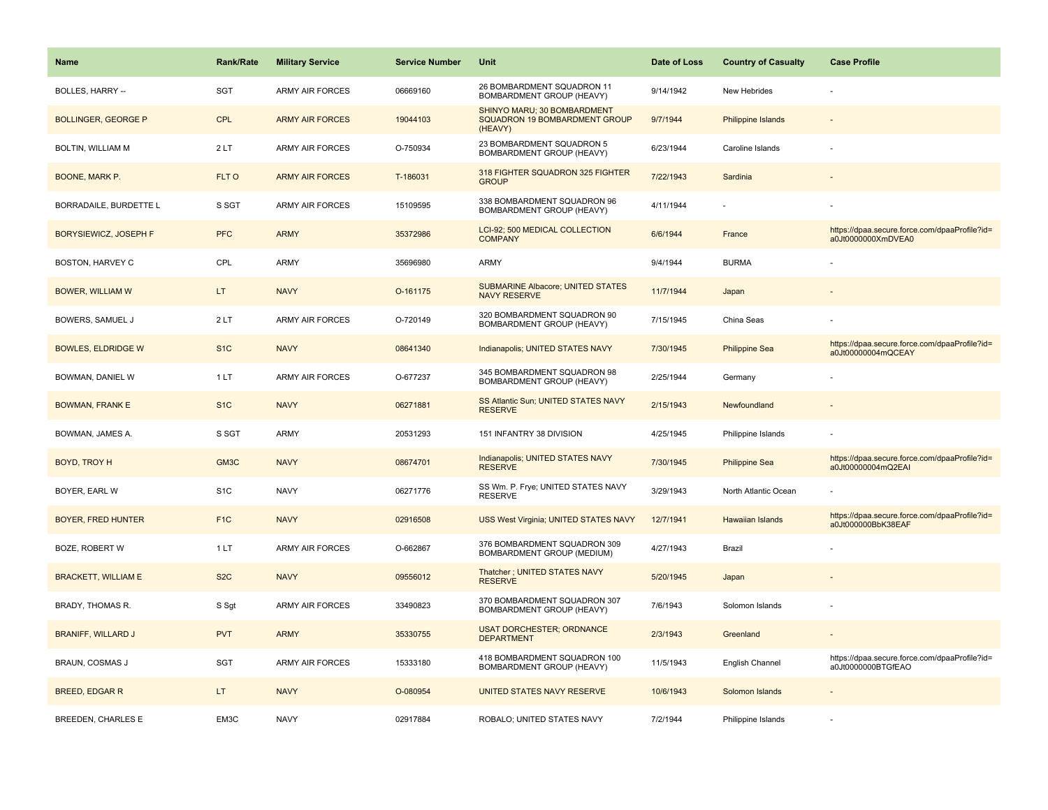| <b>Name</b>                  | <b>Rank/Rate</b> | <b>Military Service</b> | <b>Service Number</b> | Unit                                                                    | Date of Loss | <b>Country of Casualty</b> | <b>Case Profile</b>                                                 |
|------------------------------|------------------|-------------------------|-----------------------|-------------------------------------------------------------------------|--------------|----------------------------|---------------------------------------------------------------------|
| <b>BOLLES, HARRY --</b>      | <b>SGT</b>       | ARMY AIR FORCES         | 06669160              | 26 BOMBARDMENT SQUADRON 11<br>BOMBARDMENT GROUP (HEAVY)                 | 9/14/1942    | New Hebrides               |                                                                     |
| <b>BOLLINGER, GEORGE P</b>   | CPL              | <b>ARMY AIR FORCES</b>  | 19044103              | SHINYO MARU; 30 BOMBARDMENT<br>SQUADRON 19 BOMBARDMENT GROUP<br>(HEAVY) | 9/7/1944     | <b>Philippine Islands</b>  |                                                                     |
| BOLTIN, WILLIAM M            | 2LT              | <b>ARMY AIR FORCES</b>  | O-750934              | 23 BOMBARDMENT SQUADRON 5<br>BOMBARDMENT GROUP (HEAVY)                  | 6/23/1944    | Caroline Islands           |                                                                     |
| BOONE, MARK P.               | FLT O            | <b>ARMY AIR FORCES</b>  | T-186031              | 318 FIGHTER SQUADRON 325 FIGHTER<br><b>GROUP</b>                        | 7/22/1943    | Sardinia                   |                                                                     |
| BORRADAILE, BURDETTE L       | S SGT            | <b>ARMY AIR FORCES</b>  | 15109595              | 338 BOMBARDMENT SQUADRON 96<br>BOMBARDMENT GROUP (HEAVY)                | 4/11/1944    |                            |                                                                     |
| <b>BORYSIEWICZ, JOSEPH F</b> | <b>PFC</b>       | <b>ARMY</b>             | 35372986              | LCI-92; 500 MEDICAL COLLECTION<br><b>COMPANY</b>                        | 6/6/1944     | France                     | https://dpaa.secure.force.com/dpaaProfile?id=<br>a0Jt0000000XmDVEA0 |
| BOSTON, HARVEY C             | CPL              | <b>ARMY</b>             | 35696980              | <b>ARMY</b>                                                             | 9/4/1944     | <b>BURMA</b>               |                                                                     |
| <b>BOWER, WILLIAM W</b>      | LT.              | <b>NAVY</b>             | O-161175              | <b>SUBMARINE Albacore; UNITED STATES</b><br><b>NAVY RESERVE</b>         | 11/7/1944    | Japan                      |                                                                     |
| BOWERS, SAMUEL J             | 2LT              | <b>ARMY AIR FORCES</b>  | O-720149              | 320 BOMBARDMENT SQUADRON 90<br>BOMBARDMENT GROUP (HEAVY)                | 7/15/1945    | China Seas                 |                                                                     |
| <b>BOWLES, ELDRIDGE W</b>    | S <sub>1</sub> C | <b>NAVY</b>             | 08641340              | Indianapolis; UNITED STATES NAVY                                        | 7/30/1945    | <b>Philippine Sea</b>      | https://dpaa.secure.force.com/dpaaProfile?id=<br>a0Jt00000004mQCEAY |
| BOWMAN, DANIEL W             | 1 LT             | <b>ARMY AIR FORCES</b>  | O-677237              | 345 BOMBARDMENT SQUADRON 98<br>BOMBARDMENT GROUP (HEAVY)                | 2/25/1944    | Germany                    |                                                                     |
| <b>BOWMAN, FRANK E</b>       | S <sub>1C</sub>  | <b>NAVY</b>             | 06271881              | SS Atlantic Sun; UNITED STATES NAVY<br><b>RESERVE</b>                   | 2/15/1943    | Newfoundland               |                                                                     |
| BOWMAN, JAMES A.             | S SGT            | <b>ARMY</b>             | 20531293              | 151 INFANTRY 38 DIVISION                                                | 4/25/1945    | Philippine Islands         |                                                                     |
| BOYD, TROY H                 | GM3C             | <b>NAVY</b>             | 08674701              | Indianapolis; UNITED STATES NAVY<br><b>RESERVE</b>                      | 7/30/1945    | <b>Philippine Sea</b>      | https://dpaa.secure.force.com/dpaaProfile?id=<br>a0Jt00000004mQ2EAI |
| BOYER, EARL W                | S <sub>1</sub> C | <b>NAVY</b>             | 06271776              | SS Wm. P. Frye; UNITED STATES NAVY<br><b>RESERVE</b>                    | 3/29/1943    | North Atlantic Ocean       |                                                                     |
| <b>BOYER, FRED HUNTER</b>    | F <sub>1C</sub>  | <b>NAVY</b>             | 02916508              | USS West Virginia; UNITED STATES NAVY                                   | 12/7/1941    | Hawaiian Islands           | https://dpaa.secure.force.com/dpaaProfile?id=<br>a0Jt000000BbK38EAF |
| BOZE, ROBERT W               | 1LT              | <b>ARMY AIR FORCES</b>  | O-662867              | 376 BOMBARDMENT SQUADRON 309<br>BOMBARDMENT GROUP (MEDIUM)              | 4/27/1943    | Brazil                     |                                                                     |
| <b>BRACKETT, WILLIAM E</b>   | S <sub>2</sub> C | <b>NAVY</b>             | 09556012              | Thatcher; UNITED STATES NAVY<br><b>RESERVE</b>                          | 5/20/1945    | Japan                      |                                                                     |
| BRADY, THOMAS R.             | S Sgt            | ARMY AIR FORCES         | 33490823              | 370 BOMBARDMENT SQUADRON 307<br>BOMBARDMENT GROUP (HEAVY)               | 7/6/1943     | Solomon Islands            |                                                                     |
| <b>BRANIFF, WILLARD J</b>    | <b>PVT</b>       | <b>ARMY</b>             | 35330755              | <b>USAT DORCHESTER; ORDNANCE</b><br><b>DEPARTMENT</b>                   | 2/3/1943     | Greenland                  |                                                                     |
| BRAUN, COSMAS J              | <b>SGT</b>       | <b>ARMY AIR FORCES</b>  | 15333180              | 418 BOMBARDMENT SQUADRON 100<br>BOMBARDMENT GROUP (HEAVY)               | 11/5/1943    | English Channel            | https://dpaa.secure.force.com/dpaaProfile?id=<br>a0Jt0000000BTGfEAO |
| <b>BREED, EDGAR R</b>        | LT.              | <b>NAVY</b>             | O-080954              | UNITED STATES NAVY RESERVE                                              | 10/6/1943    | Solomon Islands            |                                                                     |
| BREEDEN, CHARLES E           | EM3C             | <b>NAVY</b>             | 02917884              | ROBALO; UNITED STATES NAVY                                              | 7/2/1944     | Philippine Islands         |                                                                     |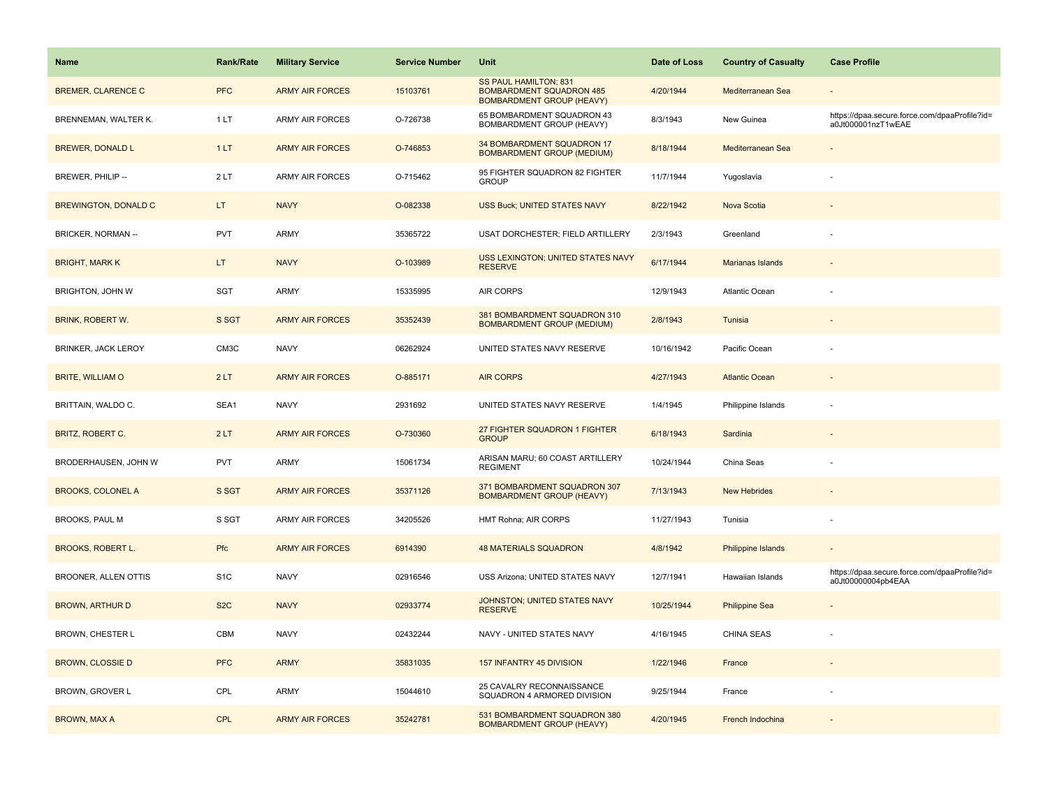| <b>Name</b>                 | <b>Rank/Rate</b> | <b>Military Service</b> | <b>Service Number</b> | Unit                                                                                         | Date of Loss | <b>Country of Casualty</b> | <b>Case Profile</b>                                                 |
|-----------------------------|------------------|-------------------------|-----------------------|----------------------------------------------------------------------------------------------|--------------|----------------------------|---------------------------------------------------------------------|
| <b>BREMER, CLARENCE C</b>   | <b>PFC</b>       | <b>ARMY AIR FORCES</b>  | 15103761              | SS PAUL HAMILTON; 831<br><b>BOMBARDMENT SQUADRON 485</b><br><b>BOMBARDMENT GROUP (HEAVY)</b> | 4/20/1944    | Mediterranean Sea          |                                                                     |
| BRENNEMAN, WALTER K.        | 1 LT             | ARMY AIR FORCES         | O-726738              | 65 BOMBARDMENT SQUADRON 43<br>BOMBARDMENT GROUP (HEAVY)                                      | 8/3/1943     | New Guinea                 | https://dpaa.secure.force.com/dpaaProfile?id=<br>a0Jt000001nzT1wEAE |
| <b>BREWER, DONALD L</b>     | 1LT              | <b>ARMY AIR FORCES</b>  | O-746853              | 34 BOMBARDMENT SQUADRON 17<br><b>BOMBARDMENT GROUP (MEDIUM)</b>                              | 8/18/1944    | Mediterranean Sea          |                                                                     |
| BREWER, PHILIP --           | 2LT              | <b>ARMY AIR FORCES</b>  | O-715462              | 95 FIGHTER SQUADRON 82 FIGHTER<br><b>GROUP</b>                                               | 11/7/1944    | Yugoslavia                 |                                                                     |
| <b>BREWINGTON, DONALD C</b> | LT.              | <b>NAVY</b>             | O-082338              | <b>USS Buck; UNITED STATES NAVY</b>                                                          | 8/22/1942    | Nova Scotia                |                                                                     |
| <b>BRICKER, NORMAN --</b>   | <b>PVT</b>       | ARMY                    | 35365722              | <b>USAT DORCHESTER; FIELD ARTILLERY</b>                                                      | 2/3/1943     | Greenland                  |                                                                     |
| <b>BRIGHT, MARK K</b>       | LT.              | <b>NAVY</b>             | O-103989              | USS LEXINGTON; UNITED STATES NAVY<br><b>RESERVE</b>                                          | 6/17/1944    | <b>Marianas Islands</b>    |                                                                     |
| BRIGHTON, JOHN W            | <b>SGT</b>       | ARMY                    | 15335995              | <b>AIR CORPS</b>                                                                             | 12/9/1943    | <b>Atlantic Ocean</b>      |                                                                     |
| BRINK, ROBERT W.            | S SGT            | <b>ARMY AIR FORCES</b>  | 35352439              | 381 BOMBARDMENT SQUADRON 310<br><b>BOMBARDMENT GROUP (MEDIUM)</b>                            | 2/8/1943     | Tunisia                    |                                                                     |
| <b>BRINKER, JACK LEROY</b>  | CM3C             | <b>NAVY</b>             | 06262924              | UNITED STATES NAVY RESERVE                                                                   | 10/16/1942   | Pacific Ocean              |                                                                     |
| <b>BRITE, WILLIAM O</b>     | 2LT              | <b>ARMY AIR FORCES</b>  | O-885171              | <b>AIR CORPS</b>                                                                             | 4/27/1943    | <b>Atlantic Ocean</b>      |                                                                     |
| BRITTAIN, WALDO C.          | SEA1             | <b>NAVY</b>             | 2931692               | UNITED STATES NAVY RESERVE                                                                   | 1/4/1945     | Philippine Islands         |                                                                     |
| BRITZ, ROBERT C.            | 2LT              | <b>ARMY AIR FORCES</b>  | O-730360              | 27 FIGHTER SQUADRON 1 FIGHTER<br><b>GROUP</b>                                                | 6/18/1943    | Sardinia                   |                                                                     |
| BRODERHAUSEN, JOHN W        | <b>PVT</b>       | ARMY                    | 15061734              | ARISAN MARU; 60 COAST ARTILLERY<br><b>REGIMENT</b>                                           | 10/24/1944   | China Seas                 |                                                                     |
| <b>BROOKS, COLONEL A</b>    | S SGT            | <b>ARMY AIR FORCES</b>  | 35371126              | 371 BOMBARDMENT SQUADRON 307<br><b>BOMBARDMENT GROUP (HEAVY)</b>                             | 7/13/1943    | <b>New Hebrides</b>        |                                                                     |
| <b>BROOKS, PAUL M</b>       | S SGT            | <b>ARMY AIR FORCES</b>  | 34205526              | HMT Rohna; AIR CORPS                                                                         | 11/27/1943   | Tunisia                    |                                                                     |
| <b>BROOKS, ROBERT L.</b>    | <b>Pfc</b>       | <b>ARMY AIR FORCES</b>  | 6914390               | <b>48 MATERIALS SQUADRON</b>                                                                 | 4/8/1942     | Philippine Islands         |                                                                     |
| BROONER, ALLEN OTTIS        | S <sub>1</sub> C | <b>NAVY</b>             | 02916546              | USS Arizona; UNITED STATES NAVY                                                              | 12/7/1941    | Hawaiian Islands           | https://dpaa.secure.force.com/dpaaProfile?id=<br>a0Jt00000004pb4EAA |
| <b>BROWN, ARTHUR D</b>      | S <sub>2</sub> C | <b>NAVY</b>             | 02933774              | JOHNSTON; UNITED STATES NAVY<br><b>RESERVE</b>                                               | 10/25/1944   | <b>Philippine Sea</b>      |                                                                     |
| BROWN, CHESTER L            | CBM              | <b>NAVY</b>             | 02432244              | NAVY - UNITED STATES NAVY                                                                    | 4/16/1945    | <b>CHINA SEAS</b>          |                                                                     |
| <b>BROWN, CLOSSIE D</b>     | <b>PFC</b>       | <b>ARMY</b>             | 35831035              | 157 INFANTRY 45 DIVISION                                                                     | 1/22/1946    | France                     |                                                                     |
| BROWN, GROVER L             | CPL              | ARMY                    | 15044610              | 25 CAVALRY RECONNAISSANCE<br>SQUADRON 4 ARMORED DIVISION                                     | 9/25/1944    | France                     |                                                                     |
| <b>BROWN, MAX A</b>         | <b>CPL</b>       | <b>ARMY AIR FORCES</b>  | 35242781              | 531 BOMBARDMENT SQUADRON 380<br><b>BOMBARDMENT GROUP (HEAVY)</b>                             | 4/20/1945    | French Indochina           |                                                                     |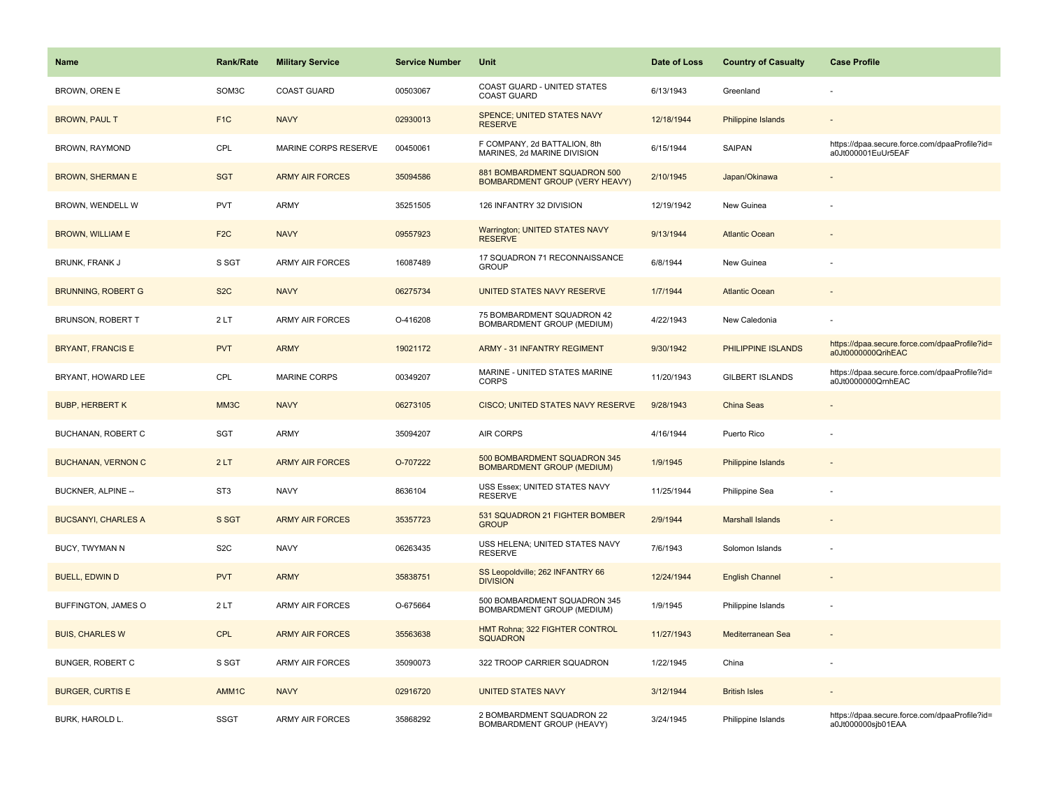| <b>Name</b>                | <b>Rank/Rate</b> | <b>Military Service</b> | <b>Service Number</b> | Unit                                                                  | Date of Loss | <b>Country of Casualty</b> | <b>Case Profile</b>                                                 |
|----------------------------|------------------|-------------------------|-----------------------|-----------------------------------------------------------------------|--------------|----------------------------|---------------------------------------------------------------------|
| BROWN, OREN E              | SOM3C            | <b>COAST GUARD</b>      | 00503067              | COAST GUARD - UNITED STATES<br><b>COAST GUARD</b>                     | 6/13/1943    | Greenland                  |                                                                     |
| <b>BROWN, PAUL T</b>       | F <sub>1C</sub>  | <b>NAVY</b>             | 02930013              | <b>SPENCE: UNITED STATES NAVY</b><br><b>RESERVE</b>                   | 12/18/1944   | <b>Philippine Islands</b>  |                                                                     |
| BROWN, RAYMOND             | CPL              | MARINE CORPS RESERVE    | 00450061              | F COMPANY, 2d BATTALION, 8th<br>MARINES, 2d MARINE DIVISION           | 6/15/1944    | SAIPAN                     | https://dpaa.secure.force.com/dpaaProfile?id=<br>a0Jt000001EuUr5EAF |
| <b>BROWN, SHERMAN E</b>    | <b>SGT</b>       | <b>ARMY AIR FORCES</b>  | 35094586              | 881 BOMBARDMENT SQUADRON 500<br><b>BOMBARDMENT GROUP (VERY HEAVY)</b> | 2/10/1945    | Japan/Okinawa              |                                                                     |
| BROWN, WENDELL W           | <b>PVT</b>       | <b>ARMY</b>             | 35251505              | 126 INFANTRY 32 DIVISION                                              | 12/19/1942   | New Guinea                 |                                                                     |
| <b>BROWN, WILLIAM E</b>    | F <sub>2</sub> C | <b>NAVY</b>             | 09557923              | Warrington; UNITED STATES NAVY<br><b>RESERVE</b>                      | 9/13/1944    | <b>Atlantic Ocean</b>      |                                                                     |
| <b>BRUNK, FRANK J</b>      | S SGT            | <b>ARMY AIR FORCES</b>  | 16087489              | 17 SQUADRON 71 RECONNAISSANCE<br><b>GROUP</b>                         | 6/8/1944     | New Guinea                 |                                                                     |
| <b>BRUNNING, ROBERT G</b>  | S <sub>2</sub> C | <b>NAVY</b>             | 06275734              | UNITED STATES NAVY RESERVE                                            | 1/7/1944     | <b>Atlantic Ocean</b>      |                                                                     |
| <b>BRUNSON, ROBERT T</b>   | 2LT              | <b>ARMY AIR FORCES</b>  | O-416208              | 75 BOMBARDMENT SQUADRON 42<br>BOMBARDMENT GROUP (MEDIUM)              | 4/22/1943    | New Caledonia              |                                                                     |
| <b>BRYANT, FRANCIS E</b>   | <b>PVT</b>       | <b>ARMY</b>             | 19021172              | <b>ARMY - 31 INFANTRY REGIMENT</b>                                    | 9/30/1942    | PHILIPPINE ISLANDS         | https://dpaa.secure.force.com/dpaaProfile?id=<br>a0Jt0000000QrihEAC |
| BRYANT, HOWARD LEE         | CPL              | <b>MARINE CORPS</b>     | 00349207              | MARINE - UNITED STATES MARINE<br>CORPS                                | 11/20/1943   | <b>GILBERT ISLANDS</b>     | https://dpaa.secure.force.com/dpaaProfile?id=<br>a0Jt0000000QrnhEAC |
| <b>BUBP, HERBERT K</b>     | MM3C             | <b>NAVY</b>             | 06273105              | <b>CISCO; UNITED STATES NAVY RESERVE</b>                              | 9/28/1943    | China Seas                 |                                                                     |
| BUCHANAN, ROBERT C         | SGT              | <b>ARMY</b>             | 35094207              | AIR CORPS                                                             | 4/16/1944    | Puerto Rico                |                                                                     |
| <b>BUCHANAN, VERNON C</b>  | 2LT              | <b>ARMY AIR FORCES</b>  | O-707222              | 500 BOMBARDMENT SQUADRON 345<br><b>BOMBARDMENT GROUP (MEDIUM)</b>     | 1/9/1945     | <b>Philippine Islands</b>  |                                                                     |
| BUCKNER, ALPINE --         | ST <sub>3</sub>  | <b>NAVY</b>             | 8636104               | USS Essex; UNITED STATES NAVY<br><b>RESERVE</b>                       | 11/25/1944   | Philippine Sea             |                                                                     |
| <b>BUCSANYI, CHARLES A</b> | S SGT            | <b>ARMY AIR FORCES</b>  | 35357723              | 531 SQUADRON 21 FIGHTER BOMBER<br><b>GROUP</b>                        | 2/9/1944     | <b>Marshall Islands</b>    |                                                                     |
| BUCY, TWYMAN N             | S <sub>2</sub> C | <b>NAVY</b>             | 06263435              | USS HELENA; UNITED STATES NAVY<br><b>RESERVE</b>                      | 7/6/1943     | Solomon Islands            |                                                                     |
| <b>BUELL, EDWIN D</b>      | <b>PVT</b>       | <b>ARMY</b>             | 35838751              | SS Leopoldville; 262 INFANTRY 66<br><b>DIVISION</b>                   | 12/24/1944   | <b>English Channel</b>     |                                                                     |
| BUFFINGTON, JAMES O        | 2LT              | <b>ARMY AIR FORCES</b>  | O-675664              | 500 BOMBARDMENT SQUADRON 345<br>BOMBARDMENT GROUP (MEDIUM)            | 1/9/1945     | Philippine Islands         | ÷,                                                                  |
| <b>BUIS, CHARLES W</b>     | <b>CPL</b>       | <b>ARMY AIR FORCES</b>  | 35563638              | HMT Rohna; 322 FIGHTER CONTROL<br><b>SQUADRON</b>                     | 11/27/1943   | Mediterranean Sea          |                                                                     |
| BUNGER, ROBERT C           | S SGT            | ARMY AIR FORCES         | 35090073              | 322 TROOP CARRIER SQUADRON                                            | 1/22/1945    | China                      |                                                                     |
| <b>BURGER, CURTIS E</b>    | AMM1C            | <b>NAVY</b>             | 02916720              | <b>UNITED STATES NAVY</b>                                             | 3/12/1944    | <b>British Isles</b>       |                                                                     |
| BURK, HAROLD L.            | <b>SSGT</b>      | <b>ARMY AIR FORCES</b>  | 35868292              | 2 BOMBARDMENT SQUADRON 22<br>BOMBARDMENT GROUP (HEAVY)                | 3/24/1945    | Philippine Islands         | https://dpaa.secure.force.com/dpaaProfile?id=<br>a0Jt000000sjb01EAA |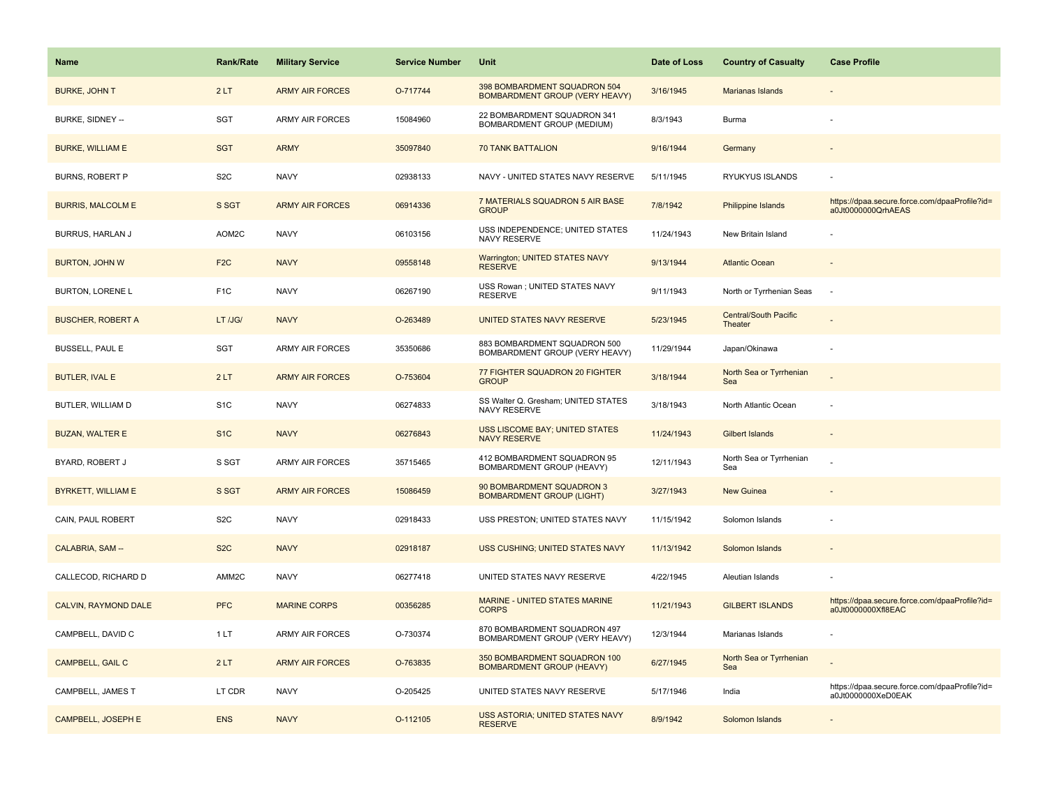| Name                        | <b>Rank/Rate</b> | <b>Military Service</b> | <b>Service Number</b> | Unit                                                                  | Date of Loss | <b>Country of Casualty</b>       | <b>Case Profile</b>                                                 |
|-----------------------------|------------------|-------------------------|-----------------------|-----------------------------------------------------------------------|--------------|----------------------------------|---------------------------------------------------------------------|
| <b>BURKE, JOHN T</b>        | 2LT              | <b>ARMY AIR FORCES</b>  | O-717744              | 398 BOMBARDMENT SQUADRON 504<br><b>BOMBARDMENT GROUP (VERY HEAVY)</b> | 3/16/1945    | Marianas Islands                 |                                                                     |
| BURKE, SIDNEY --            | SGT              | ARMY AIR FORCES         | 15084960              | 22 BOMBARDMENT SQUADRON 341<br>BOMBARDMENT GROUP (MEDIUM)             | 8/3/1943     | Burma                            |                                                                     |
| <b>BURKE, WILLIAM E</b>     | <b>SGT</b>       | <b>ARMY</b>             | 35097840              | <b>70 TANK BATTALION</b>                                              | 9/16/1944    | Germany                          |                                                                     |
| <b>BURNS, ROBERT P</b>      | S <sub>2</sub> C | <b>NAVY</b>             | 02938133              | NAVY - UNITED STATES NAVY RESERVE                                     | 5/11/1945    | RYUKYUS ISLANDS                  |                                                                     |
| <b>BURRIS, MALCOLM E</b>    | S SGT            | <b>ARMY AIR FORCES</b>  | 06914336              | 7 MATERIALS SQUADRON 5 AIR BASE<br><b>GROUP</b>                       | 7/8/1942     | Philippine Islands               | https://dpaa.secure.force.com/dpaaProfile?id=<br>a0Jt0000000QrhAEAS |
| BURRUS, HARLAN J            | AOM2C            | <b>NAVY</b>             | 06103156              | USS INDEPENDENCE; UNITED STATES<br>NAVY RESERVE                       | 11/24/1943   | New Britain Island               |                                                                     |
| <b>BURTON, JOHN W</b>       | F <sub>2</sub> C | <b>NAVY</b>             | 09558148              | <b>Warrington; UNITED STATES NAVY</b><br><b>RESERVE</b>               | 9/13/1944    | <b>Atlantic Ocean</b>            |                                                                     |
| <b>BURTON, LORENE L</b>     | F <sub>1C</sub>  | <b>NAVY</b>             | 06267190              | USS Rowan ; UNITED STATES NAVY<br><b>RESERVE</b>                      | 9/11/1943    | North or Tyrrhenian Seas         | $\sim$                                                              |
| <b>BUSCHER, ROBERT A</b>    | LT /JG/          | <b>NAVY</b>             | O-263489              | UNITED STATES NAVY RESERVE                                            | 5/23/1945    | Central/South Pacific<br>Theater |                                                                     |
| <b>BUSSELL, PAUL E</b>      | SGT              | <b>ARMY AIR FORCES</b>  | 35350686              | 883 BOMBARDMENT SQUADRON 500<br>BOMBARDMENT GROUP (VERY HEAVY)        | 11/29/1944   | Japan/Okinawa                    |                                                                     |
| <b>BUTLER, IVAL E</b>       | 2LT              | <b>ARMY AIR FORCES</b>  | O-753604              | 77 FIGHTER SQUADRON 20 FIGHTER<br><b>GROUP</b>                        | 3/18/1944    | North Sea or Tyrrhenian<br>Sea   |                                                                     |
| BUTLER, WILLIAM D           | S <sub>1</sub> C | <b>NAVY</b>             | 06274833              | SS Walter Q. Gresham; UNITED STATES<br>NAVY RESERVE                   | 3/18/1943    | North Atlantic Ocean             |                                                                     |
| <b>BUZAN, WALTER E</b>      | S <sub>1</sub> C | <b>NAVY</b>             | 06276843              | <b>USS LISCOME BAY; UNITED STATES</b><br><b>NAVY RESERVE</b>          | 11/24/1943   | <b>Gilbert Islands</b>           |                                                                     |
| BYARD, ROBERT J             | S SGT            | ARMY AIR FORCES         | 35715465              | 412 BOMBARDMENT SQUADRON 95<br>BOMBARDMENT GROUP (HEAVY)              | 12/11/1943   | North Sea or Tyrrhenian<br>Sea   |                                                                     |
| <b>BYRKETT, WILLIAM E</b>   | S SGT            | <b>ARMY AIR FORCES</b>  | 15086459              | 90 BOMBARDMENT SQUADRON 3<br><b>BOMBARDMENT GROUP (LIGHT)</b>         | 3/27/1943    | <b>New Guinea</b>                |                                                                     |
| CAIN, PAUL ROBERT           | S <sub>2</sub> C | <b>NAVY</b>             | 02918433              | USS PRESTON; UNITED STATES NAVY                                       | 11/15/1942   | Solomon Islands                  |                                                                     |
| CALABRIA, SAM --            | S <sub>2</sub> C | <b>NAVY</b>             | 02918187              | <b>USS CUSHING; UNITED STATES NAVY</b>                                | 11/13/1942   | Solomon Islands                  |                                                                     |
| CALLECOD, RICHARD D         | AMM2C            | <b>NAVY</b>             | 06277418              | UNITED STATES NAVY RESERVE                                            | 4/22/1945    | Aleutian Islands                 |                                                                     |
| <b>CALVIN, RAYMOND DALE</b> | <b>PFC</b>       | <b>MARINE CORPS</b>     | 00356285              | MARINE - UNITED STATES MARINE<br><b>CORPS</b>                         | 11/21/1943   | <b>GILBERT ISLANDS</b>           | https://dpaa.secure.force.com/dpaaProfile?id=<br>a0Jt0000000Xfl8EAC |
| CAMPBELL, DAVID C           | 1LT              | <b>ARMY AIR FORCES</b>  | O-730374              | 870 BOMBARDMENT SQUADRON 497<br>BOMBARDMENT GROUP (VERY HEAVY)        | 12/3/1944    | Marianas Islands                 |                                                                     |
| CAMPBELL, GAIL C            | 2LT              | <b>ARMY AIR FORCES</b>  | O-763835              | 350 BOMBARDMENT SQUADRON 100<br><b>BOMBARDMENT GROUP (HEAVY)</b>      | 6/27/1945    | North Sea or Tyrrhenian<br>Sea   |                                                                     |
| CAMPBELL, JAMES T           | LT CDR           | <b>NAVY</b>             | O-205425              | UNITED STATES NAVY RESERVE                                            | 5/17/1946    | India                            | https://dpaa.secure.force.com/dpaaProfile?id=<br>a0Jt0000000XeD0EAK |
| <b>CAMPBELL, JOSEPH E</b>   | <b>ENS</b>       | <b>NAVY</b>             | O-112105              | USS ASTORIA; UNITED STATES NAVY<br><b>RESERVE</b>                     | 8/9/1942     | Solomon Islands                  |                                                                     |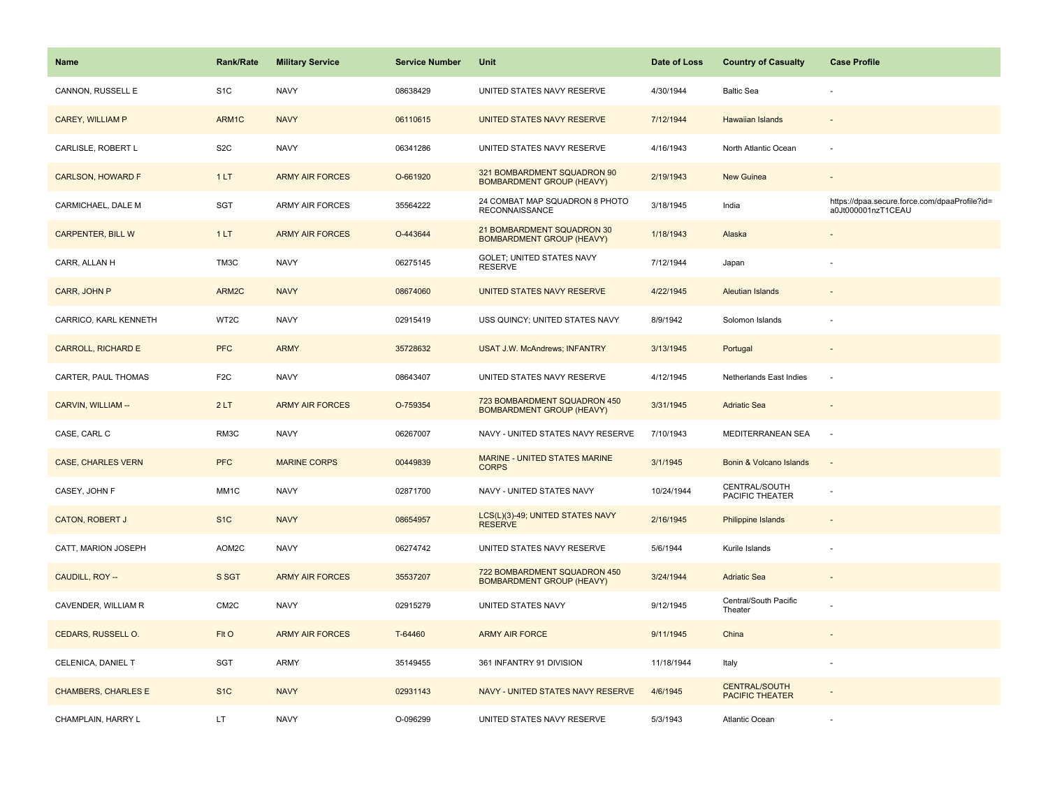| <b>Name</b>                | Rank/Rate         | <b>Military Service</b> | <b>Service Number</b> | Unit                                                             | Date of Loss | <b>Country of Casualty</b>                     | <b>Case Profile</b>                                                 |
|----------------------------|-------------------|-------------------------|-----------------------|------------------------------------------------------------------|--------------|------------------------------------------------|---------------------------------------------------------------------|
| CANNON, RUSSELL E          | S <sub>1</sub> C  | <b>NAVY</b>             | 08638429              | UNITED STATES NAVY RESERVE                                       | 4/30/1944    | <b>Baltic Sea</b>                              |                                                                     |
| CAREY, WILLIAM P           | ARM1C             | <b>NAVY</b>             | 06110615              | UNITED STATES NAVY RESERVE                                       | 7/12/1944    | <b>Hawaiian Islands</b>                        |                                                                     |
| CARLISLE, ROBERT L         | S <sub>2</sub> C  | <b>NAVY</b>             | 06341286              | UNITED STATES NAVY RESERVE                                       | 4/16/1943    | North Atlantic Ocean                           | ÷,                                                                  |
| <b>CARLSON, HOWARD F</b>   | 1LT               | <b>ARMY AIR FORCES</b>  | O-661920              | 321 BOMBARDMENT SQUADRON 90<br><b>BOMBARDMENT GROUP (HEAVY)</b>  | 2/19/1943    | New Guinea                                     |                                                                     |
| CARMICHAEL, DALE M         | SGT               | <b>ARMY AIR FORCES</b>  | 35564222              | 24 COMBAT MAP SQUADRON 8 PHOTO<br><b>RECONNAISSANCE</b>          | 3/18/1945    | India                                          | https://dpaa.secure.force.com/dpaaProfile?id=<br>a0Jt000001nzT1CEAU |
| <b>CARPENTER, BILL W</b>   | 1LT               | <b>ARMY AIR FORCES</b>  | O-443644              | 21 BOMBARDMENT SQUADRON 30<br><b>BOMBARDMENT GROUP (HEAVY)</b>   | 1/18/1943    | Alaska                                         |                                                                     |
| CARR, ALLAN H              | TM3C              | <b>NAVY</b>             | 06275145              | GOLET; UNITED STATES NAVY<br><b>RESERVE</b>                      | 7/12/1944    | Japan                                          |                                                                     |
| CARR, JOHN P               | ARM2C             | <b>NAVY</b>             | 08674060              | UNITED STATES NAVY RESERVE                                       | 4/22/1945    | <b>Aleutian Islands</b>                        |                                                                     |
| CARRICO, KARL KENNETH      | WT2C              | <b>NAVY</b>             | 02915419              | USS QUINCY; UNITED STATES NAVY                                   | 8/9/1942     | Solomon Islands                                |                                                                     |
| <b>CARROLL, RICHARD E</b>  | <b>PFC</b>        | <b>ARMY</b>             | 35728632              | <b>USAT J.W. McAndrews; INFANTRY</b>                             | 3/13/1945    | Portugal                                       |                                                                     |
| CARTER, PAUL THOMAS        | F <sub>2</sub> C  | <b>NAVY</b>             | 08643407              | UNITED STATES NAVY RESERVE                                       | 4/12/1945    | Netherlands East Indies                        |                                                                     |
| CARVIN, WILLIAM --         | 2LT               | <b>ARMY AIR FORCES</b>  | O-759354              | 723 BOMBARDMENT SQUADRON 450<br><b>BOMBARDMENT GROUP (HEAVY)</b> | 3/31/1945    | <b>Adriatic Sea</b>                            | $\overline{\phantom{a}}$                                            |
| CASE, CARL C               | RM3C              | <b>NAVY</b>             | 06267007              | NAVY - UNITED STATES NAVY RESERVE                                | 7/10/1943    | MEDITERRANEAN SEA                              | ÷.                                                                  |
| <b>CASE, CHARLES VERN</b>  | <b>PFC</b>        | <b>MARINE CORPS</b>     | 00449839              | <b>MARINE - UNITED STATES MARINE</b><br><b>CORPS</b>             | 3/1/1945     | Bonin & Volcano Islands                        | $\sim$                                                              |
| CASEY, JOHN F              | MM1C              | <b>NAVY</b>             | 02871700              | NAVY - UNITED STATES NAVY                                        | 10/24/1944   | CENTRAL/SOUTH<br>PACIFIC THEATER               |                                                                     |
| <b>CATON, ROBERT J</b>     | S <sub>1</sub> C  | <b>NAVY</b>             | 08654957              | LCS(L)(3)-49; UNITED STATES NAVY<br><b>RESERVE</b>               | 2/16/1945    | Philippine Islands                             |                                                                     |
| CATT, MARION JOSEPH        | AOM2C             | <b>NAVY</b>             | 06274742              | UNITED STATES NAVY RESERVE                                       | 5/6/1944     | Kurile Islands                                 |                                                                     |
| CAUDILL, ROY --            | S SGT             | <b>ARMY AIR FORCES</b>  | 35537207              | 722 BOMBARDMENT SQUADRON 450<br><b>BOMBARDMENT GROUP (HEAVY)</b> | 3/24/1944    | <b>Adriatic Sea</b>                            |                                                                     |
| CAVENDER, WILLIAM R        | CM <sub>2</sub> C | <b>NAVY</b>             | 02915279              | UNITED STATES NAVY                                               | 9/12/1945    | Central/South Pacific<br>Theater               |                                                                     |
| CEDARS, RUSSELL O.         | FIt O             | <b>ARMY AIR FORCES</b>  | T-64460               | <b>ARMY AIR FORCE</b>                                            | 9/11/1945    | China                                          |                                                                     |
| CELENICA, DANIEL T         | SGT               | <b>ARMY</b>             | 35149455              | 361 INFANTRY 91 DIVISION                                         | 11/18/1944   | Italy                                          | ÷,                                                                  |
| <b>CHAMBERS, CHARLES E</b> | S <sub>1</sub> C  | <b>NAVY</b>             | 02931143              | NAVY - UNITED STATES NAVY RESERVE                                | 4/6/1945     | <b>CENTRAL/SOUTH</b><br><b>PACIFIC THEATER</b> |                                                                     |
| CHAMPLAIN, HARRY L         | LT                | <b>NAVY</b>             | O-096299              | UNITED STATES NAVY RESERVE                                       | 5/3/1943     | <b>Atlantic Ocean</b>                          |                                                                     |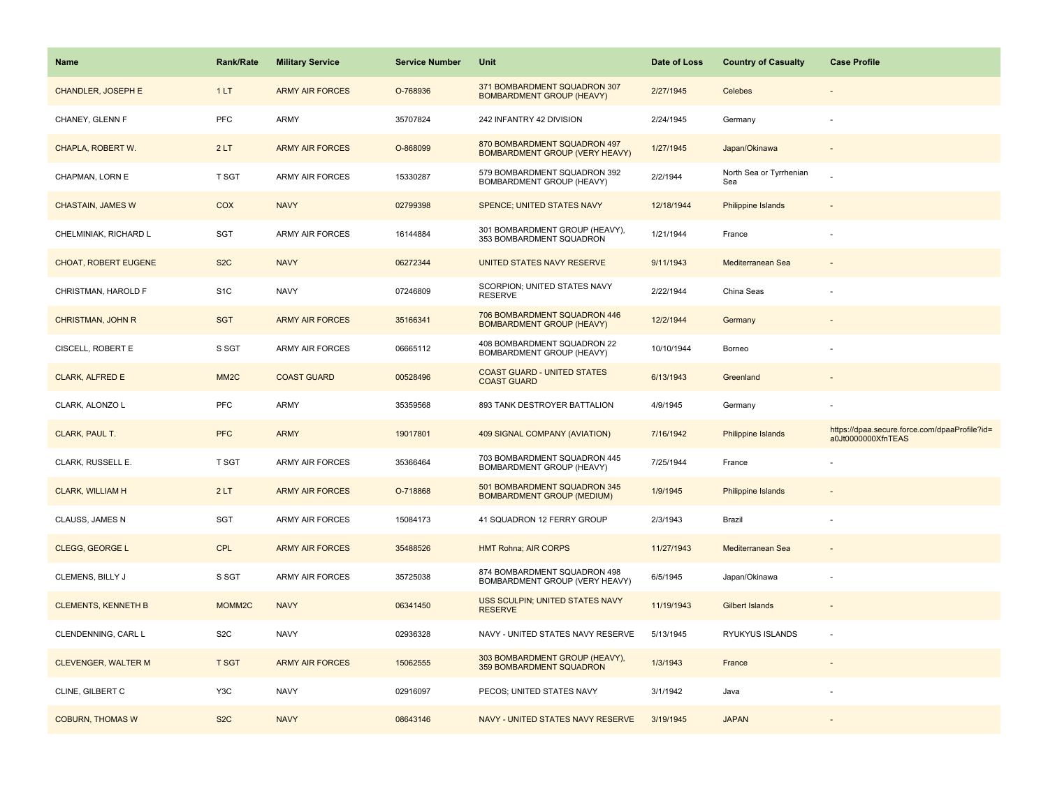| <b>Name</b>                | <b>Rank/Rate</b>   | <b>Military Service</b> | <b>Service Number</b> | Unit                                                                  | Date of Loss | <b>Country of Casualty</b>     | <b>Case Profile</b>                                                 |
|----------------------------|--------------------|-------------------------|-----------------------|-----------------------------------------------------------------------|--------------|--------------------------------|---------------------------------------------------------------------|
| CHANDLER, JOSEPH E         | 1LT                | <b>ARMY AIR FORCES</b>  | O-768936              | 371 BOMBARDMENT SQUADRON 307<br><b>BOMBARDMENT GROUP (HEAVY)</b>      | 2/27/1945    | Celebes                        |                                                                     |
| CHANEY, GLENN F            | PFC                | <b>ARMY</b>             | 35707824              | 242 INFANTRY 42 DIVISION                                              | 2/24/1945    | Germany                        |                                                                     |
| CHAPLA, ROBERT W.          | 2LT                | <b>ARMY AIR FORCES</b>  | O-868099              | 870 BOMBARDMENT SQUADRON 497<br><b>BOMBARDMENT GROUP (VERY HEAVY)</b> | 1/27/1945    | Japan/Okinawa                  |                                                                     |
| CHAPMAN, LORN E            | T SGT              | <b>ARMY AIR FORCES</b>  | 15330287              | 579 BOMBARDMENT SQUADRON 392<br>BOMBARDMENT GROUP (HEAVY)             | 2/2/1944     | North Sea or Tyrrhenian<br>Sea |                                                                     |
| <b>CHASTAIN, JAMES W</b>   | <b>COX</b>         | <b>NAVY</b>             | 02799398              | SPENCE; UNITED STATES NAVY                                            | 12/18/1944   | <b>Philippine Islands</b>      |                                                                     |
| CHELMINIAK, RICHARD L      | SGT                | <b>ARMY AIR FORCES</b>  | 16144884              | 301 BOMBARDMENT GROUP (HEAVY),<br>353 BOMBARDMENT SQUADRON            | 1/21/1944    | France                         |                                                                     |
| CHOAT, ROBERT EUGENE       | S <sub>2</sub> C   | <b>NAVY</b>             | 06272344              | <b>UNITED STATES NAVY RESERVE</b>                                     | 9/11/1943    | Mediterranean Sea              |                                                                     |
| CHRISTMAN, HAROLD F        | S <sub>1</sub> C   | <b>NAVY</b>             | 07246809              | SCORPION; UNITED STATES NAVY<br><b>RESERVE</b>                        | 2/22/1944    | China Seas                     |                                                                     |
| <b>CHRISTMAN, JOHN R</b>   | <b>SGT</b>         | <b>ARMY AIR FORCES</b>  | 35166341              | 706 BOMBARDMENT SQUADRON 446<br><b>BOMBARDMENT GROUP (HEAVY)</b>      | 12/2/1944    | Germany                        |                                                                     |
| CISCELL, ROBERT E          | S SGT              | <b>ARMY AIR FORCES</b>  | 06665112              | 408 BOMBARDMENT SQUADRON 22<br>BOMBARDMENT GROUP (HEAVY)              | 10/10/1944   | Borneo                         |                                                                     |
| <b>CLARK, ALFRED E</b>     | MM <sub>2</sub> C  | <b>COAST GUARD</b>      | 00528496              | <b>COAST GUARD - UNITED STATES</b><br><b>COAST GUARD</b>              | 6/13/1943    | Greenland                      |                                                                     |
| CLARK, ALONZO L            | <b>PFC</b>         | <b>ARMY</b>             | 35359568              | 893 TANK DESTROYER BATTALION                                          | 4/9/1945     | Germany                        |                                                                     |
| CLARK, PAUL T.             | <b>PFC</b>         | <b>ARMY</b>             | 19017801              | 409 SIGNAL COMPANY (AVIATION)                                         | 7/16/1942    | <b>Philippine Islands</b>      | https://dpaa.secure.force.com/dpaaProfile?id=<br>a0Jt0000000XfnTEAS |
| CLARK, RUSSELL E.          | T SGT              | <b>ARMY AIR FORCES</b>  | 35366464              | 703 BOMBARDMENT SQUADRON 445<br>BOMBARDMENT GROUP (HEAVY)             | 7/25/1944    | France                         |                                                                     |
| <b>CLARK, WILLIAM H</b>    | 2LT                | <b>ARMY AIR FORCES</b>  | O-718868              | 501 BOMBARDMENT SQUADRON 345<br><b>BOMBARDMENT GROUP (MEDIUM)</b>     | 1/9/1945     | Philippine Islands             |                                                                     |
| CLAUSS, JAMES N            | SGT                | <b>ARMY AIR FORCES</b>  | 15084173              | 41 SQUADRON 12 FERRY GROUP                                            | 2/3/1943     | Brazil                         |                                                                     |
| <b>CLEGG, GEORGE L</b>     | <b>CPL</b>         | <b>ARMY AIR FORCES</b>  | 35488526              | <b>HMT Rohna; AIR CORPS</b>                                           | 11/27/1943   | Mediterranean Sea              |                                                                     |
| CLEMENS, BILLY J           | S SGT              | <b>ARMY AIR FORCES</b>  | 35725038              | 874 BOMBARDMENT SQUADRON 498<br>BOMBARDMENT GROUP (VERY HEAVY)        | 6/5/1945     | Japan/Okinawa                  |                                                                     |
| <b>CLEMENTS, KENNETH B</b> | MOMM <sub>2C</sub> | <b>NAVY</b>             | 06341450              | USS SCULPIN; UNITED STATES NAVY<br><b>RESERVE</b>                     | 11/19/1943   | <b>Gilbert Islands</b>         |                                                                     |
| CLENDENNING, CARL L        | S <sub>2</sub> C   | <b>NAVY</b>             | 02936328              | NAVY - UNITED STATES NAVY RESERVE                                     | 5/13/1945    | RYUKYUS ISLANDS                |                                                                     |
| <b>CLEVENGER, WALTER M</b> | <b>T SGT</b>       | <b>ARMY AIR FORCES</b>  | 15062555              | 303 BOMBARDMENT GROUP (HEAVY),<br>359 BOMBARDMENT SQUADRON            | 1/3/1943     | France                         |                                                                     |
| CLINE, GILBERT C           | Y3C                | <b>NAVY</b>             | 02916097              | PECOS; UNITED STATES NAVY                                             | 3/1/1942     | Java                           |                                                                     |
| <b>COBURN, THOMAS W</b>    | S <sub>2</sub> C   | <b>NAVY</b>             | 08643146              | NAVY - UNITED STATES NAVY RESERVE                                     | 3/19/1945    | <b>JAPAN</b>                   |                                                                     |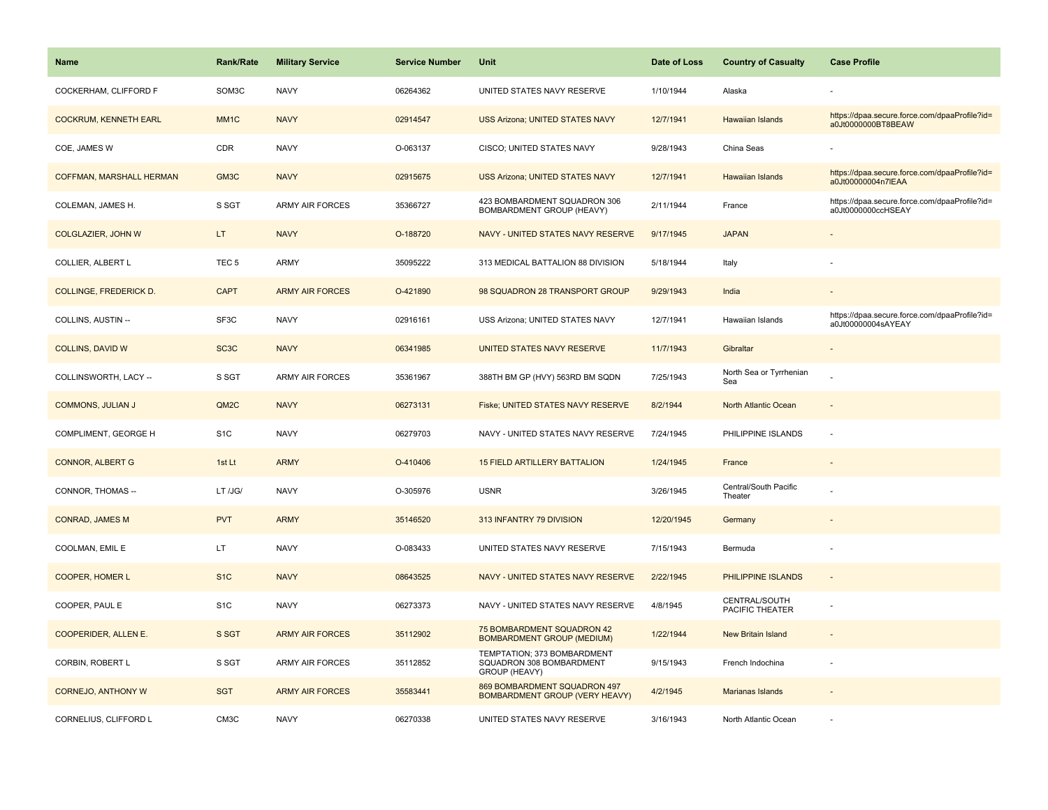| Name                          | <b>Rank/Rate</b>  | <b>Military Service</b> | <b>Service Number</b> | Unit                                                                     | Date of Loss | <b>Country of Casualty</b>       | <b>Case Profile</b>                                                 |
|-------------------------------|-------------------|-------------------------|-----------------------|--------------------------------------------------------------------------|--------------|----------------------------------|---------------------------------------------------------------------|
| COCKERHAM, CLIFFORD F         | SOM3C             | <b>NAVY</b>             | 06264362              | UNITED STATES NAVY RESERVE                                               | 1/10/1944    | Alaska                           |                                                                     |
| <b>COCKRUM, KENNETH EARL</b>  | MM <sub>1C</sub>  | <b>NAVY</b>             | 02914547              | <b>USS Arizona; UNITED STATES NAVY</b>                                   | 12/7/1941    | <b>Hawaiian Islands</b>          | https://dpaa.secure.force.com/dpaaProfile?id=<br>a0Jt0000000BT8BEAW |
| COE, JAMES W                  | <b>CDR</b>        | <b>NAVY</b>             | O-063137              | CISCO; UNITED STATES NAVY                                                | 9/28/1943    | China Seas                       |                                                                     |
| COFFMAN, MARSHALL HERMAN      | GM3C              | <b>NAVY</b>             | 02915675              | USS Arizona; UNITED STATES NAVY                                          | 12/7/1941    | <b>Hawaiian Islands</b>          | https://dpaa.secure.force.com/dpaaProfile?id=<br>a0Jt00000004n7lEAA |
| COLEMAN, JAMES H.             | S SGT             | <b>ARMY AIR FORCES</b>  | 35366727              | 423 BOMBARDMENT SQUADRON 306<br>BOMBARDMENT GROUP (HEAVY)                | 2/11/1944    | France                           | https://dpaa.secure.force.com/dpaaProfile?id=<br>a0Jt0000000ccHSEAY |
| COLGLAZIER, JOHN W            | LT.               | <b>NAVY</b>             | O-188720              | NAVY - UNITED STATES NAVY RESERVE                                        | 9/17/1945    | <b>JAPAN</b>                     | $\blacksquare$                                                      |
| COLLIER, ALBERT L             | TEC <sub>5</sub>  | ARMY                    | 35095222              | 313 MEDICAL BATTALION 88 DIVISION                                        | 5/18/1944    | Italy                            |                                                                     |
| <b>COLLINGE, FREDERICK D.</b> | <b>CAPT</b>       | <b>ARMY AIR FORCES</b>  | O-421890              | 98 SQUADRON 28 TRANSPORT GROUP                                           | 9/29/1943    | India                            |                                                                     |
| COLLINS, AUSTIN --            | SF3C              | <b>NAVY</b>             | 02916161              | USS Arizona; UNITED STATES NAVY                                          | 12/7/1941    | Hawaiian Islands                 | https://dpaa.secure.force.com/dpaaProfile?id=<br>a0Jt00000004sAYEAY |
| <b>COLLINS, DAVID W</b>       | SC <sub>3</sub> C | <b>NAVY</b>             | 06341985              | UNITED STATES NAVY RESERVE                                               | 11/7/1943    | Gibraltar                        |                                                                     |
| COLLINSWORTH, LACY --         | S SGT             | <b>ARMY AIR FORCES</b>  | 35361967              | 388TH BM GP (HVY) 563RD BM SQDN                                          | 7/25/1943    | North Sea or Tyrrhenian<br>Sea   |                                                                     |
| <b>COMMONS, JULIAN J</b>      | QM2C              | <b>NAVY</b>             | 06273131              | Fiske; UNITED STATES NAVY RESERVE                                        | 8/2/1944     | North Atlantic Ocean             | $\blacksquare$                                                      |
| COMPLIMENT, GEORGE H          | S <sub>1</sub> C  | <b>NAVY</b>             | 06279703              | NAVY - UNITED STATES NAVY RESERVE                                        | 7/24/1945    | PHILIPPINE ISLANDS               | ÷,                                                                  |
| <b>CONNOR, ALBERT G</b>       | 1st Lt            | <b>ARMY</b>             | O-410406              | <b>15 FIELD ARTILLERY BATTALION</b>                                      | 1/24/1945    | France                           |                                                                     |
| CONNOR, THOMAS --             | LT /JG/           | <b>NAVY</b>             | O-305976              | <b>USNR</b>                                                              | 3/26/1945    | Central/South Pacific<br>Theater |                                                                     |
| <b>CONRAD, JAMES M</b>        | <b>PVT</b>        | <b>ARMY</b>             | 35146520              | 313 INFANTRY 79 DIVISION                                                 | 12/20/1945   | Germany                          |                                                                     |
| COOLMAN, EMIL E               | LT                | <b>NAVY</b>             | O-083433              | UNITED STATES NAVY RESERVE                                               | 7/15/1943    | Bermuda                          |                                                                     |
| COOPER, HOMER L               | S <sub>1</sub> C  | <b>NAVY</b>             | 08643525              | NAVY - UNITED STATES NAVY RESERVE                                        | 2/22/1945    | <b>PHILIPPINE ISLANDS</b>        | $\sim$                                                              |
| COOPER, PAUL E                | S <sub>1</sub> C  | <b>NAVY</b>             | 06273373              | NAVY - UNITED STATES NAVY RESERVE                                        | 4/8/1945     | CENTRAL/SOUTH<br>PACIFIC THEATER |                                                                     |
| COOPERIDER, ALLEN E.          | S SGT             | <b>ARMY AIR FORCES</b>  | 35112902              | 75 BOMBARDMENT SQUADRON 42<br><b>BOMBARDMENT GROUP (MEDIUM)</b>          | 1/22/1944    | New Britain Island               | $\overline{a}$                                                      |
| CORBIN, ROBERT L              | S SGT             | <b>ARMY AIR FORCES</b>  | 35112852              | TEMPTATION; 373 BOMBARDMENT<br>SQUADRON 308 BOMBARDMENT<br>GROUP (HEAVY) | 9/15/1943    | French Indochina                 |                                                                     |
| <b>CORNEJO, ANTHONY W</b>     | <b>SGT</b>        | <b>ARMY AIR FORCES</b>  | 35583441              | 869 BOMBARDMENT SQUADRON 497<br><b>BOMBARDMENT GROUP (VERY HEAVY)</b>    | 4/2/1945     | <b>Marianas Islands</b>          |                                                                     |
| CORNELIUS, CLIFFORD L         | CM <sub>3</sub> C | <b>NAVY</b>             | 06270338              | UNITED STATES NAVY RESERVE                                               | 3/16/1943    | North Atlantic Ocean             |                                                                     |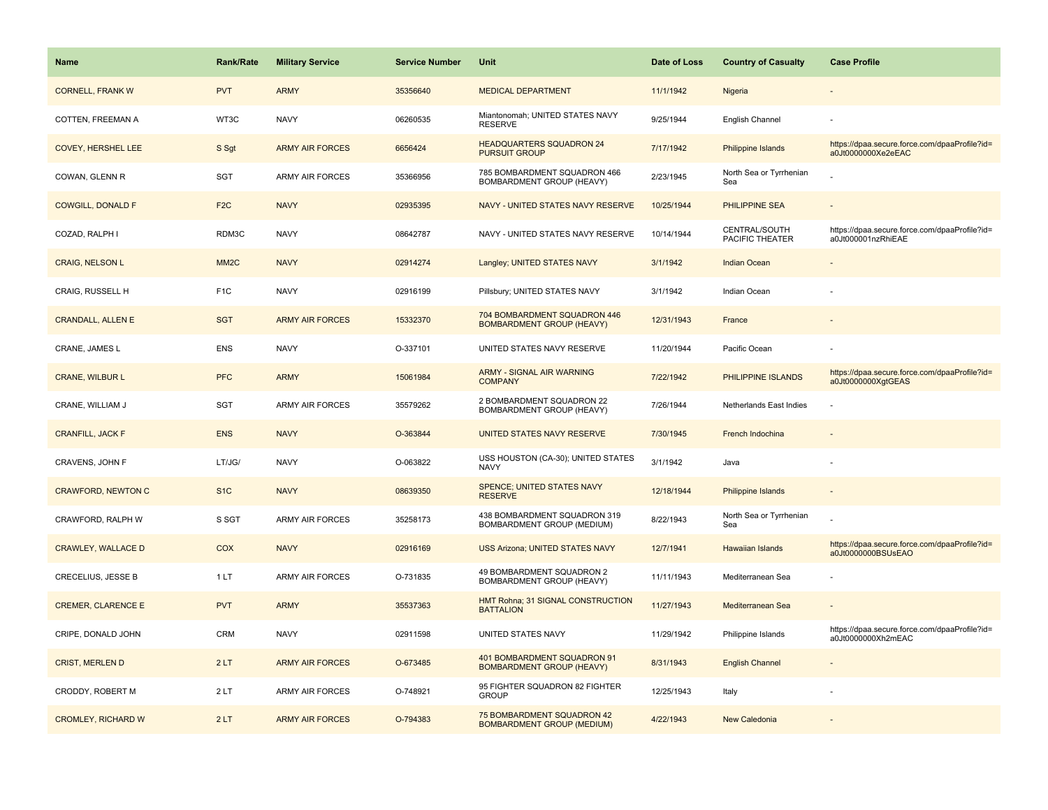| <b>Name</b>               | <b>Rank/Rate</b>  | <b>Military Service</b> | <b>Service Number</b> | Unit                                                             | Date of Loss | <b>Country of Casualty</b>       | <b>Case Profile</b>                                                 |
|---------------------------|-------------------|-------------------------|-----------------------|------------------------------------------------------------------|--------------|----------------------------------|---------------------------------------------------------------------|
| <b>CORNELL, FRANK W</b>   | <b>PVT</b>        | <b>ARMY</b>             | 35356640              | <b>MEDICAL DEPARTMENT</b>                                        | 11/1/1942    | Nigeria                          |                                                                     |
| COTTEN, FREEMAN A         | WT3C              | <b>NAVY</b>             | 06260535              | Miantonomah; UNITED STATES NAVY<br><b>RESERVE</b>                | 9/25/1944    | English Channel                  |                                                                     |
| <b>COVEY, HERSHEL LEE</b> | S Sgt             | <b>ARMY AIR FORCES</b>  | 6656424               | <b>HEADQUARTERS SQUADRON 24</b><br><b>PURSUIT GROUP</b>          | 7/17/1942    | Philippine Islands               | https://dpaa.secure.force.com/dpaaProfile?id=<br>a0Jt0000000Xe2eEAC |
| COWAN, GLENN R            | SGT               | <b>ARMY AIR FORCES</b>  | 35366956              | 785 BOMBARDMENT SQUADRON 466<br>BOMBARDMENT GROUP (HEAVY)        | 2/23/1945    | North Sea or Tyrrhenian<br>Sea   |                                                                     |
| <b>COWGILL, DONALD F</b>  | F <sub>2</sub> C  | <b>NAVY</b>             | 02935395              | NAVY - UNITED STATES NAVY RESERVE                                | 10/25/1944   | PHILIPPINE SEA                   |                                                                     |
| COZAD, RALPH I            | RDM3C             | <b>NAVY</b>             | 08642787              | NAVY - UNITED STATES NAVY RESERVE                                | 10/14/1944   | CENTRAL/SOUTH<br>PACIFIC THEATER | https://dpaa.secure.force.com/dpaaProfile?id=<br>a0Jt000001nzRhiEAE |
| <b>CRAIG, NELSON L</b>    | MM <sub>2</sub> C | <b>NAVY</b>             | 02914274              | Langley; UNITED STATES NAVY                                      | 3/1/1942     | <b>Indian Ocean</b>              |                                                                     |
| CRAIG, RUSSELL H          | F <sub>1C</sub>   | <b>NAVY</b>             | 02916199              | Pillsbury; UNITED STATES NAVY                                    | 3/1/1942     | Indian Ocean                     |                                                                     |
| <b>CRANDALL, ALLEN E</b>  | <b>SGT</b>        | <b>ARMY AIR FORCES</b>  | 15332370              | 704 BOMBARDMENT SQUADRON 446<br><b>BOMBARDMENT GROUP (HEAVY)</b> | 12/31/1943   | France                           |                                                                     |
| CRANE, JAMES L            | <b>ENS</b>        | <b>NAVY</b>             | O-337101              | UNITED STATES NAVY RESERVE                                       | 11/20/1944   | Pacific Ocean                    |                                                                     |
| <b>CRANE, WILBUR L</b>    | <b>PFC</b>        | <b>ARMY</b>             | 15061984              | <b>ARMY - SIGNAL AIR WARNING</b><br><b>COMPANY</b>               | 7/22/1942    | PHILIPPINE ISLANDS               | https://dpaa.secure.force.com/dpaaProfile?id=<br>a0Jt0000000XgtGEAS |
| CRANE, WILLIAM J          | <b>SGT</b>        | <b>ARMY AIR FORCES</b>  | 35579262              | 2 BOMBARDMENT SQUADRON 22<br>BOMBARDMENT GROUP (HEAVY)           | 7/26/1944    | Netherlands East Indies          |                                                                     |
| <b>CRANFILL, JACK F</b>   | <b>ENS</b>        | <b>NAVY</b>             | O-363844              | UNITED STATES NAVY RESERVE                                       | 7/30/1945    | French Indochina                 |                                                                     |
| CRAVENS, JOHN F           | LT/JG/            | <b>NAVY</b>             | O-063822              | USS HOUSTON (CA-30); UNITED STATES<br><b>NAVY</b>                | 3/1/1942     | Java                             |                                                                     |
| <b>CRAWFORD, NEWTON C</b> | S <sub>1C</sub>   | <b>NAVY</b>             | 08639350              | <b>SPENCE; UNITED STATES NAVY</b><br><b>RESERVE</b>              | 12/18/1944   | <b>Philippine Islands</b>        |                                                                     |
| CRAWFORD, RALPH W         | S SGT             | ARMY AIR FORCES         | 35258173              | 438 BOMBARDMENT SQUADRON 319<br>BOMBARDMENT GROUP (MEDIUM)       | 8/22/1943    | North Sea or Tyrrhenian<br>Sea   |                                                                     |
| <b>CRAWLEY, WALLACE D</b> | COX               | <b>NAVY</b>             | 02916169              | <b>USS Arizona; UNITED STATES NAVY</b>                           | 12/7/1941    | <b>Hawaiian Islands</b>          | https://dpaa.secure.force.com/dpaaProfile?id=<br>a0Jt0000000BSUsEAO |
| CRECELIUS, JESSE B        | 1LT               | ARMY AIR FORCES         | O-731835              | 49 BOMBARDMENT SQUADRON 2<br>BOMBARDMENT GROUP (HEAVY)           | 11/11/1943   | Mediterranean Sea                |                                                                     |
| <b>CREMER, CLARENCE E</b> | <b>PVT</b>        | <b>ARMY</b>             | 35537363              | HMT Rohna; 31 SIGNAL CONSTRUCTION<br><b>BATTALION</b>            | 11/27/1943   | Mediterranean Sea                |                                                                     |
| CRIPE, DONALD JOHN        | <b>CRM</b>        | <b>NAVY</b>             | 02911598              | UNITED STATES NAVY                                               | 11/29/1942   | Philippine Islands               | https://dpaa.secure.force.com/dpaaProfile?id=<br>a0Jt0000000Xh2mEAC |
| <b>CRIST, MERLEN D</b>    | 2LT               | <b>ARMY AIR FORCES</b>  | O-673485              | 401 BOMBARDMENT SQUADRON 91<br><b>BOMBARDMENT GROUP (HEAVY)</b>  | 8/31/1943    | <b>English Channel</b>           |                                                                     |
| CRODDY, ROBERT M          | 2LT               | ARMY AIR FORCES         | O-748921              | 95 FIGHTER SQUADRON 82 FIGHTER<br><b>GROUP</b>                   | 12/25/1943   | Italy                            |                                                                     |
| <b>CROMLEY, RICHARD W</b> | 2LT               | <b>ARMY AIR FORCES</b>  | O-794383              | 75 BOMBARDMENT SQUADRON 42<br><b>BOMBARDMENT GROUP (MEDIUM)</b>  | 4/22/1943    | New Caledonia                    |                                                                     |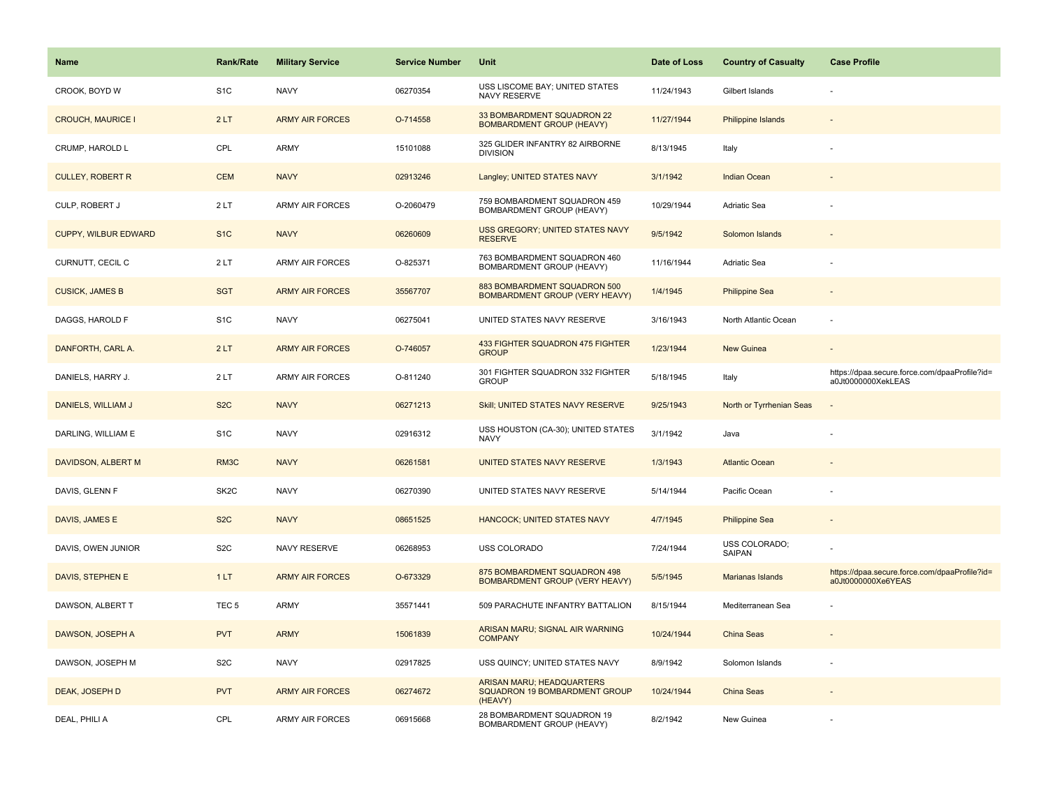| Name                        | <b>Rank/Rate</b>  | <b>Military Service</b> | <b>Service Number</b> | Unit                                                                         | Date of Loss | <b>Country of Casualty</b> | <b>Case Profile</b>                                                 |
|-----------------------------|-------------------|-------------------------|-----------------------|------------------------------------------------------------------------------|--------------|----------------------------|---------------------------------------------------------------------|
| CROOK, BOYD W               | S <sub>1C</sub>   | <b>NAVY</b>             | 06270354              | USS LISCOME BAY; UNITED STATES<br>NAVY RESERVE                               | 11/24/1943   | Gilbert Islands            |                                                                     |
| <b>CROUCH, MAURICE I</b>    | 2LT               | <b>ARMY AIR FORCES</b>  | O-714558              | 33 BOMBARDMENT SQUADRON 22<br><b>BOMBARDMENT GROUP (HEAVY)</b>               | 11/27/1944   | <b>Philippine Islands</b>  |                                                                     |
| CRUMP, HAROLD L             | CPL               | ARMY                    | 15101088              | 325 GLIDER INFANTRY 82 AIRBORNE<br><b>DIVISION</b>                           | 8/13/1945    | Italy                      |                                                                     |
| <b>CULLEY, ROBERT R</b>     | <b>CEM</b>        | <b>NAVY</b>             | 02913246              | Langley; UNITED STATES NAVY                                                  | 3/1/1942     | Indian Ocean               |                                                                     |
| CULP, ROBERT J              | 2LT               | <b>ARMY AIR FORCES</b>  | O-2060479             | 759 BOMBARDMENT SQUADRON 459<br>BOMBARDMENT GROUP (HEAVY)                    | 10/29/1944   | <b>Adriatic Sea</b>        |                                                                     |
| <b>CUPPY, WILBUR EDWARD</b> | S <sub>1</sub> C  | <b>NAVY</b>             | 06260609              | <b>USS GREGORY; UNITED STATES NAVY</b><br><b>RESERVE</b>                     | 9/5/1942     | Solomon Islands            |                                                                     |
| CURNUTT, CECIL C            | 2LT               | ARMY AIR FORCES         | O-825371              | 763 BOMBARDMENT SQUADRON 460<br>BOMBARDMENT GROUP (HEAVY)                    | 11/16/1944   | Adriatic Sea               |                                                                     |
| <b>CUSICK, JAMES B</b>      | <b>SGT</b>        | <b>ARMY AIR FORCES</b>  | 35567707              | 883 BOMBARDMENT SQUADRON 500<br>BOMBARDMENT GROUP (VERY HEAVY)               | 1/4/1945     | <b>Philippine Sea</b>      |                                                                     |
| DAGGS, HAROLD F             | S <sub>1</sub> C  | <b>NAVY</b>             | 06275041              | UNITED STATES NAVY RESERVE                                                   | 3/16/1943    | North Atlantic Ocean       |                                                                     |
| DANFORTH, CARL A.           | 2LT               | <b>ARMY AIR FORCES</b>  | O-746057              | 433 FIGHTER SQUADRON 475 FIGHTER<br><b>GROUP</b>                             | 1/23/1944    | New Guinea                 |                                                                     |
| DANIELS, HARRY J.           | 2LT               | <b>ARMY AIR FORCES</b>  | O-811240              | 301 FIGHTER SQUADRON 332 FIGHTER<br><b>GROUP</b>                             | 5/18/1945    | Italy                      | https://dpaa.secure.force.com/dpaaProfile?id=<br>a0Jt0000000XekLEAS |
| DANIELS, WILLIAM J          | S <sub>2</sub> C  | <b>NAVY</b>             | 06271213              | Skill; UNITED STATES NAVY RESERVE                                            | 9/25/1943    | North or Tyrrhenian Seas   |                                                                     |
| DARLING, WILLIAM E          | S <sub>1</sub> C  | <b>NAVY</b>             | 02916312              | USS HOUSTON (CA-30); UNITED STATES<br><b>NAVY</b>                            | 3/1/1942     | Java                       |                                                                     |
| DAVIDSON, ALBERT M          | RM3C              | <b>NAVY</b>             | 06261581              | UNITED STATES NAVY RESERVE                                                   | 1/3/1943     | <b>Atlantic Ocean</b>      |                                                                     |
| DAVIS, GLENN F              | SK <sub>2</sub> C | <b>NAVY</b>             | 06270390              | UNITED STATES NAVY RESERVE                                                   | 5/14/1944    | Pacific Ocean              |                                                                     |
| DAVIS, JAMES E              | S <sub>2</sub> C  | <b>NAVY</b>             | 08651525              | <b>HANCOCK; UNITED STATES NAVY</b>                                           | 4/7/1945     | <b>Philippine Sea</b>      |                                                                     |
| DAVIS, OWEN JUNIOR          | S <sub>2</sub> C  | NAVY RESERVE            | 06268953              | USS COLORADO                                                                 | 7/24/1944    | USS COLORADO;<br>SAIPAN    |                                                                     |
| DAVIS, STEPHEN E            | 1LT               | <b>ARMY AIR FORCES</b>  | O-673329              | 875 BOMBARDMENT SQUADRON 498<br><b>BOMBARDMENT GROUP (VERY HEAVY)</b>        | 5/5/1945     | Marianas Islands           | https://dpaa.secure.force.com/dpaaProfile?id=<br>a0Jt0000000Xe6YEAS |
| DAWSON, ALBERT T            | TEC <sub>5</sub>  | ARMY                    | 35571441              | 509 PARACHUTE INFANTRY BATTALION                                             | 8/15/1944    | Mediterranean Sea          |                                                                     |
| DAWSON, JOSEPH A            | <b>PVT</b>        | <b>ARMY</b>             | 15061839              | ARISAN MARU; SIGNAL AIR WARNING<br><b>COMPANY</b>                            | 10/24/1944   | China Seas                 |                                                                     |
| DAWSON, JOSEPH M            | S <sub>2</sub> C  | <b>NAVY</b>             | 02917825              | USS QUINCY; UNITED STATES NAVY                                               | 8/9/1942     | Solomon Islands            |                                                                     |
| DEAK, JOSEPH D              | <b>PVT</b>        | <b>ARMY AIR FORCES</b>  | 06274672              | <b>ARISAN MARU; HEADQUARTERS</b><br>SQUADRON 19 BOMBARDMENT GROUP<br>(HEAVY) | 10/24/1944   | China Seas                 |                                                                     |
| DEAL, PHILI A               | CPL               | ARMY AIR FORCES         | 06915668              | 28 BOMBARDMENT SQUADRON 19<br>BOMBARDMENT GROUP (HEAVY)                      | 8/2/1942     | New Guinea                 |                                                                     |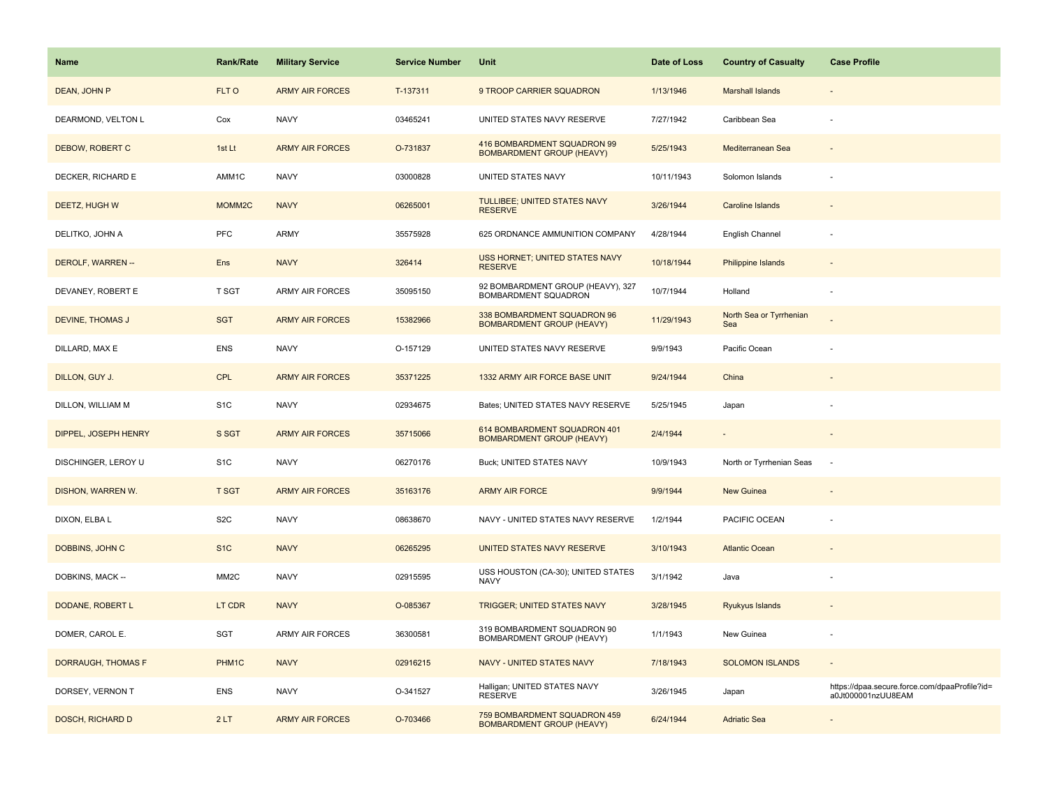| <b>Name</b>               | <b>Rank/Rate</b>   | <b>Military Service</b> | <b>Service Number</b> | Unit                                                             | Date of Loss | <b>Country of Casualty</b>     | <b>Case Profile</b>                                                 |
|---------------------------|--------------------|-------------------------|-----------------------|------------------------------------------------------------------|--------------|--------------------------------|---------------------------------------------------------------------|
| DEAN, JOHN P              | FLT O              | <b>ARMY AIR FORCES</b>  | T-137311              | 9 TROOP CARRIER SQUADRON                                         | 1/13/1946    | <b>Marshall Islands</b>        |                                                                     |
| DEARMOND, VELTON L        | Cox                | <b>NAVY</b>             | 03465241              | UNITED STATES NAVY RESERVE                                       | 7/27/1942    | Caribbean Sea                  |                                                                     |
| DEBOW, ROBERT C           | 1st Lt             | <b>ARMY AIR FORCES</b>  | O-731837              | 416 BOMBARDMENT SQUADRON 99<br><b>BOMBARDMENT GROUP (HEAVY)</b>  | 5/25/1943    | Mediterranean Sea              |                                                                     |
| DECKER, RICHARD E         | AMM1C              | <b>NAVY</b>             | 03000828              | UNITED STATES NAVY                                               | 10/11/1943   | Solomon Islands                |                                                                     |
| DEETZ, HUGH W             | MOMM <sub>2C</sub> | <b>NAVY</b>             | 06265001              | TULLIBEE; UNITED STATES NAVY<br><b>RESERVE</b>                   | 3/26/1944    | Caroline Islands               |                                                                     |
| DELITKO, JOHN A           | <b>PFC</b>         | ARMY                    | 35575928              | 625 ORDNANCE AMMUNITION COMPANY                                  | 4/28/1944    | English Channel                |                                                                     |
| DEROLF, WARREN --         | Ens                | <b>NAVY</b>             | 326414                | USS HORNET; UNITED STATES NAVY<br><b>RESERVE</b>                 | 10/18/1944   | Philippine Islands             |                                                                     |
| DEVANEY, ROBERT E         | T SGT              | <b>ARMY AIR FORCES</b>  | 35095150              | 92 BOMBARDMENT GROUP (HEAVY), 327<br>BOMBARDMENT SQUADRON        | 10/7/1944    | Holland                        |                                                                     |
| DEVINE, THOMAS J          | <b>SGT</b>         | <b>ARMY AIR FORCES</b>  | 15382966              | 338 BOMBARDMENT SQUADRON 96<br><b>BOMBARDMENT GROUP (HEAVY)</b>  | 11/29/1943   | North Sea or Tyrrhenian<br>Sea |                                                                     |
| DILLARD, MAX E            | <b>ENS</b>         | <b>NAVY</b>             | O-157129              | UNITED STATES NAVY RESERVE                                       | 9/9/1943     | Pacific Ocean                  |                                                                     |
| DILLON, GUY J.            | CPL                | <b>ARMY AIR FORCES</b>  | 35371225              | 1332 ARMY AIR FORCE BASE UNIT                                    | 9/24/1944    | China                          |                                                                     |
| DILLON, WILLIAM M         | S <sub>1</sub> C   | <b>NAVY</b>             | 02934675              | Bates; UNITED STATES NAVY RESERVE                                | 5/25/1945    | Japan                          |                                                                     |
| DIPPEL, JOSEPH HENRY      | S SGT              | <b>ARMY AIR FORCES</b>  | 35715066              | 614 BOMBARDMENT SQUADRON 401<br><b>BOMBARDMENT GROUP (HEAVY)</b> | 2/4/1944     |                                |                                                                     |
| DISCHINGER, LEROY U       | S <sub>1</sub> C   | <b>NAVY</b>             | 06270176              | Buck; UNITED STATES NAVY                                         | 10/9/1943    | North or Tyrrhenian Seas       | $\sim$                                                              |
| DISHON, WARREN W.         | <b>T SGT</b>       | <b>ARMY AIR FORCES</b>  | 35163176              | <b>ARMY AIR FORCE</b>                                            | 9/9/1944     | New Guinea                     |                                                                     |
| DIXON, ELBA L             | S <sub>2</sub> C   | <b>NAVY</b>             | 08638670              | NAVY - UNITED STATES NAVY RESERVE                                | 1/2/1944     | PACIFIC OCEAN                  |                                                                     |
| DOBBINS, JOHN C           | S <sub>1C</sub>    | <b>NAVY</b>             | 06265295              | UNITED STATES NAVY RESERVE                                       | 3/10/1943    | <b>Atlantic Ocean</b>          |                                                                     |
| DOBKINS, MACK --          | MM <sub>2</sub> C  | <b>NAVY</b>             | 02915595              | USS HOUSTON (CA-30); UNITED STATES<br><b>NAVY</b>                | 3/1/1942     | Java                           |                                                                     |
| DODANE, ROBERT L          | LT CDR             | <b>NAVY</b>             | O-085367              | <b>TRIGGER: UNITED STATES NAVY</b>                               | 3/28/1945    | Ryukyus Islands                |                                                                     |
| DOMER, CAROL E.           | SGT                | <b>ARMY AIR FORCES</b>  | 36300581              | 319 BOMBARDMENT SQUADRON 90<br>BOMBARDMENT GROUP (HEAVY)         | 1/1/1943     | New Guinea                     |                                                                     |
| <b>DORRAUGH, THOMAS F</b> | PHM <sub>1</sub> C | <b>NAVY</b>             | 02916215              | <b>NAVY - UNITED STATES NAVY</b>                                 | 7/18/1943    | <b>SOLOMON ISLANDS</b>         |                                                                     |
| DORSEY, VERNON T          | <b>ENS</b>         | <b>NAVY</b>             | O-341527              | Halligan; UNITED STATES NAVY<br><b>RESERVE</b>                   | 3/26/1945    | Japan                          | https://dpaa.secure.force.com/dpaaProfile?id=<br>a0Jt000001nzUU8EAM |
| <b>DOSCH, RICHARD D</b>   | 2LT                | <b>ARMY AIR FORCES</b>  | O-703466              | 759 BOMBARDMENT SQUADRON 459<br><b>BOMBARDMENT GROUP (HEAVY)</b> | 6/24/1944    | <b>Adriatic Sea</b>            |                                                                     |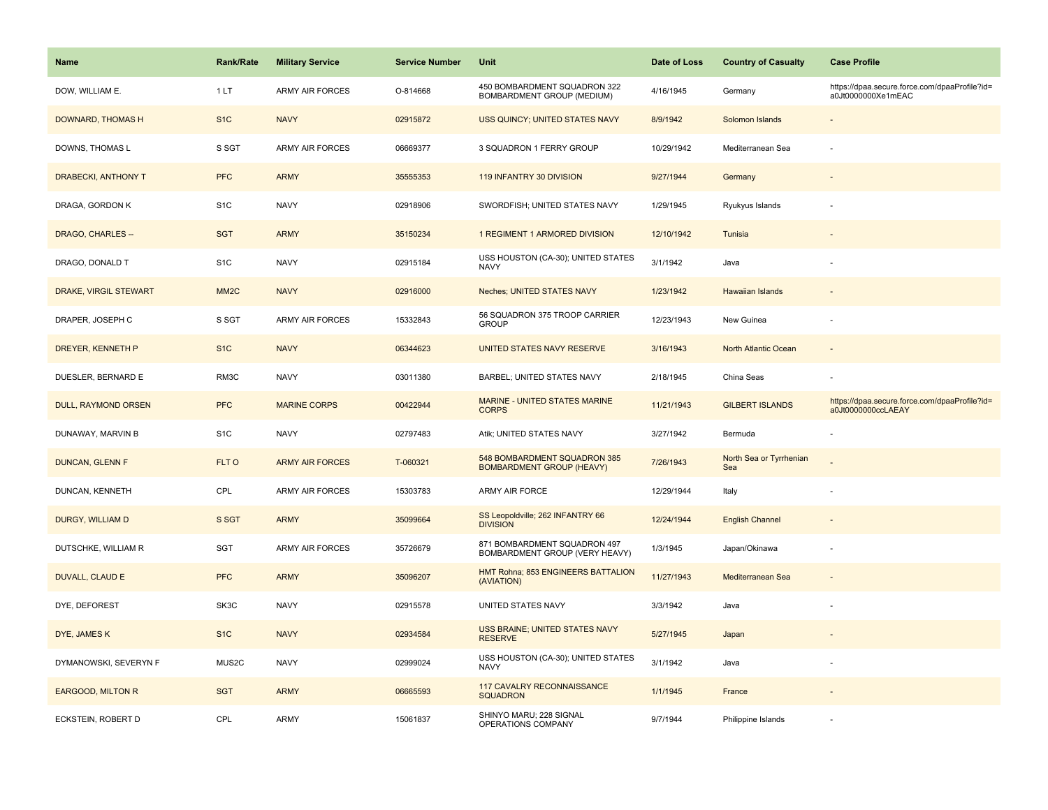| <b>Name</b>                | Rank/Rate         | <b>Military Service</b> | <b>Service Number</b> | Unit                                                             | Date of Loss | <b>Country of Casualty</b>     | <b>Case Profile</b>                                                 |
|----------------------------|-------------------|-------------------------|-----------------------|------------------------------------------------------------------|--------------|--------------------------------|---------------------------------------------------------------------|
| DOW, WILLIAM E.            | 1 LT              | <b>ARMY AIR FORCES</b>  | O-814668              | 450 BOMBARDMENT SQUADRON 322<br>BOMBARDMENT GROUP (MEDIUM)       | 4/16/1945    | Germany                        | https://dpaa.secure.force.com/dpaaProfile?id=<br>a0Jt0000000Xe1mEAC |
| DOWNARD, THOMAS H          | S <sub>1</sub> C  | <b>NAVY</b>             | 02915872              | USS QUINCY; UNITED STATES NAVY                                   | 8/9/1942     | Solomon Islands                |                                                                     |
| DOWNS, THOMAS L            | S SGT             | <b>ARMY AIR FORCES</b>  | 06669377              | 3 SQUADRON 1 FERRY GROUP                                         | 10/29/1942   | Mediterranean Sea              |                                                                     |
| <b>DRABECKI, ANTHONY T</b> | <b>PFC</b>        | <b>ARMY</b>             | 35555353              | 119 INFANTRY 30 DIVISION                                         | 9/27/1944    | Germany                        |                                                                     |
| DRAGA, GORDON K            | S <sub>1</sub> C  | <b>NAVY</b>             | 02918906              | SWORDFISH; UNITED STATES NAVY                                    | 1/29/1945    | Ryukyus Islands                |                                                                     |
| DRAGO, CHARLES --          | <b>SGT</b>        | <b>ARMY</b>             | 35150234              | 1 REGIMENT 1 ARMORED DIVISION                                    | 12/10/1942   | Tunisia                        |                                                                     |
| DRAGO, DONALD T            | S <sub>1</sub> C  | <b>NAVY</b>             | 02915184              | USS HOUSTON (CA-30); UNITED STATES<br><b>NAVY</b>                | 3/1/1942     | Java                           |                                                                     |
| DRAKE, VIRGIL STEWART      | MM <sub>2</sub> C | <b>NAVY</b>             | 02916000              | <b>Neches: UNITED STATES NAVY</b>                                | 1/23/1942    | <b>Hawaiian Islands</b>        |                                                                     |
| DRAPER, JOSEPH C           | S SGT             | <b>ARMY AIR FORCES</b>  | 15332843              | 56 SQUADRON 375 TROOP CARRIER<br><b>GROUP</b>                    | 12/23/1943   | New Guinea                     |                                                                     |
| DREYER, KENNETH P          | S <sub>1</sub> C  | <b>NAVY</b>             | 06344623              | UNITED STATES NAVY RESERVE                                       | 3/16/1943    | North Atlantic Ocean           |                                                                     |
| DUESLER, BERNARD E         | RM3C              | <b>NAVY</b>             | 03011380              | BARBEL; UNITED STATES NAVY                                       | 2/18/1945    | China Seas                     |                                                                     |
| DULL, RAYMOND ORSEN        | <b>PFC</b>        | <b>MARINE CORPS</b>     | 00422944              | <b>MARINE - UNITED STATES MARINE</b><br><b>CORPS</b>             | 11/21/1943   | <b>GILBERT ISLANDS</b>         | https://dpaa.secure.force.com/dpaaProfile?id=<br>a0Jt0000000ccLAEAY |
| DUNAWAY, MARVIN B          | S <sub>1</sub> C  | <b>NAVY</b>             | 02797483              | Atik; UNITED STATES NAVY                                         | 3/27/1942    | Bermuda                        |                                                                     |
| <b>DUNCAN, GLENN F</b>     | FLT O             | <b>ARMY AIR FORCES</b>  | T-060321              | 548 BOMBARDMENT SQUADRON 385<br><b>BOMBARDMENT GROUP (HEAVY)</b> | 7/26/1943    | North Sea or Tyrrhenian<br>Sea |                                                                     |
| DUNCAN, KENNETH            | CPL               | <b>ARMY AIR FORCES</b>  | 15303783              | ARMY AIR FORCE                                                   | 12/29/1944   | Italy                          |                                                                     |
| DURGY, WILLIAM D           | S SGT             | <b>ARMY</b>             | 35099664              | SS Leopoldville; 262 INFANTRY 66<br><b>DIVISION</b>              | 12/24/1944   | <b>English Channel</b>         |                                                                     |
| DUTSCHKE, WILLIAM R        | SGT               | ARMY AIR FORCES         | 35726679              | 871 BOMBARDMENT SQUADRON 497<br>BOMBARDMENT GROUP (VERY HEAVY)   | 1/3/1945     | Japan/Okinawa                  |                                                                     |
| <b>DUVALL, CLAUD E</b>     | <b>PFC</b>        | <b>ARMY</b>             | 35096207              | HMT Rohna; 853 ENGINEERS BATTALION<br>(AVIATION)                 | 11/27/1943   | Mediterranean Sea              |                                                                     |
| DYE, DEFOREST              | SK3C              | <b>NAVY</b>             | 02915578              | UNITED STATES NAVY                                               | 3/3/1942     | Java                           |                                                                     |
| DYE, JAMES K               | S <sub>1</sub> C  | <b>NAVY</b>             | 02934584              | USS BRAINE; UNITED STATES NAVY<br><b>RESERVE</b>                 | 5/27/1945    | Japan                          |                                                                     |
| DYMANOWSKI, SEVERYN F      | MUS2C             | <b>NAVY</b>             | 02999024              | USS HOUSTON (CA-30); UNITED STATES<br>NAVY                       | 3/1/1942     | Java                           |                                                                     |
| <b>EARGOOD, MILTON R</b>   | <b>SGT</b>        | <b>ARMY</b>             | 06665593              | 117 CAVALRY RECONNAISSANCE<br><b>SQUADRON</b>                    | 1/1/1945     | France                         |                                                                     |
| ECKSTEIN, ROBERT D         | CPL               | <b>ARMY</b>             | 15061837              | SHINYO MARU; 228 SIGNAL<br>OPERATIONS COMPANY                    | 9/7/1944     | Philippine Islands             |                                                                     |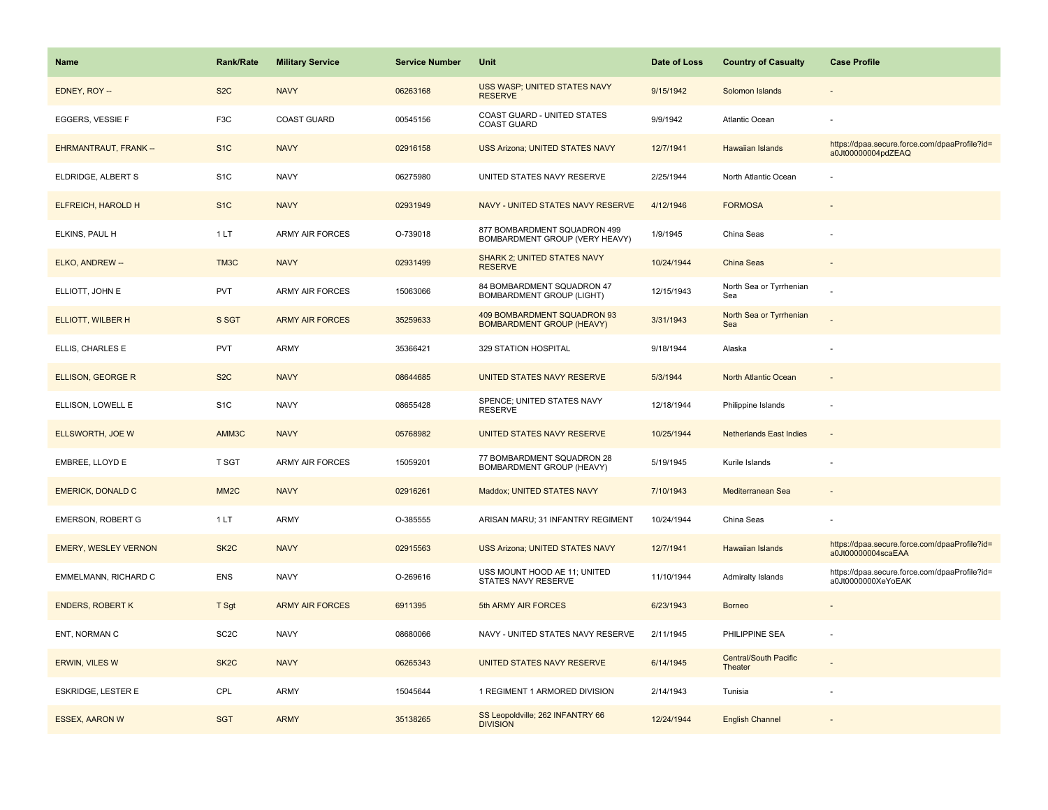| Name                         | <b>Rank/Rate</b>  | <b>Military Service</b> | <b>Service Number</b> | Unit                                                            | Date of Loss | <b>Country of Casualty</b>              | <b>Case Profile</b>                                                 |
|------------------------------|-------------------|-------------------------|-----------------------|-----------------------------------------------------------------|--------------|-----------------------------------------|---------------------------------------------------------------------|
| EDNEY, ROY --                | S <sub>2</sub> C  | <b>NAVY</b>             | 06263168              | USS WASP; UNITED STATES NAVY<br><b>RESERVE</b>                  | 9/15/1942    | Solomon Islands                         |                                                                     |
| EGGERS, VESSIE F             | F3C               | <b>COAST GUARD</b>      | 00545156              | COAST GUARD - UNITED STATES<br><b>COAST GUARD</b>               | 9/9/1942     | Atlantic Ocean                          |                                                                     |
| <b>EHRMANTRAUT, FRANK --</b> | S <sub>1</sub> C  | <b>NAVY</b>             | 02916158              | <b>USS Arizona; UNITED STATES NAVY</b>                          | 12/7/1941    | <b>Hawaiian Islands</b>                 | https://dpaa.secure.force.com/dpaaProfile?id=<br>a0Jt00000004pdZEAQ |
| ELDRIDGE, ALBERT S           | S <sub>1</sub> C  | <b>NAVY</b>             | 06275980              | UNITED STATES NAVY RESERVE                                      | 2/25/1944    | North Atlantic Ocean                    |                                                                     |
| ELFREICH, HAROLD H           | S <sub>1</sub> C  | <b>NAVY</b>             | 02931949              | NAVY - UNITED STATES NAVY RESERVE                               | 4/12/1946    | <b>FORMOSA</b>                          |                                                                     |
| ELKINS, PAUL H               | 1LT               | <b>ARMY AIR FORCES</b>  | O-739018              | 877 BOMBARDMENT SQUADRON 499<br>BOMBARDMENT GROUP (VERY HEAVY)  | 1/9/1945     | China Seas                              |                                                                     |
| ELKO, ANDREW --              | TM3C              | <b>NAVY</b>             | 02931499              | SHARK 2; UNITED STATES NAVY<br><b>RESERVE</b>                   | 10/24/1944   | China Seas                              | $\sim$                                                              |
| ELLIOTT, JOHN E              | <b>PVT</b>        | <b>ARMY AIR FORCES</b>  | 15063066              | 84 BOMBARDMENT SQUADRON 47<br><b>BOMBARDMENT GROUP (LIGHT)</b>  | 12/15/1943   | North Sea or Tyrrhenian<br>Sea          |                                                                     |
| <b>ELLIOTT, WILBER H</b>     | S SGT             | <b>ARMY AIR FORCES</b>  | 35259633              | 409 BOMBARDMENT SQUADRON 93<br><b>BOMBARDMENT GROUP (HEAVY)</b> | 3/31/1943    | North Sea or Tyrrhenian<br>Sea          |                                                                     |
| ELLIS, CHARLES E             | PVT               | ARMY                    | 35366421              | 329 STATION HOSPITAL                                            | 9/18/1944    | Alaska                                  |                                                                     |
| <b>ELLISON, GEORGE R</b>     | S <sub>2</sub> C  | <b>NAVY</b>             | 08644685              | UNITED STATES NAVY RESERVE                                      | 5/3/1944     | North Atlantic Ocean                    |                                                                     |
| ELLISON, LOWELL E            | S <sub>1</sub> C  | <b>NAVY</b>             | 08655428              | SPENCE; UNITED STATES NAVY<br><b>RESERVE</b>                    | 12/18/1944   | Philippine Islands                      |                                                                     |
| ELLSWORTH, JOE W             | AMM3C             | <b>NAVY</b>             | 05768982              | UNITED STATES NAVY RESERVE                                      | 10/25/1944   | <b>Netherlands East Indies</b>          |                                                                     |
| EMBREE, LLOYD E              | T SGT             | <b>ARMY AIR FORCES</b>  | 15059201              | 77 BOMBARDMENT SQUADRON 28<br>BOMBARDMENT GROUP (HEAVY)         | 5/19/1945    | Kurile Islands                          |                                                                     |
| <b>EMERICK, DONALD C</b>     | MM <sub>2</sub> C | <b>NAVY</b>             | 02916261              | Maddox; UNITED STATES NAVY                                      | 7/10/1943    | Mediterranean Sea                       | $\overline{\phantom{a}}$                                            |
| <b>EMERSON, ROBERT G</b>     | 1LT               | ARMY                    | O-385555              | ARISAN MARU; 31 INFANTRY REGIMENT                               | 10/24/1944   | China Seas                              |                                                                     |
| <b>EMERY, WESLEY VERNON</b>  | SK <sub>2</sub> C | <b>NAVY</b>             | 02915563              | <b>USS Arizona; UNITED STATES NAVY</b>                          | 12/7/1941    | <b>Hawaiian Islands</b>                 | https://dpaa.secure.force.com/dpaaProfile?id=<br>a0Jt00000004scaEAA |
| EMMELMANN, RICHARD C         | ENS               | <b>NAVY</b>             | O-269616              | USS MOUNT HOOD AE 11; UNITED<br>STATES NAVY RESERVE             | 11/10/1944   | Admiralty Islands                       | https://dpaa.secure.force.com/dpaaProfile?id=<br>a0Jt0000000XeYoEAK |
| <b>ENDERS, ROBERT K</b>      | T Sgt             | <b>ARMY AIR FORCES</b>  | 6911395               | 5th ARMY AIR FORCES                                             | 6/23/1943    | <b>Borneo</b>                           |                                                                     |
| ENT, NORMAN C                | SC <sub>2</sub> C | <b>NAVY</b>             | 08680066              | NAVY - UNITED STATES NAVY RESERVE                               | 2/11/1945    | PHILIPPINE SEA                          |                                                                     |
| ERWIN, VILES W               | SK <sub>2</sub> C | <b>NAVY</b>             | 06265343              | UNITED STATES NAVY RESERVE                                      | 6/14/1945    | <b>Central/South Pacific</b><br>Theater |                                                                     |
| <b>ESKRIDGE, LESTER E</b>    | CPL               | ARMY                    | 15045644              | 1 REGIMENT 1 ARMORED DIVISION                                   | 2/14/1943    | Tunisia                                 |                                                                     |
| <b>ESSEX, AARON W</b>        | <b>SGT</b>        | <b>ARMY</b>             | 35138265              | SS Leopoldville; 262 INFANTRY 66<br><b>DIVISION</b>             | 12/24/1944   | <b>English Channel</b>                  |                                                                     |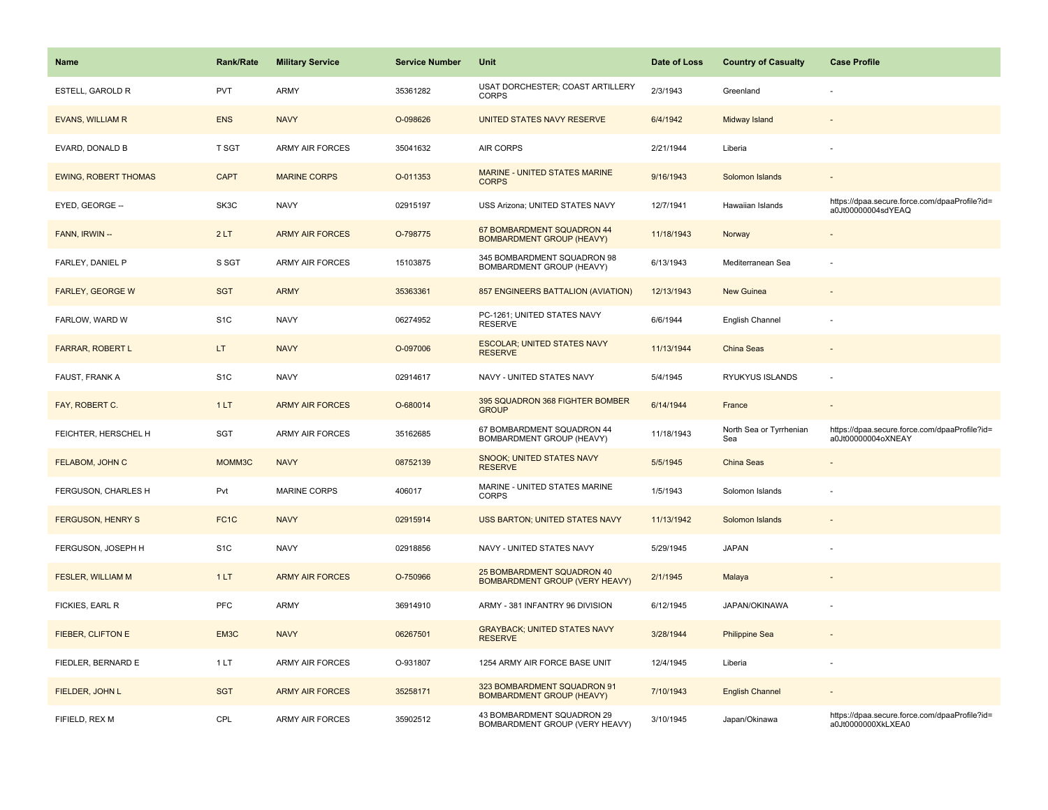| Name                        | <b>Rank/Rate</b>  | <b>Military Service</b> | <b>Service Number</b> | Unit                                                            | Date of Loss | <b>Country of Casualty</b>     | <b>Case Profile</b>                                                 |
|-----------------------------|-------------------|-------------------------|-----------------------|-----------------------------------------------------------------|--------------|--------------------------------|---------------------------------------------------------------------|
| <b>ESTELL, GAROLD R</b>     | PVT               | <b>ARMY</b>             | 35361282              | USAT DORCHESTER; COAST ARTILLERY<br><b>CORPS</b>                | 2/3/1943     | Greenland                      |                                                                     |
| <b>EVANS, WILLIAM R</b>     | <b>ENS</b>        | <b>NAVY</b>             | O-098626              | UNITED STATES NAVY RESERVE                                      | 6/4/1942     | Midway Island                  |                                                                     |
| EVARD, DONALD B             | T SGT             | <b>ARMY AIR FORCES</b>  | 35041632              | AIR CORPS                                                       | 2/21/1944    | Liberia                        |                                                                     |
| <b>EWING, ROBERT THOMAS</b> | <b>CAPT</b>       | <b>MARINE CORPS</b>     | O-011353              | MARINE - UNITED STATES MARINE<br><b>CORPS</b>                   | 9/16/1943    | Solomon Islands                |                                                                     |
| EYED, GEORGE --             | SK3C              | <b>NAVY</b>             | 02915197              | USS Arizona; UNITED STATES NAVY                                 | 12/7/1941    | Hawaiian Islands               | https://dpaa.secure.force.com/dpaaProfile?id=<br>a0Jt00000004sdYEAQ |
| FANN, IRWIN --              | 2LT               | <b>ARMY AIR FORCES</b>  | O-798775              | 67 BOMBARDMENT SQUADRON 44<br><b>BOMBARDMENT GROUP (HEAVY)</b>  | 11/18/1943   | Norway                         | $\overline{\phantom{a}}$                                            |
| FARLEY, DANIEL P            | S SGT             | <b>ARMY AIR FORCES</b>  | 15103875              | 345 BOMBARDMENT SQUADRON 98<br>BOMBARDMENT GROUP (HEAVY)        | 6/13/1943    | Mediterranean Sea              |                                                                     |
| <b>FARLEY, GEORGE W</b>     | <b>SGT</b>        | <b>ARMY</b>             | 35363361              | 857 ENGINEERS BATTALION (AVIATION)                              | 12/13/1943   | <b>New Guinea</b>              |                                                                     |
| FARLOW, WARD W              | S <sub>1</sub> C  | <b>NAVY</b>             | 06274952              | PC-1261; UNITED STATES NAVY<br><b>RESERVE</b>                   | 6/6/1944     | English Channel                |                                                                     |
| <b>FARRAR, ROBERT L</b>     | LT.               | <b>NAVY</b>             | O-097006              | <b>ESCOLAR; UNITED STATES NAVY</b><br><b>RESERVE</b>            | 11/13/1944   | <b>China Seas</b>              |                                                                     |
| <b>FAUST, FRANK A</b>       | S <sub>1</sub> C  | <b>NAVY</b>             | 02914617              | NAVY - UNITED STATES NAVY                                       | 5/4/1945     | RYUKYUS ISLANDS                |                                                                     |
| FAY, ROBERT C.              | 1LT               | <b>ARMY AIR FORCES</b>  | O-680014              | 395 SQUADRON 368 FIGHTER BOMBER<br><b>GROUP</b>                 | 6/14/1944    | France                         | $\overline{\phantom{a}}$                                            |
| FEICHTER, HERSCHEL H        | <b>SGT</b>        | <b>ARMY AIR FORCES</b>  | 35162685              | 67 BOMBARDMENT SQUADRON 44<br>BOMBARDMENT GROUP (HEAVY)         | 11/18/1943   | North Sea or Tyrrhenian<br>Sea | https://dpaa.secure.force.com/dpaaProfile?id=<br>a0Jt00000004oXNEAY |
| FELABOM, JOHN C             | MOMM3C            | <b>NAVY</b>             | 08752139              | SNOOK; UNITED STATES NAVY<br><b>RESERVE</b>                     | 5/5/1945     | China Seas                     |                                                                     |
| FERGUSON, CHARLES H         | Pvt               | <b>MARINE CORPS</b>     | 406017                | MARINE - UNITED STATES MARINE<br><b>CORPS</b>                   | 1/5/1943     | Solomon Islands                |                                                                     |
| <b>FERGUSON, HENRY S</b>    | FC <sub>1</sub> C | <b>NAVY</b>             | 02915914              | <b>USS BARTON; UNITED STATES NAVY</b>                           | 11/13/1942   | Solomon Islands                |                                                                     |
| FERGUSON, JOSEPH H          | S <sub>1</sub> C  | <b>NAVY</b>             | 02918856              | NAVY - UNITED STATES NAVY                                       | 5/29/1945    | <b>JAPAN</b>                   |                                                                     |
| FESLER, WILLIAM M           | 1LT               | <b>ARMY AIR FORCES</b>  | O-750966              | 25 BOMBARDMENT SQUADRON 40<br>BOMBARDMENT GROUP (VERY HEAVY)    | 2/1/1945     | Malaya                         |                                                                     |
| FICKIES, EARL R             | PFC               | <b>ARMY</b>             | 36914910              | ARMY - 381 INFANTRY 96 DIVISION                                 | 6/12/1945    | JAPAN/OKINAWA                  |                                                                     |
| FIEBER, CLIFTON E           | EM3C              | <b>NAVY</b>             | 06267501              | <b>GRAYBACK; UNITED STATES NAVY</b><br><b>RESERVE</b>           | 3/28/1944    | <b>Philippine Sea</b>          |                                                                     |
| FIEDLER, BERNARD E          | 1LT               | <b>ARMY AIR FORCES</b>  | O-931807              | 1254 ARMY AIR FORCE BASE UNIT                                   | 12/4/1945    | Liberia                        |                                                                     |
| FIELDER, JOHN L             | <b>SGT</b>        | <b>ARMY AIR FORCES</b>  | 35258171              | 323 BOMBARDMENT SQUADRON 91<br><b>BOMBARDMENT GROUP (HEAVY)</b> | 7/10/1943    | <b>English Channel</b>         |                                                                     |
| FIFIELD, REX M              | CPL               | ARMY AIR FORCES         | 35902512              | 43 BOMBARDMENT SQUADRON 29<br>BOMBARDMENT GROUP (VERY HEAVY)    | 3/10/1945    | Japan/Okinawa                  | https://dpaa.secure.force.com/dpaaProfile?id=<br>a0Jt0000000XkLXEA0 |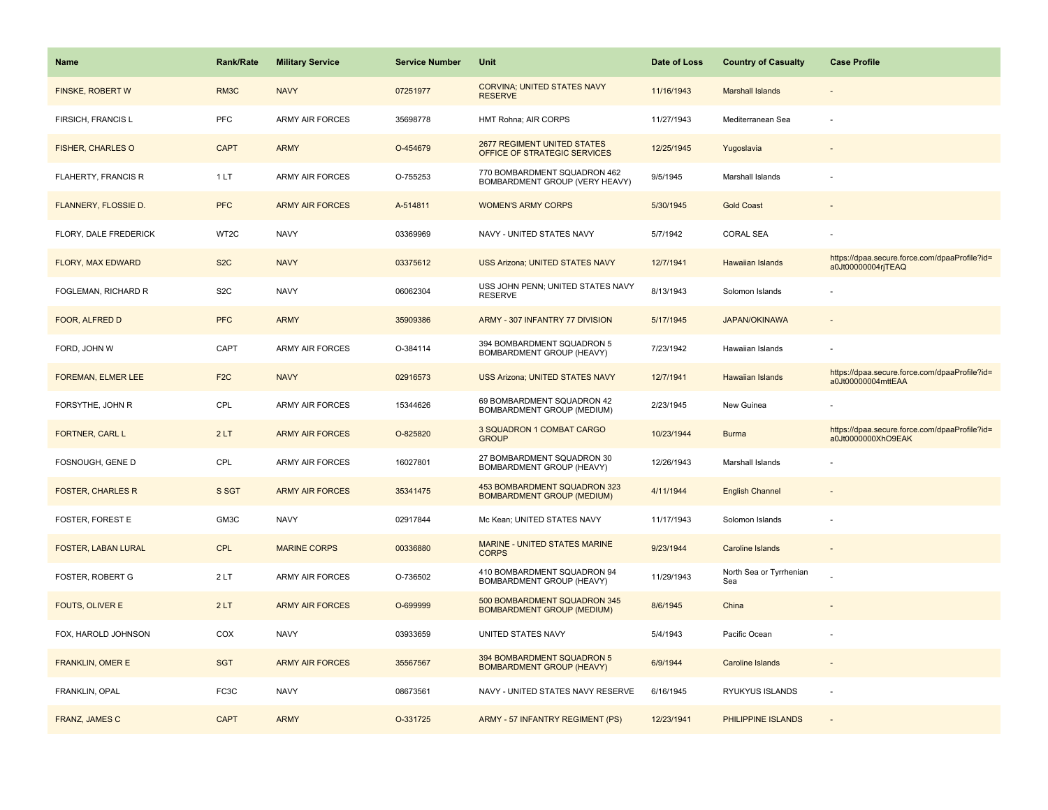| <b>Name</b>                 | <b>Rank/Rate</b> | <b>Military Service</b> | <b>Service Number</b> | Unit                                                               | Date of Loss | <b>Country of Casualty</b>     | <b>Case Profile</b>                                                 |
|-----------------------------|------------------|-------------------------|-----------------------|--------------------------------------------------------------------|--------------|--------------------------------|---------------------------------------------------------------------|
| FINSKE, ROBERT W            | RM3C             | <b>NAVY</b>             | 07251977              | <b>CORVINA: UNITED STATES NAVY</b><br><b>RESERVE</b>               | 11/16/1943   | <b>Marshall Islands</b>        |                                                                     |
| FIRSICH, FRANCIS L          | PFC              | ARMY AIR FORCES         | 35698778              | HMT Rohna; AIR CORPS                                               | 11/27/1943   | Mediterranean Sea              |                                                                     |
| <b>FISHER, CHARLES O</b>    | <b>CAPT</b>      | <b>ARMY</b>             | O-454679              | <b>2677 REGIMENT UNITED STATES</b><br>OFFICE OF STRATEGIC SERVICES | 12/25/1945   | Yugoslavia                     |                                                                     |
| FLAHERTY, FRANCIS R         | 1LT              | <b>ARMY AIR FORCES</b>  | O-755253              | 770 BOMBARDMENT SQUADRON 462<br>BOMBARDMENT GROUP (VERY HEAVY)     | 9/5/1945     | Marshall Islands               |                                                                     |
| <b>FLANNERY, FLOSSIE D.</b> | <b>PFC</b>       | <b>ARMY AIR FORCES</b>  | A-514811              | <b>WOMEN'S ARMY CORPS</b>                                          | 5/30/1945    | <b>Gold Coast</b>              |                                                                     |
| FLORY, DALE FREDERICK       | WT2C             | <b>NAVY</b>             | 03369969              | NAVY - UNITED STATES NAVY                                          | 5/7/1942     | <b>CORAL SEA</b>               |                                                                     |
| FLORY, MAX EDWARD           | S <sub>2</sub> C | <b>NAVY</b>             | 03375612              | <b>USS Arizona; UNITED STATES NAVY</b>                             | 12/7/1941    | <b>Hawaiian Islands</b>        | https://dpaa.secure.force.com/dpaaProfile?id=<br>a0Jt00000004rjTEAQ |
| FOGLEMAN, RICHARD R         | S <sub>2</sub> C | <b>NAVY</b>             | 06062304              | USS JOHN PENN; UNITED STATES NAVY<br><b>RESERVE</b>                | 8/13/1943    | Solomon Islands                |                                                                     |
| FOOR, ALFRED D              | <b>PFC</b>       | <b>ARMY</b>             | 35909386              | ARMY - 307 INFANTRY 77 DIVISION                                    | 5/17/1945    | <b>JAPAN/OKINAWA</b>           |                                                                     |
| FORD, JOHN W                | CAPT             | ARMY AIR FORCES         | O-384114              | 394 BOMBARDMENT SQUADRON 5<br>BOMBARDMENT GROUP (HEAVY)            | 7/23/1942    | Hawaiian Islands               |                                                                     |
| FOREMAN, ELMER LEE          | F <sub>2</sub> C | <b>NAVY</b>             | 02916573              | <b>USS Arizona; UNITED STATES NAVY</b>                             | 12/7/1941    | Hawaiian Islands               | https://dpaa.secure.force.com/dpaaProfile?id=<br>a0Jt00000004mttEAA |
| FORSYTHE, JOHN R            | CPL              | ARMY AIR FORCES         | 15344626              | 69 BOMBARDMENT SQUADRON 42<br>BOMBARDMENT GROUP (MEDIUM)           | 2/23/1945    | New Guinea                     |                                                                     |
| FORTNER, CARL L             | 2LT              | <b>ARMY AIR FORCES</b>  | O-825820              | 3 SQUADRON 1 COMBAT CARGO<br><b>GROUP</b>                          | 10/23/1944   | <b>Burma</b>                   | https://dpaa.secure.force.com/dpaaProfile?id=<br>a0Jt0000000XhO9EAK |
| FOSNOUGH, GENE D            | CPL              | ARMY AIR FORCES         | 16027801              | 27 BOMBARDMENT SQUADRON 30<br>BOMBARDMENT GROUP (HEAVY)            | 12/26/1943   | Marshall Islands               |                                                                     |
| <b>FOSTER, CHARLES R</b>    | S SGT            | <b>ARMY AIR FORCES</b>  | 35341475              | 453 BOMBARDMENT SQUADRON 323<br><b>BOMBARDMENT GROUP (MEDIUM)</b>  | 4/11/1944    | <b>English Channel</b>         |                                                                     |
| <b>FOSTER, FOREST E</b>     | GM3C             | <b>NAVY</b>             | 02917844              | Mc Kean; UNITED STATES NAVY                                        | 11/17/1943   | Solomon Islands                |                                                                     |
| <b>FOSTER, LABAN LURAL</b>  | <b>CPL</b>       | <b>MARINE CORPS</b>     | 00336880              | MARINE - UNITED STATES MARINE<br><b>CORPS</b>                      | 9/23/1944    | Caroline Islands               |                                                                     |
| FOSTER, ROBERT G            | 2LT              | <b>ARMY AIR FORCES</b>  | O-736502              | 410 BOMBARDMENT SQUADRON 94<br>BOMBARDMENT GROUP (HEAVY)           | 11/29/1943   | North Sea or Tyrrhenian<br>Sea |                                                                     |
| FOUTS, OLIVER E             | 2LT              | <b>ARMY AIR FORCES</b>  | O-699999              | 500 BOMBARDMENT SQUADRON 345<br><b>BOMBARDMENT GROUP (MEDIUM)</b>  | 8/6/1945     | China                          |                                                                     |
| FOX, HAROLD JOHNSON         | COX              | <b>NAVY</b>             | 03933659              | UNITED STATES NAVY                                                 | 5/4/1943     | Pacific Ocean                  |                                                                     |
| <b>FRANKLIN, OMER E</b>     | <b>SGT</b>       | <b>ARMY AIR FORCES</b>  | 35567567              | 394 BOMBARDMENT SQUADRON 5<br><b>BOMBARDMENT GROUP (HEAVY)</b>     | 6/9/1944     | Caroline Islands               | $\overline{\phantom{a}}$                                            |
| FRANKLIN, OPAL              | FC3C             | <b>NAVY</b>             | 08673561              | NAVY - UNITED STATES NAVY RESERVE                                  | 6/16/1945    | RYUKYUS ISLANDS                | $\overline{\phantom{a}}$                                            |
| <b>FRANZ, JAMES C</b>       | <b>CAPT</b>      | <b>ARMY</b>             | O-331725              | ARMY - 57 INFANTRY REGIMENT (PS)                                   | 12/23/1941   | PHILIPPINE ISLANDS             |                                                                     |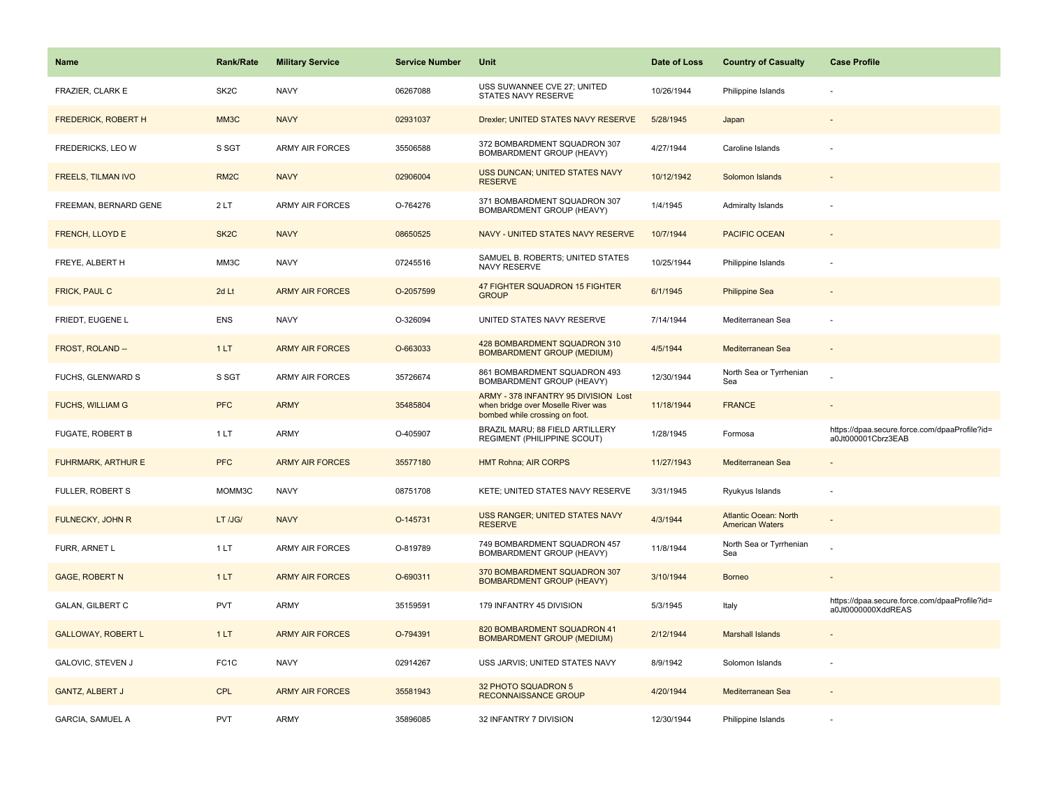| Name                       | <b>Rank/Rate</b>  | <b>Military Service</b> | <b>Service Number</b> | Unit                                                                                                         | Date of Loss | <b>Country of Casualty</b>                             | <b>Case Profile</b>                                                 |
|----------------------------|-------------------|-------------------------|-----------------------|--------------------------------------------------------------------------------------------------------------|--------------|--------------------------------------------------------|---------------------------------------------------------------------|
| FRAZIER, CLARK E           | SK <sub>2</sub> C | <b>NAVY</b>             | 06267088              | USS SUWANNEE CVE 27; UNITED<br>STATES NAVY RESERVE                                                           | 10/26/1944   | Philippine Islands                                     |                                                                     |
| <b>FREDERICK, ROBERT H</b> | MM3C              | <b>NAVY</b>             | 02931037              | Drexler; UNITED STATES NAVY RESERVE                                                                          | 5/28/1945    | Japan                                                  |                                                                     |
| FREDERICKS, LEO W          | S SGT             | ARMY AIR FORCES         | 35506588              | 372 BOMBARDMENT SQUADRON 307<br>BOMBARDMENT GROUP (HEAVY)                                                    | 4/27/1944    | Caroline Islands                                       |                                                                     |
| <b>FREELS, TILMAN IVO</b>  | RM <sub>2</sub> C | <b>NAVY</b>             | 02906004              | USS DUNCAN; UNITED STATES NAVY<br><b>RESERVE</b>                                                             | 10/12/1942   | Solomon Islands                                        |                                                                     |
| FREEMAN, BERNARD GENE      | 2LT               | <b>ARMY AIR FORCES</b>  | O-764276              | 371 BOMBARDMENT SQUADRON 307<br>BOMBARDMENT GROUP (HEAVY)                                                    | 1/4/1945     | Admiralty Islands                                      |                                                                     |
| FRENCH, LLOYD E            | SK <sub>2</sub> C | <b>NAVY</b>             | 08650525              | NAVY - UNITED STATES NAVY RESERVE                                                                            | 10/7/1944    | <b>PACIFIC OCEAN</b>                                   |                                                                     |
| FREYE, ALBERT H            | MM3C              | <b>NAVY</b>             | 07245516              | SAMUEL B. ROBERTS; UNITED STATES<br>NAVY RESERVE                                                             | 10/25/1944   | Philippine Islands                                     |                                                                     |
| FRICK, PAUL C              | 2d Lt             | <b>ARMY AIR FORCES</b>  | O-2057599             | 47 FIGHTER SQUADRON 15 FIGHTER<br><b>GROUP</b>                                                               | 6/1/1945     | <b>Philippine Sea</b>                                  |                                                                     |
| FRIEDT, EUGENE L           | <b>ENS</b>        | <b>NAVY</b>             | O-326094              | UNITED STATES NAVY RESERVE                                                                                   | 7/14/1944    | Mediterranean Sea                                      |                                                                     |
| FROST, ROLAND --           | 1LT               | <b>ARMY AIR FORCES</b>  | O-663033              | 428 BOMBARDMENT SQUADRON 310<br><b>BOMBARDMENT GROUP (MEDIUM)</b>                                            | 4/5/1944     | Mediterranean Sea                                      |                                                                     |
| <b>FUCHS, GLENWARD S</b>   | S SGT             | <b>ARMY AIR FORCES</b>  | 35726674              | 861 BOMBARDMENT SQUADRON 493<br>BOMBARDMENT GROUP (HEAVY)                                                    | 12/30/1944   | North Sea or Tyrrhenian<br>Sea                         |                                                                     |
| <b>FUCHS, WILLIAM G</b>    | <b>PFC</b>        | <b>ARMY</b>             | 35485804              | ARMY - 378 INFANTRY 95 DIVISION Lost<br>when bridge over Moselle River was<br>bombed while crossing on foot. | 11/18/1944   | <b>FRANCE</b>                                          |                                                                     |
| FUGATE, ROBERT B           | 1 LT              | <b>ARMY</b>             | O-405907              | BRAZIL MARU; 88 FIELD ARTILLERY<br>REGIMENT (PHILIPPINE SCOUT)                                               | 1/28/1945    | Formosa                                                | https://dpaa.secure.force.com/dpaaProfile?id=<br>a0Jt000001Cbrz3EAB |
| <b>FUHRMARK, ARTHUR E</b>  | <b>PFC</b>        | <b>ARMY AIR FORCES</b>  | 35577180              | <b>HMT Rohna; AIR CORPS</b>                                                                                  | 11/27/1943   | Mediterranean Sea                                      |                                                                     |
| <b>FULLER, ROBERT S</b>    | MOMM3C            | <b>NAVY</b>             | 08751708              | KETE; UNITED STATES NAVY RESERVE                                                                             | 3/31/1945    | Ryukyus Islands                                        |                                                                     |
| FULNECKY, JOHN R           | LT /JG/           | <b>NAVY</b>             | O-145731              | USS RANGER; UNITED STATES NAVY<br><b>RESERVE</b>                                                             | 4/3/1944     | <b>Atlantic Ocean: North</b><br><b>American Waters</b> |                                                                     |
| FURR, ARNET L              | 1LT               | <b>ARMY AIR FORCES</b>  | O-819789              | 749 BOMBARDMENT SQUADRON 457<br>BOMBARDMENT GROUP (HEAVY)                                                    | 11/8/1944    | North Sea or Tyrrhenian<br>Sea                         |                                                                     |
| <b>GAGE, ROBERT N</b>      | 1LT               | <b>ARMY AIR FORCES</b>  | O-690311              | 370 BOMBARDMENT SQUADRON 307<br><b>BOMBARDMENT GROUP (HEAVY)</b>                                             | 3/10/1944    | <b>Borneo</b>                                          |                                                                     |
| <b>GALAN, GILBERT C</b>    | <b>PVT</b>        | ARMY                    | 35159591              | 179 INFANTRY 45 DIVISION                                                                                     | 5/3/1945     | Italy                                                  | https://dpaa.secure.force.com/dpaaProfile?id=<br>a0Jt0000000XddREAS |
| <b>GALLOWAY, ROBERT L</b>  | 1LT               | <b>ARMY AIR FORCES</b>  | O-794391              | 820 BOMBARDMENT SQUADRON 41<br><b>BOMBARDMENT GROUP (MEDIUM)</b>                                             | 2/12/1944    | <b>Marshall Islands</b>                                |                                                                     |
| GALOVIC, STEVEN J          | FC <sub>1</sub> C | <b>NAVY</b>             | 02914267              | USS JARVIS; UNITED STATES NAVY                                                                               | 8/9/1942     | Solomon Islands                                        |                                                                     |
| <b>GANTZ, ALBERT J</b>     | <b>CPL</b>        | <b>ARMY AIR FORCES</b>  | 35581943              | 32 PHOTO SQUADRON 5<br>RECONNAISSANCE GROUP                                                                  | 4/20/1944    | Mediterranean Sea                                      |                                                                     |
| <b>GARCIA, SAMUEL A</b>    | <b>PVT</b>        | ARMY                    | 35896085              | 32 INFANTRY 7 DIVISION                                                                                       | 12/30/1944   | Philippine Islands                                     |                                                                     |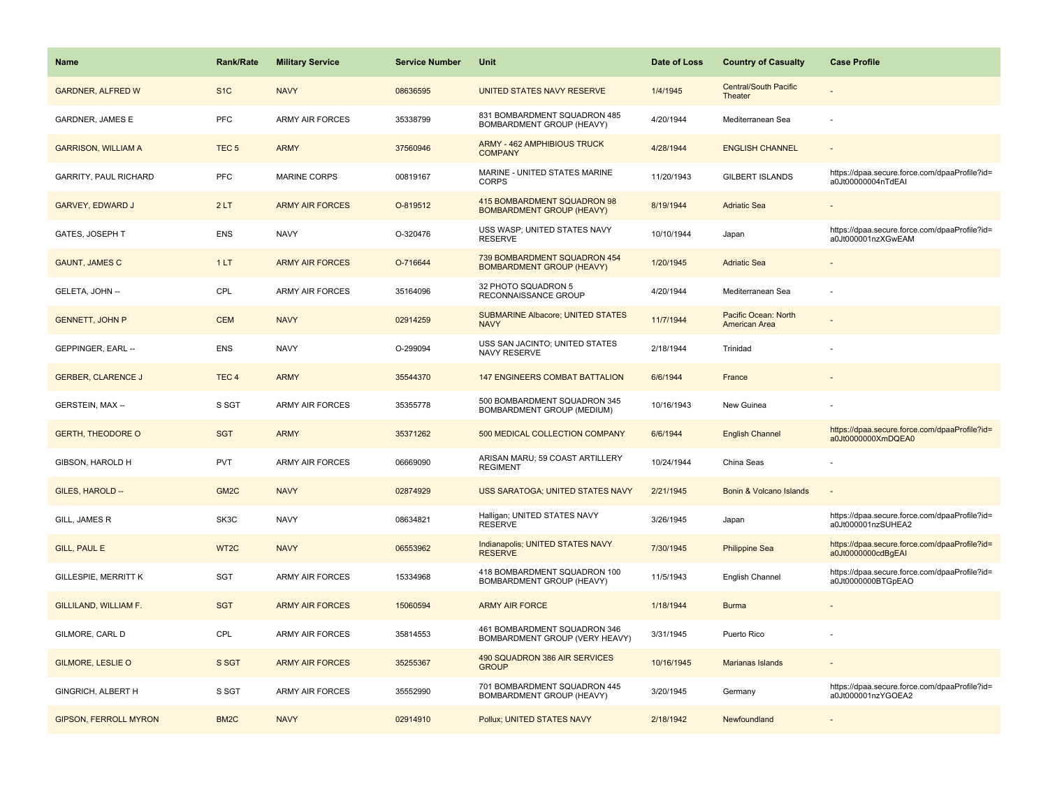| <b>Name</b>                  | <b>Rank/Rate</b>  | <b>Military Service</b> | <b>Service Number</b> | <b>Unit</b>                                                      | Date of Loss | <b>Country of Casualty</b>              | <b>Case Profile</b>                                                 |
|------------------------------|-------------------|-------------------------|-----------------------|------------------------------------------------------------------|--------------|-----------------------------------------|---------------------------------------------------------------------|
| <b>GARDNER, ALFRED W</b>     | S <sub>1</sub> C  | <b>NAVY</b>             | 08636595              | UNITED STATES NAVY RESERVE                                       | 1/4/1945     | <b>Central/South Pacific</b><br>Theater |                                                                     |
| <b>GARDNER, JAMES E</b>      | PFC               | <b>ARMY AIR FORCES</b>  | 35338799              | 831 BOMBARDMENT SQUADRON 485<br>BOMBARDMENT GROUP (HEAVY)        | 4/20/1944    | Mediterranean Sea                       |                                                                     |
| <b>GARRISON, WILLIAM A</b>   | TEC <sub>5</sub>  | <b>ARMY</b>             | 37560946              | ARMY - 462 AMPHIBIOUS TRUCK<br><b>COMPANY</b>                    | 4/28/1944    | <b>ENGLISH CHANNEL</b>                  |                                                                     |
| <b>GARRITY, PAUL RICHARD</b> | <b>PFC</b>        | <b>MARINE CORPS</b>     | 00819167              | MARINE - UNITED STATES MARINE<br><b>CORPS</b>                    | 11/20/1943   | <b>GILBERT ISLANDS</b>                  | https://dpaa.secure.force.com/dpaaProfile?id=<br>a0Jt00000004nTdEAI |
| <b>GARVEY, EDWARD J</b>      | 2LT               | <b>ARMY AIR FORCES</b>  | O-819512              | 415 BOMBARDMENT SQUADRON 98<br><b>BOMBARDMENT GROUP (HEAVY)</b>  | 8/19/1944    | <b>Adriatic Sea</b>                     |                                                                     |
| GATES, JOSEPH T              | <b>ENS</b>        | <b>NAVY</b>             | O-320476              | USS WASP; UNITED STATES NAVY<br><b>RESERVE</b>                   | 10/10/1944   | Japan                                   | https://dpaa.secure.force.com/dpaaProfile?id=<br>a0Jt000001nzXGwEAM |
| <b>GAUNT, JAMES C</b>        | 1LT               | <b>ARMY AIR FORCES</b>  | O-716644              | 739 BOMBARDMENT SQUADRON 454<br><b>BOMBARDMENT GROUP (HEAVY)</b> | 1/20/1945    | <b>Adriatic Sea</b>                     |                                                                     |
| GELETA, JOHN --              | CPL               | <b>ARMY AIR FORCES</b>  | 35164096              | 32 PHOTO SQUADRON 5<br>RECONNAISSANCE GROUP                      | 4/20/1944    | Mediterranean Sea                       |                                                                     |
| <b>GENNETT, JOHN P</b>       | <b>CEM</b>        | <b>NAVY</b>             | 02914259              | <b>SUBMARINE Albacore; UNITED STATES</b><br><b>NAVY</b>          | 11/7/1944    | Pacific Ocean: North<br>American Area   |                                                                     |
| GEPPINGER, EARL --           | <b>ENS</b>        | <b>NAVY</b>             | O-299094              | USS SAN JACINTO; UNITED STATES<br>NAVY RESERVE                   | 2/18/1944    | Trinidad                                |                                                                     |
| <b>GERBER, CLARENCE J</b>    | TEC <sub>4</sub>  | <b>ARMY</b>             | 35544370              | <b>147 ENGINEERS COMBAT BATTALION</b>                            | 6/6/1944     | France                                  |                                                                     |
| GERSTEIN, MAX --             | S SGT             | <b>ARMY AIR FORCES</b>  | 35355778              | 500 BOMBARDMENT SQUADRON 345<br>BOMBARDMENT GROUP (MEDIUM)       | 10/16/1943   | New Guinea                              |                                                                     |
| <b>GERTH, THEODORE O</b>     | <b>SGT</b>        | <b>ARMY</b>             | 35371262              | 500 MEDICAL COLLECTION COMPANY                                   | 6/6/1944     | <b>English Channel</b>                  | https://dpaa.secure.force.com/dpaaProfile?id=<br>a0Jt0000000XmDQEA0 |
| GIBSON, HAROLD H             | <b>PVT</b>        | <b>ARMY AIR FORCES</b>  | 06669090              | ARISAN MARU; 59 COAST ARTILLERY<br><b>REGIMENT</b>               | 10/24/1944   | China Seas                              |                                                                     |
| GILES, HAROLD --             | GM <sub>2C</sub>  | <b>NAVY</b>             | 02874929              | USS SARATOGA; UNITED STATES NAVY                                 | 2/21/1945    | Bonin & Volcano Islands                 |                                                                     |
| GILL, JAMES R                | SK3C              | <b>NAVY</b>             | 08634821              | Halligan; UNITED STATES NAVY<br><b>RESERVE</b>                   | 3/26/1945    | Japan                                   | https://dpaa.secure.force.com/dpaaProfile?id=<br>a0Jt000001nzSUHEA2 |
| <b>GILL, PAUL E</b>          | WT <sub>2</sub> C | <b>NAVY</b>             | 06553962              | Indianapolis; UNITED STATES NAVY<br><b>RESERVE</b>               | 7/30/1945    | <b>Philippine Sea</b>                   | https://dpaa.secure.force.com/dpaaProfile?id=<br>a0Jt0000000cdBgEAI |
| <b>GILLESPIE, MERRITT K</b>  | SGT               | <b>ARMY AIR FORCES</b>  | 15334968              | 418 BOMBARDMENT SQUADRON 100<br>BOMBARDMENT GROUP (HEAVY)        | 11/5/1943    | English Channel                         | https://dpaa.secure.force.com/dpaaProfile?id=<br>a0Jt0000000BTGpEAO |
| GILLILAND, WILLIAM F.        | <b>SGT</b>        | <b>ARMY AIR FORCES</b>  | 15060594              | <b>ARMY AIR FORCE</b>                                            | 1/18/1944    | <b>Burma</b>                            |                                                                     |
| GILMORE, CARL D              | CPL               | <b>ARMY AIR FORCES</b>  | 35814553              | 461 BOMBARDMENT SQUADRON 346<br>BOMBARDMENT GROUP (VERY HEAVY)   | 3/31/1945    | Puerto Rico                             |                                                                     |
| <b>GILMORE, LESLIE O</b>     | S SGT             | <b>ARMY AIR FORCES</b>  | 35255367              | 490 SQUADRON 386 AIR SERVICES<br><b>GROUP</b>                    | 10/16/1945   | <b>Marianas Islands</b>                 |                                                                     |
| <b>GINGRICH, ALBERT H</b>    | S SGT             | ARMY AIR FORCES         | 35552990              | 701 BOMBARDMENT SQUADRON 445<br>BOMBARDMENT GROUP (HEAVY)        | 3/20/1945    | Germany                                 | https://dpaa.secure.force.com/dpaaProfile?id=<br>a0Jt000001nzYGOEA2 |
| <b>GIPSON, FERROLL MYRON</b> | BM <sub>2</sub> C | <b>NAVY</b>             | 02914910              | Pollux; UNITED STATES NAVY                                       | 2/18/1942    | Newfoundland                            |                                                                     |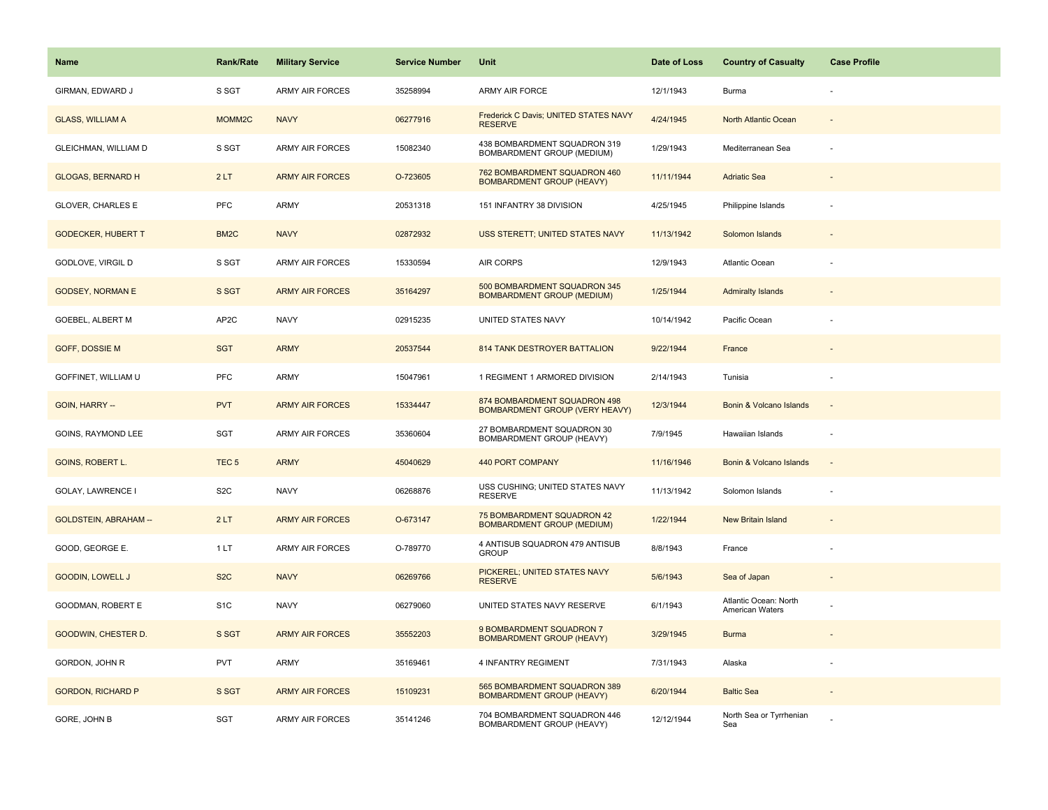| Name                         | <b>Rank/Rate</b>   | <b>Military Service</b> | <b>Service Number</b> | Unit                                                                  | Date of Loss | <b>Country of Casualty</b>                      | <b>Case Profile</b>      |
|------------------------------|--------------------|-------------------------|-----------------------|-----------------------------------------------------------------------|--------------|-------------------------------------------------|--------------------------|
| GIRMAN, EDWARD J             | S SGT              | <b>ARMY AIR FORCES</b>  | 35258994              | <b>ARMY AIR FORCE</b>                                                 | 12/1/1943    | Burma                                           |                          |
| <b>GLASS, WILLIAM A</b>      | MOMM <sub>2C</sub> | <b>NAVY</b>             | 06277916              | Frederick C Davis; UNITED STATES NAVY<br><b>RESERVE</b>               | 4/24/1945    | North Atlantic Ocean                            | $\sim$                   |
| GLEICHMAN, WILLIAM D         | S SGT              | <b>ARMY AIR FORCES</b>  | 15082340              | 438 BOMBARDMENT SQUADRON 319<br>BOMBARDMENT GROUP (MEDIUM)            | 1/29/1943    | Mediterranean Sea                               | ÷,                       |
| <b>GLOGAS, BERNARD H</b>     | 2LT                | <b>ARMY AIR FORCES</b>  | O-723605              | 762 BOMBARDMENT SQUADRON 460<br><b>BOMBARDMENT GROUP (HEAVY)</b>      | 11/11/1944   | <b>Adriatic Sea</b>                             |                          |
| GLOVER, CHARLES E            | <b>PFC</b>         | <b>ARMY</b>             | 20531318              | 151 INFANTRY 38 DIVISION                                              | 4/25/1945    | Philippine Islands                              |                          |
| <b>GODECKER, HUBERT T</b>    | BM <sub>2</sub> C  | <b>NAVY</b>             | 02872932              | USS STERETT; UNITED STATES NAVY                                       | 11/13/1942   | Solomon Islands                                 | $\overline{\phantom{a}}$ |
| GODLOVE, VIRGIL D            | S SGT              | <b>ARMY AIR FORCES</b>  | 15330594              | AIR CORPS                                                             | 12/9/1943    | Atlantic Ocean                                  |                          |
| <b>GODSEY, NORMAN E</b>      | S SGT              | <b>ARMY AIR FORCES</b>  | 35164297              | 500 BOMBARDMENT SQUADRON 345<br><b>BOMBARDMENT GROUP (MEDIUM)</b>     | 1/25/1944    | <b>Admiralty Islands</b>                        |                          |
| GOEBEL, ALBERT M             | AP2C               | <b>NAVY</b>             | 02915235              | UNITED STATES NAVY                                                    | 10/14/1942   | Pacific Ocean                                   |                          |
| <b>GOFF, DOSSIE M</b>        | <b>SGT</b>         | <b>ARMY</b>             | 20537544              | 814 TANK DESTROYER BATTALION                                          | 9/22/1944    | France                                          |                          |
| GOFFINET, WILLIAM U          | PFC                | <b>ARMY</b>             | 15047961              | 1 REGIMENT 1 ARMORED DIVISION                                         | 2/14/1943    | Tunisia                                         |                          |
| GOIN, HARRY --               | <b>PVT</b>         | <b>ARMY AIR FORCES</b>  | 15334447              | 874 BOMBARDMENT SQUADRON 498<br><b>BOMBARDMENT GROUP (VERY HEAVY)</b> | 12/3/1944    | Bonin & Volcano Islands                         | $\sim$                   |
| GOINS, RAYMOND LEE           | SGT                | <b>ARMY AIR FORCES</b>  | 35360604              | 27 BOMBARDMENT SQUADRON 30<br>BOMBARDMENT GROUP (HEAVY)               | 7/9/1945     | Hawaiian Islands                                |                          |
| GOINS, ROBERT L.             | TEC <sub>5</sub>   | <b>ARMY</b>             | 45040629              | <b>440 PORT COMPANY</b>                                               | 11/16/1946   | Bonin & Volcano Islands                         | $\overline{\phantom{a}}$ |
| <b>GOLAY, LAWRENCE I</b>     | S <sub>2</sub> C   | <b>NAVY</b>             | 06268876              | USS CUSHING; UNITED STATES NAVY<br><b>RESERVE</b>                     | 11/13/1942   | Solomon Islands                                 |                          |
| <b>GOLDSTEIN, ABRAHAM --</b> | 2LT                | <b>ARMY AIR FORCES</b>  | O-673147              | 75 BOMBARDMENT SQUADRON 42<br><b>BOMBARDMENT GROUP (MEDIUM)</b>       | 1/22/1944    | <b>New Britain Island</b>                       |                          |
| GOOD, GEORGE E.              | 1 LT               | ARMY AIR FORCES         | O-789770              | 4 ANTISUB SQUADRON 479 ANTISUB<br><b>GROUP</b>                        | 8/8/1943     | France                                          |                          |
| <b>GOODIN, LOWELL J</b>      | S <sub>2</sub> C   | <b>NAVY</b>             | 06269766              | PICKEREL; UNITED STATES NAVY<br><b>RESERVE</b>                        | 5/6/1943     | Sea of Japan                                    |                          |
| GOODMAN, ROBERT E            | S <sub>1</sub> C   | <b>NAVY</b>             | 06279060              | UNITED STATES NAVY RESERVE                                            | 6/1/1943     | Atlantic Ocean: North<br><b>American Waters</b> |                          |
| <b>GOODWIN, CHESTER D.</b>   | S SGT              | <b>ARMY AIR FORCES</b>  | 35552203              | 9 BOMBARDMENT SQUADRON 7<br><b>BOMBARDMENT GROUP (HEAVY)</b>          | 3/29/1945    | <b>Burma</b>                                    |                          |
| GORDON, JOHN R               | PVT                | <b>ARMY</b>             | 35169461              | 4 INFANTRY REGIMENT                                                   | 7/31/1943    | Alaska                                          |                          |
| <b>GORDON, RICHARD P</b>     | S SGT              | <b>ARMY AIR FORCES</b>  | 15109231              | 565 BOMBARDMENT SQUADRON 389<br><b>BOMBARDMENT GROUP (HEAVY)</b>      | 6/20/1944    | <b>Baltic Sea</b>                               |                          |
| GORE, JOHN B                 | SGT                | ARMY AIR FORCES         | 35141246              | 704 BOMBARDMENT SQUADRON 446<br>BOMBARDMENT GROUP (HEAVY)             | 12/12/1944   | North Sea or Tyrrhenian<br>Sea                  |                          |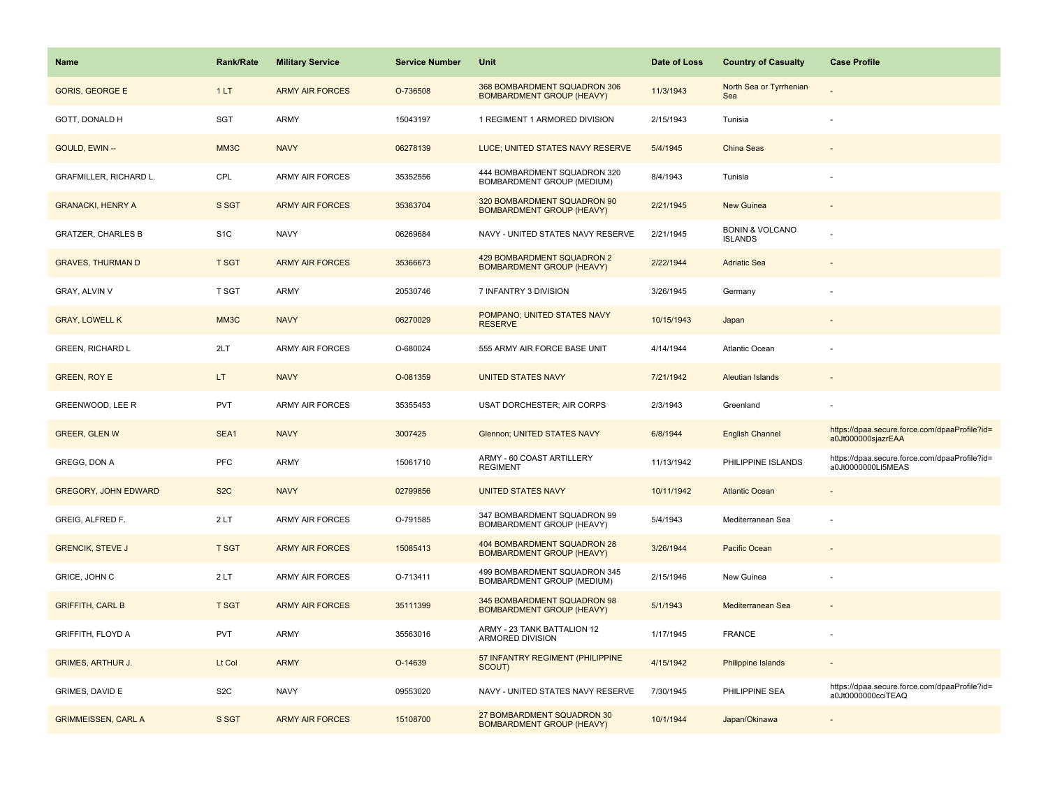| <b>Name</b>                   | <b>Rank/Rate</b> | <b>Military Service</b> | <b>Service Number</b> | Unit                                                              | Date of Loss | <b>Country of Casualty</b>                   | <b>Case Profile</b>                                                 |
|-------------------------------|------------------|-------------------------|-----------------------|-------------------------------------------------------------------|--------------|----------------------------------------------|---------------------------------------------------------------------|
| <b>GORIS, GEORGE E</b>        | 1LT              | <b>ARMY AIR FORCES</b>  | O-736508              | 368 BOMBARDMENT SQUADRON 306<br><b>BOMBARDMENT GROUP (HEAVY)</b>  | 11/3/1943    | North Sea or Tyrrhenian<br>Sea               |                                                                     |
| GOTT, DONALD H                | SGT              | ARMY                    | 15043197              | 1 REGIMENT 1 ARMORED DIVISION                                     | 2/15/1943    | Tunisia                                      |                                                                     |
| GOULD, EWIN --                | MM3C             | <b>NAVY</b>             | 06278139              | LUCE; UNITED STATES NAVY RESERVE                                  | 5/4/1945     | China Seas                                   |                                                                     |
| <b>GRAFMILLER, RICHARD L.</b> | CPL              | <b>ARMY AIR FORCES</b>  | 35352556              | 444 BOMBARDMENT SQUADRON 320<br><b>BOMBARDMENT GROUP (MEDIUM)</b> | 8/4/1943     | Tunisia                                      |                                                                     |
| <b>GRANACKI, HENRY A</b>      | S SGT            | <b>ARMY AIR FORCES</b>  | 35363704              | 320 BOMBARDMENT SQUADRON 90<br><b>BOMBARDMENT GROUP (HEAVY)</b>   | 2/21/1945    | New Guinea                                   |                                                                     |
| <b>GRATZER, CHARLES B</b>     | S <sub>1</sub> C | <b>NAVY</b>             | 06269684              | NAVY - UNITED STATES NAVY RESERVE                                 | 2/21/1945    | <b>BONIN &amp; VOLCANO</b><br><b>ISLANDS</b> |                                                                     |
| <b>GRAVES, THURMAN D</b>      | <b>T SGT</b>     | <b>ARMY AIR FORCES</b>  | 35366673              | 429 BOMBARDMENT SQUADRON 2<br><b>BOMBARDMENT GROUP (HEAVY)</b>    | 2/22/1944    | <b>Adriatic Sea</b>                          |                                                                     |
| GRAY, ALVIN V                 | T SGT            | ARMY                    | 20530746              | 7 INFANTRY 3 DIVISION                                             | 3/26/1945    | Germany                                      |                                                                     |
| <b>GRAY, LOWELL K</b>         | MM3C             | <b>NAVY</b>             | 06270029              | POMPANO; UNITED STATES NAVY<br><b>RESERVE</b>                     | 10/15/1943   | Japan                                        |                                                                     |
| <b>GREEN, RICHARD L</b>       | 2LT              | ARMY AIR FORCES         | O-680024              | 555 ARMY AIR FORCE BASE UNIT                                      | 4/14/1944    | Atlantic Ocean                               |                                                                     |
| <b>GREEN, ROY E</b>           | LT.              | <b>NAVY</b>             | O-081359              | <b>UNITED STATES NAVY</b>                                         | 7/21/1942    | <b>Aleutian Islands</b>                      |                                                                     |
| GREENWOOD, LEE R              | <b>PVT</b>       | <b>ARMY AIR FORCES</b>  | 35355453              | USAT DORCHESTER; AIR CORPS                                        | 2/3/1943     | Greenland                                    |                                                                     |
| <b>GREER, GLEN W</b>          | SEA1             | <b>NAVY</b>             | 3007425               | Glennon; UNITED STATES NAVY                                       | 6/8/1944     | <b>English Channel</b>                       | https://dpaa.secure.force.com/dpaaProfile?id=<br>a0Jt000000sjazrEAA |
| GREGG, DON A                  | PFC              | <b>ARMY</b>             | 15061710              | ARMY - 60 COAST ARTILLERY<br><b>REGIMENT</b>                      | 11/13/1942   | PHILIPPINE ISLANDS                           | https://dpaa.secure.force.com/dpaaProfile?id=<br>a0Jt0000000LI5MEAS |
| <b>GREGORY, JOHN EDWARD</b>   | S <sub>2</sub> C | <b>NAVY</b>             | 02799856              | <b>UNITED STATES NAVY</b>                                         | 10/11/1942   | <b>Atlantic Ocean</b>                        |                                                                     |
| GREIG, ALFRED F.              | 2LT              | ARMY AIR FORCES         | O-791585              | 347 BOMBARDMENT SQUADRON 99<br>BOMBARDMENT GROUP (HEAVY)          | 5/4/1943     | Mediterranean Sea                            |                                                                     |
| <b>GRENCIK, STEVE J</b>       | <b>T SGT</b>     | <b>ARMY AIR FORCES</b>  | 15085413              | 404 BOMBARDMENT SQUADRON 28<br><b>BOMBARDMENT GROUP (HEAVY)</b>   | 3/26/1944    | Pacific Ocean                                |                                                                     |
| GRICE, JOHN C                 | 2LT              | ARMY AIR FORCES         | O-713411              | 499 BOMBARDMENT SQUADRON 345<br>BOMBARDMENT GROUP (MEDIUM)        | 2/15/1946    | New Guinea                                   |                                                                     |
| <b>GRIFFITH, CARL B</b>       | <b>T SGT</b>     | <b>ARMY AIR FORCES</b>  | 35111399              | 345 BOMBARDMENT SQUADRON 98<br><b>BOMBARDMENT GROUP (HEAVY)</b>   | 5/1/1943     | Mediterranean Sea                            |                                                                     |
| <b>GRIFFITH, FLOYD A</b>      | <b>PVT</b>       | <b>ARMY</b>             | 35563016              | ARMY - 23 TANK BATTALION 12<br>ARMORED DIVISION                   | 1/17/1945    | <b>FRANCE</b>                                |                                                                     |
| <b>GRIMES, ARTHUR J.</b>      | Lt Col           | <b>ARMY</b>             | O-14639               | 57 INFANTRY REGIMENT (PHILIPPINE<br>SCOUT)                        | 4/15/1942    | Philippine Islands                           |                                                                     |
| GRIMES, DAVID E               | S <sub>2</sub> C | <b>NAVY</b>             | 09553020              | NAVY - UNITED STATES NAVY RESERVE                                 | 7/30/1945    | PHILIPPINE SEA                               | https://dpaa.secure.force.com/dpaaProfile?id=<br>a0Jt0000000cciTEAQ |
| <b>GRIMMEISSEN, CARL A</b>    | S SGT            | <b>ARMY AIR FORCES</b>  | 15108700              | 27 BOMBARDMENT SQUADRON 30<br><b>BOMBARDMENT GROUP (HEAVY)</b>    | 10/1/1944    | Japan/Okinawa                                |                                                                     |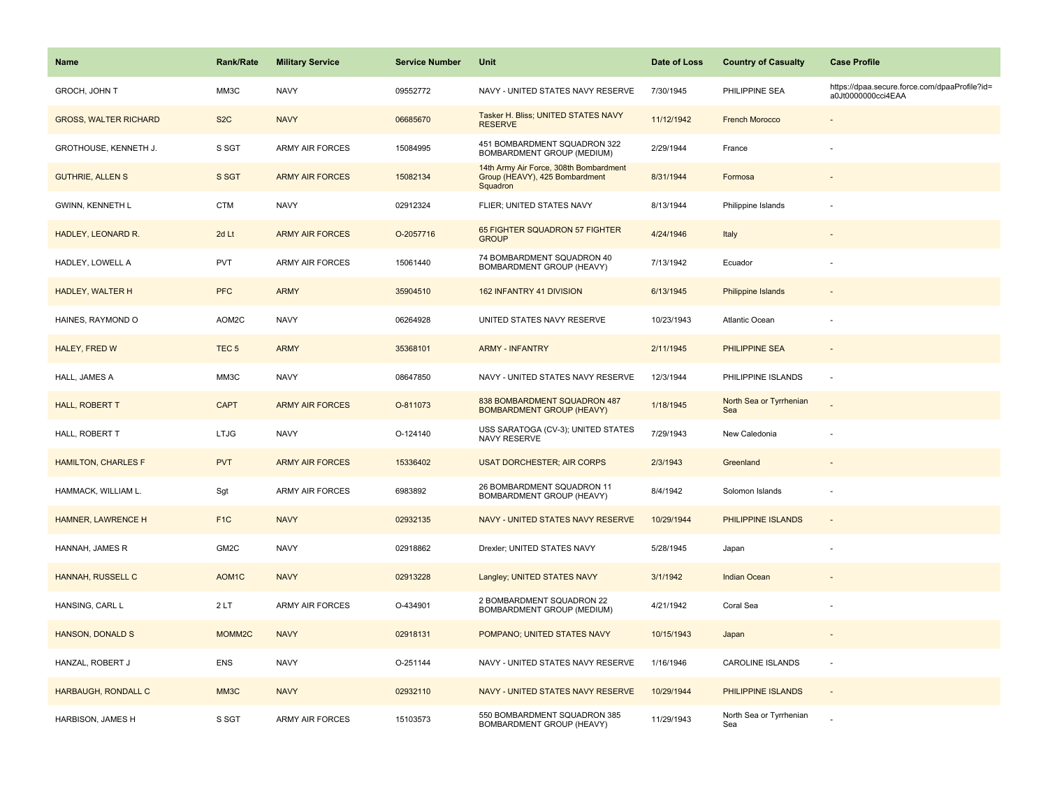| Name                         | <b>Rank/Rate</b>   | <b>Military Service</b> | <b>Service Number</b> | Unit                                                                                 | Date of Loss | <b>Country of Casualty</b>     | <b>Case Profile</b>                                                 |
|------------------------------|--------------------|-------------------------|-----------------------|--------------------------------------------------------------------------------------|--------------|--------------------------------|---------------------------------------------------------------------|
| GROCH, JOHN T                | MM3C               | <b>NAVY</b>             | 09552772              | NAVY - UNITED STATES NAVY RESERVE                                                    | 7/30/1945    | PHILIPPINE SEA                 | https://dpaa.secure.force.com/dpaaProfile?id=<br>a0Jt0000000cci4EAA |
| <b>GROSS, WALTER RICHARD</b> | S <sub>2</sub> C   | <b>NAVY</b>             | 06685670              | Tasker H. Bliss; UNITED STATES NAVY<br><b>RESERVE</b>                                | 11/12/1942   | <b>French Morocco</b>          |                                                                     |
| GROTHOUSE, KENNETH J.        | S SGT              | <b>ARMY AIR FORCES</b>  | 15084995              | 451 BOMBARDMENT SQUADRON 322<br>BOMBARDMENT GROUP (MEDIUM)                           | 2/29/1944    | France                         |                                                                     |
| <b>GUTHRIE, ALLEN S</b>      | S SGT              | <b>ARMY AIR FORCES</b>  | 15082134              | 14th Army Air Force, 308th Bombardment<br>Group (HEAVY), 425 Bombardment<br>Squadron | 8/31/1944    | Formosa                        |                                                                     |
| GWINN, KENNETH L             | <b>CTM</b>         | <b>NAVY</b>             | 02912324              | FLIER; UNITED STATES NAVY                                                            | 8/13/1944    | Philippine Islands             |                                                                     |
| HADLEY, LEONARD R.           | 2d Lt              | <b>ARMY AIR FORCES</b>  | O-2057716             | 65 FIGHTER SQUADRON 57 FIGHTER<br><b>GROUP</b>                                       | 4/24/1946    | Italy                          |                                                                     |
| HADLEY, LOWELL A             | <b>PVT</b>         | <b>ARMY AIR FORCES</b>  | 15061440              | 74 BOMBARDMENT SQUADRON 40<br><b>BOMBARDMENT GROUP (HEAVY)</b>                       | 7/13/1942    | Ecuador                        |                                                                     |
| <b>HADLEY, WALTER H</b>      | <b>PFC</b>         | <b>ARMY</b>             | 35904510              | 162 INFANTRY 41 DIVISION                                                             | 6/13/1945    | <b>Philippine Islands</b>      |                                                                     |
| HAINES, RAYMOND O            | AOM2C              | <b>NAVY</b>             | 06264928              | UNITED STATES NAVY RESERVE                                                           | 10/23/1943   | Atlantic Ocean                 |                                                                     |
| HALEY, FRED W                | TEC <sub>5</sub>   | <b>ARMY</b>             | 35368101              | <b>ARMY - INFANTRY</b>                                                               | 2/11/1945    | PHILIPPINE SEA                 |                                                                     |
| HALL, JAMES A                | MM3C               | <b>NAVY</b>             | 08647850              | NAVY - UNITED STATES NAVY RESERVE                                                    | 12/3/1944    | PHILIPPINE ISLANDS             |                                                                     |
| HALL, ROBERT T               | <b>CAPT</b>        | <b>ARMY AIR FORCES</b>  | O-811073              | 838 BOMBARDMENT SQUADRON 487<br><b>BOMBARDMENT GROUP (HEAVY)</b>                     | 1/18/1945    | North Sea or Tyrrhenian<br>Sea |                                                                     |
| HALL, ROBERT T               | LTJG               | <b>NAVY</b>             | O-124140              | USS SARATOGA (CV-3); UNITED STATES<br>NAVY RESERVE                                   | 7/29/1943    | New Caledonia                  |                                                                     |
| <b>HAMILTON, CHARLES F</b>   | <b>PVT</b>         | <b>ARMY AIR FORCES</b>  | 15336402              | <b>USAT DORCHESTER; AIR CORPS</b>                                                    | 2/3/1943     | Greenland                      |                                                                     |
| HAMMACK, WILLIAM L.          | Sgt                | ARMY AIR FORCES         | 6983892               | 26 BOMBARDMENT SQUADRON 11<br>BOMBARDMENT GROUP (HEAVY)                              | 8/4/1942     | Solomon Islands                |                                                                     |
| HAMNER, LAWRENCE H           | F <sub>1</sub> C   | <b>NAVY</b>             | 02932135              | NAVY - UNITED STATES NAVY RESERVE                                                    | 10/29/1944   | PHILIPPINE ISLANDS             |                                                                     |
| HANNAH, JAMES R              | GM2C               | <b>NAVY</b>             | 02918862              | Drexler; UNITED STATES NAVY                                                          | 5/28/1945    | Japan                          |                                                                     |
| HANNAH, RUSSELL C            | AOM <sub>1</sub> C | <b>NAVY</b>             | 02913228              | Langley; UNITED STATES NAVY                                                          | 3/1/1942     | <b>Indian Ocean</b>            |                                                                     |
| HANSING, CARL L              | 2LT                | <b>ARMY AIR FORCES</b>  | O-434901              | 2 BOMBARDMENT SQUADRON 22<br>BOMBARDMENT GROUP (MEDIUM)                              | 4/21/1942    | Coral Sea                      |                                                                     |
| <b>HANSON, DONALD S</b>      | MOMM2C             | <b>NAVY</b>             | 02918131              | POMPANO; UNITED STATES NAVY                                                          | 10/15/1943   | Japan                          |                                                                     |
| HANZAL, ROBERT J             | <b>ENS</b>         | <b>NAVY</b>             | O-251144              | NAVY - UNITED STATES NAVY RESERVE                                                    | 1/16/1946    | CAROLINE ISLANDS               | $\overline{\phantom{a}}$                                            |
| HARBAUGH, RONDALL C          | MM3C               | <b>NAVY</b>             | 02932110              | NAVY - UNITED STATES NAVY RESERVE                                                    | 10/29/1944   | PHILIPPINE ISLANDS             | $\overline{\phantom{a}}$                                            |
| HARBISON, JAMES H            | S SGT              | <b>ARMY AIR FORCES</b>  | 15103573              | 550 BOMBARDMENT SQUADRON 385<br>BOMBARDMENT GROUP (HEAVY)                            | 11/29/1943   | North Sea or Tyrrhenian<br>Sea |                                                                     |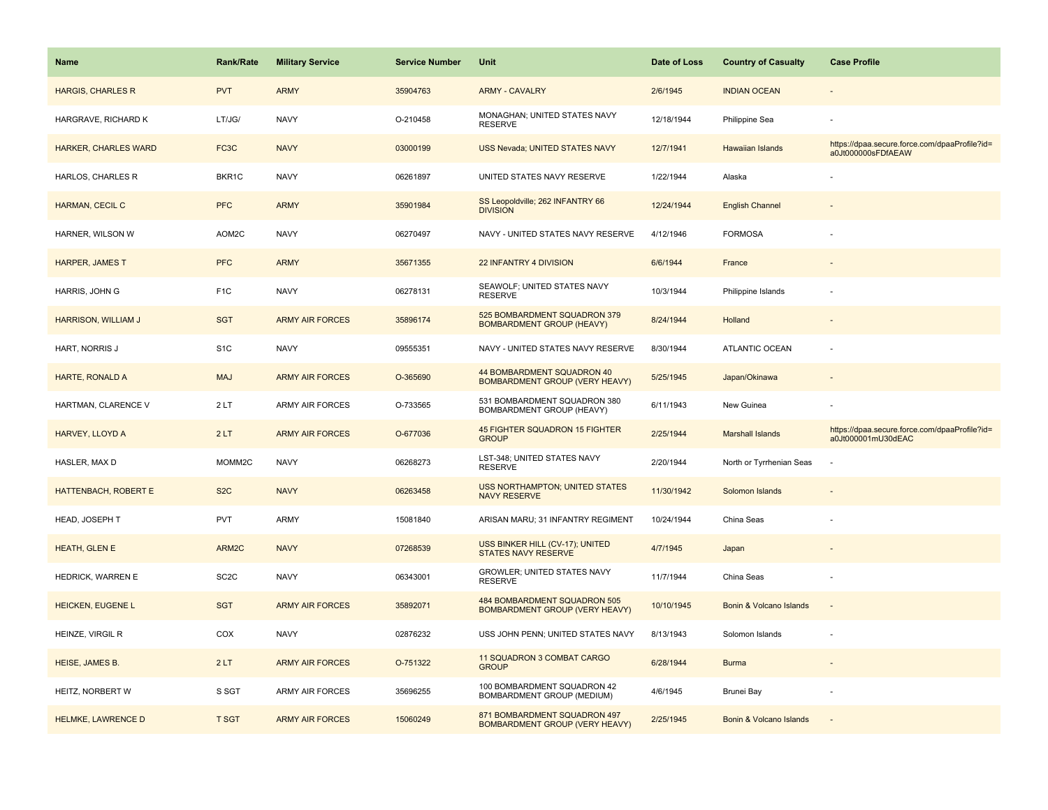| <b>Name</b>                 | Rank/Rate         | <b>Military Service</b> | <b>Service Number</b> | Unit                                                                  | Date of Loss | <b>Country of Casualty</b> | <b>Case Profile</b>                                                 |
|-----------------------------|-------------------|-------------------------|-----------------------|-----------------------------------------------------------------------|--------------|----------------------------|---------------------------------------------------------------------|
| <b>HARGIS, CHARLES R</b>    | <b>PVT</b>        | <b>ARMY</b>             | 35904763              | <b>ARMY - CAVALRY</b>                                                 | 2/6/1945     | <b>INDIAN OCEAN</b>        |                                                                     |
| HARGRAVE, RICHARD K         | LT/JG/            | <b>NAVY</b>             | O-210458              | MONAGHAN; UNITED STATES NAVY<br><b>RESERVE</b>                        | 12/18/1944   | Philippine Sea             |                                                                     |
| <b>HARKER, CHARLES WARD</b> | FC <sub>3</sub> C | <b>NAVY</b>             | 03000199              | USS Nevada; UNITED STATES NAVY                                        | 12/7/1941    | Hawaiian Islands           | https://dpaa.secure.force.com/dpaaProfile?id=<br>a0Jt000000sFDfAEAW |
| HARLOS, CHARLES R           | BKR1C             | <b>NAVY</b>             | 06261897              | UNITED STATES NAVY RESERVE                                            | 1/22/1944    | Alaska                     |                                                                     |
| HARMAN, CECIL C             | <b>PFC</b>        | <b>ARMY</b>             | 35901984              | SS Leopoldville; 262 INFANTRY 66<br><b>DIVISION</b>                   | 12/24/1944   | <b>English Channel</b>     |                                                                     |
| HARNER, WILSON W            | AOM2C             | <b>NAVY</b>             | 06270497              | NAVY - UNITED STATES NAVY RESERVE                                     | 4/12/1946    | <b>FORMOSA</b>             |                                                                     |
| <b>HARPER, JAMES T</b>      | <b>PFC</b>        | <b>ARMY</b>             | 35671355              | 22 INFANTRY 4 DIVISION                                                | 6/6/1944     | France                     |                                                                     |
| HARRIS, JOHN G              | F <sub>1</sub> C  | <b>NAVY</b>             | 06278131              | SEAWOLF; UNITED STATES NAVY<br><b>RESERVE</b>                         | 10/3/1944    | Philippine Islands         |                                                                     |
| <b>HARRISON, WILLIAM J</b>  | <b>SGT</b>        | <b>ARMY AIR FORCES</b>  | 35896174              | 525 BOMBARDMENT SQUADRON 379<br><b>BOMBARDMENT GROUP (HEAVY)</b>      | 8/24/1944    | Holland                    |                                                                     |
| HART, NORRIS J              | S <sub>1</sub> C  | <b>NAVY</b>             | 09555351              | NAVY - UNITED STATES NAVY RESERVE                                     | 8/30/1944    | ATLANTIC OCEAN             |                                                                     |
| HARTE, RONALD A             | <b>MAJ</b>        | <b>ARMY AIR FORCES</b>  | O-365690              | 44 BOMBARDMENT SQUADRON 40<br>BOMBARDMENT GROUP (VERY HEAVY)          | 5/25/1945    | Japan/Okinawa              |                                                                     |
| HARTMAN, CLARENCE V         | 2LT               | <b>ARMY AIR FORCES</b>  | O-733565              | 531 BOMBARDMENT SQUADRON 380<br>BOMBARDMENT GROUP (HEAVY)             | 6/11/1943    | New Guinea                 |                                                                     |
| HARVEY, LLOYD A             | 2LT               | <b>ARMY AIR FORCES</b>  | O-677036              | 45 FIGHTER SQUADRON 15 FIGHTER<br><b>GROUP</b>                        | 2/25/1944    | <b>Marshall Islands</b>    | https://dpaa.secure.force.com/dpaaProfile?id=<br>a0Jt000001mU30dEAC |
| HASLER, MAX D               | MOMM2C            | <b>NAVY</b>             | 06268273              | LST-348; UNITED STATES NAVY<br><b>RESERVE</b>                         | 2/20/1944    | North or Tyrrhenian Seas   | ÷,                                                                  |
| HATTENBACH, ROBERT E        | S <sub>2</sub> C  | <b>NAVY</b>             | 06263458              | <b>USS NORTHAMPTON; UNITED STATES</b><br><b>NAVY RESERVE</b>          | 11/30/1942   | Solomon Islands            |                                                                     |
| HEAD, JOSEPH T              | <b>PVT</b>        | <b>ARMY</b>             | 15081840              | ARISAN MARU; 31 INFANTRY REGIMENT                                     | 10/24/1944   | China Seas                 |                                                                     |
| HEATH, GLEN E               | ARM2C             | <b>NAVY</b>             | 07268539              | USS BINKER HILL (CV-17); UNITED<br><b>STATES NAVY RESERVE</b>         | 4/7/1945     | Japan                      |                                                                     |
| HEDRICK, WARREN E           | SC <sub>2</sub> C | <b>NAVY</b>             | 06343001              | GROWLER; UNITED STATES NAVY<br><b>RESERVE</b>                         | 11/7/1944    | China Seas                 |                                                                     |
| HEICKEN, EUGENE L           | <b>SGT</b>        | <b>ARMY AIR FORCES</b>  | 35892071              | 484 BOMBARDMENT SQUADRON 505<br><b>BOMBARDMENT GROUP (VERY HEAVY)</b> | 10/10/1945   | Bonin & Volcano Islands    |                                                                     |
| HEINZE, VIRGIL R            | COX               | <b>NAVY</b>             | 02876232              | USS JOHN PENN; UNITED STATES NAVY                                     | 8/13/1943    | Solomon Islands            |                                                                     |
| HEISE, JAMES B.             | 2LT               | <b>ARMY AIR FORCES</b>  | O-751322              | 11 SQUADRON 3 COMBAT CARGO<br><b>GROUP</b>                            | 6/28/1944    | <b>Burma</b>               | $\sim$                                                              |
| HEITZ, NORBERT W            | S SGT             | <b>ARMY AIR FORCES</b>  | 35696255              | 100 BOMBARDMENT SQUADRON 42<br>BOMBARDMENT GROUP (MEDIUM)             | 4/6/1945     | Brunei Bay                 |                                                                     |
| HELMKE, LAWRENCE D          | <b>T SGT</b>      | <b>ARMY AIR FORCES</b>  | 15060249              | 871 BOMBARDMENT SQUADRON 497<br><b>BOMBARDMENT GROUP (VERY HEAVY)</b> | 2/25/1945    | Bonin & Volcano Islands    |                                                                     |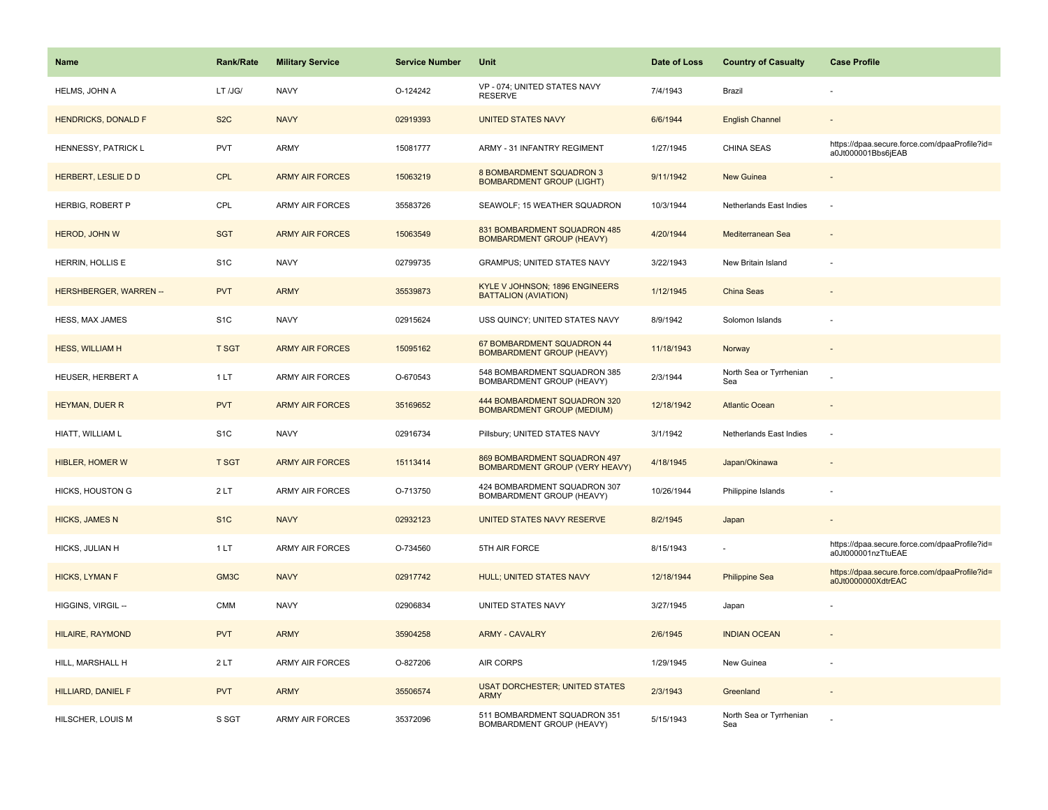| <b>Name</b>                   | <b>Rank/Rate</b> | <b>Military Service</b> | <b>Service Number</b> | Unit                                                              | Date of Loss | <b>Country of Casualty</b>     | <b>Case Profile</b>                                                 |
|-------------------------------|------------------|-------------------------|-----------------------|-------------------------------------------------------------------|--------------|--------------------------------|---------------------------------------------------------------------|
| <b>HELMS, JOHN A</b>          | LT /JG/          | <b>NAVY</b>             | O-124242              | VP - 074; UNITED STATES NAVY<br>RESERVE                           | 7/4/1943     | Brazil                         |                                                                     |
| <b>HENDRICKS, DONALD F</b>    | S <sub>2</sub> C | <b>NAVY</b>             | 02919393              | <b>UNITED STATES NAVY</b>                                         | 6/6/1944     | <b>English Channel</b>         |                                                                     |
| HENNESSY, PATRICK L           | <b>PVT</b>       | ARMY                    | 15081777              | ARMY - 31 INFANTRY REGIMENT                                       | 1/27/1945    | <b>CHINA SEAS</b>              | https://dpaa.secure.force.com/dpaaProfile?id=<br>a0Jt000001Bbs6jEAB |
| HERBERT, LESLIE D D           | <b>CPL</b>       | <b>ARMY AIR FORCES</b>  | 15063219              | 8 BOMBARDMENT SQUADRON 3<br><b>BOMBARDMENT GROUP (LIGHT)</b>      | 9/11/1942    | New Guinea                     |                                                                     |
| HERBIG, ROBERT P              | CPL              | ARMY AIR FORCES         | 35583726              | SEAWOLF; 15 WEATHER SQUADRON                                      | 10/3/1944    | Netherlands East Indies        |                                                                     |
| HEROD, JOHN W                 | <b>SGT</b>       | <b>ARMY AIR FORCES</b>  | 15063549              | 831 BOMBARDMENT SQUADRON 485<br><b>BOMBARDMENT GROUP (HEAVY)</b>  | 4/20/1944    | Mediterranean Sea              |                                                                     |
| HERRIN, HOLLIS E              | S <sub>1</sub> C | <b>NAVY</b>             | 02799735              | <b>GRAMPUS; UNITED STATES NAVY</b>                                | 3/22/1943    | New Britain Island             |                                                                     |
| <b>HERSHBERGER, WARREN --</b> | <b>PVT</b>       | <b>ARMY</b>             | 35539873              | KYLE V JOHNSON; 1896 ENGINEERS<br><b>BATTALION (AVIATION)</b>     | 1/12/1945    | China Seas                     |                                                                     |
| HESS, MAX JAMES               | S <sub>1</sub> C | <b>NAVY</b>             | 02915624              | USS QUINCY; UNITED STATES NAVY                                    | 8/9/1942     | Solomon Islands                |                                                                     |
| <b>HESS, WILLIAM H</b>        | <b>T SGT</b>     | <b>ARMY AIR FORCES</b>  | 15095162              | 67 BOMBARDMENT SQUADRON 44<br><b>BOMBARDMENT GROUP (HEAVY)</b>    | 11/18/1943   | Norway                         |                                                                     |
| HEUSER, HERBERT A             | 1LT              | ARMY AIR FORCES         | O-670543              | 548 BOMBARDMENT SQUADRON 385<br>BOMBARDMENT GROUP (HEAVY)         | 2/3/1944     | North Sea or Tyrrhenian<br>Sea |                                                                     |
| <b>HEYMAN, DUER R</b>         | <b>PVT</b>       | <b>ARMY AIR FORCES</b>  | 35169652              | 444 BOMBARDMENT SQUADRON 320<br><b>BOMBARDMENT GROUP (MEDIUM)</b> | 12/18/1942   | <b>Atlantic Ocean</b>          |                                                                     |
| HIATT, WILLIAM L              | S <sub>1</sub> C | <b>NAVY</b>             | 02916734              | Pillsbury; UNITED STATES NAVY                                     | 3/1/1942     | Netherlands East Indies        |                                                                     |
| HIBLER, HOMER W               | <b>T SGT</b>     | <b>ARMY AIR FORCES</b>  | 15113414              | 869 BOMBARDMENT SQUADRON 497<br>BOMBARDMENT GROUP (VERY HEAVY)    | 4/18/1945    | Japan/Okinawa                  | $\sim$                                                              |
| HICKS, HOUSTON G              | 2LT              | ARMY AIR FORCES         | O-713750              | 424 BOMBARDMENT SQUADRON 307<br>BOMBARDMENT GROUP (HEAVY)         | 10/26/1944   | Philippine Islands             |                                                                     |
| <b>HICKS, JAMES N</b>         | S <sub>1</sub> C | <b>NAVY</b>             | 02932123              | UNITED STATES NAVY RESERVE                                        | 8/2/1945     | Japan                          |                                                                     |
| HICKS, JULIAN H               | 1 LT             | <b>ARMY AIR FORCES</b>  | O-734560              | 5TH AIR FORCE                                                     | 8/15/1943    |                                | https://dpaa.secure.force.com/dpaaProfile?id=<br>a0Jt000001nzTtuEAE |
| <b>HICKS, LYMAN F</b>         | GM3C             | <b>NAVY</b>             | 02917742              | HULL; UNITED STATES NAVY                                          | 12/18/1944   | <b>Philippine Sea</b>          | https://dpaa.secure.force.com/dpaaProfile?id=<br>a0Jt0000000XdtrEAC |
| HIGGINS, VIRGIL --            | <b>CMM</b>       | <b>NAVY</b>             | 02906834              | UNITED STATES NAVY                                                | 3/27/1945    | Japan                          |                                                                     |
| HILAIRE, RAYMOND              | <b>PVT</b>       | <b>ARMY</b>             | 35904258              | <b>ARMY - CAVALRY</b>                                             | 2/6/1945     | <b>INDIAN OCEAN</b>            |                                                                     |
| HILL, MARSHALL H              | 2LT              | <b>ARMY AIR FORCES</b>  | O-827206              | <b>AIR CORPS</b>                                                  | 1/29/1945    | New Guinea                     |                                                                     |
| <b>HILLIARD, DANIEL F</b>     | <b>PVT</b>       | <b>ARMY</b>             | 35506574              | <b>USAT DORCHESTER; UNITED STATES</b><br><b>ARMY</b>              | 2/3/1943     | Greenland                      |                                                                     |
| HILSCHER, LOUIS M             | S SGT            | ARMY AIR FORCES         | 35372096              | 511 BOMBARDMENT SQUADRON 351<br>BOMBARDMENT GROUP (HEAVY)         | 5/15/1943    | North Sea or Tyrrhenian<br>Sea |                                                                     |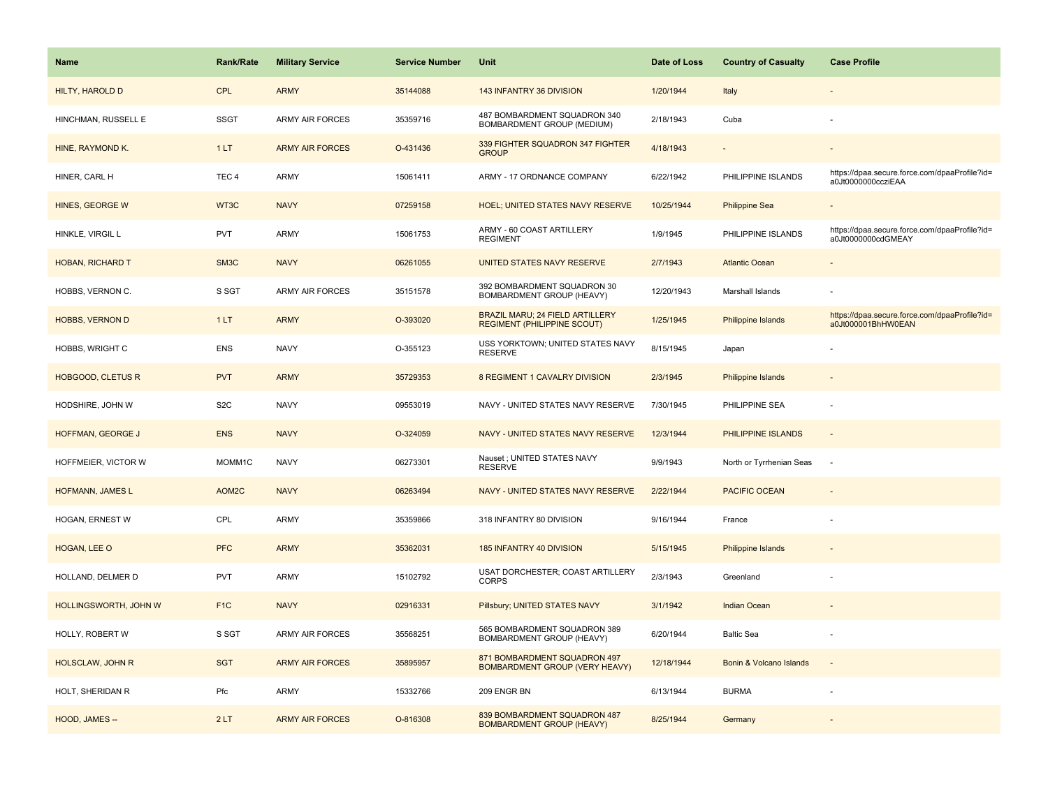| <b>Name</b>                  | Rank/Rate           | <b>Military Service</b> | <b>Service Number</b> | Unit                                                                  | Date of Loss | <b>Country of Casualty</b> | <b>Case Profile</b>                                                 |
|------------------------------|---------------------|-------------------------|-----------------------|-----------------------------------------------------------------------|--------------|----------------------------|---------------------------------------------------------------------|
| HILTY, HAROLD D              | <b>CPL</b>          | <b>ARMY</b>             | 35144088              | 143 INFANTRY 36 DIVISION                                              | 1/20/1944    | Italy                      |                                                                     |
| HINCHMAN, RUSSELL E          | <b>SSGT</b>         | <b>ARMY AIR FORCES</b>  | 35359716              | 487 BOMBARDMENT SQUADRON 340<br>BOMBARDMENT GROUP (MEDIUM)            | 2/18/1943    | Cuba                       |                                                                     |
| HINE, RAYMOND K.             | 1LT                 | <b>ARMY AIR FORCES</b>  | O-431436              | 339 FIGHTER SQUADRON 347 FIGHTER<br><b>GROUP</b>                      | 4/18/1943    |                            |                                                                     |
| HINER, CARL H                | TEC <sub>4</sub>    | ARMY                    | 15061411              | ARMY - 17 ORDNANCE COMPANY                                            | 6/22/1942    | PHILIPPINE ISLANDS         | https://dpaa.secure.force.com/dpaaProfile?id=<br>a0Jt0000000ccziEAA |
| HINES, GEORGE W              | WT3C                | <b>NAVY</b>             | 07259158              | <b>HOEL; UNITED STATES NAVY RESERVE</b>                               | 10/25/1944   | <b>Philippine Sea</b>      |                                                                     |
| HINKLE, VIRGIL L             | <b>PVT</b>          | ARMY                    | 15061753              | ARMY - 60 COAST ARTILLERY<br><b>REGIMENT</b>                          | 1/9/1945     | PHILIPPINE ISLANDS         | https://dpaa.secure.force.com/dpaaProfile?id=<br>a0Jt0000000cdGMEAY |
| HOBAN, RICHARD T             | SM3C                | <b>NAVY</b>             | 06261055              | UNITED STATES NAVY RESERVE                                            | 2/7/1943     | <b>Atlantic Ocean</b>      |                                                                     |
| HOBBS, VERNON C.             | S SGT               | <b>ARMY AIR FORCES</b>  | 35151578              | 392 BOMBARDMENT SQUADRON 30<br>BOMBARDMENT GROUP (HEAVY)              | 12/20/1943   | Marshall Islands           |                                                                     |
| <b>HOBBS, VERNON D</b>       | 1LT                 | <b>ARMY</b>             | O-393020              | BRAZIL MARU; 24 FIELD ARTILLERY<br><b>REGIMENT (PHILIPPINE SCOUT)</b> | 1/25/1945    | Philippine Islands         | https://dpaa.secure.force.com/dpaaProfile?id=<br>a0Jt000001BhHW0EAN |
| HOBBS, WRIGHT C              | <b>ENS</b>          | <b>NAVY</b>             | O-355123              | USS YORKTOWN; UNITED STATES NAVY<br><b>RESERVE</b>                    | 8/15/1945    | Japan                      |                                                                     |
| <b>HOBGOOD, CLETUS R</b>     | <b>PVT</b>          | <b>ARMY</b>             | 35729353              | 8 REGIMENT 1 CAVALRY DIVISION                                         | 2/3/1945     | <b>Philippine Islands</b>  |                                                                     |
| HODSHIRE, JOHN W             | S <sub>2</sub> C    | <b>NAVY</b>             | 09553019              | NAVY - UNITED STATES NAVY RESERVE                                     | 7/30/1945    | PHILIPPINE SEA             |                                                                     |
| HOFFMAN, GEORGE J            | <b>ENS</b>          | <b>NAVY</b>             | O-324059              | NAVY - UNITED STATES NAVY RESERVE                                     | 12/3/1944    | PHILIPPINE ISLANDS         | $\blacksquare$                                                      |
| HOFFMEIER, VICTOR W          | MOMM <sub>1</sub> C | <b>NAVY</b>             | 06273301              | Nauset ; UNITED STATES NAVY<br><b>RESERVE</b>                         | 9/9/1943     | North or Tyrrhenian Seas   | $\sim$                                                              |
| HOFMANN, JAMES L             | AOM2C               | <b>NAVY</b>             | 06263494              | NAVY - UNITED STATES NAVY RESERVE                                     | 2/22/1944    | <b>PACIFIC OCEAN</b>       | $\sim$                                                              |
| HOGAN, ERNEST W              | CPL                 | ARMY                    | 35359866              | 318 INFANTRY 80 DIVISION                                              | 9/16/1944    | France                     |                                                                     |
| HOGAN, LEE O                 | <b>PFC</b>          | <b>ARMY</b>             | 35362031              | 185 INFANTRY 40 DIVISION                                              | 5/15/1945    | <b>Philippine Islands</b>  |                                                                     |
| HOLLAND, DELMER D            | <b>PVT</b>          | ARMY                    | 15102792              | USAT DORCHESTER; COAST ARTILLERY<br><b>CORPS</b>                      | 2/3/1943     | Greenland                  |                                                                     |
| <b>HOLLINGSWORTH, JOHN W</b> | F <sub>1</sub> C    | <b>NAVY</b>             | 02916331              | Pillsbury; UNITED STATES NAVY                                         | 3/1/1942     | <b>Indian Ocean</b>        |                                                                     |
| HOLLY, ROBERT W              | S SGT               | <b>ARMY AIR FORCES</b>  | 35568251              | 565 BOMBARDMENT SQUADRON 389<br>BOMBARDMENT GROUP (HEAVY)             | 6/20/1944    | <b>Baltic Sea</b>          |                                                                     |
| <b>HOLSCLAW, JOHN R</b>      | <b>SGT</b>          | <b>ARMY AIR FORCES</b>  | 35895957              | 871 BOMBARDMENT SQUADRON 497<br><b>BOMBARDMENT GROUP (VERY HEAVY)</b> | 12/18/1944   | Bonin & Volcano Islands    | $\sim$                                                              |
| HOLT, SHERIDAN R             | Pfc                 | ARMY                    | 15332766              | 209 ENGR BN                                                           | 6/13/1944    | <b>BURMA</b>               | ÷                                                                   |
| HOOD, JAMES --               | 2LT                 | <b>ARMY AIR FORCES</b>  | O-816308              | 839 BOMBARDMENT SQUADRON 487<br><b>BOMBARDMENT GROUP (HEAVY)</b>      | 8/25/1944    | Germany                    |                                                                     |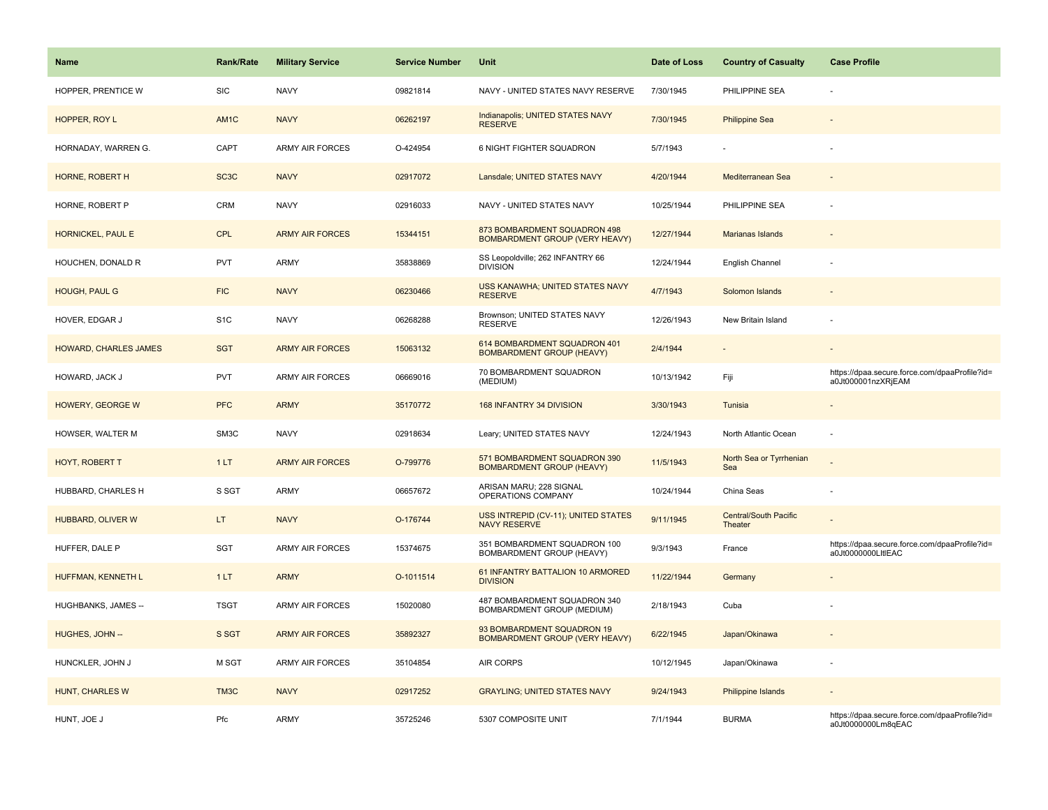| Name                         | Rank/Rate         | <b>Military Service</b> | <b>Service Number</b> | Unit                                                                  | Date of Loss | <b>Country of Casualty</b>              | <b>Case Profile</b>                                                 |
|------------------------------|-------------------|-------------------------|-----------------------|-----------------------------------------------------------------------|--------------|-----------------------------------------|---------------------------------------------------------------------|
| HOPPER, PRENTICE W           | <b>SIC</b>        | <b>NAVY</b>             | 09821814              | NAVY - UNITED STATES NAVY RESERVE                                     | 7/30/1945    | PHILIPPINE SEA                          |                                                                     |
| HOPPER, ROY L                | AM <sub>1</sub> C | <b>NAVY</b>             | 06262197              | Indianapolis; UNITED STATES NAVY<br><b>RESERVE</b>                    | 7/30/1945    | <b>Philippine Sea</b>                   |                                                                     |
| HORNADAY, WARREN G.          | CAPT              | ARMY AIR FORCES         | O-424954              | 6 NIGHT FIGHTER SQUADRON                                              | 5/7/1943     |                                         |                                                                     |
| HORNE, ROBERT H              | SC <sub>3</sub> C | <b>NAVY</b>             | 02917072              | Lansdale; UNITED STATES NAVY                                          | 4/20/1944    | Mediterranean Sea                       |                                                                     |
| HORNE, ROBERT P              | CRM               | <b>NAVY</b>             | 02916033              | NAVY - UNITED STATES NAVY                                             | 10/25/1944   | PHILIPPINE SEA                          |                                                                     |
| HORNICKEL, PAUL E            | CPL               | <b>ARMY AIR FORCES</b>  | 15344151              | 873 BOMBARDMENT SQUADRON 498<br><b>BOMBARDMENT GROUP (VERY HEAVY)</b> | 12/27/1944   | Marianas Islands                        |                                                                     |
| HOUCHEN, DONALD R            | <b>PVT</b>        | <b>ARMY</b>             | 35838869              | SS Leopoldville; 262 INFANTRY 66<br><b>DIVISION</b>                   | 12/24/1944   | English Channel                         |                                                                     |
| HOUGH, PAUL G                | <b>FIC</b>        | <b>NAVY</b>             | 06230466              | USS KANAWHA; UNITED STATES NAVY<br><b>RESERVE</b>                     | 4/7/1943     | Solomon Islands                         |                                                                     |
| HOVER, EDGAR J               | S <sub>1</sub> C  | <b>NAVY</b>             | 06268288              | Brownson; UNITED STATES NAVY<br><b>RESERVE</b>                        | 12/26/1943   | New Britain Island                      |                                                                     |
| <b>HOWARD, CHARLES JAMES</b> | <b>SGT</b>        | <b>ARMY AIR FORCES</b>  | 15063132              | 614 BOMBARDMENT SQUADRON 401<br><b>BOMBARDMENT GROUP (HEAVY)</b>      | 2/4/1944     |                                         |                                                                     |
| HOWARD, JACK J               | <b>PVT</b>        | <b>ARMY AIR FORCES</b>  | 06669016              | 70 BOMBARDMENT SQUADRON<br>(MEDIUM)                                   | 10/13/1942   | Fiji                                    | https://dpaa.secure.force.com/dpaaProfile?id=<br>a0Jt000001nzXRjEAM |
| <b>HOWERY, GEORGE W</b>      | <b>PFC</b>        | <b>ARMY</b>             | 35170772              | 168 INFANTRY 34 DIVISION                                              | 3/30/1943    | Tunisia                                 |                                                                     |
| HOWSER, WALTER M             | SM3C              | <b>NAVY</b>             | 02918634              | Leary; UNITED STATES NAVY                                             | 12/24/1943   | North Atlantic Ocean                    |                                                                     |
| HOYT, ROBERT T               | 1LT               | <b>ARMY AIR FORCES</b>  | O-799776              | 571 BOMBARDMENT SQUADRON 390<br><b>BOMBARDMENT GROUP (HEAVY)</b>      | 11/5/1943    | North Sea or Tyrrhenian<br>Sea          |                                                                     |
| HUBBARD, CHARLES H           | S SGT             | ARMY                    | 06657672              | ARISAN MARU; 228 SIGNAL<br>OPERATIONS COMPANY                         | 10/24/1944   | China Seas                              |                                                                     |
| <b>HUBBARD, OLIVER W</b>     | LT.               | <b>NAVY</b>             | O-176744              | USS INTREPID (CV-11); UNITED STATES<br><b>NAVY RESERVE</b>            | 9/11/1945    | <b>Central/South Pacific</b><br>Theater |                                                                     |
| HUFFER, DALE P               | SGT               | ARMY AIR FORCES         | 15374675              | 351 BOMBARDMENT SQUADRON 100<br>BOMBARDMENT GROUP (HEAVY)             | 9/3/1943     | France                                  | https://dpaa.secure.force.com/dpaaProfile?id=<br>a0Jt0000000LltlEAC |
| HUFFMAN, KENNETH L           | 1LT               | <b>ARMY</b>             | O-1011514             | 61 INFANTRY BATTALION 10 ARMORED<br><b>DIVISION</b>                   | 11/22/1944   | Germany                                 |                                                                     |
| HUGHBANKS, JAMES --          | <b>TSGT</b>       | <b>ARMY AIR FORCES</b>  | 15020080              | 487 BOMBARDMENT SQUADRON 340<br>BOMBARDMENT GROUP (MEDIUM)            | 2/18/1943    | Cuba                                    |                                                                     |
| HUGHES, JOHN --              | S SGT             | <b>ARMY AIR FORCES</b>  | 35892327              | 93 BOMBARDMENT SQUADRON 19<br><b>BOMBARDMENT GROUP (VERY HEAVY)</b>   | 6/22/1945    | Japan/Okinawa                           |                                                                     |
| HUNCKLER, JOHN J             | M SGT             | <b>ARMY AIR FORCES</b>  | 35104854              | <b>AIR CORPS</b>                                                      | 10/12/1945   | Japan/Okinawa                           |                                                                     |
| HUNT, CHARLES W              | TM3C              | <b>NAVY</b>             | 02917252              | <b>GRAYLING; UNITED STATES NAVY</b>                                   | 9/24/1943    | Philippine Islands                      |                                                                     |
| HUNT, JOE J                  | Pfc               | ARMY                    | 35725246              | 5307 COMPOSITE UNIT                                                   | 7/1/1944     | <b>BURMA</b>                            | https://dpaa.secure.force.com/dpaaProfile?id=<br>a0Jt0000000Lm8qEAC |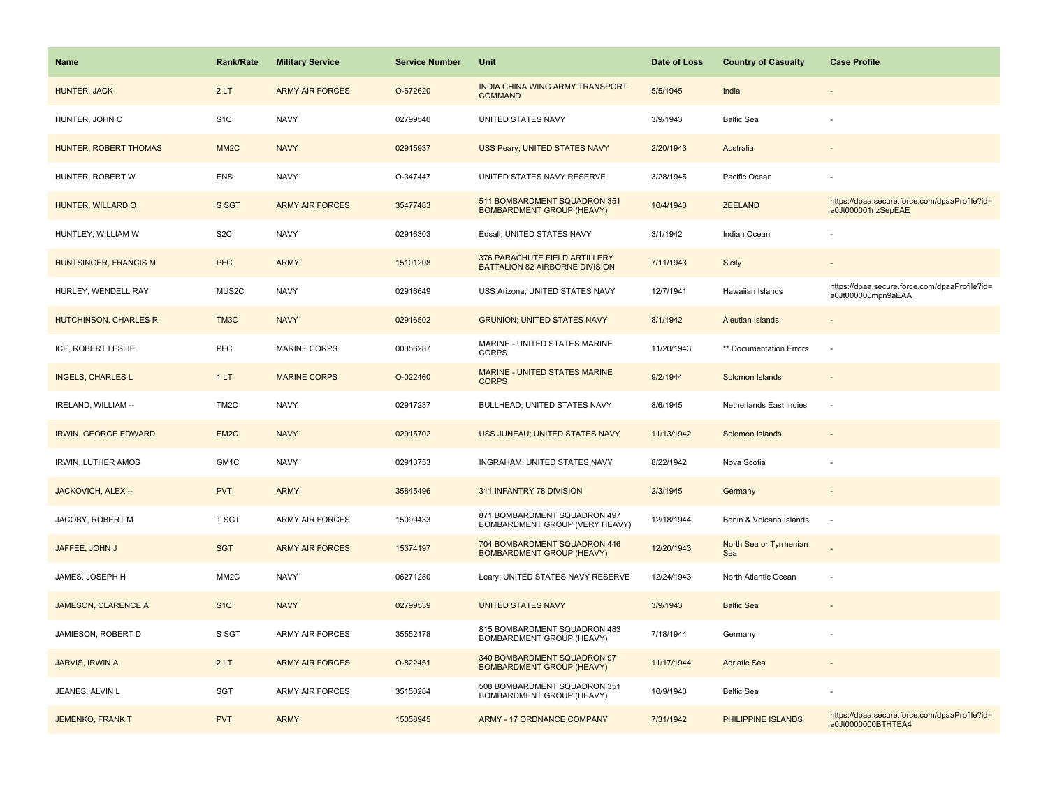| Name                        | Rank/Rate         | <b>Military Service</b> | <b>Service Number</b> | Unit                                                             | Date of Loss | <b>Country of Casualty</b>     | <b>Case Profile</b>                                                 |
|-----------------------------|-------------------|-------------------------|-----------------------|------------------------------------------------------------------|--------------|--------------------------------|---------------------------------------------------------------------|
| HUNTER, JACK                | 2LT               | <b>ARMY AIR FORCES</b>  | O-672620              | <b>INDIA CHINA WING ARMY TRANSPORT</b><br><b>COMMAND</b>         | 5/5/1945     | India                          |                                                                     |
| HUNTER, JOHN C              | S <sub>1</sub> C  | <b>NAVY</b>             | 02799540              | UNITED STATES NAVY                                               | 3/9/1943     | <b>Baltic Sea</b>              |                                                                     |
| HUNTER, ROBERT THOMAS       | MM <sub>2</sub> C | <b>NAVY</b>             | 02915937              | USS Peary; UNITED STATES NAVY                                    | 2/20/1943    | Australia                      |                                                                     |
| HUNTER, ROBERT W            | <b>ENS</b>        | <b>NAVY</b>             | O-347447              | UNITED STATES NAVY RESERVE                                       | 3/28/1945    | Pacific Ocean                  |                                                                     |
| HUNTER, WILLARD O           | S SGT             | <b>ARMY AIR FORCES</b>  | 35477483              | 511 BOMBARDMENT SQUADRON 351<br><b>BOMBARDMENT GROUP (HEAVY)</b> | 10/4/1943    | <b>ZEELAND</b>                 | https://dpaa.secure.force.com/dpaaProfile?id=<br>a0Jt000001nzSepEAE |
| HUNTLEY, WILLIAM W          | S <sub>2</sub> C  | <b>NAVY</b>             | 02916303              | Edsall; UNITED STATES NAVY                                       | 3/1/1942     | Indian Ocean                   |                                                                     |
| HUNTSINGER, FRANCIS M       | <b>PFC</b>        | <b>ARMY</b>             | 15101208              | 376 PARACHUTE FIELD ARTILLERY<br>BATTALION 82 AIRBORNE DIVISION  | 7/11/1943    | Sicily                         | $\blacksquare$                                                      |
| HURLEY, WENDELL RAY         | MUS2C             | <b>NAVY</b>             | 02916649              | USS Arizona; UNITED STATES NAVY                                  | 12/7/1941    | Hawaiian Islands               | https://dpaa.secure.force.com/dpaaProfile?id=<br>a0Jt000000mpn9aEAA |
| HUTCHINSON, CHARLES R       | TM3C              | <b>NAVY</b>             | 02916502              | <b>GRUNION; UNITED STATES NAVY</b>                               | 8/1/1942     | <b>Aleutian Islands</b>        |                                                                     |
| ICE, ROBERT LESLIE          | <b>PFC</b>        | <b>MARINE CORPS</b>     | 00356287              | MARINE - UNITED STATES MARINE<br><b>CORPS</b>                    | 11/20/1943   | ** Documentation Errors        | J.                                                                  |
| <b>INGELS, CHARLES L</b>    | 1LT               | <b>MARINE CORPS</b>     | O-022460              | <b>MARINE - UNITED STATES MARINE</b><br><b>CORPS</b>             | 9/2/1944     | Solomon Islands                |                                                                     |
| IRELAND, WILLIAM --         | TM <sub>2</sub> C | <b>NAVY</b>             | 02917237              | BULLHEAD; UNITED STATES NAVY                                     | 8/6/1945     | Netherlands East Indies        |                                                                     |
| <b>IRWIN, GEORGE EDWARD</b> | EM <sub>2</sub> C | <b>NAVY</b>             | 02915702              | USS JUNEAU; UNITED STATES NAVY                                   | 11/13/1942   | Solomon Islands                |                                                                     |
| IRWIN, LUTHER AMOS          | GM1C              | <b>NAVY</b>             | 02913753              | <b>INGRAHAM: UNITED STATES NAVY</b>                              | 8/22/1942    | Nova Scotia                    |                                                                     |
| JACKOVICH, ALEX --          | <b>PVT</b>        | <b>ARMY</b>             | 35845496              | 311 INFANTRY 78 DIVISION                                         | 2/3/1945     | Germany                        | $\overline{\phantom{a}}$                                            |
| JACOBY, ROBERT M            | <b>T SGT</b>      | <b>ARMY AIR FORCES</b>  | 15099433              | 871 BOMBARDMENT SQUADRON 497<br>BOMBARDMENT GROUP (VERY HEAVY)   | 12/18/1944   | Bonin & Volcano Islands        | $\sim$                                                              |
| JAFFEE, JOHN J              | <b>SGT</b>        | <b>ARMY AIR FORCES</b>  | 15374197              | 704 BOMBARDMENT SQUADRON 446<br><b>BOMBARDMENT GROUP (HEAVY)</b> | 12/20/1943   | North Sea or Tyrrhenian<br>Sea |                                                                     |
| JAMES, JOSEPH H             | MM <sub>2</sub> C | <b>NAVY</b>             | 06271280              | Leary; UNITED STATES NAVY RESERVE                                | 12/24/1943   | North Atlantic Ocean           |                                                                     |
| <b>JAMESON, CLARENCE A</b>  | S <sub>1</sub> C  | <b>NAVY</b>             | 02799539              | <b>UNITED STATES NAVY</b>                                        | 3/9/1943     | <b>Baltic Sea</b>              |                                                                     |
| JAMIESON, ROBERT D          | S SGT             | ARMY AIR FORCES         | 35552178              | 815 BOMBARDMENT SQUADRON 483<br>BOMBARDMENT GROUP (HEAVY)        | 7/18/1944    | Germany                        |                                                                     |
| JARVIS, IRWIN A             | 2LT               | <b>ARMY AIR FORCES</b>  | O-822451              | 340 BOMBARDMENT SQUADRON 97<br><b>BOMBARDMENT GROUP (HEAVY)</b>  | 11/17/1944   | <b>Adriatic Sea</b>            |                                                                     |
| JEANES, ALVIN L             | SGT               | <b>ARMY AIR FORCES</b>  | 35150284              | 508 BOMBARDMENT SQUADRON 351<br>BOMBARDMENT GROUP (HEAVY)        | 10/9/1943    | <b>Baltic Sea</b>              |                                                                     |
| JEMENKO, FRANK T            | <b>PVT</b>        | <b>ARMY</b>             | 15058945              | <b>ARMY - 17 ORDNANCE COMPANY</b>                                | 7/31/1942    | PHILIPPINE ISLANDS             | https://dpaa.secure.force.com/dpaaProfile?id=<br>a0Jt0000000BTHTEA4 |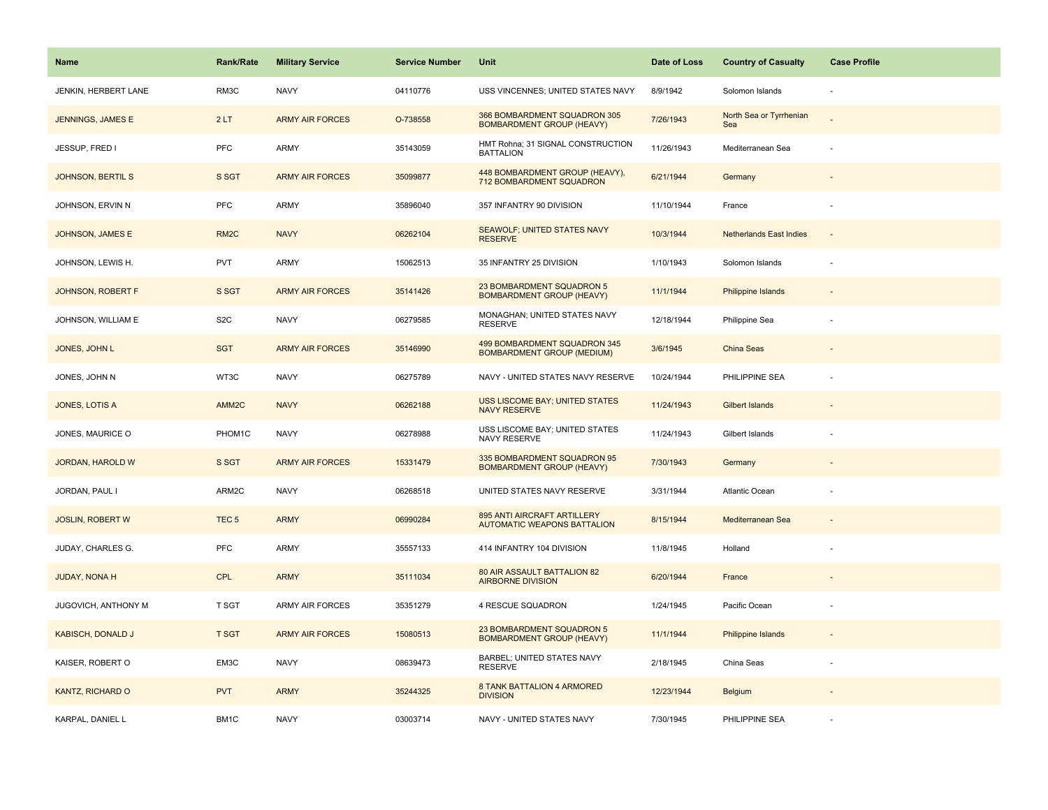| <b>Name</b>              | <b>Rank/Rate</b>  | <b>Military Service</b> | <b>Service Number</b> | Unit                                                              | Date of Loss | <b>Country of Casualty</b>     | <b>Case Profile</b>      |
|--------------------------|-------------------|-------------------------|-----------------------|-------------------------------------------------------------------|--------------|--------------------------------|--------------------------|
| JENKIN, HERBERT LANE     | RM3C              | <b>NAVY</b>             | 04110776              | USS VINCENNES; UNITED STATES NAVY                                 | 8/9/1942     | Solomon Islands                | ÷,                       |
| JENNINGS, JAMES E        | 2LT               | <b>ARMY AIR FORCES</b>  | O-738558              | 366 BOMBARDMENT SQUADRON 305<br><b>BOMBARDMENT GROUP (HEAVY)</b>  | 7/26/1943    | North Sea or Tyrrhenian<br>Sea |                          |
| JESSUP, FRED I           | PFC               | <b>ARMY</b>             | 35143059              | HMT Rohna; 31 SIGNAL CONSTRUCTION<br><b>BATTALION</b>             | 11/26/1943   | Mediterranean Sea              |                          |
| <b>JOHNSON, BERTIL S</b> | S SGT             | <b>ARMY AIR FORCES</b>  | 35099877              | 448 BOMBARDMENT GROUP (HEAVY),<br>712 BOMBARDMENT SQUADRON        | 6/21/1944    | Germany                        |                          |
| JOHNSON, ERVIN N         | <b>PFC</b>        | <b>ARMY</b>             | 35896040              | 357 INFANTRY 90 DIVISION                                          | 11/10/1944   | France                         |                          |
| <b>JOHNSON, JAMES E</b>  | RM <sub>2</sub> C | <b>NAVY</b>             | 06262104              | SEAWOLF; UNITED STATES NAVY<br><b>RESERVE</b>                     | 10/3/1944    | <b>Netherlands East Indies</b> | $\overline{\phantom{a}}$ |
| JOHNSON, LEWIS H.        | <b>PVT</b>        | ARMY                    | 15062513              | 35 INFANTRY 25 DIVISION                                           | 1/10/1943    | Solomon Islands                | ÷,                       |
| <b>JOHNSON, ROBERT F</b> | S SGT             | <b>ARMY AIR FORCES</b>  | 35141426              | 23 BOMBARDMENT SQUADRON 5<br><b>BOMBARDMENT GROUP (HEAVY)</b>     | 11/1/1944    | Philippine Islands             |                          |
| JOHNSON, WILLIAM E       | S <sub>2</sub> C  | <b>NAVY</b>             | 06279585              | MONAGHAN; UNITED STATES NAVY<br><b>RESERVE</b>                    | 12/18/1944   | Philippine Sea                 |                          |
| JONES, JOHN L            | <b>SGT</b>        | <b>ARMY AIR FORCES</b>  | 35146990              | 499 BOMBARDMENT SQUADRON 345<br><b>BOMBARDMENT GROUP (MEDIUM)</b> | 3/6/1945     | <b>China Seas</b>              |                          |
| JONES, JOHN N            | WT3C              | <b>NAVY</b>             | 06275789              | NAVY - UNITED STATES NAVY RESERVE                                 | 10/24/1944   | PHILIPPINE SEA                 |                          |
| JONES, LOTIS A           | AMM <sub>2C</sub> | <b>NAVY</b>             | 06262188              | <b>USS LISCOME BAY; UNITED STATES</b><br><b>NAVY RESERVE</b>      | 11/24/1943   | <b>Gilbert Islands</b>         |                          |
| JONES, MAURICE O         | PHOM1C            | <b>NAVY</b>             | 06278988              | USS LISCOME BAY; UNITED STATES<br>NAVY RESERVE                    | 11/24/1943   | Gilbert Islands                |                          |
| JORDAN, HAROLD W         | S SGT             | <b>ARMY AIR FORCES</b>  | 15331479              | 335 BOMBARDMENT SQUADRON 95<br><b>BOMBARDMENT GROUP (HEAVY)</b>   | 7/30/1943    | Germany                        |                          |
| JORDAN, PAUL I           | ARM2C             | <b>NAVY</b>             | 06268518              | UNITED STATES NAVY RESERVE                                        | 3/31/1944    | Atlantic Ocean                 |                          |
| <b>JOSLIN, ROBERT W</b>  | TEC <sub>5</sub>  | <b>ARMY</b>             | 06990284              | 895 ANTI AIRCRAFT ARTILLERY<br><b>AUTOMATIC WEAPONS BATTALION</b> | 8/15/1944    | Mediterranean Sea              |                          |
| JUDAY, CHARLES G.        | PFC               | <b>ARMY</b>             | 35557133              | 414 INFANTRY 104 DIVISION                                         | 11/8/1945    | Holland                        |                          |
| <b>JUDAY, NONA H</b>     | <b>CPL</b>        | <b>ARMY</b>             | 35111034              | 80 AIR ASSAULT BATTALION 82<br><b>AIRBORNE DIVISION</b>           | 6/20/1944    | France                         |                          |
| JUGOVICH, ANTHONY M      | <b>T SGT</b>      | ARMY AIR FORCES         | 35351279              | 4 RESCUE SQUADRON                                                 | 1/24/1945    | Pacific Ocean                  |                          |
| <b>KABISCH, DONALD J</b> | <b>T SGT</b>      | <b>ARMY AIR FORCES</b>  | 15080513              | 23 BOMBARDMENT SQUADRON 5<br><b>BOMBARDMENT GROUP (HEAVY)</b>     | 11/1/1944    | Philippine Islands             |                          |
| KAISER, ROBERT O         | EM3C              | <b>NAVY</b>             | 08639473              | BARBEL; UNITED STATES NAVY<br><b>RESERVE</b>                      | 2/18/1945    | China Seas                     |                          |
| KANTZ, RICHARD O         | <b>PVT</b>        | <b>ARMY</b>             | 35244325              | 8 TANK BATTALION 4 ARMORED<br><b>DIVISION</b>                     | 12/23/1944   | Belgium                        |                          |
| KARPAL, DANIEL L         | BM1C              | <b>NAVY</b>             | 03003714              | NAVY - UNITED STATES NAVY                                         | 7/30/1945    | PHILIPPINE SEA                 |                          |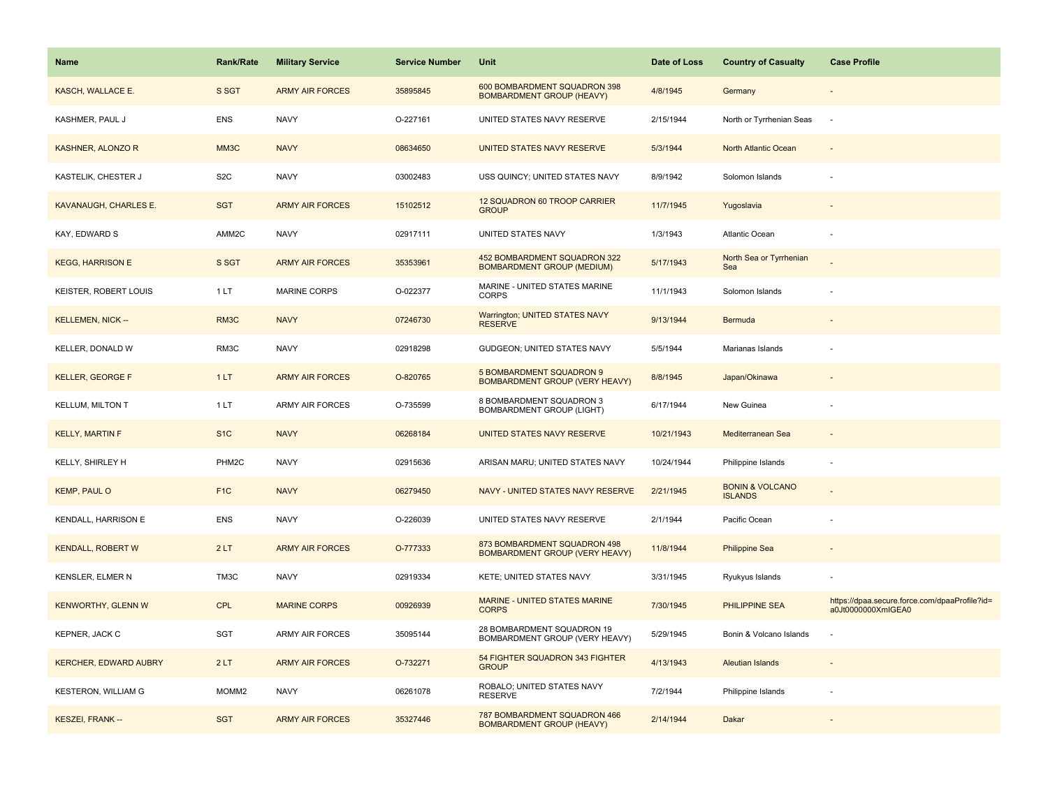| <b>Name</b>                  | <b>Rank/Rate</b>  | <b>Military Service</b> | <b>Service Number</b> | Unit                                                              | Date of Loss | <b>Country of Casualty</b>                   | <b>Case Profile</b>                                                 |
|------------------------------|-------------------|-------------------------|-----------------------|-------------------------------------------------------------------|--------------|----------------------------------------------|---------------------------------------------------------------------|
| KASCH, WALLACE E.            | S SGT             | <b>ARMY AIR FORCES</b>  | 35895845              | 600 BOMBARDMENT SQUADRON 398<br><b>BOMBARDMENT GROUP (HEAVY)</b>  | 4/8/1945     | Germany                                      |                                                                     |
| KASHMER, PAUL J              | <b>ENS</b>        | <b>NAVY</b>             | O-227161              | UNITED STATES NAVY RESERVE                                        | 2/15/1944    | North or Tyrrhenian Seas                     | $\sim$                                                              |
| KASHNER, ALONZO R            | MM3C              | <b>NAVY</b>             | 08634650              | UNITED STATES NAVY RESERVE                                        | 5/3/1944     | North Atlantic Ocean                         |                                                                     |
| KASTELIK, CHESTER J          | S <sub>2</sub> C  | <b>NAVY</b>             | 03002483              | USS QUINCY; UNITED STATES NAVY                                    | 8/9/1942     | Solomon Islands                              |                                                                     |
| KAVANAUGH, CHARLES E.        | <b>SGT</b>        | <b>ARMY AIR FORCES</b>  | 15102512              | 12 SQUADRON 60 TROOP CARRIER<br><b>GROUP</b>                      | 11/7/1945    | Yugoslavia                                   |                                                                     |
| KAY, EDWARD S                | AMM2C             | <b>NAVY</b>             | 02917111              | UNITED STATES NAVY                                                | 1/3/1943     | Atlantic Ocean                               |                                                                     |
| <b>KEGG, HARRISON E</b>      | S SGT             | <b>ARMY AIR FORCES</b>  | 35353961              | 452 BOMBARDMENT SQUADRON 322<br><b>BOMBARDMENT GROUP (MEDIUM)</b> | 5/17/1943    | North Sea or Tyrrhenian<br>Sea               |                                                                     |
| KEISTER, ROBERT LOUIS        | 1 LT              | <b>MARINE CORPS</b>     | O-022377              | MARINE - UNITED STATES MARINE<br><b>CORPS</b>                     | 11/1/1943    | Solomon Islands                              |                                                                     |
| <b>KELLEMEN, NICK --</b>     | RM3C              | <b>NAVY</b>             | 07246730              | Warrington; UNITED STATES NAVY<br><b>RESERVE</b>                  | 9/13/1944    | Bermuda                                      |                                                                     |
| KELLER, DONALD W             | RM3C              | <b>NAVY</b>             | 02918298              | GUDGEON; UNITED STATES NAVY                                       | 5/5/1944     | Marianas Islands                             |                                                                     |
| <b>KELLER, GEORGE F</b>      | 1LT               | <b>ARMY AIR FORCES</b>  | O-820765              | 5 BOMBARDMENT SQUADRON 9<br><b>BOMBARDMENT GROUP (VERY HEAVY)</b> | 8/8/1945     | Japan/Okinawa                                |                                                                     |
| <b>KELLUM, MILTON T</b>      | 1LT               | ARMY AIR FORCES         | O-735599              | 8 BOMBARDMENT SQUADRON 3<br><b>BOMBARDMENT GROUP (LIGHT)</b>      | 6/17/1944    | New Guinea                                   |                                                                     |
| <b>KELLY, MARTIN F</b>       | S <sub>1</sub> C  | <b>NAVY</b>             | 06268184              | UNITED STATES NAVY RESERVE                                        | 10/21/1943   | Mediterranean Sea                            |                                                                     |
| KELLY, SHIRLEY H             | PHM2C             | <b>NAVY</b>             | 02915636              | ARISAN MARU; UNITED STATES NAVY                                   | 10/24/1944   | Philippine Islands                           |                                                                     |
| <b>KEMP, PAUL O</b>          | F <sub>1C</sub>   | <b>NAVY</b>             | 06279450              | NAVY - UNITED STATES NAVY RESERVE                                 | 2/21/1945    | <b>BONIN &amp; VOLCANO</b><br><b>ISLANDS</b> |                                                                     |
| KENDALL, HARRISON E          | <b>ENS</b>        | <b>NAVY</b>             | O-226039              | UNITED STATES NAVY RESERVE                                        | 2/1/1944     | Pacific Ocean                                |                                                                     |
| <b>KENDALL, ROBERT W</b>     | 2LT               | <b>ARMY AIR FORCES</b>  | O-777333              | 873 BOMBARDMENT SQUADRON 498<br>BOMBARDMENT GROUP (VERY HEAVY)    | 11/8/1944    | <b>Philippine Sea</b>                        |                                                                     |
| KENSLER, ELMER N             | TM3C              | <b>NAVY</b>             | 02919334              | KETE; UNITED STATES NAVY                                          | 3/31/1945    | Ryukyus Islands                              |                                                                     |
| <b>KENWORTHY, GLENN W</b>    | <b>CPL</b>        | <b>MARINE CORPS</b>     | 00926939              | MARINE - UNITED STATES MARINE<br><b>CORPS</b>                     | 7/30/1945    | PHILIPPINE SEA                               | https://dpaa.secure.force.com/dpaaProfile?id=<br>a0Jt0000000XmlGEA0 |
| KEPNER, JACK C               | SGT               | <b>ARMY AIR FORCES</b>  | 35095144              | 28 BOMBARDMENT SQUADRON 19<br>BOMBARDMENT GROUP (VERY HEAVY)      | 5/29/1945    | Bonin & Volcano Islands                      |                                                                     |
| <b>KERCHER, EDWARD AUBRY</b> | 2LT               | <b>ARMY AIR FORCES</b>  | O-732271              | 54 FIGHTER SQUADRON 343 FIGHTER<br><b>GROUP</b>                   | 4/13/1943    | <b>Aleutian Islands</b>                      |                                                                     |
| <b>KESTERON, WILLIAM G</b>   | MOMM <sub>2</sub> | <b>NAVY</b>             | 06261078              | ROBALO; UNITED STATES NAVY<br><b>RESERVE</b>                      | 7/2/1944     | Philippine Islands                           |                                                                     |
| KESZEI, FRANK --             | <b>SGT</b>        | <b>ARMY AIR FORCES</b>  | 35327446              | 787 BOMBARDMENT SQUADRON 466<br><b>BOMBARDMENT GROUP (HEAVY)</b>  | 2/14/1944    | Dakar                                        |                                                                     |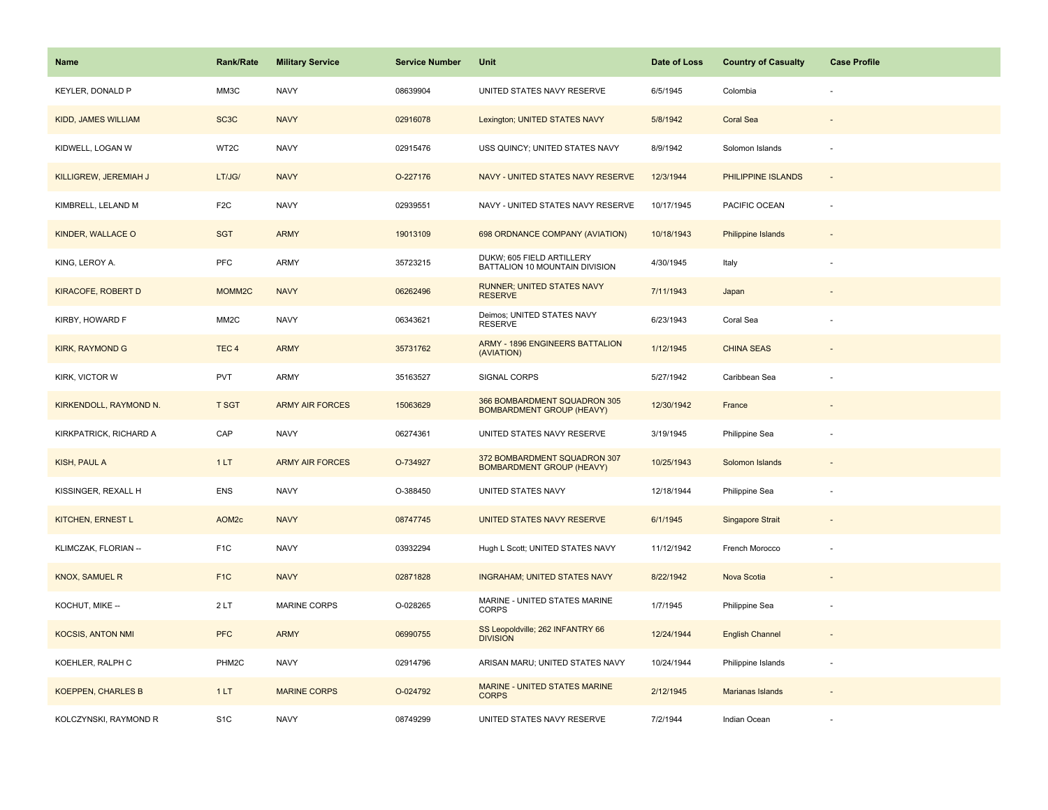| Name                       | <b>Rank/Rate</b>  | <b>Military Service</b> | <b>Service Number</b> | Unit                                                             | Date of Loss | <b>Country of Casualty</b> | <b>Case Profile</b>      |
|----------------------------|-------------------|-------------------------|-----------------------|------------------------------------------------------------------|--------------|----------------------------|--------------------------|
| KEYLER, DONALD P           | MM3C              | <b>NAVY</b>             | 08639904              | UNITED STATES NAVY RESERVE                                       | 6/5/1945     | Colombia                   |                          |
| <b>KIDD, JAMES WILLIAM</b> | SC <sub>3</sub> C | <b>NAVY</b>             | 02916078              | Lexington; UNITED STATES NAVY                                    | 5/8/1942     | <b>Coral Sea</b>           |                          |
| KIDWELL, LOGAN W           | WT2C              | <b>NAVY</b>             | 02915476              | USS QUINCY; UNITED STATES NAVY                                   | 8/9/1942     | Solomon Islands            |                          |
| KILLIGREW, JEREMIAH J      | LT/JG/            | <b>NAVY</b>             | O-227176              | NAVY - UNITED STATES NAVY RESERVE                                | 12/3/1944    | PHILIPPINE ISLANDS         |                          |
| KIMBRELL, LELAND M         | F <sub>2</sub> C  | <b>NAVY</b>             | 02939551              | NAVY - UNITED STATES NAVY RESERVE                                | 10/17/1945   | PACIFIC OCEAN              |                          |
| KINDER, WALLACE O          | <b>SGT</b>        | <b>ARMY</b>             | 19013109              | 698 ORDNANCE COMPANY (AVIATION)                                  | 10/18/1943   | <b>Philippine Islands</b>  | $\overline{\phantom{a}}$ |
| KING, LEROY A.             | PFC               | <b>ARMY</b>             | 35723215              | DUKW; 605 FIELD ARTILLERY<br>BATTALION 10 MOUNTAIN DIVISION      | 4/30/1945    | Italy                      |                          |
| <b>KIRACOFE, ROBERT D</b>  | MOMM2C            | <b>NAVY</b>             | 06262496              | <b>RUNNER; UNITED STATES NAVY</b><br><b>RESERVE</b>              | 7/11/1943    | Japan                      |                          |
| KIRBY, HOWARD F            | MM <sub>2</sub> C | <b>NAVY</b>             | 06343621              | Deimos; UNITED STATES NAVY<br><b>RESERVE</b>                     | 6/23/1943    | Coral Sea                  |                          |
| <b>KIRK, RAYMOND G</b>     | TEC <sub>4</sub>  | <b>ARMY</b>             | 35731762              | <b>ARMY - 1896 ENGINEERS BATTALION</b><br>(AVIATION)             | 1/12/1945    | <b>CHINA SEAS</b>          |                          |
| KIRK, VICTOR W             | <b>PVT</b>        | <b>ARMY</b>             | 35163527              | SIGNAL CORPS                                                     | 5/27/1942    | Caribbean Sea              |                          |
| KIRKENDOLL, RAYMOND N.     | <b>T SGT</b>      | <b>ARMY AIR FORCES</b>  | 15063629              | 366 BOMBARDMENT SQUADRON 305<br><b>BOMBARDMENT GROUP (HEAVY)</b> | 12/30/1942   | France                     |                          |
| KIRKPATRICK, RICHARD A     | CAP               | <b>NAVY</b>             | 06274361              | UNITED STATES NAVY RESERVE                                       | 3/19/1945    | Philippine Sea             |                          |
| KISH, PAUL A               | 1LT               | <b>ARMY AIR FORCES</b>  | O-734927              | 372 BOMBARDMENT SQUADRON 307<br><b>BOMBARDMENT GROUP (HEAVY)</b> | 10/25/1943   | Solomon Islands            |                          |
| KISSINGER, REXALL H        | <b>ENS</b>        | <b>NAVY</b>             | O-388450              | UNITED STATES NAVY                                               | 12/18/1944   | Philippine Sea             |                          |
| <b>KITCHEN, ERNEST L</b>   | AOM <sub>2c</sub> | <b>NAVY</b>             | 08747745              | UNITED STATES NAVY RESERVE                                       | 6/1/1945     | <b>Singapore Strait</b>    |                          |
| KLIMCZAK, FLORIAN --       | F <sub>1</sub> C  | <b>NAVY</b>             | 03932294              | Hugh L Scott; UNITED STATES NAVY                                 | 11/12/1942   | French Morocco             |                          |
| <b>KNOX, SAMUEL R</b>      | F <sub>1</sub> C  | <b>NAVY</b>             | 02871828              | <b>INGRAHAM; UNITED STATES NAVY</b>                              | 8/22/1942    | Nova Scotia                |                          |
| KOCHUT, MIKE --            | 2LT               | MARINE CORPS            | O-028265              | MARINE - UNITED STATES MARINE<br><b>CORPS</b>                    | 1/7/1945     | Philippine Sea             |                          |
| <b>KOCSIS, ANTON NMI</b>   | <b>PFC</b>        | <b>ARMY</b>             | 06990755              | SS Leopoldville; 262 INFANTRY 66<br><b>DIVISION</b>              | 12/24/1944   | <b>English Channel</b>     |                          |
| KOEHLER, RALPH C           | PHM2C             | <b>NAVY</b>             | 02914796              | ARISAN MARU; UNITED STATES NAVY                                  | 10/24/1944   | Philippine Islands         | $\overline{\phantom{a}}$ |
| <b>KOEPPEN, CHARLES B</b>  | 1LT               | <b>MARINE CORPS</b>     | O-024792              | MARINE - UNITED STATES MARINE<br><b>CORPS</b>                    | 2/12/1945    | Marianas Islands           |                          |
| KOLCZYNSKI, RAYMOND R      | S <sub>1</sub> C  | <b>NAVY</b>             | 08749299              | UNITED STATES NAVY RESERVE                                       | 7/2/1944     | Indian Ocean               |                          |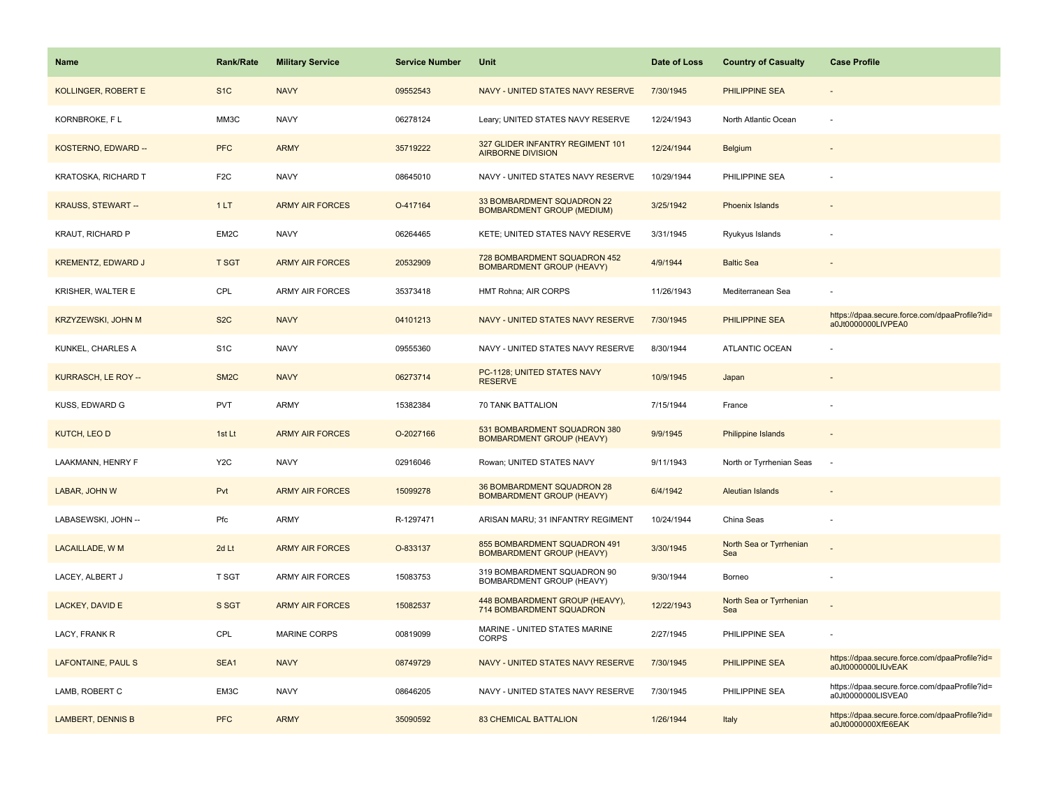| <b>Name</b>               | <b>Rank/Rate</b>  | <b>Military Service</b> | <b>Service Number</b> | Unit                                                             | Date of Loss | <b>Country of Casualty</b>     | <b>Case Profile</b>                                                 |
|---------------------------|-------------------|-------------------------|-----------------------|------------------------------------------------------------------|--------------|--------------------------------|---------------------------------------------------------------------|
| KOLLINGER, ROBERT E       | S <sub>1</sub> C  | <b>NAVY</b>             | 09552543              | NAVY - UNITED STATES NAVY RESERVE                                | 7/30/1945    | PHILIPPINE SEA                 |                                                                     |
| KORNBROKE, FL             | MM3C              | <b>NAVY</b>             | 06278124              | Leary; UNITED STATES NAVY RESERVE                                | 12/24/1943   | North Atlantic Ocean           |                                                                     |
| KOSTERNO, EDWARD --       | <b>PFC</b>        | <b>ARMY</b>             | 35719222              | 327 GLIDER INFANTRY REGIMENT 101<br><b>AIRBORNE DIVISION</b>     | 12/24/1944   | Belgium                        |                                                                     |
| KRATOSKA, RICHARD T       | F <sub>2</sub> C  | <b>NAVY</b>             | 08645010              | NAVY - UNITED STATES NAVY RESERVE                                | 10/29/1944   | PHILIPPINE SEA                 |                                                                     |
| <b>KRAUSS, STEWART --</b> | 1LT               | <b>ARMY AIR FORCES</b>  | O-417164              | 33 BOMBARDMENT SQUADRON 22<br><b>BOMBARDMENT GROUP (MEDIUM)</b>  | 3/25/1942    | Phoenix Islands                |                                                                     |
| KRAUT, RICHARD P          | EM2C              | <b>NAVY</b>             | 06264465              | KETE; UNITED STATES NAVY RESERVE                                 | 3/31/1945    | Ryukyus Islands                |                                                                     |
| <b>KREMENTZ, EDWARD J</b> | <b>T SGT</b>      | <b>ARMY AIR FORCES</b>  | 20532909              | 728 BOMBARDMENT SQUADRON 452<br><b>BOMBARDMENT GROUP (HEAVY)</b> | 4/9/1944     | <b>Baltic Sea</b>              |                                                                     |
| KRISHER, WALTER E         | CPL               | ARMY AIR FORCES         | 35373418              | HMT Rohna; AIR CORPS                                             | 11/26/1943   | Mediterranean Sea              |                                                                     |
| <b>KRZYZEWSKI, JOHN M</b> | S <sub>2</sub> C  | <b>NAVY</b>             | 04101213              | NAVY - UNITED STATES NAVY RESERVE                                | 7/30/1945    | <b>PHILIPPINE SEA</b>          | https://dpaa.secure.force.com/dpaaProfile?id=<br>a0Jt0000000LIVPEA0 |
| KUNKEL, CHARLES A         | S <sub>1</sub> C  | <b>NAVY</b>             | 09555360              | NAVY - UNITED STATES NAVY RESERVE                                | 8/30/1944    | <b>ATLANTIC OCEAN</b>          |                                                                     |
| KURRASCH, LE ROY --       | SM <sub>2</sub> C | <b>NAVY</b>             | 06273714              | PC-1128; UNITED STATES NAVY<br><b>RESERVE</b>                    | 10/9/1945    | Japan                          |                                                                     |
| KUSS, EDWARD G            | <b>PVT</b>        | ARMY                    | 15382384              | 70 TANK BATTALION                                                | 7/15/1944    | France                         |                                                                     |
| <b>KUTCH, LEO D</b>       | 1st Lt            | <b>ARMY AIR FORCES</b>  | O-2027166             | 531 BOMBARDMENT SQUADRON 380<br><b>BOMBARDMENT GROUP (HEAVY)</b> | 9/9/1945     | <b>Philippine Islands</b>      |                                                                     |
| LAAKMANN, HENRY F         | Y <sub>2</sub> C  | <b>NAVY</b>             | 02916046              | Rowan; UNITED STATES NAVY                                        | 9/11/1943    | North or Tyrrhenian Seas       | $\sim$                                                              |
| LABAR, JOHN W             | Pvt               | <b>ARMY AIR FORCES</b>  | 15099278              | 36 BOMBARDMENT SQUADRON 28<br><b>BOMBARDMENT GROUP (HEAVY)</b>   | 6/4/1942     | <b>Aleutian Islands</b>        |                                                                     |
| LABASEWSKI, JOHN --       | Pfc               | ARMY                    | R-1297471             | ARISAN MARU; 31 INFANTRY REGIMENT                                | 10/24/1944   | China Seas                     |                                                                     |
| LACAILLADE, W M           | 2d Lt             | <b>ARMY AIR FORCES</b>  | O-833137              | 855 BOMBARDMENT SQUADRON 491<br><b>BOMBARDMENT GROUP (HEAVY)</b> | 3/30/1945    | North Sea or Tyrrhenian<br>Sea |                                                                     |
| LACEY, ALBERT J           | T SGT             | ARMY AIR FORCES         | 15083753              | 319 BOMBARDMENT SQUADRON 90<br>BOMBARDMENT GROUP (HEAVY)         | 9/30/1944    | Borneo                         |                                                                     |
| LACKEY, DAVID E           | S SGT             | <b>ARMY AIR FORCES</b>  | 15082537              | 448 BOMBARDMENT GROUP (HEAVY),<br>714 BOMBARDMENT SQUADRON       | 12/22/1943   | North Sea or Tyrrhenian<br>Sea |                                                                     |
| LACY, FRANK R             | CPL               | <b>MARINE CORPS</b>     | 00819099              | MARINE - UNITED STATES MARINE<br><b>CORPS</b>                    | 2/27/1945    | PHILIPPINE SEA                 |                                                                     |
| LAFONTAINE, PAUL S        | SEA1              | <b>NAVY</b>             | 08749729              | NAVY - UNITED STATES NAVY RESERVE                                | 7/30/1945    | <b>PHILIPPINE SEA</b>          | https://dpaa.secure.force.com/dpaaProfile?id=<br>a0Jt0000000LIUvEAK |
| LAMB, ROBERT C            | EM3C              | <b>NAVY</b>             | 08646205              | NAVY - UNITED STATES NAVY RESERVE                                | 7/30/1945    | PHILIPPINE SEA                 | https://dpaa.secure.force.com/dpaaProfile?id=<br>a0Jt0000000LISVEA0 |
| <b>LAMBERT, DENNIS B</b>  | <b>PFC</b>        | <b>ARMY</b>             | 35090592              | <b>83 CHEMICAL BATTALION</b>                                     | 1/26/1944    | Italy                          | https://dpaa.secure.force.com/dpaaProfile?id=<br>a0Jt0000000XfE6EAK |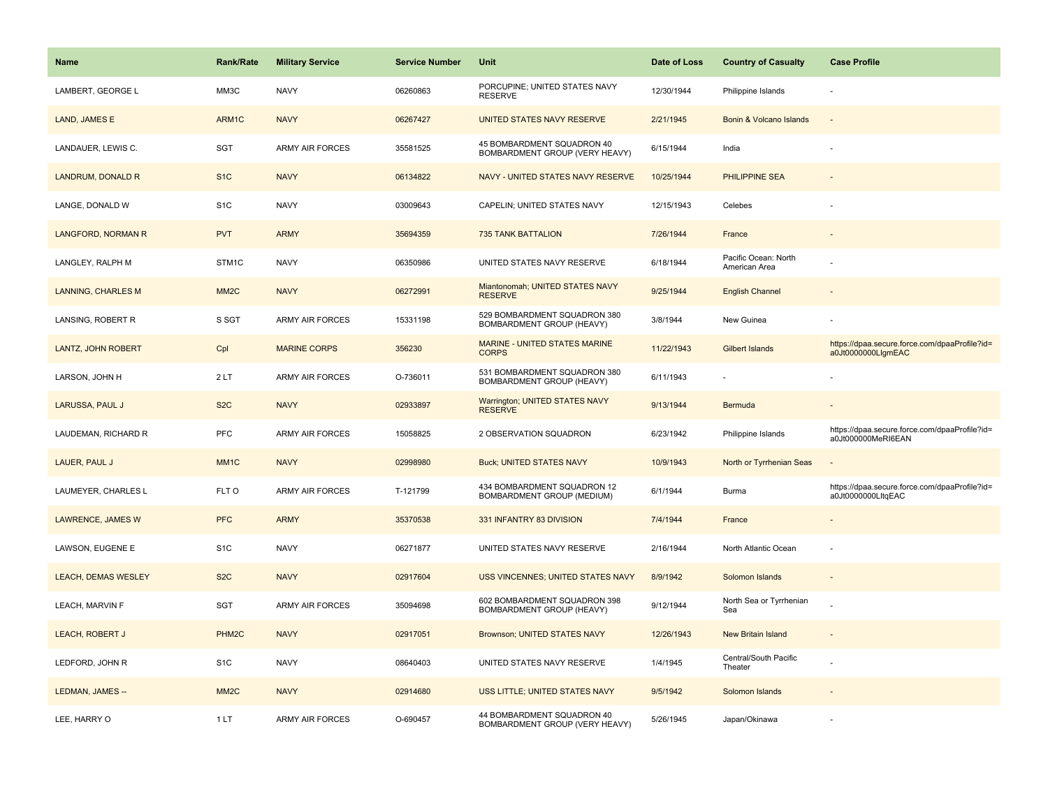| <b>Name</b>                | <b>Rank/Rate</b>   | <b>Military Service</b> | <b>Service Number</b> | Unit                                                         | Date of Loss | <b>Country of Casualty</b>            | <b>Case Profile</b>                                                 |
|----------------------------|--------------------|-------------------------|-----------------------|--------------------------------------------------------------|--------------|---------------------------------------|---------------------------------------------------------------------|
| LAMBERT, GEORGE L          | MM3C               | <b>NAVY</b>             | 06260863              | PORCUPINE; UNITED STATES NAVY<br><b>RESERVE</b>              | 12/30/1944   | Philippine Islands                    |                                                                     |
| LAND, JAMES E              | ARM1C              | <b>NAVY</b>             | 06267427              | UNITED STATES NAVY RESERVE                                   | 2/21/1945    | Bonin & Volcano Islands               |                                                                     |
| LANDAUER, LEWIS C.         | SGT                | <b>ARMY AIR FORCES</b>  | 35581525              | 45 BOMBARDMENT SQUADRON 40<br>BOMBARDMENT GROUP (VERY HEAVY) | 6/15/1944    | India                                 |                                                                     |
| LANDRUM, DONALD R          | S <sub>1</sub> C   | <b>NAVY</b>             | 06134822              | NAVY - UNITED STATES NAVY RESERVE                            | 10/25/1944   | PHILIPPINE SEA                        |                                                                     |
| LANGE, DONALD W            | S <sub>1</sub> C   | <b>NAVY</b>             | 03009643              | CAPELIN; UNITED STATES NAVY                                  | 12/15/1943   | Celebes                               |                                                                     |
| LANGFORD, NORMAN R         | <b>PVT</b>         | <b>ARMY</b>             | 35694359              | <b>735 TANK BATTALION</b>                                    | 7/26/1944    | France                                |                                                                     |
| LANGLEY, RALPH M           | STM1C              | <b>NAVY</b>             | 06350986              | UNITED STATES NAVY RESERVE                                   | 6/18/1944    | Pacific Ocean: North<br>American Area |                                                                     |
| <b>LANNING, CHARLES M</b>  | MM <sub>2</sub> C  | <b>NAVY</b>             | 06272991              | Miantonomah; UNITED STATES NAVY<br><b>RESERVE</b>            | 9/25/1944    | <b>English Channel</b>                |                                                                     |
| LANSING, ROBERT R          | S SGT              | ARMY AIR FORCES         | 15331198              | 529 BOMBARDMENT SQUADRON 380<br>BOMBARDMENT GROUP (HEAVY)    | 3/8/1944     | New Guinea                            |                                                                     |
| <b>LANTZ, JOHN ROBERT</b>  | Cpl                | <b>MARINE CORPS</b>     | 356230                | MARINE - UNITED STATES MARINE<br><b>CORPS</b>                | 11/22/1943   | <b>Gilbert Islands</b>                | https://dpaa.secure.force.com/dpaaProfile?id=<br>a0Jt0000000LlgmEAC |
| LARSON, JOHN H             | 2LT                | <b>ARMY AIR FORCES</b>  | O-736011              | 531 BOMBARDMENT SQUADRON 380<br>BOMBARDMENT GROUP (HEAVY)    | 6/11/1943    |                                       |                                                                     |
| LARUSSA, PAUL J            | S <sub>2</sub> C   | <b>NAVY</b>             | 02933897              | <b>Warrington; UNITED STATES NAVY</b><br><b>RESERVE</b>      | 9/13/1944    | Bermuda                               |                                                                     |
| LAUDEMAN, RICHARD R        | <b>PFC</b>         | <b>ARMY AIR FORCES</b>  | 15058825              | 2 OBSERVATION SQUADRON                                       | 6/23/1942    | Philippine Islands                    | https://dpaa.secure.force.com/dpaaProfile?id=<br>a0Jt000000MeRI6EAN |
| LAUER, PAUL J              | MM <sub>1</sub> C  | <b>NAVY</b>             | 02998980              | <b>Buck; UNITED STATES NAVY</b>                              | 10/9/1943    | North or Tyrrhenian Seas              |                                                                     |
| LAUMEYER, CHARLES L        | FLT O              | ARMY AIR FORCES         | T-121799              | 434 BOMBARDMENT SQUADRON 12<br>BOMBARDMENT GROUP (MEDIUM)    | 6/1/1944     | <b>Burma</b>                          | https://dpaa.secure.force.com/dpaaProfile?id=<br>a0Jt0000000LltqEAC |
| LAWRENCE, JAMES W          | <b>PFC</b>         | <b>ARMY</b>             | 35370538              | 331 INFANTRY 83 DIVISION                                     | 7/4/1944     | France                                |                                                                     |
| LAWSON, EUGENE E           | S <sub>1</sub> C   | <b>NAVY</b>             | 06271877              | UNITED STATES NAVY RESERVE                                   | 2/16/1944    | North Atlantic Ocean                  |                                                                     |
| <b>LEACH, DEMAS WESLEY</b> | S <sub>2</sub> C   | <b>NAVY</b>             | 02917604              | <b>USS VINCENNES; UNITED STATES NAVY</b>                     | 8/9/1942     | Solomon Islands                       |                                                                     |
| LEACH, MARVIN F            | SGT                | <b>ARMY AIR FORCES</b>  | 35094698              | 602 BOMBARDMENT SQUADRON 398<br>BOMBARDMENT GROUP (HEAVY)    | 9/12/1944    | North Sea or Tyrrhenian<br>Sea        |                                                                     |
| <b>LEACH, ROBERT J</b>     | PHM <sub>2</sub> C | <b>NAVY</b>             | 02917051              | Brownson; UNITED STATES NAVY                                 | 12/26/1943   | New Britain Island                    |                                                                     |
| LEDFORD, JOHN R            | S <sub>1</sub> C   | <b>NAVY</b>             | 08640403              | UNITED STATES NAVY RESERVE                                   | 1/4/1945     | Central/South Pacific<br>Theater      |                                                                     |
| LEDMAN, JAMES --           | MM <sub>2</sub> C  | <b>NAVY</b>             | 02914680              | USS LITTLE; UNITED STATES NAVY                               | 9/5/1942     | Solomon Islands                       |                                                                     |
| LEE, HARRY O               | 1LT                | <b>ARMY AIR FORCES</b>  | O-690457              | 44 BOMBARDMENT SQUADRON 40<br>BOMBARDMENT GROUP (VERY HEAVY) | 5/26/1945    | Japan/Okinawa                         |                                                                     |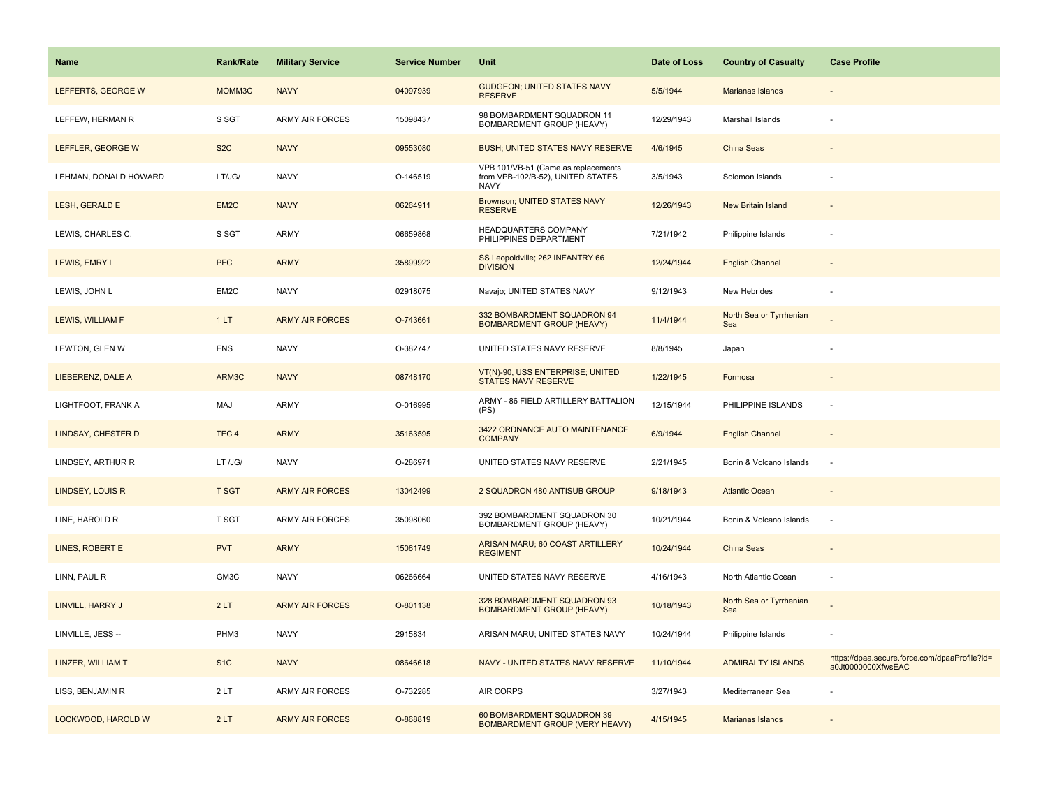| <b>Name</b>               | <b>Rank/Rate</b>  | <b>Military Service</b> | <b>Service Number</b> | Unit                                                                             | Date of Loss | <b>Country of Casualty</b>     | <b>Case Profile</b>                                                 |
|---------------------------|-------------------|-------------------------|-----------------------|----------------------------------------------------------------------------------|--------------|--------------------------------|---------------------------------------------------------------------|
| LEFFERTS, GEORGE W        | MOMM3C            | <b>NAVY</b>             | 04097939              | <b>GUDGEON: UNITED STATES NAVY</b><br><b>RESERVE</b>                             | 5/5/1944     | Marianas Islands               |                                                                     |
| LEFFEW, HERMAN R          | S SGT             | <b>ARMY AIR FORCES</b>  | 15098437              | 98 BOMBARDMENT SQUADRON 11<br>BOMBARDMENT GROUP (HEAVY)                          | 12/29/1943   | Marshall Islands               |                                                                     |
| LEFFLER, GEORGE W         | S <sub>2</sub> C  | <b>NAVY</b>             | 09553080              | <b>BUSH: UNITED STATES NAVY RESERVE</b>                                          | 4/6/1945     | China Seas                     |                                                                     |
| LEHMAN, DONALD HOWARD     | LT/JG/            | <b>NAVY</b>             | O-146519              | VPB 101/VB-51 (Came as replacements<br>from VPB-102/B-52), UNITED STATES<br>NAVY | 3/5/1943     | Solomon Islands                |                                                                     |
| LESH, GERALD E            | EM <sub>2</sub> C | <b>NAVY</b>             | 06264911              | <b>Brownson; UNITED STATES NAVY</b><br><b>RESERVE</b>                            | 12/26/1943   | <b>New Britain Island</b>      |                                                                     |
| LEWIS, CHARLES C.         | S SGT             | <b>ARMY</b>             | 06659868              | HEADQUARTERS COMPANY<br>PHILIPPINES DEPARTMENT                                   | 7/21/1942    | Philippine Islands             |                                                                     |
| LEWIS, EMRY L             | <b>PFC</b>        | <b>ARMY</b>             | 35899922              | SS Leopoldville; 262 INFANTRY 66<br><b>DIVISION</b>                              | 12/24/1944   | <b>English Channel</b>         |                                                                     |
| LEWIS, JOHN L             | EM2C              | <b>NAVY</b>             | 02918075              | Navajo; UNITED STATES NAVY                                                       | 9/12/1943    | New Hebrides                   |                                                                     |
| LEWIS, WILLIAM F          | 1LT               | <b>ARMY AIR FORCES</b>  | O-743661              | 332 BOMBARDMENT SQUADRON 94<br><b>BOMBARDMENT GROUP (HEAVY)</b>                  | 11/4/1944    | North Sea or Tyrrhenian<br>Sea |                                                                     |
| LEWTON, GLEN W            | <b>ENS</b>        | <b>NAVY</b>             | O-382747              | UNITED STATES NAVY RESERVE                                                       | 8/8/1945     | Japan                          |                                                                     |
| LIEBERENZ, DALE A         | ARM3C             | <b>NAVY</b>             | 08748170              | VT(N)-90, USS ENTERPRISE; UNITED<br><b>STATES NAVY RESERVE</b>                   | 1/22/1945    | Formosa                        |                                                                     |
| LIGHTFOOT, FRANK A        | MAJ               | <b>ARMY</b>             | O-016995              | ARMY - 86 FIELD ARTILLERY BATTALION<br>(PS)                                      | 12/15/1944   | PHILIPPINE ISLANDS             |                                                                     |
| <b>LINDSAY, CHESTER D</b> | TEC <sub>4</sub>  | <b>ARMY</b>             | 35163595              | 3422 ORDNANCE AUTO MAINTENANCE<br><b>COMPANY</b>                                 | 6/9/1944     | <b>English Channel</b>         |                                                                     |
| LINDSEY, ARTHUR R         | LT /JG/           | <b>NAVY</b>             | O-286971              | UNITED STATES NAVY RESERVE                                                       | 2/21/1945    | Bonin & Volcano Islands        | $\sim$                                                              |
| LINDSEY, LOUIS R          | <b>T SGT</b>      | <b>ARMY AIR FORCES</b>  | 13042499              | 2 SQUADRON 480 ANTISUB GROUP                                                     | 9/18/1943    | <b>Atlantic Ocean</b>          |                                                                     |
| LINE, HAROLD R            | <b>T SGT</b>      | <b>ARMY AIR FORCES</b>  | 35098060              | 392 BOMBARDMENT SQUADRON 30<br>BOMBARDMENT GROUP (HEAVY)                         | 10/21/1944   | Bonin & Volcano Islands        |                                                                     |
| LINES, ROBERT E           | <b>PVT</b>        | <b>ARMY</b>             | 15061749              | ARISAN MARU; 60 COAST ARTILLERY<br><b>REGIMENT</b>                               | 10/24/1944   | China Seas                     |                                                                     |
| LINN, PAUL R              | GM3C              | <b>NAVY</b>             | 06266664              | UNITED STATES NAVY RESERVE                                                       | 4/16/1943    | North Atlantic Ocean           |                                                                     |
| LINVILL, HARRY J          | 2LT               | <b>ARMY AIR FORCES</b>  | O-801138              | 328 BOMBARDMENT SQUADRON 93<br><b>BOMBARDMENT GROUP (HEAVY)</b>                  | 10/18/1943   | North Sea or Tyrrhenian<br>Sea |                                                                     |
| LINVILLE, JESS --         | PHM3              | <b>NAVY</b>             | 2915834               | ARISAN MARU; UNITED STATES NAVY                                                  | 10/24/1944   | Philippine Islands             |                                                                     |
| LINZER, WILLIAM T         | S <sub>1</sub> C  | <b>NAVY</b>             | 08646618              | NAVY - UNITED STATES NAVY RESERVE                                                | 11/10/1944   | <b>ADMIRALTY ISLANDS</b>       | https://dpaa.secure.force.com/dpaaProfile?id=<br>a0Jt0000000XfwsEAC |
| LISS, BENJAMIN R          | 2LT               | <b>ARMY AIR FORCES</b>  | O-732285              | <b>AIR CORPS</b>                                                                 | 3/27/1943    | Mediterranean Sea              |                                                                     |
| LOCKWOOD, HAROLD W        | 2LT               | <b>ARMY AIR FORCES</b>  | O-868819              | 60 BOMBARDMENT SQUADRON 39<br><b>BOMBARDMENT GROUP (VERY HEAVY)</b>              | 4/15/1945    | Marianas Islands               |                                                                     |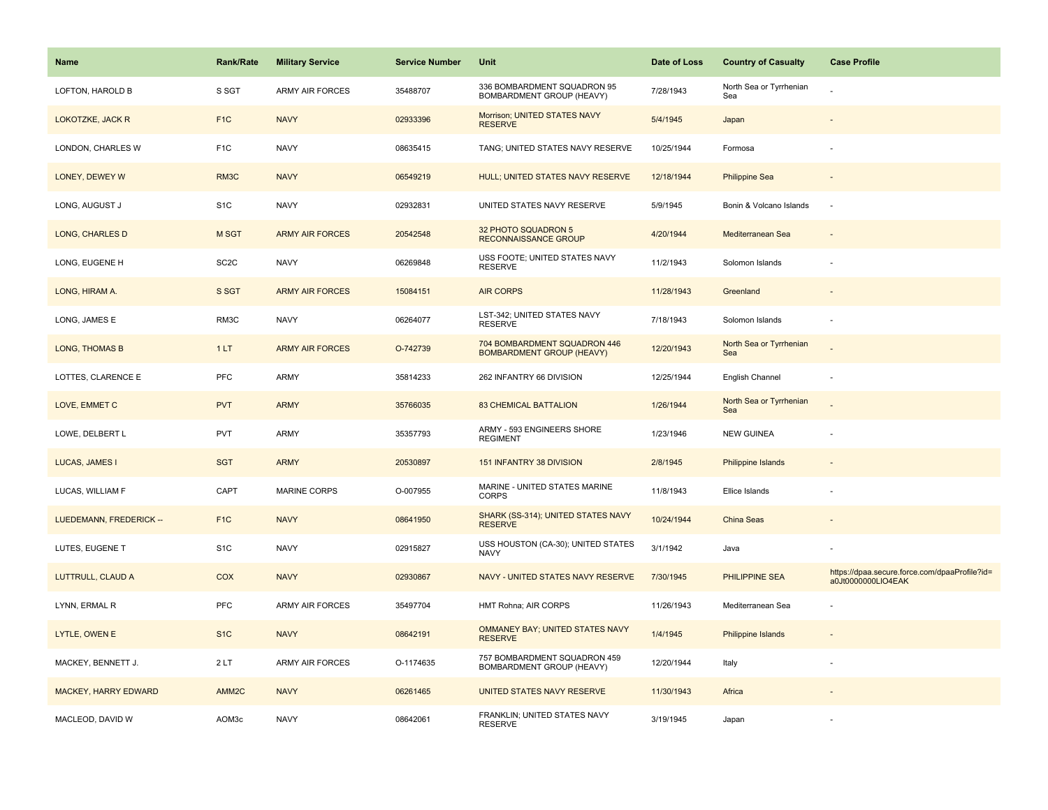| <b>Name</b>             | <b>Rank/Rate</b>  | <b>Military Service</b> | <b>Service Number</b> | Unit                                                             | Date of Loss | <b>Country of Casualty</b>     | <b>Case Profile</b>                                                 |
|-------------------------|-------------------|-------------------------|-----------------------|------------------------------------------------------------------|--------------|--------------------------------|---------------------------------------------------------------------|
| LOFTON, HAROLD B        | S SGT             | <b>ARMY AIR FORCES</b>  | 35488707              | 336 BOMBARDMENT SQUADRON 95<br>BOMBARDMENT GROUP (HEAVY)         | 7/28/1943    | North Sea or Tyrrhenian<br>Sea |                                                                     |
| LOKOTZKE, JACK R        | F <sub>1</sub> C  | <b>NAVY</b>             | 02933396              | Morrison; UNITED STATES NAVY<br><b>RESERVE</b>                   | 5/4/1945     | Japan                          |                                                                     |
| LONDON, CHARLES W       | F <sub>1C</sub>   | <b>NAVY</b>             | 08635415              | TANG; UNITED STATES NAVY RESERVE                                 | 10/25/1944   | Formosa                        |                                                                     |
| LONEY, DEWEY W          | RM <sub>3</sub> C | <b>NAVY</b>             | 06549219              | <b>HULL; UNITED STATES NAVY RESERVE</b>                          | 12/18/1944   | <b>Philippine Sea</b>          |                                                                     |
| LONG, AUGUST J          | S <sub>1</sub> C  | <b>NAVY</b>             | 02932831              | UNITED STATES NAVY RESERVE                                       | 5/9/1945     | Bonin & Volcano Islands        | ÷.                                                                  |
| LONG, CHARLES D         | M SGT             | <b>ARMY AIR FORCES</b>  | 20542548              | 32 PHOTO SQUADRON 5<br>RECONNAISSANCE GROUP                      | 4/20/1944    | Mediterranean Sea              |                                                                     |
| LONG, EUGENE H          | SC <sub>2</sub> C | <b>NAVY</b>             | 06269848              | USS FOOTE; UNITED STATES NAVY<br><b>RESERVE</b>                  | 11/2/1943    | Solomon Islands                |                                                                     |
| LONG, HIRAM A.          | S SGT             | <b>ARMY AIR FORCES</b>  | 15084151              | <b>AIR CORPS</b>                                                 | 11/28/1943   | Greenland                      |                                                                     |
| LONG, JAMES E           | RM3C              | <b>NAVY</b>             | 06264077              | LST-342; UNITED STATES NAVY<br><b>RESERVE</b>                    | 7/18/1943    | Solomon Islands                |                                                                     |
| <b>LONG, THOMAS B</b>   | 1LT               | <b>ARMY AIR FORCES</b>  | O-742739              | 704 BOMBARDMENT SQUADRON 446<br><b>BOMBARDMENT GROUP (HEAVY)</b> | 12/20/1943   | North Sea or Tyrrhenian<br>Sea |                                                                     |
| LOTTES, CLARENCE E      | <b>PFC</b>        | ARMY                    | 35814233              | 262 INFANTRY 66 DIVISION                                         | 12/25/1944   | English Channel                |                                                                     |
| LOVE, EMMET C           | <b>PVT</b>        | <b>ARMY</b>             | 35766035              | <b>83 CHEMICAL BATTALION</b>                                     | 1/26/1944    | North Sea or Tyrrhenian<br>Sea |                                                                     |
| LOWE, DELBERT L         | <b>PVT</b>        | ARMY                    | 35357793              | ARMY - 593 ENGINEERS SHORE<br><b>REGIMENT</b>                    | 1/23/1946    | <b>NEW GUINEA</b>              |                                                                     |
| LUCAS, JAMES I          | <b>SGT</b>        | <b>ARMY</b>             | 20530897              | 151 INFANTRY 38 DIVISION                                         | 2/8/1945     | Philippine Islands             |                                                                     |
| LUCAS, WILLIAM F        | CAPT              | <b>MARINE CORPS</b>     | O-007955              | MARINE - UNITED STATES MARINE<br><b>CORPS</b>                    | 11/8/1943    | Ellice Islands                 |                                                                     |
| LUEDEMANN, FREDERICK -- | F <sub>1</sub> C  | <b>NAVY</b>             | 08641950              | SHARK (SS-314); UNITED STATES NAVY<br><b>RESERVE</b>             | 10/24/1944   | <b>China Seas</b>              |                                                                     |
| LUTES, EUGENE T         | S <sub>1</sub> C  | <b>NAVY</b>             | 02915827              | USS HOUSTON (CA-30); UNITED STATES<br><b>NAVY</b>                | 3/1/1942     | Java                           |                                                                     |
| LUTTRULL, CLAUD A       | COX               | <b>NAVY</b>             | 02930867              | NAVY - UNITED STATES NAVY RESERVE                                | 7/30/1945    | PHILIPPINE SEA                 | https://dpaa.secure.force.com/dpaaProfile?id=<br>a0Jt0000000LIO4EAK |
| LYNN, ERMAL R           | PFC               | ARMY AIR FORCES         | 35497704              | HMT Rohna; AIR CORPS                                             | 11/26/1943   | Mediterranean Sea              |                                                                     |
| LYTLE, OWEN E           | S <sub>1C</sub>   | <b>NAVY</b>             | 08642191              | OMMANEY BAY; UNITED STATES NAVY<br><b>RESERVE</b>                | 1/4/1945     | Philippine Islands             |                                                                     |
| MACKEY, BENNETT J.      | 2LT               | ARMY AIR FORCES         | O-1174635             | 757 BOMBARDMENT SQUADRON 459<br>BOMBARDMENT GROUP (HEAVY)        | 12/20/1944   | Italy                          |                                                                     |
| MACKEY, HARRY EDWARD    | AMM <sub>2C</sub> | <b>NAVY</b>             | 06261465              | UNITED STATES NAVY RESERVE                                       | 11/30/1943   | Africa                         |                                                                     |
| MACLEOD, DAVID W        | AOM3c             | <b>NAVY</b>             | 08642061              | FRANKLIN; UNITED STATES NAVY<br><b>RESERVE</b>                   | 3/19/1945    | Japan                          |                                                                     |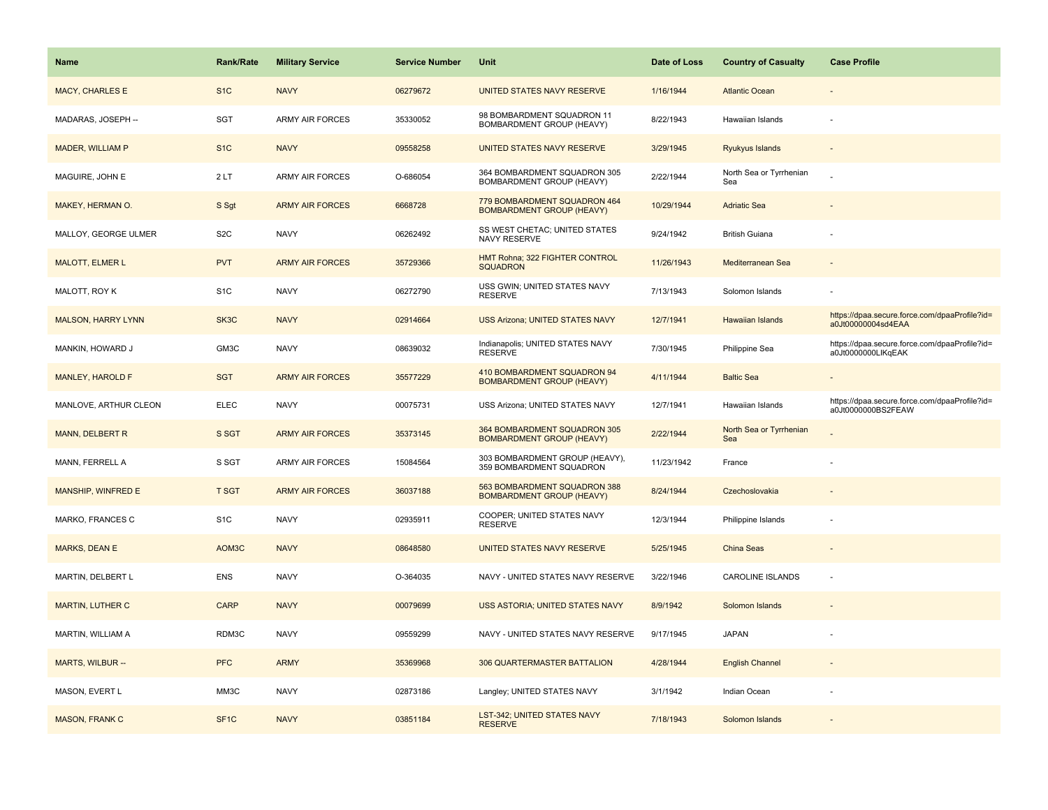| <b>Name</b>               | <b>Rank/Rate</b>  | <b>Military Service</b> | <b>Service Number</b> | Unit                                                             | Date of Loss | <b>Country of Casualty</b>     | <b>Case Profile</b>                                                 |
|---------------------------|-------------------|-------------------------|-----------------------|------------------------------------------------------------------|--------------|--------------------------------|---------------------------------------------------------------------|
| MACY, CHARLES E           | S <sub>1</sub> C  | <b>NAVY</b>             | 06279672              | UNITED STATES NAVY RESERVE                                       | 1/16/1944    | <b>Atlantic Ocean</b>          |                                                                     |
| MADARAS, JOSEPH --        | SGT               | <b>ARMY AIR FORCES</b>  | 35330052              | 98 BOMBARDMENT SQUADRON 11<br>BOMBARDMENT GROUP (HEAVY)          | 8/22/1943    | Hawaiian Islands               |                                                                     |
| MADER, WILLIAM P          | S <sub>1</sub> C  | <b>NAVY</b>             | 09558258              | UNITED STATES NAVY RESERVE                                       | 3/29/1945    | Ryukyus Islands                |                                                                     |
| MAGUIRE, JOHN E           | 2LT               | <b>ARMY AIR FORCES</b>  | O-686054              | 364 BOMBARDMENT SQUADRON 305<br>BOMBARDMENT GROUP (HEAVY)        | 2/22/1944    | North Sea or Tyrrhenian<br>Sea |                                                                     |
| <b>MAKEY, HERMAN O.</b>   | S Sgt             | <b>ARMY AIR FORCES</b>  | 6668728               | 779 BOMBARDMENT SQUADRON 464<br><b>BOMBARDMENT GROUP (HEAVY)</b> | 10/29/1944   | <b>Adriatic Sea</b>            |                                                                     |
| MALLOY, GEORGE ULMER      | S <sub>2</sub> C  | <b>NAVY</b>             | 06262492              | SS WEST CHETAC; UNITED STATES<br>NAVY RESERVE                    | 9/24/1942    | <b>British Guiana</b>          |                                                                     |
| <b>MALOTT, ELMER L</b>    | <b>PVT</b>        | <b>ARMY AIR FORCES</b>  | 35729366              | HMT Rohna; 322 FIGHTER CONTROL<br><b>SQUADRON</b>                | 11/26/1943   | Mediterranean Sea              |                                                                     |
| MALOTT, ROY K             | S <sub>1</sub> C  | <b>NAVY</b>             | 06272790              | USS GWIN; UNITED STATES NAVY<br><b>RESERVE</b>                   | 7/13/1943    | Solomon Islands                |                                                                     |
| <b>MALSON, HARRY LYNN</b> | SK3C              | <b>NAVY</b>             | 02914664              | <b>USS Arizona; UNITED STATES NAVY</b>                           | 12/7/1941    | <b>Hawaiian Islands</b>        | https://dpaa.secure.force.com/dpaaProfile?id=<br>a0Jt00000004sd4EAA |
| MANKIN, HOWARD J          | GM3C              | <b>NAVY</b>             | 08639032              | Indianapolis; UNITED STATES NAVY<br><b>RESERVE</b>               | 7/30/1945    | Philippine Sea                 | https://dpaa.secure.force.com/dpaaProfile?id=<br>a0Jt0000000LlKqEAK |
| MANLEY, HAROLD F          | <b>SGT</b>        | <b>ARMY AIR FORCES</b>  | 35577229              | 410 BOMBARDMENT SQUADRON 94<br><b>BOMBARDMENT GROUP (HEAVY)</b>  | 4/11/1944    | <b>Baltic Sea</b>              |                                                                     |
| MANLOVE, ARTHUR CLEON     | <b>ELEC</b>       | <b>NAVY</b>             | 00075731              | USS Arizona; UNITED STATES NAVY                                  | 12/7/1941    | Hawaiian Islands               | https://dpaa.secure.force.com/dpaaProfile?id=<br>a0Jt0000000BS2FEAW |
| MANN, DELBERT R           | S SGT             | <b>ARMY AIR FORCES</b>  | 35373145              | 364 BOMBARDMENT SQUADRON 305<br><b>BOMBARDMENT GROUP (HEAVY)</b> | 2/22/1944    | North Sea or Tyrrhenian<br>Sea |                                                                     |
| MANN, FERRELL A           | S SGT             | <b>ARMY AIR FORCES</b>  | 15084564              | 303 BOMBARDMENT GROUP (HEAVY),<br>359 BOMBARDMENT SQUADRON       | 11/23/1942   | France                         |                                                                     |
| MANSHIP, WINFRED E        | <b>T SGT</b>      | <b>ARMY AIR FORCES</b>  | 36037188              | 563 BOMBARDMENT SQUADRON 388<br><b>BOMBARDMENT GROUP (HEAVY)</b> | 8/24/1944    | Czechoslovakia                 |                                                                     |
| MARKO, FRANCES C          | S <sub>1</sub> C  | <b>NAVY</b>             | 02935911              | COOPER; UNITED STATES NAVY<br><b>RESERVE</b>                     | 12/3/1944    | Philippine Islands             |                                                                     |
| MARKS, DEAN E             | AOM3C             | <b>NAVY</b>             | 08648580              | UNITED STATES NAVY RESERVE                                       | 5/25/1945    | China Seas                     |                                                                     |
| MARTIN, DELBERT L         | <b>ENS</b>        | <b>NAVY</b>             | O-364035              | NAVY - UNITED STATES NAVY RESERVE                                | 3/22/1946    | <b>CAROLINE ISLANDS</b>        |                                                                     |
| <b>MARTIN, LUTHER C</b>   | <b>CARP</b>       | <b>NAVY</b>             | 00079699              | USS ASTORIA; UNITED STATES NAVY                                  | 8/9/1942     | Solomon Islands                |                                                                     |
| MARTIN, WILLIAM A         | RDM3C             | <b>NAVY</b>             | 09559299              | NAVY - UNITED STATES NAVY RESERVE                                | 9/17/1945    | <b>JAPAN</b>                   |                                                                     |
| MARTS, WILBUR --          | <b>PFC</b>        | <b>ARMY</b>             | 35369968              | 306 QUARTERMASTER BATTALION                                      | 4/28/1944    | <b>English Channel</b>         |                                                                     |
| MASON, EVERT L            | MM3C              | <b>NAVY</b>             | 02873186              | Langley; UNITED STATES NAVY                                      | 3/1/1942     | Indian Ocean                   |                                                                     |
| <b>MASON, FRANK C</b>     | SF <sub>1</sub> C | <b>NAVY</b>             | 03851184              | LST-342; UNITED STATES NAVY<br><b>RESERVE</b>                    | 7/18/1943    | Solomon Islands                |                                                                     |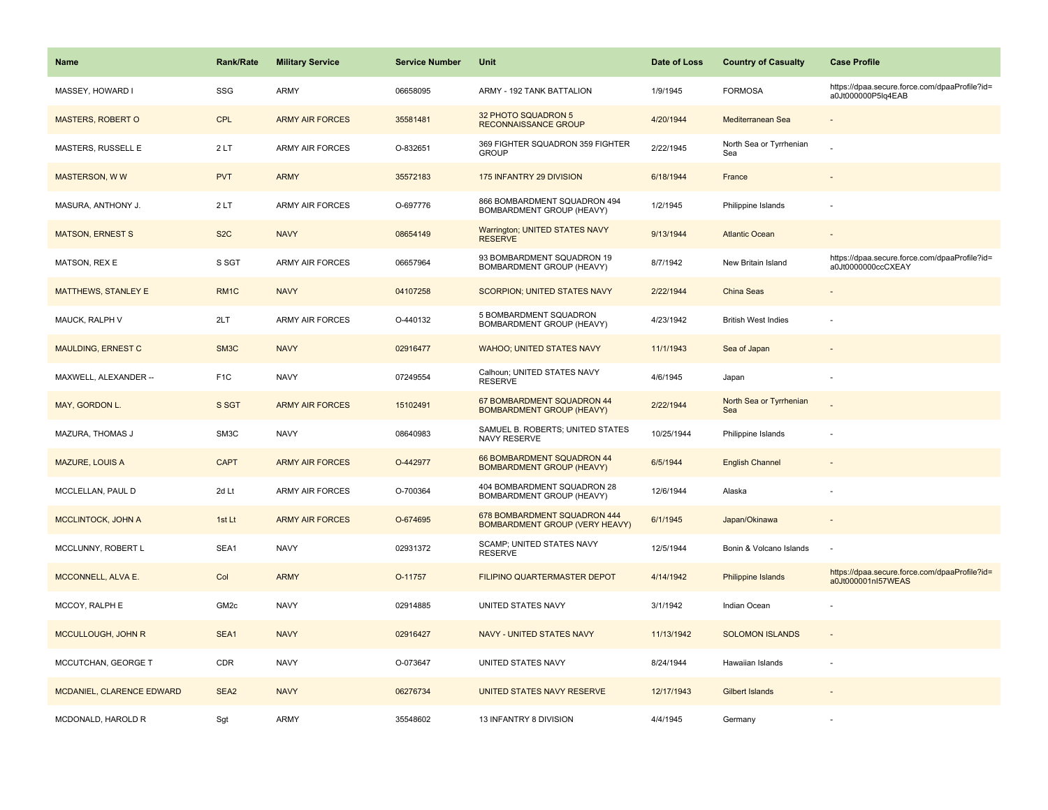| <b>Name</b>                | <b>Rank/Rate</b> | <b>Military Service</b> | <b>Service Number</b> | Unit                                                                  | Date of Loss | <b>Country of Casualty</b>     | <b>Case Profile</b>                                                 |
|----------------------------|------------------|-------------------------|-----------------------|-----------------------------------------------------------------------|--------------|--------------------------------|---------------------------------------------------------------------|
| MASSEY, HOWARD I           | SSG              | <b>ARMY</b>             | 06658095              | ARMY - 192 TANK BATTALION                                             | 1/9/1945     | <b>FORMOSA</b>                 | https://dpaa.secure.force.com/dpaaProfile?id=<br>a0Jt000000P5lq4EAB |
| <b>MASTERS, ROBERT O</b>   | CPL              | <b>ARMY AIR FORCES</b>  | 35581481              | 32 PHOTO SQUADRON 5<br>RECONNAISSANCE GROUP                           | 4/20/1944    | Mediterranean Sea              |                                                                     |
| MASTERS, RUSSELL E         | 2LT              | <b>ARMY AIR FORCES</b>  | O-832651              | 369 FIGHTER SQUADRON 359 FIGHTER<br><b>GROUP</b>                      | 2/22/1945    | North Sea or Tyrrhenian<br>Sea |                                                                     |
| <b>MASTERSON, WW</b>       | <b>PVT</b>       | <b>ARMY</b>             | 35572183              | 175 INFANTRY 29 DIVISION                                              | 6/18/1944    | France                         |                                                                     |
| MASURA, ANTHONY J.         | 2LT              | <b>ARMY AIR FORCES</b>  | O-697776              | 866 BOMBARDMENT SQUADRON 494<br>BOMBARDMENT GROUP (HEAVY)             | 1/2/1945     | Philippine Islands             |                                                                     |
| <b>MATSON, ERNEST S</b>    | S <sub>2</sub> C | <b>NAVY</b>             | 08654149              | <b>Warrington; UNITED STATES NAVY</b><br><b>RESERVE</b>               | 9/13/1944    | <b>Atlantic Ocean</b>          |                                                                     |
| MATSON, REX E              | S SGT            | <b>ARMY AIR FORCES</b>  | 06657964              | 93 BOMBARDMENT SQUADRON 19<br>BOMBARDMENT GROUP (HEAVY)               | 8/7/1942     | New Britain Island             | https://dpaa.secure.force.com/dpaaProfile?id=<br>a0Jt0000000ccCXEAY |
| <b>MATTHEWS, STANLEY E</b> | RM <sub>1C</sub> | <b>NAVY</b>             | 04107258              | <b>SCORPION; UNITED STATES NAVY</b>                                   | 2/22/1944    | <b>China Seas</b>              |                                                                     |
| MAUCK, RALPH V             | 2LT              | <b>ARMY AIR FORCES</b>  | O-440132              | 5 BOMBARDMENT SQUADRON<br>BOMBARDMENT GROUP (HEAVY)                   | 4/23/1942    | <b>British West Indies</b>     |                                                                     |
| <b>MAULDING, ERNEST C</b>  | SM3C             | <b>NAVY</b>             | 02916477              | <b>WAHOO; UNITED STATES NAVY</b>                                      | 11/1/1943    | Sea of Japan                   |                                                                     |
| MAXWELL, ALEXANDER --      | F <sub>1</sub> C | <b>NAVY</b>             | 07249554              | Calhoun; UNITED STATES NAVY<br><b>RESERVE</b>                         | 4/6/1945     | Japan                          |                                                                     |
| MAY, GORDON L.             | S SGT            | <b>ARMY AIR FORCES</b>  | 15102491              | 67 BOMBARDMENT SQUADRON 44<br><b>BOMBARDMENT GROUP (HEAVY)</b>        | 2/22/1944    | North Sea or Tyrrhenian<br>Sea |                                                                     |
| MAZURA, THOMAS J           | SM3C             | <b>NAVY</b>             | 08640983              | SAMUEL B. ROBERTS; UNITED STATES<br>NAVY RESERVE                      | 10/25/1944   | Philippine Islands             |                                                                     |
| <b>MAZURE, LOUIS A</b>     | <b>CAPT</b>      | <b>ARMY AIR FORCES</b>  | O-442977              | 66 BOMBARDMENT SQUADRON 44<br><b>BOMBARDMENT GROUP (HEAVY)</b>        | 6/5/1944     | <b>English Channel</b>         |                                                                     |
| MCCLELLAN, PAUL D          | 2d Lt            | <b>ARMY AIR FORCES</b>  | O-700364              | 404 BOMBARDMENT SQUADRON 28<br>BOMBARDMENT GROUP (HEAVY)              | 12/6/1944    | Alaska                         |                                                                     |
| MCCLINTOCK, JOHN A         | 1st Lt           | <b>ARMY AIR FORCES</b>  | O-674695              | 678 BOMBARDMENT SQUADRON 444<br><b>BOMBARDMENT GROUP (VERY HEAVY)</b> | 6/1/1945     | Japan/Okinawa                  |                                                                     |
| MCCLUNNY, ROBERT L         | SEA1             | <b>NAVY</b>             | 02931372              | SCAMP; UNITED STATES NAVY<br><b>RESERVE</b>                           | 12/5/1944    | Bonin & Volcano Islands        | $\sim$                                                              |
| MCCONNELL, ALVA E.         | Col              | <b>ARMY</b>             | O-11757               | FILIPINO QUARTERMASTER DEPOT                                          | 4/14/1942    | <b>Philippine Islands</b>      | https://dpaa.secure.force.com/dpaaProfile?id=<br>a0Jt000001nl57WEAS |
| MCCOY, RALPH E             | GM <sub>2c</sub> | <b>NAVY</b>             | 02914885              | UNITED STATES NAVY                                                    | 3/1/1942     | Indian Ocean                   |                                                                     |
| MCCULLOUGH, JOHN R         | SEA1             | <b>NAVY</b>             | 02916427              | <b>NAVY - UNITED STATES NAVY</b>                                      | 11/13/1942   | <b>SOLOMON ISLANDS</b>         | $\overline{\phantom{a}}$                                            |
| MCCUTCHAN, GEORGE T        | CDR              | <b>NAVY</b>             | O-073647              | UNITED STATES NAVY                                                    | 8/24/1944    | Hawaiian Islands               |                                                                     |
| MCDANIEL, CLARENCE EDWARD  | SEA <sub>2</sub> | <b>NAVY</b>             | 06276734              | UNITED STATES NAVY RESERVE                                            | 12/17/1943   | Gilbert Islands                |                                                                     |
| MCDONALD, HAROLD R         | Sgt              | <b>ARMY</b>             | 35548602              | 13 INFANTRY 8 DIVISION                                                | 4/4/1945     | Germany                        |                                                                     |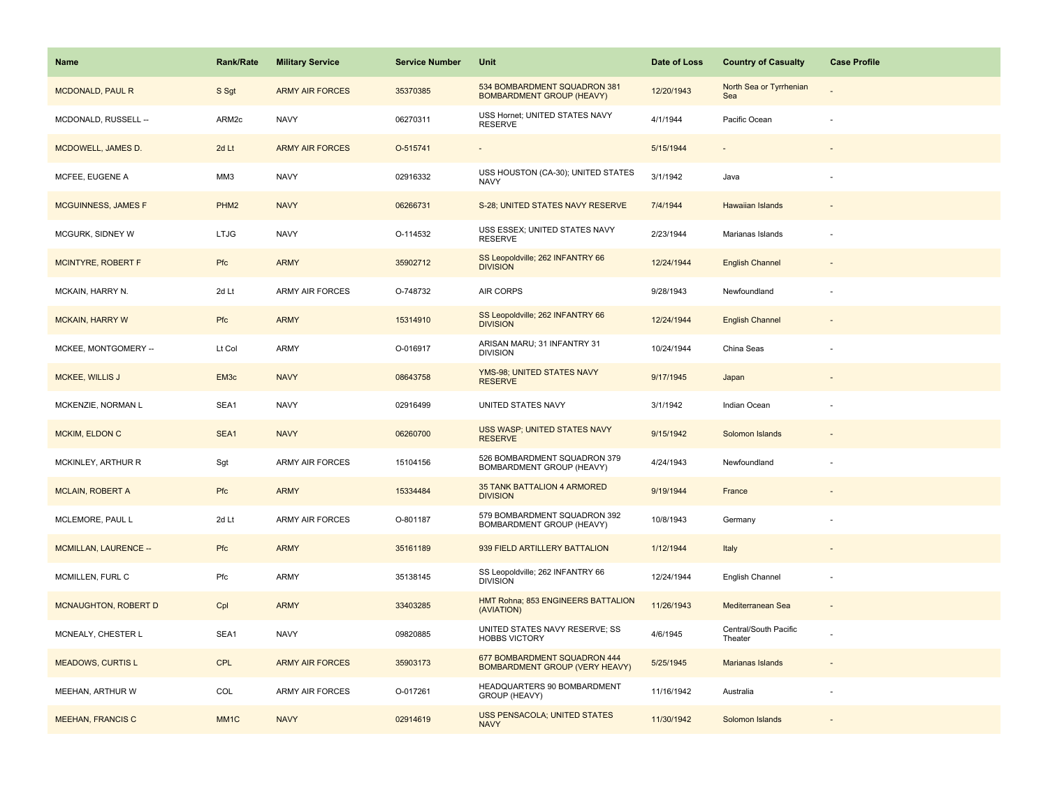| Name                         | <b>Rank/Rate</b>  | <b>Military Service</b> | <b>Service Number</b> | Unit                                                                  | Date of Loss | <b>Country of Casualty</b>       | <b>Case Profile</b> |
|------------------------------|-------------------|-------------------------|-----------------------|-----------------------------------------------------------------------|--------------|----------------------------------|---------------------|
| <b>MCDONALD, PAUL R</b>      | S Sgt             | <b>ARMY AIR FORCES</b>  | 35370385              | 534 BOMBARDMENT SQUADRON 381<br><b>BOMBARDMENT GROUP (HEAVY)</b>      | 12/20/1943   | North Sea or Tyrrhenian<br>Sea   |                     |
| MCDONALD, RUSSELL --         | ARM2c             | <b>NAVY</b>             | 06270311              | USS Hornet; UNITED STATES NAVY<br><b>RESERVE</b>                      | 4/1/1944     | Pacific Ocean                    |                     |
| MCDOWELL, JAMES D.           | 2d Lt             | <b>ARMY AIR FORCES</b>  | O-515741              |                                                                       | 5/15/1944    |                                  |                     |
| MCFEE, EUGENE A              | MM3               | <b>NAVY</b>             | 02916332              | USS HOUSTON (CA-30); UNITED STATES<br><b>NAVY</b>                     | 3/1/1942     | Java                             |                     |
| <b>MCGUINNESS, JAMES F</b>   | PHM <sub>2</sub>  | <b>NAVY</b>             | 06266731              | S-28; UNITED STATES NAVY RESERVE                                      | 7/4/1944     | Hawaiian Islands                 |                     |
| MCGURK, SIDNEY W             | <b>LTJG</b>       | <b>NAVY</b>             | O-114532              | USS ESSEX; UNITED STATES NAVY<br><b>RESERVE</b>                       | 2/23/1944    | Marianas Islands                 |                     |
| <b>MCINTYRE, ROBERT F</b>    | Pfc               | <b>ARMY</b>             | 35902712              | SS Leopoldville; 262 INFANTRY 66<br><b>DIVISION</b>                   | 12/24/1944   | <b>English Channel</b>           |                     |
| MCKAIN, HARRY N.             | 2d Lt             | <b>ARMY AIR FORCES</b>  | O-748732              | AIR CORPS                                                             | 9/28/1943    | Newfoundland                     |                     |
| <b>MCKAIN, HARRY W</b>       | <b>Pfc</b>        | <b>ARMY</b>             | 15314910              | SS Leopoldville; 262 INFANTRY 66<br><b>DIVISION</b>                   | 12/24/1944   | <b>English Channel</b>           |                     |
| MCKEE, MONTGOMERY --         | Lt Col            | ARMY                    | O-016917              | ARISAN MARU; 31 INFANTRY 31<br><b>DIVISION</b>                        | 10/24/1944   | China Seas                       |                     |
| <b>MCKEE, WILLIS J</b>       | EM <sub>3</sub> c | <b>NAVY</b>             | 08643758              | YMS-98; UNITED STATES NAVY<br><b>RESERVE</b>                          | 9/17/1945    | Japan                            |                     |
| MCKENZIE, NORMAN L           | SEA1              | <b>NAVY</b>             | 02916499              | UNITED STATES NAVY                                                    | 3/1/1942     | Indian Ocean                     |                     |
| MCKIM, ELDON C               | SEA1              | <b>NAVY</b>             | 06260700              | USS WASP; UNITED STATES NAVY<br><b>RESERVE</b>                        | 9/15/1942    | Solomon Islands                  |                     |
| MCKINLEY, ARTHUR R           | Sgt               | ARMY AIR FORCES         | 15104156              | 526 BOMBARDMENT SQUADRON 379<br>BOMBARDMENT GROUP (HEAVY)             | 4/24/1943    | Newfoundland                     |                     |
| <b>MCLAIN, ROBERT A</b>      | Pfc               | <b>ARMY</b>             | 15334484              | 35 TANK BATTALION 4 ARMORED<br><b>DIVISION</b>                        | 9/19/1944    | France                           |                     |
| MCLEMORE, PAUL L             | 2d Lt             | <b>ARMY AIR FORCES</b>  | O-801187              | 579 BOMBARDMENT SQUADRON 392<br>BOMBARDMENT GROUP (HEAVY)             | 10/8/1943    | Germany                          |                     |
| <b>MCMILLAN, LAURENCE --</b> | Pfc               | <b>ARMY</b>             | 35161189              | 939 FIELD ARTILLERY BATTALION                                         | 1/12/1944    | Italy                            |                     |
| MCMILLEN, FURL C             | Pfc               | ARMY                    | 35138145              | SS Leopoldville; 262 INFANTRY 66<br><b>DIVISION</b>                   | 12/24/1944   | English Channel                  |                     |
| MCNAUGHTON, ROBERT D         | Cpl               | <b>ARMY</b>             | 33403285              | HMT Rohna; 853 ENGINEERS BATTALION<br>(AVIATION)                      | 11/26/1943   | Mediterranean Sea                |                     |
| MCNEALY, CHESTER L           | SEA1              | <b>NAVY</b>             | 09820885              | UNITED STATES NAVY RESERVE; SS<br><b>HOBBS VICTORY</b>                | 4/6/1945     | Central/South Pacific<br>Theater |                     |
| <b>MEADOWS, CURTIS L</b>     | CPL               | <b>ARMY AIR FORCES</b>  | 35903173              | 677 BOMBARDMENT SQUADRON 444<br><b>BOMBARDMENT GROUP (VERY HEAVY)</b> | 5/25/1945    | Marianas Islands                 |                     |
| MEEHAN, ARTHUR W             | COL               | <b>ARMY AIR FORCES</b>  | O-017261              | HEADQUARTERS 90 BOMBARDMENT<br>GROUP (HEAVY)                          | 11/16/1942   | Australia                        |                     |
| <b>MEEHAN, FRANCIS C</b>     | MM <sub>1</sub> C | <b>NAVY</b>             | 02914619              | <b>USS PENSACOLA; UNITED STATES</b><br><b>NAVY</b>                    | 11/30/1942   | Solomon Islands                  |                     |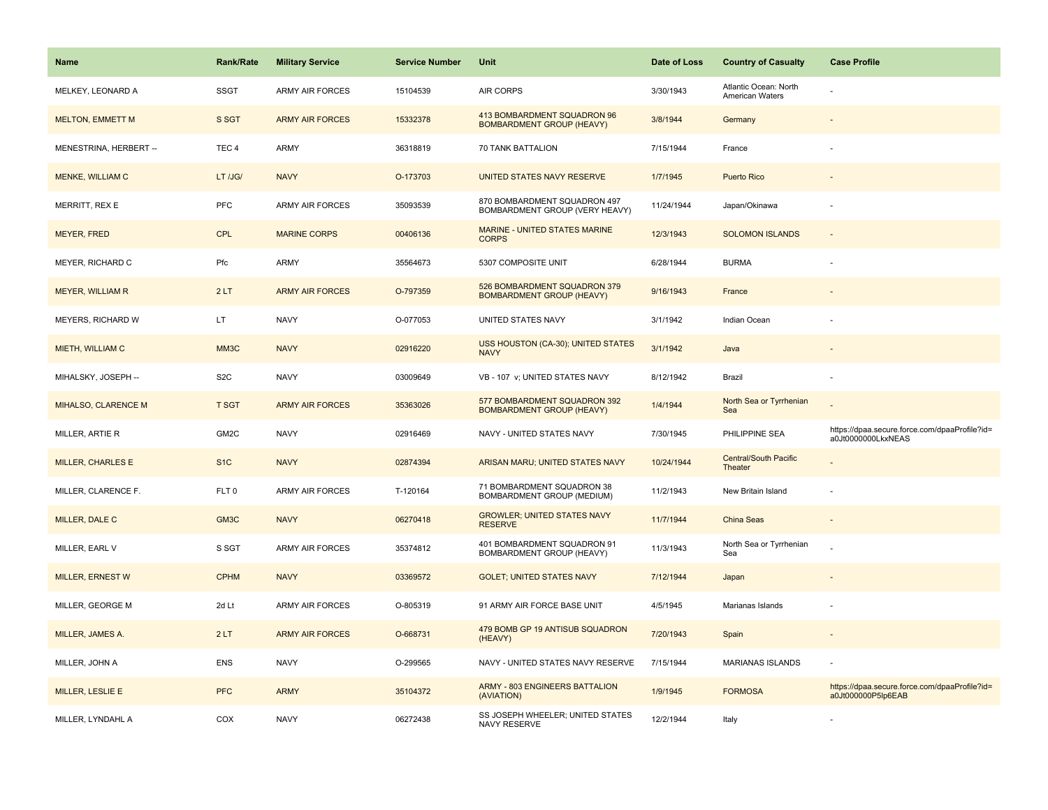| <b>Name</b>              | <b>Rank/Rate</b> | <b>Military Service</b> | <b>Service Number</b> | Unit                                                             | Date of Loss | <b>Country of Casualty</b>               | <b>Case Profile</b>                                                 |
|--------------------------|------------------|-------------------------|-----------------------|------------------------------------------------------------------|--------------|------------------------------------------|---------------------------------------------------------------------|
| MELKEY, LEONARD A        | <b>SSGT</b>      | ARMY AIR FORCES         | 15104539              | AIR CORPS                                                        | 3/30/1943    | Atlantic Ocean: North<br>American Waters |                                                                     |
| <b>MELTON, EMMETT M</b>  | S SGT            | <b>ARMY AIR FORCES</b>  | 15332378              | 413 BOMBARDMENT SQUADRON 96<br><b>BOMBARDMENT GROUP (HEAVY)</b>  | 3/8/1944     | Germany                                  |                                                                     |
| MENESTRINA, HERBERT --   | TEC <sub>4</sub> | <b>ARMY</b>             | 36318819              | 70 TANK BATTALION                                                | 7/15/1944    | France                                   |                                                                     |
| MENKE, WILLIAM C         | LT /JG/          | <b>NAVY</b>             | O-173703              | UNITED STATES NAVY RESERVE                                       | 1/7/1945     | <b>Puerto Rico</b>                       |                                                                     |
| MERRITT, REX E           | <b>PFC</b>       | <b>ARMY AIR FORCES</b>  | 35093539              | 870 BOMBARDMENT SQUADRON 497<br>BOMBARDMENT GROUP (VERY HEAVY)   | 11/24/1944   | Japan/Okinawa                            |                                                                     |
| <b>MEYER, FRED</b>       | <b>CPL</b>       | <b>MARINE CORPS</b>     | 00406136              | MARINE - UNITED STATES MARINE<br><b>CORPS</b>                    | 12/3/1943    | <b>SOLOMON ISLANDS</b>                   |                                                                     |
| MEYER, RICHARD C         | Pfc              | ARMY                    | 35564673              | 5307 COMPOSITE UNIT                                              | 6/28/1944    | <b>BURMA</b>                             |                                                                     |
| <b>MEYER, WILLIAM R</b>  | 2LT              | <b>ARMY AIR FORCES</b>  | O-797359              | 526 BOMBARDMENT SQUADRON 379<br><b>BOMBARDMENT GROUP (HEAVY)</b> | 9/16/1943    | France                                   |                                                                     |
| MEYERS, RICHARD W        | LT.              | <b>NAVY</b>             | O-077053              | UNITED STATES NAVY                                               | 3/1/1942     | Indian Ocean                             |                                                                     |
| MIETH, WILLIAM C         | MM3C             | <b>NAVY</b>             | 02916220              | USS HOUSTON (CA-30); UNITED STATES<br><b>NAVY</b>                | 3/1/1942     | Java                                     |                                                                     |
| MIHALSKY, JOSEPH --      | S <sub>2</sub> C | <b>NAVY</b>             | 03009649              | VB - 107 v; UNITED STATES NAVY                                   | 8/12/1942    | Brazil                                   |                                                                     |
| MIHALSO, CLARENCE M      | <b>T SGT</b>     | <b>ARMY AIR FORCES</b>  | 35363026              | 577 BOMBARDMENT SQUADRON 392<br><b>BOMBARDMENT GROUP (HEAVY)</b> | 1/4/1944     | North Sea or Tyrrhenian<br>Sea           |                                                                     |
| MILLER, ARTIE R          | GM2C             | <b>NAVY</b>             | 02916469              | NAVY - UNITED STATES NAVY                                        | 7/30/1945    | PHILIPPINE SEA                           | https://dpaa.secure.force.com/dpaaProfile?id=<br>a0Jt0000000LkxNEAS |
| <b>MILLER, CHARLES E</b> | S <sub>1C</sub>  | <b>NAVY</b>             | 02874394              | ARISAN MARU; UNITED STATES NAVY                                  | 10/24/1944   | <b>Central/South Pacific</b><br>Theater  |                                                                     |
| MILLER, CLARENCE F.      | FLT <sub>0</sub> | <b>ARMY AIR FORCES</b>  | T-120164              | 71 BOMBARDMENT SQUADRON 38<br>BOMBARDMENT GROUP (MEDIUM)         | 11/2/1943    | New Britain Island                       |                                                                     |
| MILLER, DALE C           | GM3C             | <b>NAVY</b>             | 06270418              | <b>GROWLER; UNITED STATES NAVY</b><br><b>RESERVE</b>             | 11/7/1944    | China Seas                               |                                                                     |
| MILLER, EARL V           | S SGT            | <b>ARMY AIR FORCES</b>  | 35374812              | 401 BOMBARDMENT SQUADRON 91<br>BOMBARDMENT GROUP (HEAVY)         | 11/3/1943    | North Sea or Tyrrhenian<br>Sea           |                                                                     |
| <b>MILLER, ERNEST W</b>  | <b>CPHM</b>      | <b>NAVY</b>             | 03369572              | <b>GOLET; UNITED STATES NAVY</b>                                 | 7/12/1944    | Japan                                    |                                                                     |
| MILLER, GEORGE M         | 2d Lt            | <b>ARMY AIR FORCES</b>  | O-805319              | 91 ARMY AIR FORCE BASE UNIT                                      | 4/5/1945     | Marianas Islands                         |                                                                     |
| MILLER, JAMES A.         | 2LT              | <b>ARMY AIR FORCES</b>  | O-668731              | 479 BOMB GP 19 ANTISUB SQUADRON<br>(HEAVY)                       | 7/20/1943    | Spain                                    |                                                                     |
| MILLER, JOHN A           | ENS              | <b>NAVY</b>             | O-299565              | NAVY - UNITED STATES NAVY RESERVE                                | 7/15/1944    | MARIANAS ISLANDS                         |                                                                     |
| <b>MILLER, LESLIE E</b>  | <b>PFC</b>       | <b>ARMY</b>             | 35104372              | <b>ARMY - 803 ENGINEERS BATTALION</b><br>(AVIATION)              | 1/9/1945     | <b>FORMOSA</b>                           | https://dpaa.secure.force.com/dpaaProfile?id=<br>a0Jt000000P5lp6EAB |
| MILLER, LYNDAHL A        | COX              | <b>NAVY</b>             | 06272438              | SS JOSEPH WHEELER; UNITED STATES<br><b>NAVY RESERVE</b>          | 12/2/1944    | Italy                                    |                                                                     |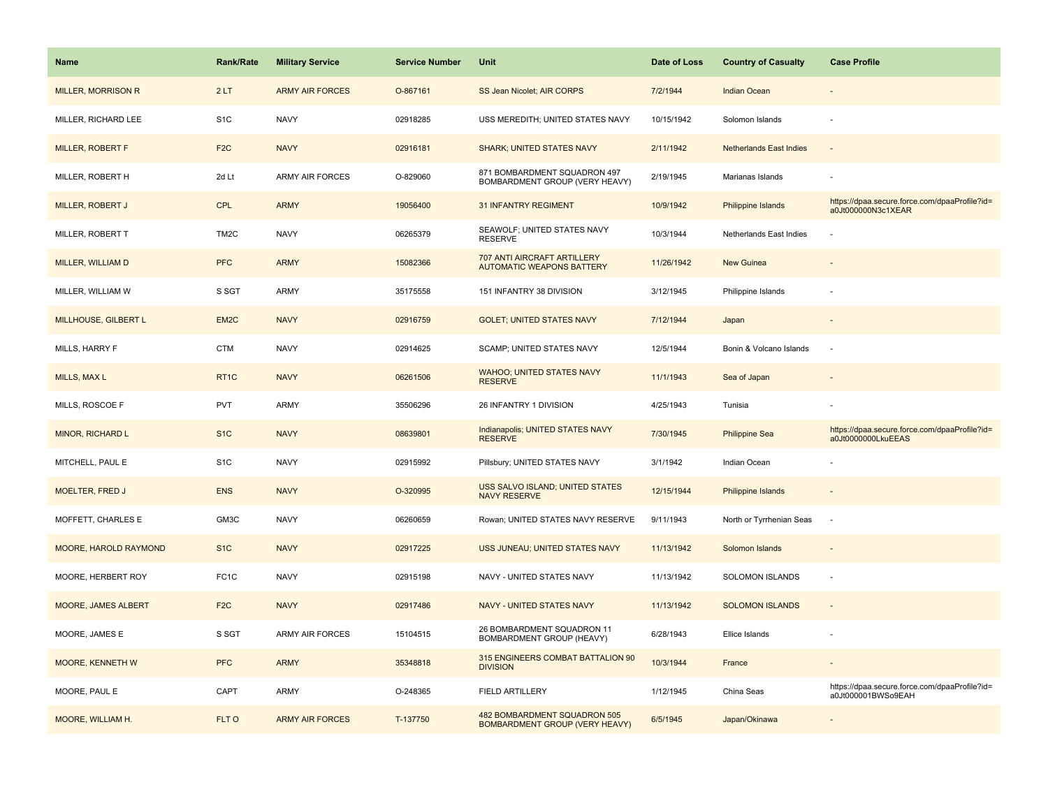| <b>Name</b>                | <b>Rank/Rate</b>  | <b>Military Service</b> | <b>Service Number</b> | Unit                                                                  | Date of Loss | <b>Country of Casualty</b>     | <b>Case Profile</b>                                                 |
|----------------------------|-------------------|-------------------------|-----------------------|-----------------------------------------------------------------------|--------------|--------------------------------|---------------------------------------------------------------------|
| <b>MILLER, MORRISON R</b>  | 2LT               | <b>ARMY AIR FORCES</b>  | O-867161              | SS Jean Nicolet; AIR CORPS                                            | 7/2/1944     | <b>Indian Ocean</b>            |                                                                     |
| MILLER, RICHARD LEE        | S <sub>1</sub> C  | <b>NAVY</b>             | 02918285              | USS MEREDITH; UNITED STATES NAVY                                      | 10/15/1942   | Solomon Islands                |                                                                     |
| MILLER, ROBERT F           | F <sub>2</sub> C  | <b>NAVY</b>             | 02916181              | <b>SHARK; UNITED STATES NAVY</b>                                      | 2/11/1942    | <b>Netherlands East Indies</b> |                                                                     |
| MILLER, ROBERT H           | 2d Lt             | <b>ARMY AIR FORCES</b>  | O-829060              | 871 BOMBARDMENT SQUADRON 497<br>BOMBARDMENT GROUP (VERY HEAVY)        | 2/19/1945    | Marianas Islands               |                                                                     |
| MILLER, ROBERT J           | <b>CPL</b>        | <b>ARMY</b>             | 19056400              | <b>31 INFANTRY REGIMENT</b>                                           | 10/9/1942    | Philippine Islands             | https://dpaa.secure.force.com/dpaaProfile?id=<br>a0Jt000000N3c1XEAR |
| MILLER, ROBERT T           | TM <sub>2</sub> C | <b>NAVY</b>             | 06265379              | SEAWOLF; UNITED STATES NAVY<br><b>RESERVE</b>                         | 10/3/1944    | Netherlands East Indies        |                                                                     |
| MILLER, WILLIAM D          | <b>PFC</b>        | <b>ARMY</b>             | 15082366              | 707 ANTI AIRCRAFT ARTILLERY<br><b>AUTOMATIC WEAPONS BATTERY</b>       | 11/26/1942   | <b>New Guinea</b>              |                                                                     |
| MILLER, WILLIAM W          | S SGT             | ARMY                    | 35175558              | 151 INFANTRY 38 DIVISION                                              | 3/12/1945    | Philippine Islands             |                                                                     |
| MILLHOUSE, GILBERT L       | EM <sub>2</sub> C | <b>NAVY</b>             | 02916759              | <b>GOLET: UNITED STATES NAVY</b>                                      | 7/12/1944    | Japan                          |                                                                     |
| MILLS, HARRY F             | <b>CTM</b>        | <b>NAVY</b>             | 02914625              | SCAMP; UNITED STATES NAVY                                             | 12/5/1944    | Bonin & Volcano Islands        | $\sim$                                                              |
| MILLS, MAX L               | RT <sub>1C</sub>  | <b>NAVY</b>             | 06261506              | <b>WAHOO; UNITED STATES NAVY</b><br><b>RESERVE</b>                    | 11/1/1943    | Sea of Japan                   |                                                                     |
| MILLS, ROSCOE F            | PVT               | <b>ARMY</b>             | 35506296              | 26 INFANTRY 1 DIVISION                                                | 4/25/1943    | Tunisia                        |                                                                     |
| MINOR, RICHARD L           | S <sub>1</sub> C  | <b>NAVY</b>             | 08639801              | Indianapolis; UNITED STATES NAVY<br><b>RESERVE</b>                    | 7/30/1945    | <b>Philippine Sea</b>          | https://dpaa.secure.force.com/dpaaProfile?id=<br>a0Jt0000000LkuEEAS |
| MITCHELL, PAUL E           | S <sub>1</sub> C  | <b>NAVY</b>             | 02915992              | Pillsbury; UNITED STATES NAVY                                         | 3/1/1942     | Indian Ocean                   |                                                                     |
| <b>MOELTER, FRED J</b>     | <b>ENS</b>        | <b>NAVY</b>             | O-320995              | USS SALVO ISLAND; UNITED STATES<br><b>NAVY RESERVE</b>                | 12/15/1944   | Philippine Islands             |                                                                     |
| MOFFETT, CHARLES E         | GM3C              | <b>NAVY</b>             | 06260659              | Rowan; UNITED STATES NAVY RESERVE                                     | 9/11/1943    | North or Tyrrhenian Seas       | $\sim$                                                              |
| MOORE, HAROLD RAYMOND      | S <sub>1</sub> C  | <b>NAVY</b>             | 02917225              | USS JUNEAU; UNITED STATES NAVY                                        | 11/13/1942   | Solomon Islands                |                                                                     |
| MOORE, HERBERT ROY         | FC <sub>1</sub> C | <b>NAVY</b>             | 02915198              | NAVY - UNITED STATES NAVY                                             | 11/13/1942   | <b>SOLOMON ISLANDS</b>         | ÷.                                                                  |
| <b>MOORE, JAMES ALBERT</b> | F <sub>2C</sub>   | <b>NAVY</b>             | 02917486              | <b>NAVY - UNITED STATES NAVY</b>                                      | 11/13/1942   | <b>SOLOMON ISLANDS</b>         |                                                                     |
| MOORE, JAMES E             | S SGT             | <b>ARMY AIR FORCES</b>  | 15104515              | 26 BOMBARDMENT SQUADRON 11<br>BOMBARDMENT GROUP (HEAVY)               | 6/28/1943    | Ellice Islands                 |                                                                     |
| <b>MOORE, KENNETH W</b>    | <b>PFC</b>        | <b>ARMY</b>             | 35348818              | 315 ENGINEERS COMBAT BATTALION 90<br><b>DIVISION</b>                  | 10/3/1944    | France                         |                                                                     |
| MOORE, PAUL E              | CAPT              | <b>ARMY</b>             | O-248365              | FIELD ARTILLERY                                                       | 1/12/1945    | China Seas                     | https://dpaa.secure.force.com/dpaaProfile?id=<br>a0Jt000001BWSo9EAH |
| MOORE, WILLIAM H.          | FLT O             | <b>ARMY AIR FORCES</b>  | T-137750              | 482 BOMBARDMENT SQUADRON 505<br><b>BOMBARDMENT GROUP (VERY HEAVY)</b> | 6/5/1945     | Japan/Okinawa                  |                                                                     |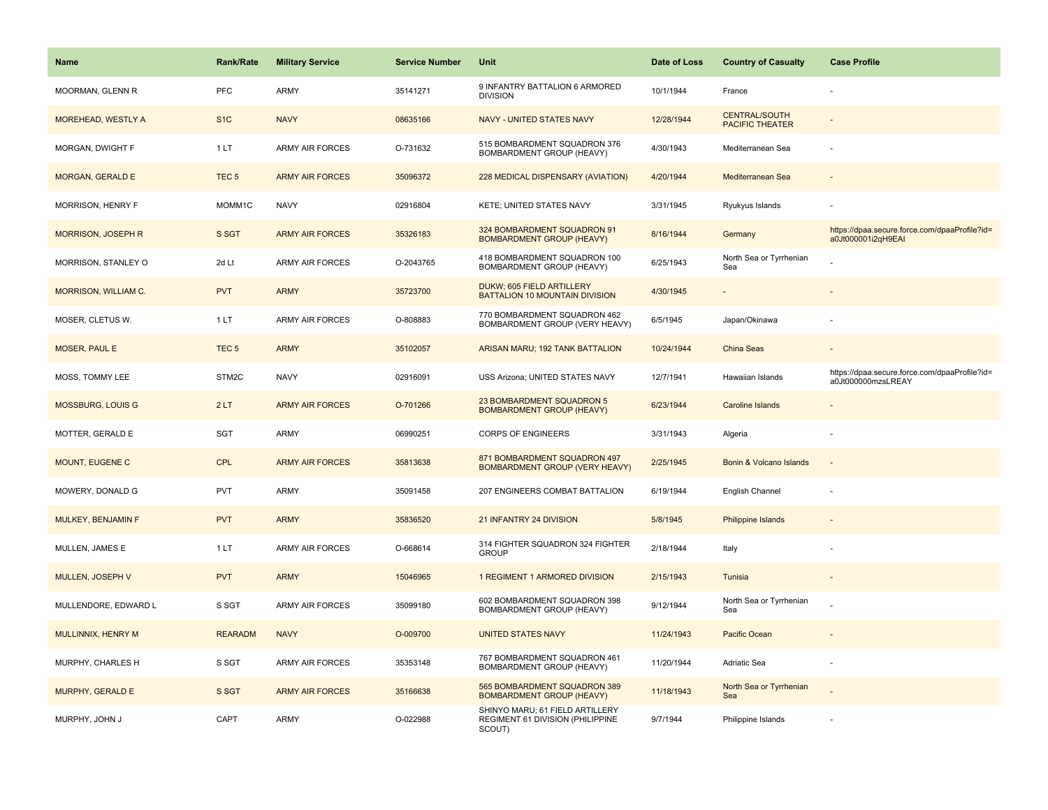| <b>Name</b>               | <b>Rank/Rate</b> | <b>Military Service</b> | <b>Service Number</b> | Unit                                                                          | Date of Loss | <b>Country of Casualty</b>                     | <b>Case Profile</b>                                                 |
|---------------------------|------------------|-------------------------|-----------------------|-------------------------------------------------------------------------------|--------------|------------------------------------------------|---------------------------------------------------------------------|
| MOORMAN, GLENN R          | PFC              | ARMY                    | 35141271              | 9 INFANTRY BATTALION 6 ARMORED<br><b>DIVISION</b>                             | 10/1/1944    | France                                         |                                                                     |
| MOREHEAD, WESTLY A        | S <sub>1</sub> C | <b>NAVY</b>             | 08635166              | <b>NAVY - UNITED STATES NAVY</b>                                              | 12/28/1944   | <b>CENTRAL/SOUTH</b><br><b>PACIFIC THEATER</b> |                                                                     |
| MORGAN, DWIGHT F          | 1LT              | ARMY AIR FORCES         | O-731632              | 515 BOMBARDMENT SQUADRON 376<br>BOMBARDMENT GROUP (HEAVY)                     | 4/30/1943    | Mediterranean Sea                              |                                                                     |
| <b>MORGAN, GERALD E</b>   | TEC <sub>5</sub> | <b>ARMY AIR FORCES</b>  | 35096372              | 228 MEDICAL DISPENSARY (AVIATION)                                             | 4/20/1944    | Mediterranean Sea                              |                                                                     |
| MORRISON, HENRY F         | MOMM1C           | <b>NAVY</b>             | 02916804              | KETE; UNITED STATES NAVY                                                      | 3/31/1945    | Ryukyus Islands                                |                                                                     |
| <b>MORRISON, JOSEPH R</b> | S SGT            | <b>ARMY AIR FORCES</b>  | 35326183              | 324 BOMBARDMENT SQUADRON 91<br><b>BOMBARDMENT GROUP (HEAVY)</b>               | 8/16/1944    | Germany                                        | https://dpaa.secure.force.com/dpaaProfile?id=<br>a0Jt000001i2qH9EAI |
| MORRISON, STANLEY O       | 2d Lt            | <b>ARMY AIR FORCES</b>  | O-2043765             | 418 BOMBARDMENT SQUADRON 100<br>BOMBARDMENT GROUP (HEAVY)                     | 6/25/1943    | North Sea or Tyrrhenian<br>Sea                 |                                                                     |
| MORRISON, WILLIAM C.      | <b>PVT</b>       | <b>ARMY</b>             | 35723700              | DUKW; 605 FIELD ARTILLERY<br>BATTALION 10 MOUNTAIN DIVISION                   | 4/30/1945    | $\overline{\phantom{a}}$                       |                                                                     |
| MOSER, CLETUS W.          | 1LT              | <b>ARMY AIR FORCES</b>  | O-808883              | 770 BOMBARDMENT SQUADRON 462<br>BOMBARDMENT GROUP (VERY HEAVY)                | 6/5/1945     | Japan/Okinawa                                  |                                                                     |
| <b>MOSER, PAUL E</b>      | TEC <sub>5</sub> | <b>ARMY</b>             | 35102057              | ARISAN MARU; 192 TANK BATTALION                                               | 10/24/1944   | <b>China Seas</b>                              |                                                                     |
| MOSS, TOMMY LEE           | STM2C            | <b>NAVY</b>             | 02916091              | USS Arizona; UNITED STATES NAVY                                               | 12/7/1941    | Hawaiian Islands                               | https://dpaa.secure.force.com/dpaaProfile?id=<br>a0Jt000000mzsLREAY |
| <b>MOSSBURG, LOUIS G</b>  | 2LT              | <b>ARMY AIR FORCES</b>  | O-701266              | 23 BOMBARDMENT SQUADRON 5<br><b>BOMBARDMENT GROUP (HEAVY)</b>                 | 6/23/1944    | <b>Caroline Islands</b>                        |                                                                     |
| MOTTER, GERALD E          | SGT              | <b>ARMY</b>             | 06990251              | <b>CORPS OF ENGINEERS</b>                                                     | 3/31/1943    | Algeria                                        |                                                                     |
| MOUNT, EUGENE C           | CPL              | <b>ARMY AIR FORCES</b>  | 35813638              | 871 BOMBARDMENT SQUADRON 497<br><b>BOMBARDMENT GROUP (VERY HEAVY)</b>         | 2/25/1945    | Bonin & Volcano Islands                        | $\overline{\phantom{a}}$                                            |
| MOWERY, DONALD G          | <b>PVT</b>       | <b>ARMY</b>             | 35091458              | 207 ENGINEERS COMBAT BATTALION                                                | 6/19/1944    | English Channel                                |                                                                     |
| MULKEY, BENJAMIN F        | <b>PVT</b>       | <b>ARMY</b>             | 35836520              | 21 INFANTRY 24 DIVISION                                                       | 5/8/1945     | <b>Philippine Islands</b>                      |                                                                     |
| MULLEN, JAMES E           | 1LT              | <b>ARMY AIR FORCES</b>  | O-668614              | 314 FIGHTER SQUADRON 324 FIGHTER<br><b>GROUP</b>                              | 2/18/1944    | Italy                                          |                                                                     |
| MULLEN, JOSEPH V          | <b>PVT</b>       | <b>ARMY</b>             | 15046965              | 1 REGIMENT 1 ARMORED DIVISION                                                 | 2/15/1943    | Tunisia                                        |                                                                     |
| MULLENDORE, EDWARD L      | S SGT            | <b>ARMY AIR FORCES</b>  | 35099180              | 602 BOMBARDMENT SQUADRON 398<br>BOMBARDMENT GROUP (HEAVY)                     | 9/12/1944    | North Sea or Tyrrhenian<br>Sea                 |                                                                     |
| MULLINNIX, HENRY M        | <b>REARADM</b>   | <b>NAVY</b>             | O-009700              | <b>UNITED STATES NAVY</b>                                                     | 11/24/1943   | Pacific Ocean                                  |                                                                     |
| MURPHY, CHARLES H         | S SGT            | <b>ARMY AIR FORCES</b>  | 35353148              | 767 BOMBARDMENT SQUADRON 461<br>BOMBARDMENT GROUP (HEAVY)                     | 11/20/1944   | Adriatic Sea                                   |                                                                     |
| MURPHY, GERALD E          | S SGT            | <b>ARMY AIR FORCES</b>  | 35166638              | 565 BOMBARDMENT SQUADRON 389<br><b>BOMBARDMENT GROUP (HEAVY)</b>              | 11/18/1943   | North Sea or Tyrrhenian<br>Sea                 |                                                                     |
| MURPHY, JOHN J            | CAPT             | <b>ARMY</b>             | O-022988              | SHINYO MARU; 61 FIELD ARTILLERY<br>REGIMENT 61 DIVISION (PHILIPPINE<br>SCOUT) | 9/7/1944     | Philippine Islands                             |                                                                     |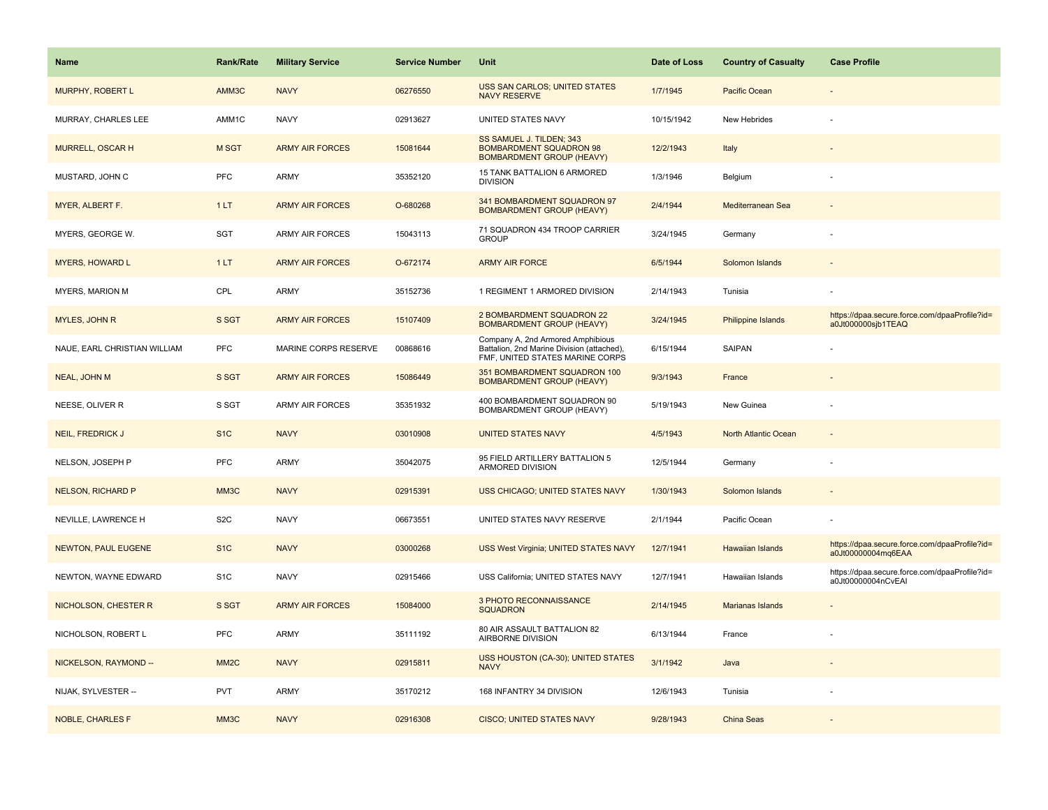| <b>Name</b>                  | <b>Rank/Rate</b>  | <b>Military Service</b> | <b>Service Number</b> | Unit                                                                                                               | Date of Loss | <b>Country of Casualty</b> | <b>Case Profile</b>                                                 |
|------------------------------|-------------------|-------------------------|-----------------------|--------------------------------------------------------------------------------------------------------------------|--------------|----------------------------|---------------------------------------------------------------------|
| MURPHY, ROBERT L             | AMM3C             | <b>NAVY</b>             | 06276550              | USS SAN CARLOS; UNITED STATES<br><b>NAVY RESERVE</b>                                                               | 1/7/1945     | Pacific Ocean              |                                                                     |
| MURRAY, CHARLES LEE          | AMM1C             | <b>NAVY</b>             | 02913627              | UNITED STATES NAVY                                                                                                 | 10/15/1942   | New Hebrides               |                                                                     |
| MURRELL, OSCAR H             | M SGT             | <b>ARMY AIR FORCES</b>  | 15081644              | SS SAMUEL J. TILDEN; 343<br><b>BOMBARDMENT SQUADRON 98</b><br><b>BOMBARDMENT GROUP (HEAVY)</b>                     | 12/2/1943    | Italy                      |                                                                     |
| MUSTARD, JOHN C              | <b>PFC</b>        | ARMY                    | 35352120              | 15 TANK BATTALION 6 ARMORED<br><b>DIVISION</b>                                                                     | 1/3/1946     | Belgium                    |                                                                     |
| MYER, ALBERT F.              | 1LT               | <b>ARMY AIR FORCES</b>  | O-680268              | 341 BOMBARDMENT SQUADRON 97<br><b>BOMBARDMENT GROUP (HEAVY)</b>                                                    | 2/4/1944     | Mediterranean Sea          |                                                                     |
| MYERS, GEORGE W.             | SGT               | ARMY AIR FORCES         | 15043113              | 71 SQUADRON 434 TROOP CARRIER<br><b>GROUP</b>                                                                      | 3/24/1945    | Germany                    |                                                                     |
| <b>MYERS, HOWARD L</b>       | 1LT               | <b>ARMY AIR FORCES</b>  | O-672174              | <b>ARMY AIR FORCE</b>                                                                                              | 6/5/1944     | Solomon Islands            |                                                                     |
| MYERS, MARION M              | CPL               | ARMY                    | 35152736              | 1 REGIMENT 1 ARMORED DIVISION                                                                                      | 2/14/1943    | Tunisia                    |                                                                     |
| MYLES, JOHN R                | S SGT             | <b>ARMY AIR FORCES</b>  | 15107409              | 2 BOMBARDMENT SQUADRON 22<br><b>BOMBARDMENT GROUP (HEAVY)</b>                                                      | 3/24/1945    | Philippine Islands         | https://dpaa.secure.force.com/dpaaProfile?id=<br>a0Jt000000sjb1TEAQ |
| NAUE, EARL CHRISTIAN WILLIAM | <b>PFC</b>        | MARINE CORPS RESERVE    | 00868616              | Company A, 2nd Armored Amphibious<br>Battalion, 2nd Marine Division (attached),<br>FMF, UNITED STATES MARINE CORPS | 6/15/1944    | SAIPAN                     |                                                                     |
| NEAL, JOHN M                 | S SGT             | <b>ARMY AIR FORCES</b>  | 15086449              | 351 BOMBARDMENT SQUADRON 100<br><b>BOMBARDMENT GROUP (HEAVY)</b>                                                   | 9/3/1943     | France                     |                                                                     |
| NEESE, OLIVER R              | S SGT             | ARMY AIR FORCES         | 35351932              | 400 BOMBARDMENT SQUADRON 90<br>BOMBARDMENT GROUP (HEAVY)                                                           | 5/19/1943    | New Guinea                 |                                                                     |
| <b>NEIL, FREDRICK J</b>      | S <sub>1C</sub>   | <b>NAVY</b>             | 03010908              | <b>UNITED STATES NAVY</b>                                                                                          | 4/5/1943     | North Atlantic Ocean       |                                                                     |
| NELSON, JOSEPH P             | <b>PFC</b>        | <b>ARMY</b>             | 35042075              | 95 FIELD ARTILLERY BATTALION 5<br>ARMORED DIVISION                                                                 | 12/5/1944    | Germany                    |                                                                     |
| <b>NELSON, RICHARD P</b>     | MM3C              | <b>NAVY</b>             | 02915391              | USS CHICAGO; UNITED STATES NAVY                                                                                    | 1/30/1943    | Solomon Islands            |                                                                     |
| NEVILLE, LAWRENCE H          | S <sub>2</sub> C  | <b>NAVY</b>             | 06673551              | UNITED STATES NAVY RESERVE                                                                                         | 2/1/1944     | Pacific Ocean              |                                                                     |
| <b>NEWTON, PAUL EUGENE</b>   | S <sub>1</sub> C  | <b>NAVY</b>             | 03000268              | USS West Virginia; UNITED STATES NAVY                                                                              | 12/7/1941    | <b>Hawaiian Islands</b>    | https://dpaa.secure.force.com/dpaaProfile?id=<br>a0Jt00000004mq6EAA |
| NEWTON, WAYNE EDWARD         | S <sub>1</sub> C  | <b>NAVY</b>             | 02915466              | USS California; UNITED STATES NAVY                                                                                 | 12/7/1941    | Hawaiian Islands           | https://dpaa.secure.force.com/dpaaProfile?id=<br>a0Jt00000004nCvEAI |
| NICHOLSON, CHESTER R         | S SGT             | <b>ARMY AIR FORCES</b>  | 15084000              | 3 PHOTO RECONNAISSANCE<br><b>SQUADRON</b>                                                                          | 2/14/1945    | Marianas Islands           |                                                                     |
| NICHOLSON, ROBERT L          | <b>PFC</b>        | <b>ARMY</b>             | 35111192              | 80 AIR ASSAULT BATTALION 82<br>AIRBORNE DIVISION                                                                   | 6/13/1944    | France                     |                                                                     |
| NICKELSON, RAYMOND --        | MM <sub>2</sub> C | <b>NAVY</b>             | 02915811              | USS HOUSTON (CA-30); UNITED STATES<br><b>NAVY</b>                                                                  | 3/1/1942     | Java                       |                                                                     |
| NIJAK, SYLVESTER --          | <b>PVT</b>        | <b>ARMY</b>             | 35170212              | 168 INFANTRY 34 DIVISION                                                                                           | 12/6/1943    | Tunisia                    |                                                                     |
| <b>NOBLE, CHARLES F</b>      | MM3C              | <b>NAVY</b>             | 02916308              | <b>CISCO; UNITED STATES NAVY</b>                                                                                   | 9/28/1943    | China Seas                 |                                                                     |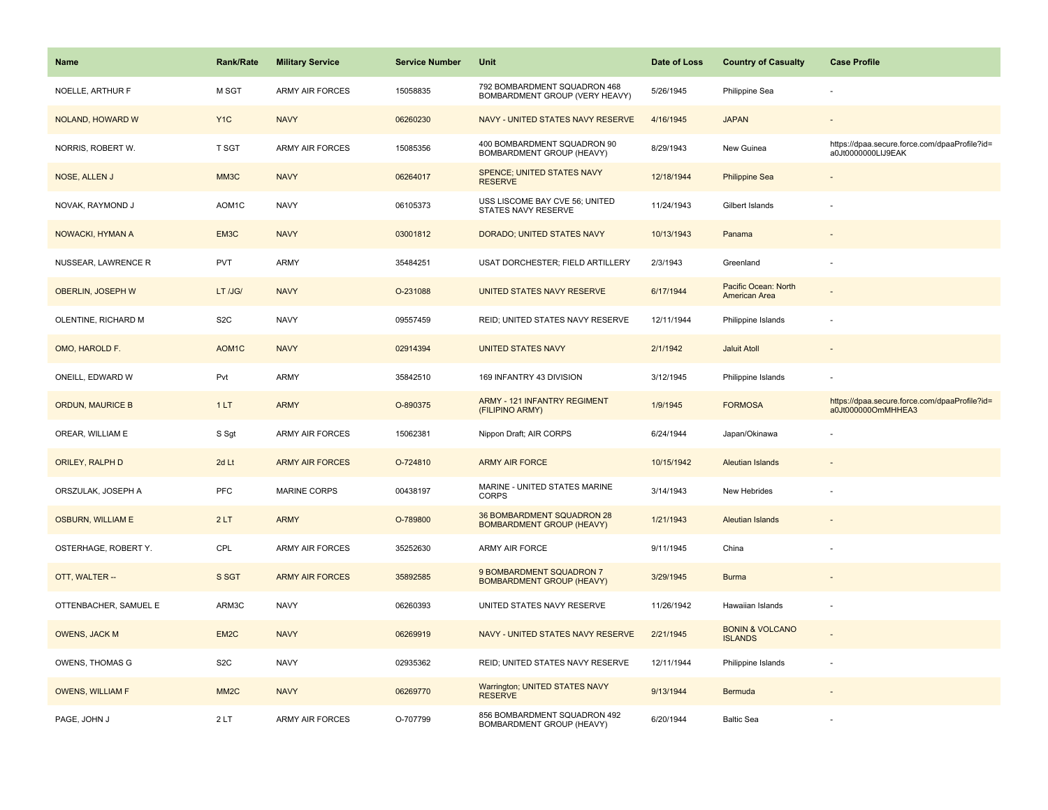| <b>Name</b>              | <b>Rank/Rate</b>   | <b>Military Service</b> | <b>Service Number</b> | Unit                                                           | Date of Loss | <b>Country of Casualty</b>                   | <b>Case Profile</b>                                                 |
|--------------------------|--------------------|-------------------------|-----------------------|----------------------------------------------------------------|--------------|----------------------------------------------|---------------------------------------------------------------------|
| NOELLE, ARTHUR F         | M SGT              | <b>ARMY AIR FORCES</b>  | 15058835              | 792 BOMBARDMENT SQUADRON 468<br>BOMBARDMENT GROUP (VERY HEAVY) | 5/26/1945    | Philippine Sea                               |                                                                     |
| NOLAND, HOWARD W         | Y <sub>1</sub> C   | <b>NAVY</b>             | 06260230              | NAVY - UNITED STATES NAVY RESERVE                              | 4/16/1945    | <b>JAPAN</b>                                 |                                                                     |
| NORRIS, ROBERT W.        | <b>T SGT</b>       | ARMY AIR FORCES         | 15085356              | 400 BOMBARDMENT SQUADRON 90<br>BOMBARDMENT GROUP (HEAVY)       | 8/29/1943    | New Guinea                                   | https://dpaa.secure.force.com/dpaaProfile?id=<br>a0Jt0000000LIJ9EAK |
| NOSE, ALLEN J            | MM3C               | <b>NAVY</b>             | 06264017              | SPENCE; UNITED STATES NAVY<br><b>RESERVE</b>                   | 12/18/1944   | <b>Philippine Sea</b>                        |                                                                     |
| NOVAK, RAYMOND J         | AOM1C              | <b>NAVY</b>             | 06105373              | USS LISCOME BAY CVE 56; UNITED<br>STATES NAVY RESERVE          | 11/24/1943   | Gilbert Islands                              |                                                                     |
| NOWACKI, HYMAN A         | EM3C               | <b>NAVY</b>             | 03001812              | DORADO; UNITED STATES NAVY                                     | 10/13/1943   | Panama                                       |                                                                     |
| NUSSEAR, LAWRENCE R      | <b>PVT</b>         | ARMY                    | 35484251              | USAT DORCHESTER; FIELD ARTILLERY                               | 2/3/1943     | Greenland                                    |                                                                     |
| OBERLIN, JOSEPH W        | LT /JG/            | <b>NAVY</b>             | O-231088              | UNITED STATES NAVY RESERVE                                     | 6/17/1944    | Pacific Ocean: North<br>American Area        |                                                                     |
| OLENTINE, RICHARD M      | S <sub>2</sub> C   | <b>NAVY</b>             | 09557459              | REID; UNITED STATES NAVY RESERVE                               | 12/11/1944   | Philippine Islands                           |                                                                     |
| OMO, HAROLD F.           | AOM <sub>1</sub> C | <b>NAVY</b>             | 02914394              | <b>UNITED STATES NAVY</b>                                      | 2/1/1942     | <b>Jaluit Atoll</b>                          |                                                                     |
| ONEILL, EDWARD W         | Pvt                | ARMY                    | 35842510              | 169 INFANTRY 43 DIVISION                                       | 3/12/1945    | Philippine Islands                           |                                                                     |
| <b>ORDUN, MAURICE B</b>  | 1LT                | <b>ARMY</b>             | O-890375              | <b>ARMY - 121 INFANTRY REGIMENT</b><br>(FILIPINO ARMY)         | 1/9/1945     | <b>FORMOSA</b>                               | https://dpaa.secure.force.com/dpaaProfile?id=<br>a0Jt000000OmMHHEA3 |
| OREAR, WILLIAM E         | S Sgt              | ARMY AIR FORCES         | 15062381              | Nippon Draft; AIR CORPS                                        | 6/24/1944    | Japan/Okinawa                                |                                                                     |
| ORILEY, RALPH D          | 2d Lt              | <b>ARMY AIR FORCES</b>  | O-724810              | <b>ARMY AIR FORCE</b>                                          | 10/15/1942   | <b>Aleutian Islands</b>                      |                                                                     |
| ORSZULAK, JOSEPH A       | <b>PFC</b>         | <b>MARINE CORPS</b>     | 00438197              | MARINE - UNITED STATES MARINE<br><b>CORPS</b>                  | 3/14/1943    | New Hebrides                                 |                                                                     |
| <b>OSBURN, WILLIAM E</b> | 2LT                | <b>ARMY</b>             | O-789800              | 36 BOMBARDMENT SQUADRON 28<br><b>BOMBARDMENT GROUP (HEAVY)</b> | 1/21/1943    | <b>Aleutian Islands</b>                      |                                                                     |
| OSTERHAGE, ROBERT Y.     | CPL                | <b>ARMY AIR FORCES</b>  | 35252630              | ARMY AIR FORCE                                                 | 9/11/1945    | China                                        |                                                                     |
| OTT, WALTER --           | S SGT              | <b>ARMY AIR FORCES</b>  | 35892585              | 9 BOMBARDMENT SQUADRON 7<br><b>BOMBARDMENT GROUP (HEAVY)</b>   | 3/29/1945    | <b>Burma</b>                                 |                                                                     |
| OTTENBACHER, SAMUEL E    | ARM3C              | <b>NAVY</b>             | 06260393              | UNITED STATES NAVY RESERVE                                     | 11/26/1942   | Hawaiian Islands                             |                                                                     |
| <b>OWENS, JACK M</b>     | EM <sub>2C</sub>   | <b>NAVY</b>             | 06269919              | NAVY - UNITED STATES NAVY RESERVE                              | 2/21/1945    | <b>BONIN &amp; VOLCANO</b><br><b>ISLANDS</b> |                                                                     |
| OWENS, THOMAS G          | S <sub>2</sub> C   | <b>NAVY</b>             | 02935362              | REID; UNITED STATES NAVY RESERVE                               | 12/11/1944   | Philippine Islands                           |                                                                     |
| <b>OWENS, WILLIAM F</b>  | MM <sub>2</sub> C  | <b>NAVY</b>             | 06269770              | Warrington; UNITED STATES NAVY<br><b>RESERVE</b>               | 9/13/1944    | Bermuda                                      |                                                                     |
| PAGE, JOHN J             | 2LT                | ARMY AIR FORCES         | O-707799              | 856 BOMBARDMENT SQUADRON 492<br>BOMBARDMENT GROUP (HEAVY)      | 6/20/1944    | <b>Baltic Sea</b>                            |                                                                     |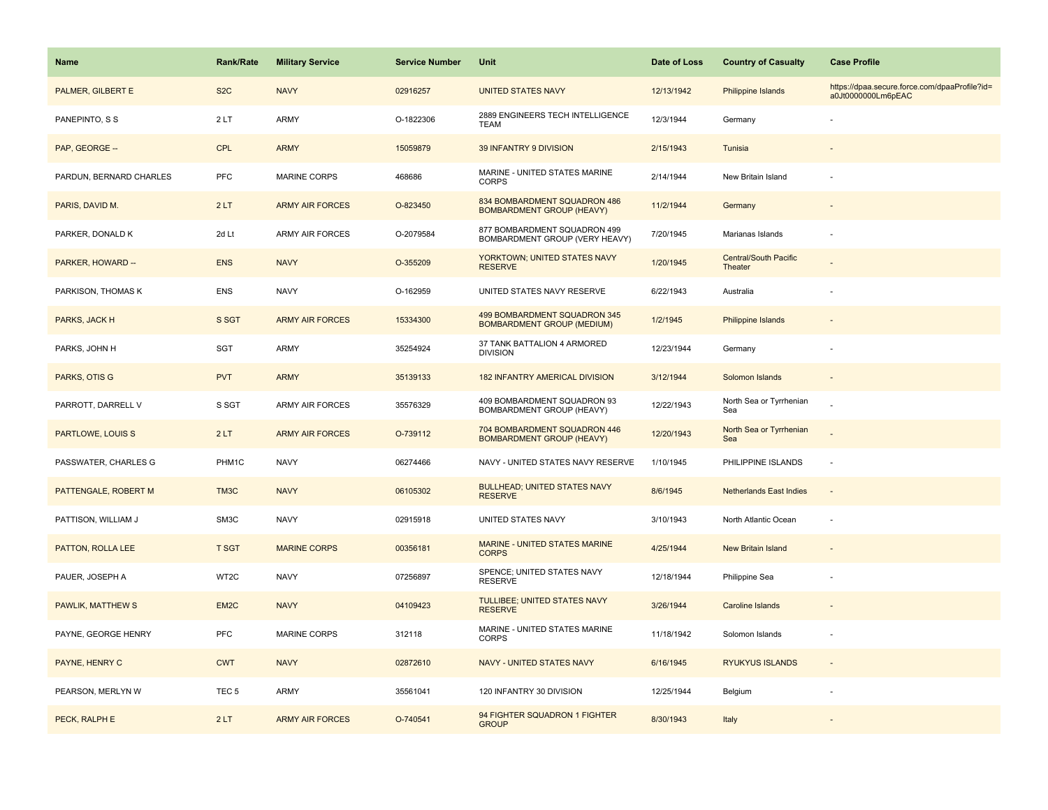| <b>Name</b>              | Rank/Rate        | <b>Military Service</b> | <b>Service Number</b> | Unit                                                              | Date of Loss | <b>Country of Casualty</b>              | <b>Case Profile</b>                                                 |
|--------------------------|------------------|-------------------------|-----------------------|-------------------------------------------------------------------|--------------|-----------------------------------------|---------------------------------------------------------------------|
| PALMER, GILBERT E        | S <sub>2</sub> C | <b>NAVY</b>             | 02916257              | <b>UNITED STATES NAVY</b>                                         | 12/13/1942   | Philippine Islands                      | https://dpaa.secure.force.com/dpaaProfile?id=<br>a0Jt0000000Lm6pEAC |
| PANEPINTO, S S           | 2LT              | ARMY                    | O-1822306             | 2889 ENGINEERS TECH INTELLIGENCE<br><b>TEAM</b>                   | 12/3/1944    | Germany                                 |                                                                     |
| PAP, GEORGE --           | <b>CPL</b>       | <b>ARMY</b>             | 15059879              | 39 INFANTRY 9 DIVISION                                            | 2/15/1943    | Tunisia                                 |                                                                     |
| PARDUN, BERNARD CHARLES  | <b>PFC</b>       | MARINE CORPS            | 468686                | MARINE - UNITED STATES MARINE<br><b>CORPS</b>                     | 2/14/1944    | New Britain Island                      |                                                                     |
| PARIS, DAVID M.          | 2LT              | <b>ARMY AIR FORCES</b>  | O-823450              | 834 BOMBARDMENT SQUADRON 486<br><b>BOMBARDMENT GROUP (HEAVY)</b>  | 11/2/1944    | Germany                                 |                                                                     |
| PARKER, DONALD K         | 2d Lt            | <b>ARMY AIR FORCES</b>  | O-2079584             | 877 BOMBARDMENT SQUADRON 499<br>BOMBARDMENT GROUP (VERY HEAVY)    | 7/20/1945    | Marianas Islands                        |                                                                     |
| PARKER, HOWARD --        | <b>ENS</b>       | <b>NAVY</b>             | O-355209              | YORKTOWN; UNITED STATES NAVY<br><b>RESERVE</b>                    | 1/20/1945    | <b>Central/South Pacific</b><br>Theater |                                                                     |
| PARKISON, THOMAS K       | <b>ENS</b>       | <b>NAVY</b>             | O-162959              | UNITED STATES NAVY RESERVE                                        | 6/22/1943    | Australia                               |                                                                     |
| PARKS, JACK H            | S SGT            | <b>ARMY AIR FORCES</b>  | 15334300              | 499 BOMBARDMENT SQUADRON 345<br><b>BOMBARDMENT GROUP (MEDIUM)</b> | 1/2/1945     | <b>Philippine Islands</b>               |                                                                     |
| PARKS, JOHN H            | SGT              | ARMY                    | 35254924              | 37 TANK BATTALION 4 ARMORED<br><b>DIVISION</b>                    | 12/23/1944   | Germany                                 |                                                                     |
| PARKS, OTIS G            | <b>PVT</b>       | <b>ARMY</b>             | 35139133              | <b>182 INFANTRY AMERICAL DIVISION</b>                             | 3/12/1944    | Solomon Islands                         |                                                                     |
| PARROTT, DARRELL V       | S SGT            | <b>ARMY AIR FORCES</b>  | 35576329              | 409 BOMBARDMENT SQUADRON 93<br>BOMBARDMENT GROUP (HEAVY)          | 12/22/1943   | North Sea or Tyrrhenian<br>Sea          |                                                                     |
| <b>PARTLOWE, LOUIS S</b> | 2LT              | <b>ARMY AIR FORCES</b>  | O-739112              | 704 BOMBARDMENT SQUADRON 446<br><b>BOMBARDMENT GROUP (HEAVY)</b>  | 12/20/1943   | North Sea or Tyrrhenian<br>Sea          |                                                                     |
| PASSWATER, CHARLES G     | PHM1C            | <b>NAVY</b>             | 06274466              | NAVY - UNITED STATES NAVY RESERVE                                 | 1/10/1945    | PHILIPPINE ISLANDS                      | ÷,                                                                  |
| PATTENGALE, ROBERT M     | TM3C             | <b>NAVY</b>             | 06105302              | <b>BULLHEAD; UNITED STATES NAVY</b><br><b>RESERVE</b>             | 8/6/1945     | <b>Netherlands East Indies</b>          | $\blacksquare$                                                      |
| PATTISON, WILLIAM J      | SM3C             | <b>NAVY</b>             | 02915918              | UNITED STATES NAVY                                                | 3/10/1943    | North Atlantic Ocean                    | ÷,                                                                  |
| PATTON, ROLLA LEE        | <b>T SGT</b>     | <b>MARINE CORPS</b>     | 00356181              | <b>MARINE - UNITED STATES MARINE</b><br><b>CORPS</b>              | 4/25/1944    | <b>New Britain Island</b>               |                                                                     |
| PAUER, JOSEPH A          | WT2C             | <b>NAVY</b>             | 07256897              | SPENCE; UNITED STATES NAVY<br><b>RESERVE</b>                      | 12/18/1944   | Philippine Sea                          |                                                                     |
| <b>PAWLIK, MATTHEW S</b> | EM <sub>2C</sub> | <b>NAVY</b>             | 04109423              | TULLIBEE; UNITED STATES NAVY<br><b>RESERVE</b>                    | 3/26/1944    | <b>Caroline Islands</b>                 |                                                                     |
| PAYNE, GEORGE HENRY      | <b>PFC</b>       | <b>MARINE CORPS</b>     | 312118                | MARINE - UNITED STATES MARINE<br><b>CORPS</b>                     | 11/18/1942   | Solomon Islands                         |                                                                     |
| PAYNE, HENRY C           | <b>CWT</b>       | <b>NAVY</b>             | 02872610              | NAVY - UNITED STATES NAVY                                         | 6/16/1945    | <b>RYUKYUS ISLANDS</b>                  | $\sim$                                                              |
| PEARSON, MERLYN W        | TEC <sub>5</sub> | <b>ARMY</b>             | 35561041              | 120 INFANTRY 30 DIVISION                                          | 12/25/1944   | Belgium                                 |                                                                     |
| PECK, RALPH E            | 2LT              | <b>ARMY AIR FORCES</b>  | O-740541              | 94 FIGHTER SQUADRON 1 FIGHTER<br><b>GROUP</b>                     | 8/30/1943    | Italy                                   |                                                                     |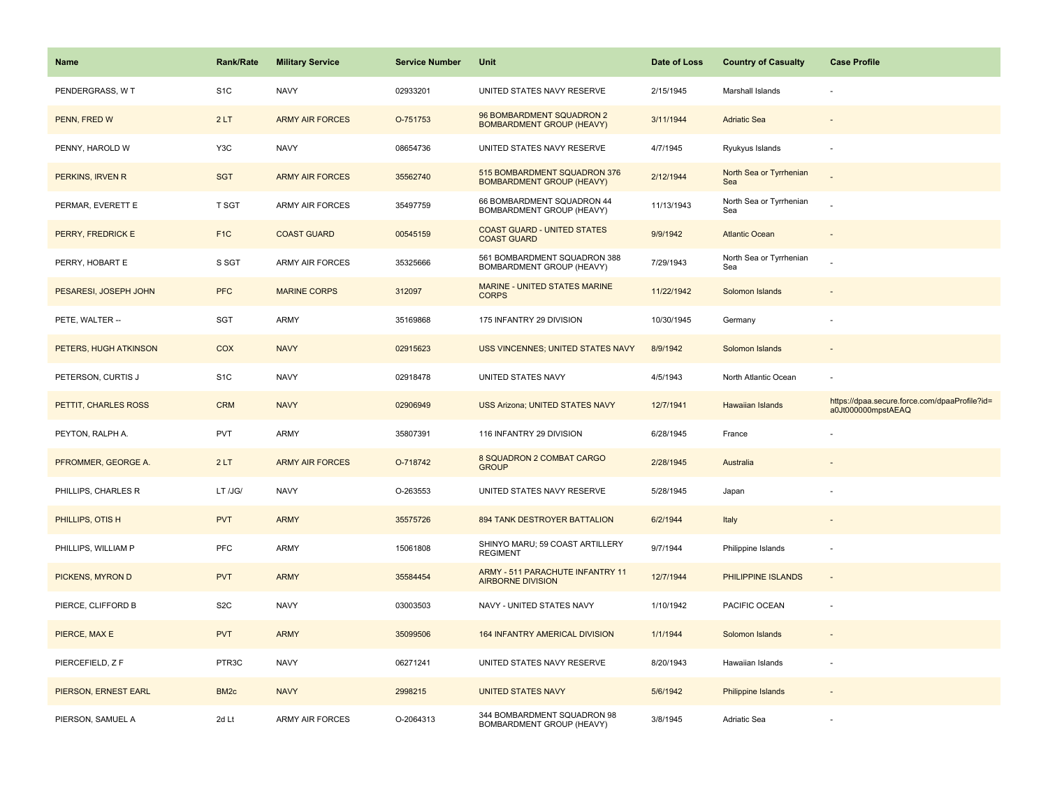| Name                  | <b>Rank/Rate</b> | <b>Military Service</b> | <b>Service Number</b> | Unit                                                             | Date of Loss | <b>Country of Casualty</b>     | <b>Case Profile</b>                                                 |
|-----------------------|------------------|-------------------------|-----------------------|------------------------------------------------------------------|--------------|--------------------------------|---------------------------------------------------------------------|
| PENDERGRASS, W T      | S <sub>1</sub> C | <b>NAVY</b>             | 02933201              | UNITED STATES NAVY RESERVE                                       | 2/15/1945    | Marshall Islands               |                                                                     |
| PENN, FRED W          | 2LT              | <b>ARMY AIR FORCES</b>  | O-751753              | 96 BOMBARDMENT SQUADRON 2<br><b>BOMBARDMENT GROUP (HEAVY)</b>    | 3/11/1944    | <b>Adriatic Sea</b>            |                                                                     |
| PENNY, HAROLD W       | Y <sub>3</sub> C | <b>NAVY</b>             | 08654736              | UNITED STATES NAVY RESERVE                                       | 4/7/1945     | Ryukyus Islands                |                                                                     |
| PERKINS, IRVEN R      | <b>SGT</b>       | <b>ARMY AIR FORCES</b>  | 35562740              | 515 BOMBARDMENT SQUADRON 376<br><b>BOMBARDMENT GROUP (HEAVY)</b> | 2/12/1944    | North Sea or Tyrrhenian<br>Sea |                                                                     |
| PERMAR, EVERETT E     | T SGT            | <b>ARMY AIR FORCES</b>  | 35497759              | 66 BOMBARDMENT SQUADRON 44<br>BOMBARDMENT GROUP (HEAVY)          | 11/13/1943   | North Sea or Tyrrhenian<br>Sea |                                                                     |
| PERRY, FREDRICK E     | F <sub>1C</sub>  | <b>COAST GUARD</b>      | 00545159              | <b>COAST GUARD - UNITED STATES</b><br><b>COAST GUARD</b>         | 9/9/1942     | <b>Atlantic Ocean</b>          |                                                                     |
| PERRY, HOBART E       | S SGT            | <b>ARMY AIR FORCES</b>  | 35325666              | 561 BOMBARDMENT SQUADRON 388<br>BOMBARDMENT GROUP (HEAVY)        | 7/29/1943    | North Sea or Tyrrhenian<br>Sea |                                                                     |
| PESARESI, JOSEPH JOHN | <b>PFC</b>       | <b>MARINE CORPS</b>     | 312097                | MARINE - UNITED STATES MARINE<br><b>CORPS</b>                    | 11/22/1942   | Solomon Islands                |                                                                     |
| PETE, WALTER --       | SGT              | ARMY                    | 35169868              | 175 INFANTRY 29 DIVISION                                         | 10/30/1945   | Germany                        |                                                                     |
| PETERS, HUGH ATKINSON | COX              | <b>NAVY</b>             | 02915623              | USS VINCENNES; UNITED STATES NAVY                                | 8/9/1942     | Solomon Islands                |                                                                     |
| PETERSON, CURTIS J    | S <sub>1</sub> C | <b>NAVY</b>             | 02918478              | UNITED STATES NAVY                                               | 4/5/1943     | North Atlantic Ocean           |                                                                     |
| PETTIT, CHARLES ROSS  | <b>CRM</b>       | <b>NAVY</b>             | 02906949              | <b>USS Arizona; UNITED STATES NAVY</b>                           | 12/7/1941    | Hawaiian Islands               | https://dpaa.secure.force.com/dpaaProfile?id=<br>a0Jt000000mpstAEAQ |
| PEYTON, RALPH A.      | <b>PVT</b>       | ARMY                    | 35807391              | 116 INFANTRY 29 DIVISION                                         | 6/28/1945    | France                         |                                                                     |
| PFROMMER, GEORGE A.   | 2LT              | <b>ARMY AIR FORCES</b>  | O-718742              | 8 SQUADRON 2 COMBAT CARGO<br><b>GROUP</b>                        | 2/28/1945    | Australia                      |                                                                     |
| PHILLIPS, CHARLES R   | LT /JG/          | <b>NAVY</b>             | O-263553              | UNITED STATES NAVY RESERVE                                       | 5/28/1945    | Japan                          |                                                                     |
| PHILLIPS, OTIS H      | <b>PVT</b>       | <b>ARMY</b>             | 35575726              | 894 TANK DESTROYER BATTALION                                     | 6/2/1944     | Italy                          |                                                                     |
| PHILLIPS, WILLIAM P   | PFC              | ARMY                    | 15061808              | SHINYO MARU; 59 COAST ARTILLERY<br><b>REGIMENT</b>               | 9/7/1944     | Philippine Islands             |                                                                     |
| PICKENS, MYRON D      | <b>PVT</b>       | <b>ARMY</b>             | 35584454              | ARMY - 511 PARACHUTE INFANTRY 11<br><b>AIRBORNE DIVISION</b>     | 12/7/1944    | PHILIPPINE ISLANDS             |                                                                     |
| PIERCE, CLIFFORD B    | S <sub>2</sub> C | <b>NAVY</b>             | 03003503              | NAVY - UNITED STATES NAVY                                        | 1/10/1942    | PACIFIC OCEAN                  |                                                                     |
| PIERCE, MAX E         | <b>PVT</b>       | <b>ARMY</b>             | 35099506              | 164 INFANTRY AMERICAL DIVISION                                   | 1/1/1944     | Solomon Islands                |                                                                     |
| PIERCEFIELD, Z F      | PTR3C            | <b>NAVY</b>             | 06271241              | UNITED STATES NAVY RESERVE                                       | 8/20/1943    | Hawaiian Islands               |                                                                     |
| PIERSON, ERNEST EARL  | BM <sub>2c</sub> | <b>NAVY</b>             | 2998215               | <b>UNITED STATES NAVY</b>                                        | 5/6/1942     | <b>Philippine Islands</b>      |                                                                     |
| PIERSON, SAMUEL A     | 2d Lt            | <b>ARMY AIR FORCES</b>  | O-2064313             | 344 BOMBARDMENT SQUADRON 98<br>BOMBARDMENT GROUP (HEAVY)         | 3/8/1945     | Adriatic Sea                   |                                                                     |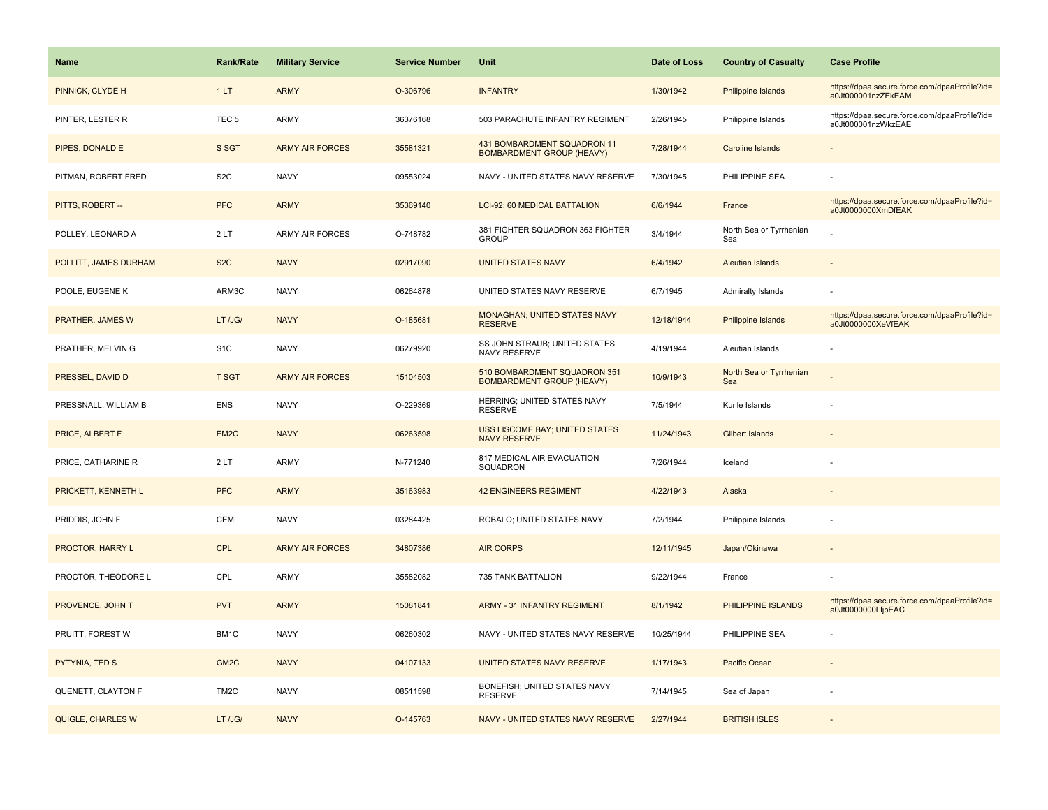| <b>Name</b>             | <b>Rank/Rate</b>  | <b>Military Service</b> | <b>Service Number</b> | Unit                                                             | Date of Loss | <b>Country of Casualty</b>     | <b>Case Profile</b>                                                 |
|-------------------------|-------------------|-------------------------|-----------------------|------------------------------------------------------------------|--------------|--------------------------------|---------------------------------------------------------------------|
| PINNICK, CLYDE H        | 1LT               | <b>ARMY</b>             | O-306796              | <b>INFANTRY</b>                                                  | 1/30/1942    | Philippine Islands             | https://dpaa.secure.force.com/dpaaProfile?id=<br>a0Jt000001nzZEkEAM |
| PINTER, LESTER R        | TEC <sub>5</sub>  | ARMY                    | 36376168              | 503 PARACHUTE INFANTRY REGIMENT                                  | 2/26/1945    | Philippine Islands             | https://dpaa.secure.force.com/dpaaProfile?id=<br>a0Jt000001nzWkzEAE |
| PIPES, DONALD E         | S SGT             | <b>ARMY AIR FORCES</b>  | 35581321              | 431 BOMBARDMENT SQUADRON 11<br><b>BOMBARDMENT GROUP (HEAVY)</b>  | 7/28/1944    | Caroline Islands               |                                                                     |
| PITMAN, ROBERT FRED     | S <sub>2</sub> C  | <b>NAVY</b>             | 09553024              | NAVY - UNITED STATES NAVY RESERVE                                | 7/30/1945    | PHILIPPINE SEA                 |                                                                     |
| PITTS, ROBERT --        | <b>PFC</b>        | <b>ARMY</b>             | 35369140              | LCI-92; 60 MEDICAL BATTALION                                     | 6/6/1944     | France                         | https://dpaa.secure.force.com/dpaaProfile?id=<br>a0Jt0000000XmDfEAK |
| POLLEY, LEONARD A       | 2LT               | <b>ARMY AIR FORCES</b>  | O-748782              | 381 FIGHTER SQUADRON 363 FIGHTER<br><b>GROUP</b>                 | 3/4/1944     | North Sea or Tyrrhenian<br>Sea |                                                                     |
| POLLITT, JAMES DURHAM   | S <sub>2</sub> C  | <b>NAVY</b>             | 02917090              | <b>UNITED STATES NAVY</b>                                        | 6/4/1942     | Aleutian Islands               |                                                                     |
| POOLE, EUGENE K         | ARM3C             | <b>NAVY</b>             | 06264878              | UNITED STATES NAVY RESERVE                                       | 6/7/1945     | Admiralty Islands              |                                                                     |
| <b>PRATHER, JAMES W</b> | LT /JG/           | <b>NAVY</b>             | O-185681              | MONAGHAN; UNITED STATES NAVY<br><b>RESERVE</b>                   | 12/18/1944   | Philippine Islands             | https://dpaa.secure.force.com/dpaaProfile?id=<br>a0Jt0000000XeVfEAK |
| PRATHER, MELVIN G       | S <sub>1</sub> C  | <b>NAVY</b>             | 06279920              | SS JOHN STRAUB; UNITED STATES<br>NAVY RESERVE                    | 4/19/1944    | Aleutian Islands               |                                                                     |
| PRESSEL, DAVID D        | <b>T SGT</b>      | <b>ARMY AIR FORCES</b>  | 15104503              | 510 BOMBARDMENT SQUADRON 351<br><b>BOMBARDMENT GROUP (HEAVY)</b> | 10/9/1943    | North Sea or Tyrrhenian<br>Sea |                                                                     |
| PRESSNALL, WILLIAM B    | <b>ENS</b>        | <b>NAVY</b>             | O-229369              | HERRING; UNITED STATES NAVY<br><b>RESERVE</b>                    | 7/5/1944     | Kurile Islands                 |                                                                     |
| PRICE, ALBERT F         | EM <sub>2C</sub>  | <b>NAVY</b>             | 06263598              | USS LISCOME BAY; UNITED STATES<br><b>NAVY RESERVE</b>            | 11/24/1943   | <b>Gilbert Islands</b>         |                                                                     |
| PRICE, CATHARINE R      | 2LT               | <b>ARMY</b>             | N-771240              | 817 MEDICAL AIR EVACUATION<br>SQUADRON                           | 7/26/1944    | Iceland                        |                                                                     |
| PRICKETT, KENNETH L     | <b>PFC</b>        | <b>ARMY</b>             | 35163983              | <b>42 ENGINEERS REGIMENT</b>                                     | 4/22/1943    | Alaska                         |                                                                     |
| PRIDDIS, JOHN F         | CEM               | <b>NAVY</b>             | 03284425              | ROBALO; UNITED STATES NAVY                                       | 7/2/1944     | Philippine Islands             |                                                                     |
| PROCTOR, HARRY L        | <b>CPL</b>        | <b>ARMY AIR FORCES</b>  | 34807386              | <b>AIR CORPS</b>                                                 | 12/11/1945   | Japan/Okinawa                  |                                                                     |
| PROCTOR, THEODORE L     | CPL               | ARMY                    | 35582082              | 735 TANK BATTALION                                               | 9/22/1944    | France                         |                                                                     |
| PROVENCE, JOHN T        | <b>PVT</b>        | <b>ARMY</b>             | 15081841              | <b>ARMY - 31 INFANTRY REGIMENT</b>                               | 8/1/1942     | PHILIPPINE ISLANDS             | https://dpaa.secure.force.com/dpaaProfile?id=<br>a0Jt0000000LljbEAC |
| PRUITT, FOREST W        | BM1C              | <b>NAVY</b>             | 06260302              | NAVY - UNITED STATES NAVY RESERVE                                | 10/25/1944   | PHILIPPINE SEA                 |                                                                     |
| PYTYNIA, TED S          | GM <sub>2C</sub>  | <b>NAVY</b>             | 04107133              | UNITED STATES NAVY RESERVE                                       | 1/17/1943    | Pacific Ocean                  |                                                                     |
| QUENETT, CLAYTON F      | TM <sub>2</sub> C | <b>NAVY</b>             | 08511598              | BONEFISH; UNITED STATES NAVY<br><b>RESERVE</b>                   | 7/14/1945    | Sea of Japan                   |                                                                     |
| QUIGLE, CHARLES W       | LT /JG/           | <b>NAVY</b>             | O-145763              | NAVY - UNITED STATES NAVY RESERVE                                | 2/27/1944    | <b>BRITISH ISLES</b>           |                                                                     |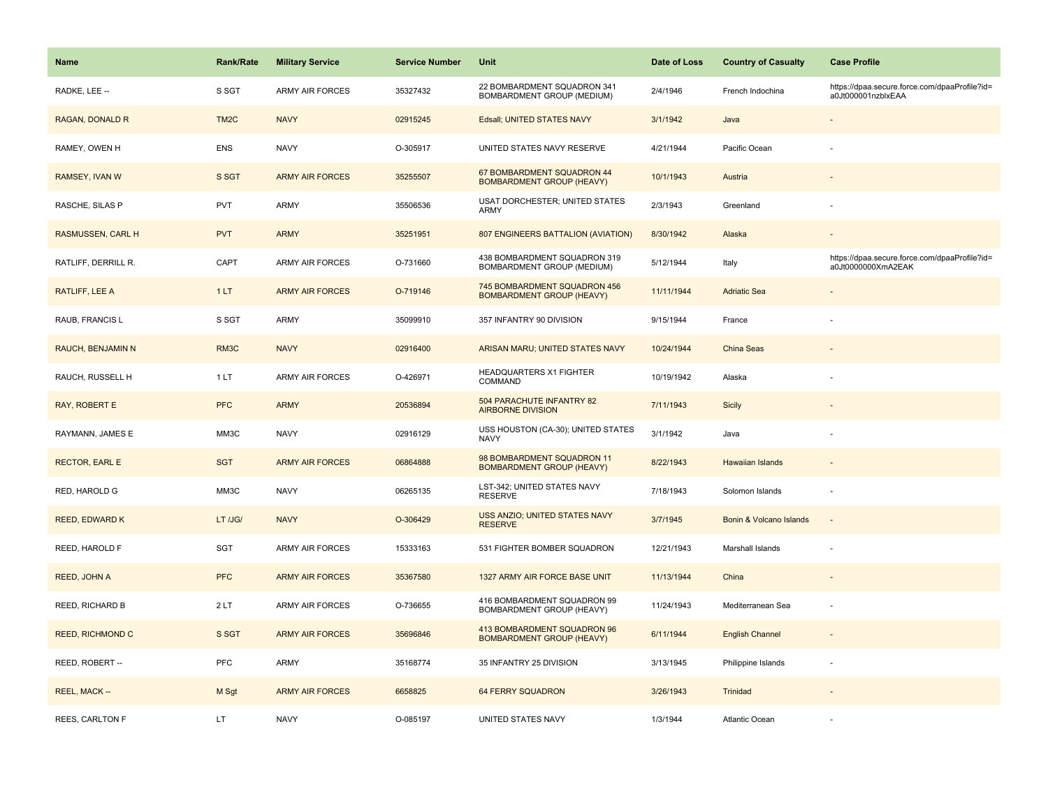| <b>Name</b>              | <b>Rank/Rate</b>  | <b>Military Service</b> | <b>Service Number</b> | Unit                                                              | Date of Loss | <b>Country of Casualty</b> | <b>Case Profile</b>                                                 |
|--------------------------|-------------------|-------------------------|-----------------------|-------------------------------------------------------------------|--------------|----------------------------|---------------------------------------------------------------------|
| RADKE, LEE --            | S SGT             | <b>ARMY AIR FORCES</b>  | 35327432              | 22 BOMBARDMENT SQUADRON 341<br>BOMBARDMENT GROUP (MEDIUM)         | 2/4/1946     | French Indochina           | https://dpaa.secure.force.com/dpaaProfile?id=<br>a0Jt000001nzblxEAA |
| RAGAN, DONALD R          | TM <sub>2</sub> C | <b>NAVY</b>             | 02915245              | Edsall; UNITED STATES NAVY                                        | 3/1/1942     | Java                       |                                                                     |
| RAMEY, OWEN H            | <b>ENS</b>        | <b>NAVY</b>             | O-305917              | UNITED STATES NAVY RESERVE                                        | 4/21/1944    | Pacific Ocean              |                                                                     |
| RAMSEY, IVAN W           | S SGT             | <b>ARMY AIR FORCES</b>  | 35255507              | 67 BOMBARDMENT SQUADRON 44<br><b>BOMBARDMENT GROUP (HEAVY)</b>    | 10/1/1943    | Austria                    |                                                                     |
| RASCHE, SILAS P          | <b>PVT</b>        | <b>ARMY</b>             | 35506536              | USAT DORCHESTER; UNITED STATES<br>ARMY                            | 2/3/1943     | Greenland                  |                                                                     |
| <b>RASMUSSEN, CARL H</b> | <b>PVT</b>        | <b>ARMY</b>             | 35251951              | <b>807 ENGINEERS BATTALION (AVIATION)</b>                         | 8/30/1942    | Alaska                     |                                                                     |
| RATLIFF, DERRILL R.      | CAPT              | <b>ARMY AIR FORCES</b>  | O-731660              | 438 BOMBARDMENT SQUADRON 319<br><b>BOMBARDMENT GROUP (MEDIUM)</b> | 5/12/1944    | Italy                      | https://dpaa.secure.force.com/dpaaProfile?id=<br>a0Jt0000000XmA2EAK |
| RATLIFF, LEE A           | 1LT               | <b>ARMY AIR FORCES</b>  | O-719146              | 745 BOMBARDMENT SQUADRON 456<br><b>BOMBARDMENT GROUP (HEAVY)</b>  | 11/11/1944   | <b>Adriatic Sea</b>        |                                                                     |
| RAUB, FRANCIS L          | S SGT             | <b>ARMY</b>             | 35099910              | 357 INFANTRY 90 DIVISION                                          | 9/15/1944    | France                     |                                                                     |
| <b>RAUCH, BENJAMIN N</b> | RM3C              | <b>NAVY</b>             | 02916400              | ARISAN MARU; UNITED STATES NAVY                                   | 10/24/1944   | <b>China Seas</b>          |                                                                     |
| RAUCH, RUSSELL H         | 1LT               | <b>ARMY AIR FORCES</b>  | O-426971              | <b>HEADQUARTERS X1 FIGHTER</b><br>COMMAND                         | 10/19/1942   | Alaska                     |                                                                     |
| RAY, ROBERT E            | <b>PFC</b>        | <b>ARMY</b>             | 20536894              | 504 PARACHUTE INFANTRY 82<br><b>AIRBORNE DIVISION</b>             | 7/11/1943    | Sicily                     |                                                                     |
| RAYMANN, JAMES E         | MM3C              | <b>NAVY</b>             | 02916129              | USS HOUSTON (CA-30); UNITED STATES<br><b>NAVY</b>                 | 3/1/1942     | Java                       |                                                                     |
| <b>RECTOR, EARL E</b>    | <b>SGT</b>        | <b>ARMY AIR FORCES</b>  | 06864888              | 98 BOMBARDMENT SQUADRON 11<br><b>BOMBARDMENT GROUP (HEAVY)</b>    | 8/22/1943    | <b>Hawaiian Islands</b>    |                                                                     |
| RED, HAROLD G            | MM3C              | <b>NAVY</b>             | 06265135              | LST-342; UNITED STATES NAVY<br><b>RESERVE</b>                     | 7/18/1943    | Solomon Islands            | ٠                                                                   |
| <b>REED, EDWARD K</b>    | LT /JG/           | <b>NAVY</b>             | O-306429              | <b>USS ANZIO; UNITED STATES NAVY</b><br><b>RESERVE</b>            | 3/7/1945     | Bonin & Volcano Islands    |                                                                     |
| REED, HAROLD F           | SGT               | <b>ARMY AIR FORCES</b>  | 15333163              | 531 FIGHTER BOMBER SQUADRON                                       | 12/21/1943   | Marshall Islands           |                                                                     |
| REED, JOHN A             | <b>PFC</b>        | <b>ARMY AIR FORCES</b>  | 35367580              | 1327 ARMY AIR FORCE BASE UNIT                                     | 11/13/1944   | China                      | $\overline{\phantom{a}}$                                            |
| REED, RICHARD B          | 2LT               | <b>ARMY AIR FORCES</b>  | O-736655              | 416 BOMBARDMENT SQUADRON 99<br>BOMBARDMENT GROUP (HEAVY)          | 11/24/1943   | Mediterranean Sea          | ä,                                                                  |
| <b>REED, RICHMOND C</b>  | S SGT             | <b>ARMY AIR FORCES</b>  | 35696846              | 413 BOMBARDMENT SQUADRON 96<br><b>BOMBARDMENT GROUP (HEAVY)</b>   | 6/11/1944    | <b>English Channel</b>     |                                                                     |
| REED, ROBERT --          | <b>PFC</b>        | <b>ARMY</b>             | 35168774              | 35 INFANTRY 25 DIVISION                                           | 3/13/1945    | Philippine Islands         | ÷,                                                                  |
| REEL, MACK --            | M Sgt             | <b>ARMY AIR FORCES</b>  | 6658825               | <b>64 FERRY SQUADRON</b>                                          | 3/26/1943    | Trinidad                   |                                                                     |
| <b>REES, CARLTON F</b>   | LT                | <b>NAVY</b>             | O-085197              | UNITED STATES NAVY                                                | 1/3/1944     | Atlantic Ocean             |                                                                     |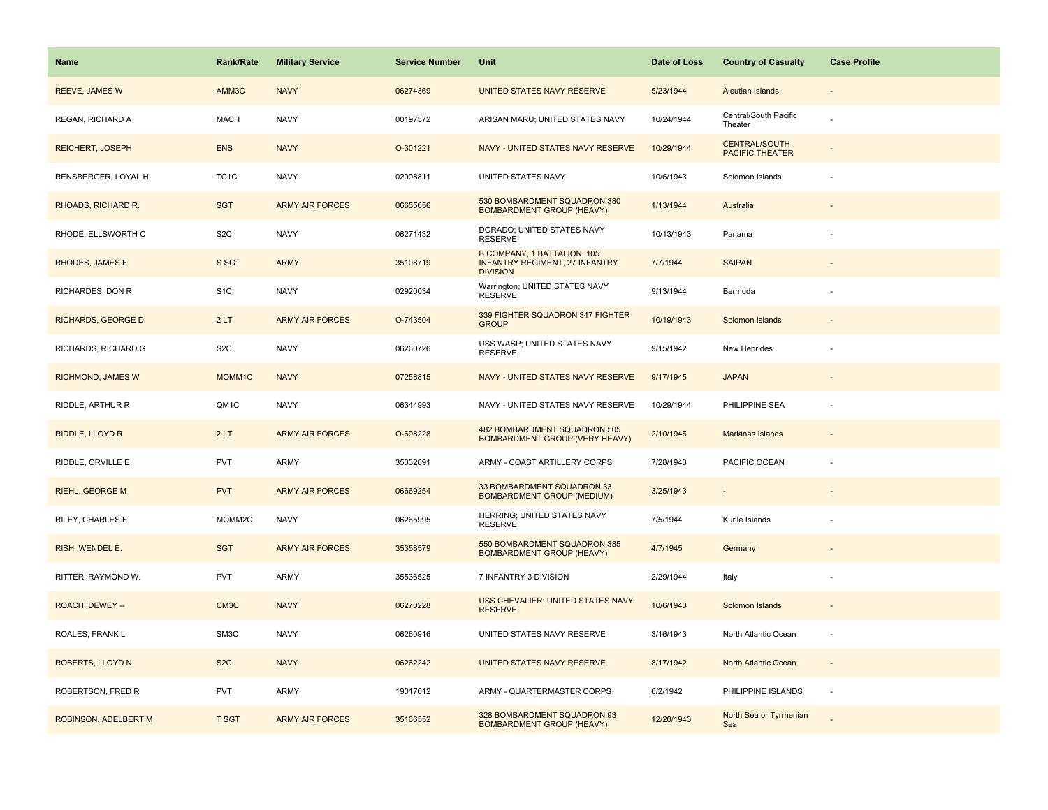| <b>Name</b>              | <b>Rank/Rate</b>  | <b>Military Service</b> | <b>Service Number</b> | Unit                                                                                    | Date of Loss | <b>Country of Casualty</b>                     | <b>Case Profile</b> |
|--------------------------|-------------------|-------------------------|-----------------------|-----------------------------------------------------------------------------------------|--------------|------------------------------------------------|---------------------|
| <b>REEVE, JAMES W</b>    | AMM3C             | <b>NAVY</b>             | 06274369              | UNITED STATES NAVY RESERVE                                                              | 5/23/1944    | <b>Aleutian Islands</b>                        |                     |
| REGAN, RICHARD A         | <b>MACH</b>       | <b>NAVY</b>             | 00197572              | ARISAN MARU; UNITED STATES NAVY                                                         | 10/24/1944   | Central/South Pacific<br>Theater               |                     |
| <b>REICHERT, JOSEPH</b>  | <b>ENS</b>        | <b>NAVY</b>             | O-301221              | NAVY - UNITED STATES NAVY RESERVE                                                       | 10/29/1944   | <b>CENTRAL/SOUTH</b><br><b>PACIFIC THEATER</b> |                     |
| RENSBERGER, LOYAL H      | TC <sub>1</sub> C | <b>NAVY</b>             | 02998811              | UNITED STATES NAVY                                                                      | 10/6/1943    | Solomon Islands                                |                     |
| RHOADS, RICHARD R.       | <b>SGT</b>        | <b>ARMY AIR FORCES</b>  | 06655656              | 530 BOMBARDMENT SQUADRON 380<br><b>BOMBARDMENT GROUP (HEAVY)</b>                        | 1/13/1944    | Australia                                      |                     |
| RHODE, ELLSWORTH C       | S <sub>2</sub> C  | <b>NAVY</b>             | 06271432              | DORADO; UNITED STATES NAVY<br><b>RESERVE</b>                                            | 10/13/1943   | Panama                                         |                     |
| <b>RHODES, JAMES F</b>   | S SGT             | <b>ARMY</b>             | 35108719              | B COMPANY, 1 BATTALION, 105<br><b>INFANTRY REGIMENT, 27 INFANTRY</b><br><b>DIVISION</b> | 7/7/1944     | <b>SAIPAN</b>                                  |                     |
| RICHARDES, DON R         | S <sub>1</sub> C  | <b>NAVY</b>             | 02920034              | Warrington; UNITED STATES NAVY<br><b>RESERVE</b>                                        | 9/13/1944    | Bermuda                                        |                     |
| RICHARDS, GEORGE D.      | 2LT               | <b>ARMY AIR FORCES</b>  | O-743504              | 339 FIGHTER SQUADRON 347 FIGHTER<br><b>GROUP</b>                                        | 10/19/1943   | Solomon Islands                                |                     |
| RICHARDS, RICHARD G      | S <sub>2</sub> C  | <b>NAVY</b>             | 06260726              | USS WASP; UNITED STATES NAVY<br><b>RESERVE</b>                                          | 9/15/1942    | New Hebrides                                   |                     |
| <b>RICHMOND, JAMES W</b> | MOMM1C            | <b>NAVY</b>             | 07258815              | NAVY - UNITED STATES NAVY RESERVE                                                       | 9/17/1945    | <b>JAPAN</b>                                   |                     |
| RIDDLE, ARTHUR R         | QM1C              | <b>NAVY</b>             | 06344993              | NAVY - UNITED STATES NAVY RESERVE                                                       | 10/29/1944   | PHILIPPINE SEA                                 |                     |
| RIDDLE, LLOYD R          | 2LT               | <b>ARMY AIR FORCES</b>  | O-698228              | 482 BOMBARDMENT SQUADRON 505<br>BOMBARDMENT GROUP (VERY HEAVY)                          | 2/10/1945    | <b>Marianas Islands</b>                        |                     |
| RIDDLE, ORVILLE E        | <b>PVT</b>        | <b>ARMY</b>             | 35332891              | ARMY - COAST ARTILLERY CORPS                                                            | 7/28/1943    | PACIFIC OCEAN                                  |                     |
| <b>RIEHL, GEORGE M</b>   | <b>PVT</b>        | <b>ARMY AIR FORCES</b>  | 06669254              | 33 BOMBARDMENT SQUADRON 33<br><b>BOMBARDMENT GROUP (MEDIUM)</b>                         | 3/25/1943    | $\sim$                                         |                     |
| RILEY, CHARLES E         | MOMM2C            | <b>NAVY</b>             | 06265995              | HERRING; UNITED STATES NAVY<br><b>RESERVE</b>                                           | 7/5/1944     | Kurile Islands                                 |                     |
| RISH, WENDEL E.          | <b>SGT</b>        | <b>ARMY AIR FORCES</b>  | 35358579              | 550 BOMBARDMENT SQUADRON 385<br><b>BOMBARDMENT GROUP (HEAVY)</b>                        | 4/7/1945     | Germany                                        |                     |
| RITTER, RAYMOND W.       | <b>PVT</b>        | <b>ARMY</b>             | 35536525              | 7 INFANTRY 3 DIVISION                                                                   | 2/29/1944    | Italy                                          |                     |
| ROACH, DEWEY --          | CM <sub>3</sub> C | <b>NAVY</b>             | 06270228              | USS CHEVALIER; UNITED STATES NAVY<br><b>RESERVE</b>                                     | 10/6/1943    | Solomon Islands                                |                     |
| ROALES, FRANK L          | SM3C              | <b>NAVY</b>             | 06260916              | UNITED STATES NAVY RESERVE                                                              | 3/16/1943    | North Atlantic Ocean                           |                     |
| ROBERTS, LLOYD N         | S <sub>2</sub> C  | <b>NAVY</b>             | 06262242              | UNITED STATES NAVY RESERVE                                                              | 8/17/1942    | North Atlantic Ocean                           | $\sim$              |
| ROBERTSON, FRED R        | <b>PVT</b>        | ARMY                    | 19017612              | ARMY - QUARTERMASTER CORPS                                                              | 6/2/1942     | PHILIPPINE ISLANDS                             | $\sim$              |
| ROBINSON, ADELBERT M     | <b>T SGT</b>      | <b>ARMY AIR FORCES</b>  | 35166552              | 328 BOMBARDMENT SQUADRON 93<br><b>BOMBARDMENT GROUP (HEAVY)</b>                         | 12/20/1943   | North Sea or Tyrrhenian<br>Sea                 |                     |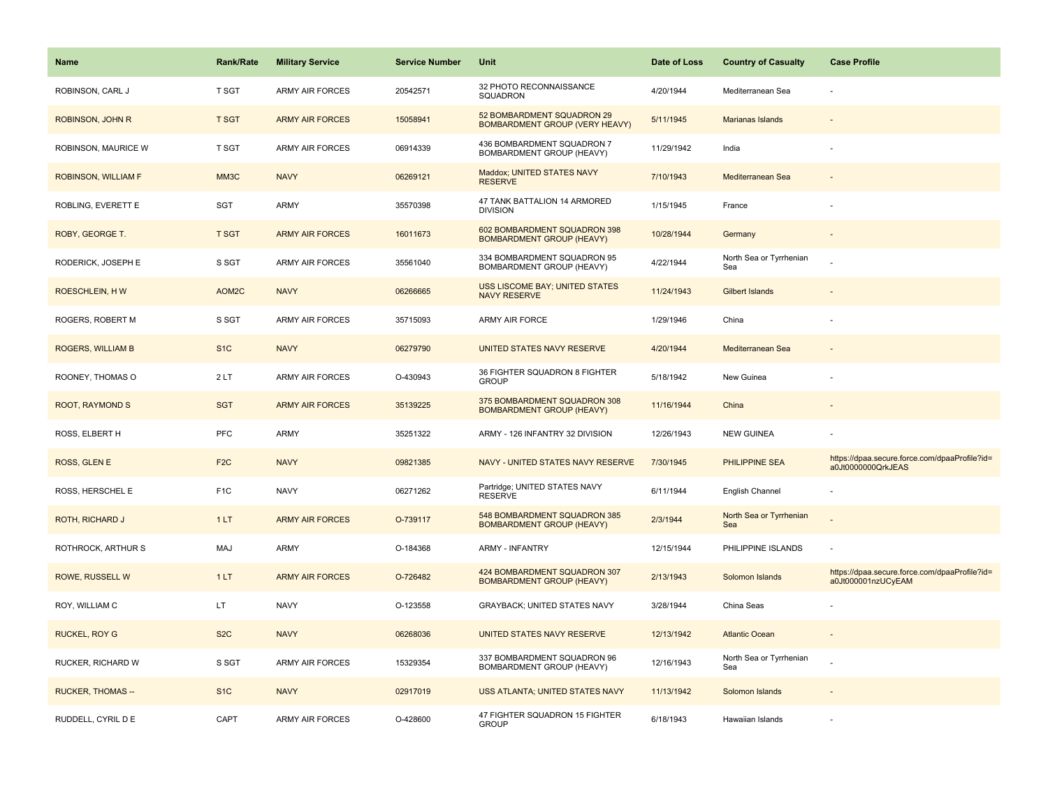| <b>Name</b>              | <b>Rank/Rate</b> | <b>Military Service</b> | <b>Service Number</b> | Unit                                                                | Date of Loss | <b>Country of Casualty</b>     | <b>Case Profile</b>                                                 |
|--------------------------|------------------|-------------------------|-----------------------|---------------------------------------------------------------------|--------------|--------------------------------|---------------------------------------------------------------------|
| ROBINSON, CARL J         | T SGT            | ARMY AIR FORCES         | 20542571              | 32 PHOTO RECONNAISSANCE<br>SQUADRON                                 | 4/20/1944    | Mediterranean Sea              |                                                                     |
| ROBINSON, JOHN R         | <b>T SGT</b>     | <b>ARMY AIR FORCES</b>  | 15058941              | 52 BOMBARDMENT SQUADRON 29<br><b>BOMBARDMENT GROUP (VERY HEAVY)</b> | 5/11/1945    | Marianas Islands               |                                                                     |
| ROBINSON, MAURICE W      | T SGT            | <b>ARMY AIR FORCES</b>  | 06914339              | 436 BOMBARDMENT SQUADRON 7<br>BOMBARDMENT GROUP (HEAVY)             | 11/29/1942   | India                          |                                                                     |
| ROBINSON, WILLIAM F      | MM3C             | <b>NAVY</b>             | 06269121              | Maddox; UNITED STATES NAVY<br><b>RESERVE</b>                        | 7/10/1943    | Mediterranean Sea              |                                                                     |
| ROBLING, EVERETT E       | <b>SGT</b>       | ARMY                    | 35570398              | 47 TANK BATTALION 14 ARMORED<br><b>DIVISION</b>                     | 1/15/1945    | France                         |                                                                     |
| ROBY, GEORGE T.          | <b>T SGT</b>     | <b>ARMY AIR FORCES</b>  | 16011673              | 602 BOMBARDMENT SQUADRON 398<br><b>BOMBARDMENT GROUP (HEAVY)</b>    | 10/28/1944   | Germany                        |                                                                     |
| RODERICK, JOSEPH E       | S SGT            | <b>ARMY AIR FORCES</b>  | 35561040              | 334 BOMBARDMENT SQUADRON 95<br>BOMBARDMENT GROUP (HEAVY)            | 4/22/1944    | North Sea or Tyrrhenian<br>Sea |                                                                     |
| ROESCHLEIN, HW           | AOM2C            | <b>NAVY</b>             | 06266665              | <b>USS LISCOME BAY; UNITED STATES</b><br><b>NAVY RESERVE</b>        | 11/24/1943   | <b>Gilbert Islands</b>         |                                                                     |
| ROGERS, ROBERT M         | S SGT            | <b>ARMY AIR FORCES</b>  | 35715093              | ARMY AIR FORCE                                                      | 1/29/1946    | China                          |                                                                     |
| ROGERS, WILLIAM B        | S <sub>1</sub> C | <b>NAVY</b>             | 06279790              | UNITED STATES NAVY RESERVE                                          | 4/20/1944    | Mediterranean Sea              |                                                                     |
| ROONEY, THOMAS O         | 2LT              | ARMY AIR FORCES         | O-430943              | 36 FIGHTER SQUADRON 8 FIGHTER<br><b>GROUP</b>                       | 5/18/1942    | New Guinea                     |                                                                     |
| <b>ROOT, RAYMOND S</b>   | <b>SGT</b>       | <b>ARMY AIR FORCES</b>  | 35139225              | 375 BOMBARDMENT SQUADRON 308<br><b>BOMBARDMENT GROUP (HEAVY)</b>    | 11/16/1944   | China                          |                                                                     |
| ROSS, ELBERT H           | <b>PFC</b>       | <b>ARMY</b>             | 35251322              | ARMY - 126 INFANTRY 32 DIVISION                                     | 12/26/1943   | <b>NEW GUINEA</b>              |                                                                     |
| ROSS, GLEN E             | F <sub>2C</sub>  | <b>NAVY</b>             | 09821385              | NAVY - UNITED STATES NAVY RESERVE                                   | 7/30/1945    | PHILIPPINE SEA                 | https://dpaa.secure.force.com/dpaaProfile?id=<br>a0Jt0000000QrkJEAS |
| ROSS, HERSCHEL E         | F <sub>1</sub> C | <b>NAVY</b>             | 06271262              | Partridge; UNITED STATES NAVY<br><b>RESERVE</b>                     | 6/11/1944    | English Channel                |                                                                     |
| <b>ROTH, RICHARD J</b>   | 1LT              | <b>ARMY AIR FORCES</b>  | O-739117              | 548 BOMBARDMENT SQUADRON 385<br><b>BOMBARDMENT GROUP (HEAVY)</b>    | 2/3/1944     | North Sea or Tyrrhenian<br>Sea |                                                                     |
| ROTHROCK, ARTHUR S       | MAJ              | ARMY                    | O-184368              | <b>ARMY - INFANTRY</b>                                              | 12/15/1944   | PHILIPPINE ISLANDS             |                                                                     |
| ROWE, RUSSELL W          | 1LT              | <b>ARMY AIR FORCES</b>  | O-726482              | 424 BOMBARDMENT SQUADRON 307<br><b>BOMBARDMENT GROUP (HEAVY)</b>    | 2/13/1943    | Solomon Islands                | https://dpaa.secure.force.com/dpaaProfile?id=<br>a0Jt000001nzUCyEAM |
| ROY, WILLIAM C           | LT               | <b>NAVY</b>             | O-123558              | GRAYBACK; UNITED STATES NAVY                                        | 3/28/1944    | China Seas                     |                                                                     |
| <b>RUCKEL, ROY G</b>     | S <sub>2</sub> C | <b>NAVY</b>             | 06268036              | UNITED STATES NAVY RESERVE                                          | 12/13/1942   | <b>Atlantic Ocean</b>          |                                                                     |
| RUCKER, RICHARD W        | S SGT            | <b>ARMY AIR FORCES</b>  | 15329354              | 337 BOMBARDMENT SQUADRON 96<br>BOMBARDMENT GROUP (HEAVY)            | 12/16/1943   | North Sea or Tyrrhenian<br>Sea |                                                                     |
| <b>RUCKER, THOMAS --</b> | S <sub>1</sub> C | <b>NAVY</b>             | 02917019              | USS ATLANTA; UNITED STATES NAVY                                     | 11/13/1942   | Solomon Islands                |                                                                     |
| RUDDELL, CYRIL D E       | CAPT             | <b>ARMY AIR FORCES</b>  | O-428600              | 47 FIGHTER SQUADRON 15 FIGHTER<br><b>GROUP</b>                      | 6/18/1943    | Hawaiian Islands               |                                                                     |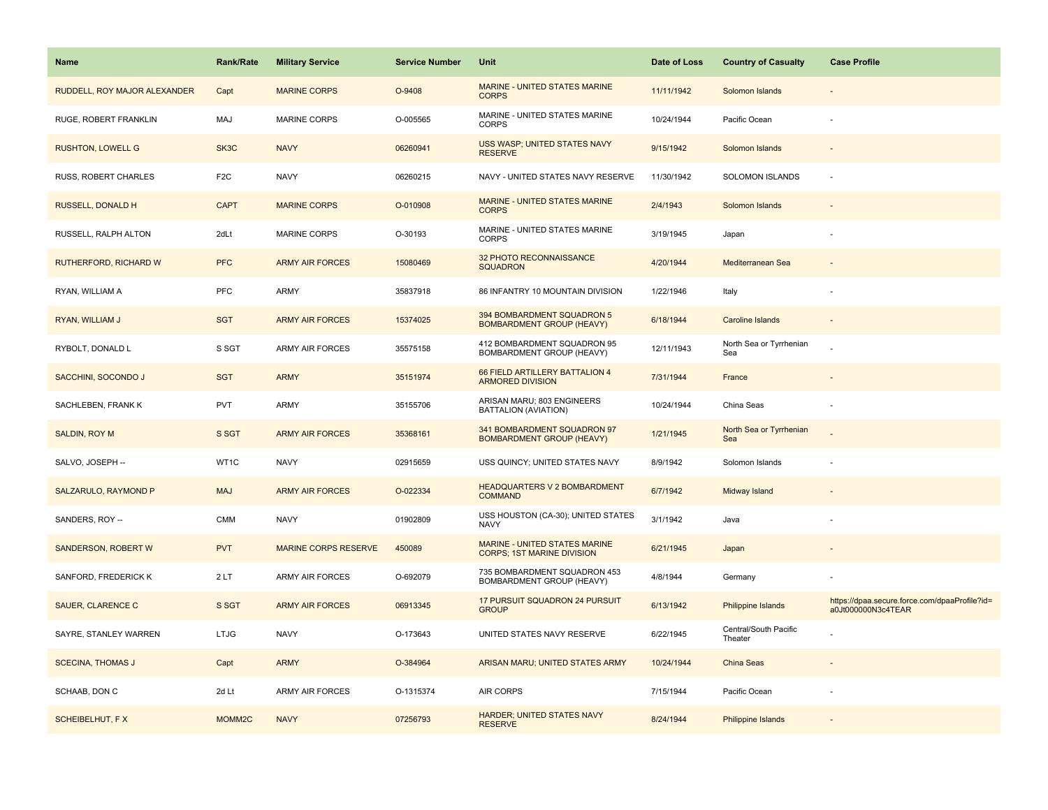| <b>Name</b>                  | <b>Rank/Rate</b>   | <b>Military Service</b>     | <b>Service Number</b> | Unit                                                               | Date of Loss | <b>Country of Casualty</b>       | <b>Case Profile</b>                                                 |
|------------------------------|--------------------|-----------------------------|-----------------------|--------------------------------------------------------------------|--------------|----------------------------------|---------------------------------------------------------------------|
| RUDDELL, ROY MAJOR ALEXANDER | Capt               | <b>MARINE CORPS</b>         | O-9408                | MARINE - UNITED STATES MARINE<br><b>CORPS</b>                      | 11/11/1942   | Solomon Islands                  |                                                                     |
| RUGE, ROBERT FRANKLIN        | <b>MAJ</b>         | <b>MARINE CORPS</b>         | O-005565              | MARINE - UNITED STATES MARINE<br>CORPS                             | 10/24/1944   | Pacific Ocean                    |                                                                     |
| <b>RUSHTON, LOWELL G</b>     | SK3C               | <b>NAVY</b>                 | 06260941              | USS WASP; UNITED STATES NAVY<br><b>RESERVE</b>                     | 9/15/1942    | Solomon Islands                  |                                                                     |
| <b>RUSS, ROBERT CHARLES</b>  | F <sub>2</sub> C   | <b>NAVY</b>                 | 06260215              | NAVY - UNITED STATES NAVY RESERVE                                  | 11/30/1942   | <b>SOLOMON ISLANDS</b>           |                                                                     |
| RUSSELL, DONALD H            | <b>CAPT</b>        | <b>MARINE CORPS</b>         | O-010908              | MARINE - UNITED STATES MARINE<br><b>CORPS</b>                      | 2/4/1943     | Solomon Islands                  |                                                                     |
| RUSSELL, RALPH ALTON         | 2dLt               | <b>MARINE CORPS</b>         | O-30193               | MARINE - UNITED STATES MARINE<br><b>CORPS</b>                      | 3/19/1945    | Japan                            |                                                                     |
| <b>RUTHERFORD, RICHARD W</b> | <b>PFC</b>         | <b>ARMY AIR FORCES</b>      | 15080469              | 32 PHOTO RECONNAISSANCE<br><b>SQUADRON</b>                         | 4/20/1944    | Mediterranean Sea                |                                                                     |
| RYAN, WILLIAM A              | PFC                | <b>ARMY</b>                 | 35837918              | 86 INFANTRY 10 MOUNTAIN DIVISION                                   | 1/22/1946    | Italy                            |                                                                     |
| RYAN, WILLIAM J              | <b>SGT</b>         | <b>ARMY AIR FORCES</b>      | 15374025              | 394 BOMBARDMENT SQUADRON 5<br><b>BOMBARDMENT GROUP (HEAVY)</b>     | 6/18/1944    | <b>Caroline Islands</b>          |                                                                     |
| RYBOLT, DONALD L             | S SGT              | <b>ARMY AIR FORCES</b>      | 35575158              | 412 BOMBARDMENT SQUADRON 95<br>BOMBARDMENT GROUP (HEAVY)           | 12/11/1943   | North Sea or Tyrrhenian<br>Sea   |                                                                     |
| SACCHINI, SOCONDO J          | <b>SGT</b>         | <b>ARMY</b>                 | 35151974              | 66 FIELD ARTILLERY BATTALION 4<br><b>ARMORED DIVISION</b>          | 7/31/1944    | France                           |                                                                     |
| SACHLEBEN, FRANK K           | <b>PVT</b>         | <b>ARMY</b>                 | 35155706              | ARISAN MARU; 803 ENGINEERS<br>BATTALION (AVIATION)                 | 10/24/1944   | China Seas                       |                                                                     |
| <b>SALDIN, ROY M</b>         | S SGT              | <b>ARMY AIR FORCES</b>      | 35368161              | 341 BOMBARDMENT SQUADRON 97<br><b>BOMBARDMENT GROUP (HEAVY)</b>    | 1/21/1945    | North Sea or Tyrrhenian<br>Sea   |                                                                     |
| SALVO, JOSEPH --             | WT1C               | <b>NAVY</b>                 | 02915659              | USS QUINCY; UNITED STATES NAVY                                     | 8/9/1942     | Solomon Islands                  |                                                                     |
| SALZARULO, RAYMOND P         | <b>MAJ</b>         | <b>ARMY AIR FORCES</b>      | O-022334              | <b>HEADQUARTERS V 2 BOMBARDMENT</b><br><b>COMMAND</b>              | 6/7/1942     | Midway Island                    |                                                                     |
| SANDERS, ROY --              | <b>CMM</b>         | <b>NAVY</b>                 | 01902809              | USS HOUSTON (CA-30); UNITED STATES<br><b>NAVY</b>                  | 3/1/1942     | Java                             |                                                                     |
| <b>SANDERSON, ROBERT W</b>   | <b>PVT</b>         | <b>MARINE CORPS RESERVE</b> | 450089                | MARINE - UNITED STATES MARINE<br><b>CORPS; 1ST MARINE DIVISION</b> | 6/21/1945    | Japan                            |                                                                     |
| SANFORD, FREDERICK K         | 2LT                | <b>ARMY AIR FORCES</b>      | O-692079              | 735 BOMBARDMENT SQUADRON 453<br>BOMBARDMENT GROUP (HEAVY)          | 4/8/1944     | Germany                          |                                                                     |
| SAUER, CLARENCE C            | S SGT              | <b>ARMY AIR FORCES</b>      | 06913345              | 17 PURSUIT SQUADRON 24 PURSUIT<br><b>GROUP</b>                     | 6/13/1942    | Philippine Islands               | https://dpaa.secure.force.com/dpaaProfile?id=<br>a0Jt000000N3c4TEAR |
| SAYRE, STANLEY WARREN        | <b>LTJG</b>        | <b>NAVY</b>                 | O-173643              | UNITED STATES NAVY RESERVE                                         | 6/22/1945    | Central/South Pacific<br>Theater |                                                                     |
| <b>SCECINA, THOMAS J</b>     | Capt               | <b>ARMY</b>                 | O-384964              | ARISAN MARU; UNITED STATES ARMY                                    | 10/24/1944   | China Seas                       |                                                                     |
| SCHAAB, DON C                | 2d Lt              | <b>ARMY AIR FORCES</b>      | O-1315374             | <b>AIR CORPS</b>                                                   | 7/15/1944    | Pacific Ocean                    |                                                                     |
| <b>SCHEIBELHUT, FX</b>       | MOMM <sub>2C</sub> | <b>NAVY</b>                 | 07256793              | <b>HARDER; UNITED STATES NAVY</b><br><b>RESERVE</b>                | 8/24/1944    | Philippine Islands               |                                                                     |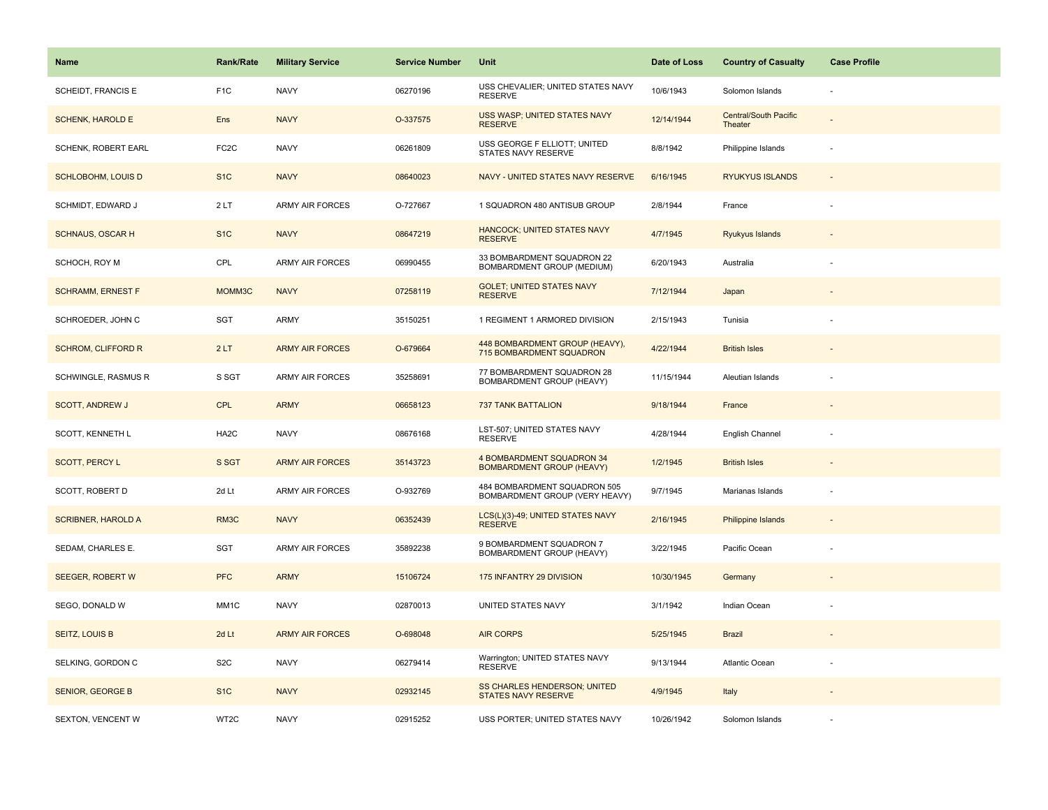| <b>Name</b>               | <b>Rank/Rate</b>  | <b>Military Service</b> | <b>Service Number</b> | Unit                                                           | Date of Loss | <b>Country of Casualty</b>              | <b>Case Profile</b> |
|---------------------------|-------------------|-------------------------|-----------------------|----------------------------------------------------------------|--------------|-----------------------------------------|---------------------|
| SCHEIDT, FRANCIS E        | F <sub>1</sub> C  | <b>NAVY</b>             | 06270196              | USS CHEVALIER; UNITED STATES NAVY<br><b>RESERVE</b>            | 10/6/1943    | Solomon Islands                         |                     |
| <b>SCHENK, HAROLD E</b>   | Ens               | <b>NAVY</b>             | O-337575              | USS WASP; UNITED STATES NAVY<br><b>RESERVE</b>                 | 12/14/1944   | <b>Central/South Pacific</b><br>Theater |                     |
| SCHENK, ROBERT EARL       | FC <sub>2</sub> C | <b>NAVY</b>             | 06261809              | USS GEORGE F ELLIOTT; UNITED<br>STATES NAVY RESERVE            | 8/8/1942     | Philippine Islands                      |                     |
| <b>SCHLOBOHM, LOUIS D</b> | S <sub>1</sub> C  | <b>NAVY</b>             | 08640023              | NAVY - UNITED STATES NAVY RESERVE                              | 6/16/1945    | <b>RYUKYUS ISLANDS</b>                  |                     |
| SCHMIDT, EDWARD J         | 2LT               | <b>ARMY AIR FORCES</b>  | O-727667              | 1 SQUADRON 480 ANTISUB GROUP                                   | 2/8/1944     | France                                  |                     |
| <b>SCHNAUS, OSCAR H</b>   | S <sub>1</sub> C  | <b>NAVY</b>             | 08647219              | <b>HANCOCK; UNITED STATES NAVY</b><br><b>RESERVE</b>           | 4/7/1945     | Ryukyus Islands                         |                     |
| SCHOCH, ROY M             | CPL               | <b>ARMY AIR FORCES</b>  | 06990455              | 33 BOMBARDMENT SQUADRON 22<br>BOMBARDMENT GROUP (MEDIUM)       | 6/20/1943    | Australia                               |                     |
| <b>SCHRAMM, ERNEST F</b>  | MOMM3C            | <b>NAVY</b>             | 07258119              | <b>GOLET; UNITED STATES NAVY</b><br><b>RESERVE</b>             | 7/12/1944    | Japan                                   |                     |
| SCHROEDER, JOHN C         | <b>SGT</b>        | <b>ARMY</b>             | 35150251              | 1 REGIMENT 1 ARMORED DIVISION                                  | 2/15/1943    | Tunisia                                 |                     |
| <b>SCHROM, CLIFFORD R</b> | 2LT               | <b>ARMY AIR FORCES</b>  | O-679664              | 448 BOMBARDMENT GROUP (HEAVY),<br>715 BOMBARDMENT SQUADRON     | 4/22/1944    | <b>British Isles</b>                    |                     |
| SCHWINGLE, RASMUS R       | S SGT             | <b>ARMY AIR FORCES</b>  | 35258691              | 77 BOMBARDMENT SQUADRON 28<br>BOMBARDMENT GROUP (HEAVY)        | 11/15/1944   | Aleutian Islands                        |                     |
| <b>SCOTT, ANDREW J</b>    | <b>CPL</b>        | <b>ARMY</b>             | 06658123              | <b>737 TANK BATTALION</b>                                      | 9/18/1944    | France                                  |                     |
| SCOTT, KENNETH L          | HA <sub>2</sub> C | <b>NAVY</b>             | 08676168              | LST-507; UNITED STATES NAVY<br><b>RESERVE</b>                  | 4/28/1944    | English Channel                         |                     |
| <b>SCOTT, PERCY L</b>     | S SGT             | <b>ARMY AIR FORCES</b>  | 35143723              | 4 BOMBARDMENT SQUADRON 34<br><b>BOMBARDMENT GROUP (HEAVY)</b>  | 1/2/1945     | <b>British Isles</b>                    |                     |
| SCOTT, ROBERT D           | 2d Lt             | ARMY AIR FORCES         | O-932769              | 484 BOMBARDMENT SQUADRON 505<br>BOMBARDMENT GROUP (VERY HEAVY) | 9/7/1945     | Marianas Islands                        |                     |
| <b>SCRIBNER, HAROLD A</b> | RM3C              | <b>NAVY</b>             | 06352439              | LCS(L)(3)-49; UNITED STATES NAVY<br><b>RESERVE</b>             | 2/16/1945    | <b>Philippine Islands</b>               |                     |
| SEDAM, CHARLES E.         | SGT               | <b>ARMY AIR FORCES</b>  | 35892238              | 9 BOMBARDMENT SQUADRON 7<br>BOMBARDMENT GROUP (HEAVY)          | 3/22/1945    | Pacific Ocean                           |                     |
| <b>SEEGER, ROBERT W</b>   | <b>PFC</b>        | <b>ARMY</b>             | 15106724              | 175 INFANTRY 29 DIVISION                                       | 10/30/1945   | Germany                                 |                     |
| SEGO, DONALD W            | MM1C              | <b>NAVY</b>             | 02870013              | UNITED STATES NAVY                                             | 3/1/1942     | Indian Ocean                            |                     |
| <b>SEITZ, LOUIS B</b>     | 2d Lt             | <b>ARMY AIR FORCES</b>  | O-698048              | <b>AIR CORPS</b>                                               | 5/25/1945    | <b>Brazil</b>                           |                     |
| SELKING, GORDON C         | S <sub>2</sub> C  | <b>NAVY</b>             | 06279414              | Warrington; UNITED STATES NAVY<br><b>RESERVE</b>               | 9/13/1944    | Atlantic Ocean                          |                     |
| <b>SENIOR, GEORGE B</b>   | S <sub>1</sub> C  | <b>NAVY</b>             | 02932145              | SS CHARLES HENDERSON; UNITED<br>STATES NAVY RESERVE            | 4/9/1945     | Italy                                   |                     |
| <b>SEXTON, VENCENT W</b>  | WT2C              | <b>NAVY</b>             | 02915252              | USS PORTER; UNITED STATES NAVY                                 | 10/26/1942   | Solomon Islands                         |                     |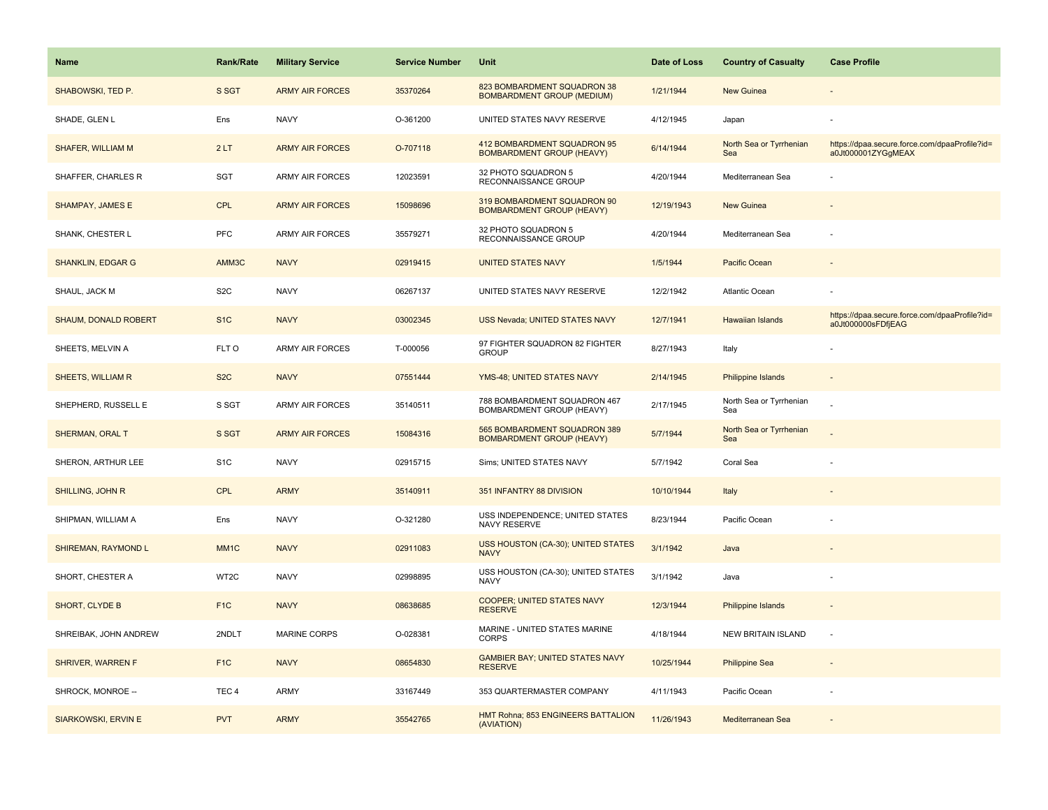| <b>Name</b>                | Rank/Rate         | <b>Military Service</b> | <b>Service Number</b> | Unit                                                             | Date of Loss | <b>Country of Casualty</b>     | <b>Case Profile</b>                                                 |
|----------------------------|-------------------|-------------------------|-----------------------|------------------------------------------------------------------|--------------|--------------------------------|---------------------------------------------------------------------|
| SHABOWSKI, TED P.          | S SGT             | <b>ARMY AIR FORCES</b>  | 35370264              | 823 BOMBARDMENT SQUADRON 38<br><b>BOMBARDMENT GROUP (MEDIUM)</b> | 1/21/1944    | <b>New Guinea</b>              |                                                                     |
| SHADE, GLEN L              | Ens               | <b>NAVY</b>             | O-361200              | UNITED STATES NAVY RESERVE                                       | 4/12/1945    | Japan                          |                                                                     |
| SHAFER, WILLIAM M          | 2LT               | <b>ARMY AIR FORCES</b>  | O-707118              | 412 BOMBARDMENT SQUADRON 95<br><b>BOMBARDMENT GROUP (HEAVY)</b>  | 6/14/1944    | North Sea or Tyrrhenian<br>Sea | https://dpaa.secure.force.com/dpaaProfile?id=<br>a0Jt000001ZYGgMEAX |
| SHAFFER, CHARLES R         | SGT               | <b>ARMY AIR FORCES</b>  | 12023591              | 32 PHOTO SQUADRON 5<br>RECONNAISSANCE GROUP                      | 4/20/1944    | Mediterranean Sea              |                                                                     |
| <b>SHAMPAY, JAMES E</b>    | <b>CPL</b>        | <b>ARMY AIR FORCES</b>  | 15098696              | 319 BOMBARDMENT SQUADRON 90<br><b>BOMBARDMENT GROUP (HEAVY)</b>  | 12/19/1943   | <b>New Guinea</b>              |                                                                     |
| SHANK, CHESTER L           | <b>PFC</b>        | <b>ARMY AIR FORCES</b>  | 35579271              | 32 PHOTO SQUADRON 5<br>RECONNAISSANCE GROUP                      | 4/20/1944    | Mediterranean Sea              |                                                                     |
| <b>SHANKLIN, EDGAR G</b>   | AMM3C             | <b>NAVY</b>             | 02919415              | <b>UNITED STATES NAVY</b>                                        | 1/5/1944     | Pacific Ocean                  |                                                                     |
| SHAUL, JACK M              | S <sub>2</sub> C  | <b>NAVY</b>             | 06267137              | UNITED STATES NAVY RESERVE                                       | 12/2/1942    | Atlantic Ocean                 |                                                                     |
| SHAUM, DONALD ROBERT       | S <sub>1</sub> C  | <b>NAVY</b>             | 03002345              | USS Nevada; UNITED STATES NAVY                                   | 12/7/1941    | Hawaiian Islands               | https://dpaa.secure.force.com/dpaaProfile?id=<br>a0Jt000000sFDfjEAG |
| SHEETS, MELVIN A           | FLT O             | <b>ARMY AIR FORCES</b>  | T-000056              | 97 FIGHTER SQUADRON 82 FIGHTER<br><b>GROUP</b>                   | 8/27/1943    | Italy                          |                                                                     |
| SHEETS, WILLIAM R          | S <sub>2</sub> C  | <b>NAVY</b>             | 07551444              | YMS-48; UNITED STATES NAVY                                       | 2/14/1945    | <b>Philippine Islands</b>      |                                                                     |
| SHEPHERD, RUSSELL E        | S SGT             | <b>ARMY AIR FORCES</b>  | 35140511              | 788 BOMBARDMENT SQUADRON 467<br>BOMBARDMENT GROUP (HEAVY)        | 2/17/1945    | North Sea or Tyrrhenian<br>Sea |                                                                     |
| SHERMAN, ORAL T            | S SGT             | <b>ARMY AIR FORCES</b>  | 15084316              | 565 BOMBARDMENT SQUADRON 389<br><b>BOMBARDMENT GROUP (HEAVY)</b> | 5/7/1944     | North Sea or Tyrrhenian<br>Sea |                                                                     |
| SHERON, ARTHUR LEE         | S <sub>1</sub> C  | <b>NAVY</b>             | 02915715              | Sims; UNITED STATES NAVY                                         | 5/7/1942     | Coral Sea                      |                                                                     |
| SHILLING, JOHN R           | <b>CPL</b>        | <b>ARMY</b>             | 35140911              | 351 INFANTRY 88 DIVISION                                         | 10/10/1944   | Italy                          |                                                                     |
| SHIPMAN, WILLIAM A         | Ens               | <b>NAVY</b>             | O-321280              | USS INDEPENDENCE; UNITED STATES<br>NAVY RESERVE                  | 8/23/1944    | Pacific Ocean                  |                                                                     |
| SHIREMAN, RAYMOND L        | MM <sub>1</sub> C | <b>NAVY</b>             | 02911083              | USS HOUSTON (CA-30); UNITED STATES<br><b>NAVY</b>                | 3/1/1942     | Java                           |                                                                     |
| SHORT, CHESTER A           | WT2C              | <b>NAVY</b>             | 02998895              | USS HOUSTON (CA-30); UNITED STATES<br><b>NAVY</b>                | 3/1/1942     | Java                           |                                                                     |
| <b>SHORT, CLYDE B</b>      | F <sub>1</sub> C  | <b>NAVY</b>             | 08638685              | COOPER; UNITED STATES NAVY<br><b>RESERVE</b>                     | 12/3/1944    | <b>Philippine Islands</b>      |                                                                     |
| SHREIBAK, JOHN ANDREW      | 2NDLT             | <b>MARINE CORPS</b>     | O-028381              | MARINE - UNITED STATES MARINE<br><b>CORPS</b>                    | 4/18/1944    | <b>NEW BRITAIN ISLAND</b>      | ÷,                                                                  |
| <b>SHRIVER, WARREN F</b>   | F <sub>1</sub> C  | <b>NAVY</b>             | 08654830              | <b>GAMBIER BAY; UNITED STATES NAVY</b><br><b>RESERVE</b>         | 10/25/1944   | <b>Philippine Sea</b>          |                                                                     |
| SHROCK, MONROE --          | TEC <sub>4</sub>  | ARMY                    | 33167449              | 353 QUARTERMASTER COMPANY                                        | 4/11/1943    | Pacific Ocean                  |                                                                     |
| <b>SIARKOWSKI, ERVIN E</b> | <b>PVT</b>        | <b>ARMY</b>             | 35542765              | HMT Rohna; 853 ENGINEERS BATTALION<br>(AVIATION)                 | 11/26/1943   | Mediterranean Sea              |                                                                     |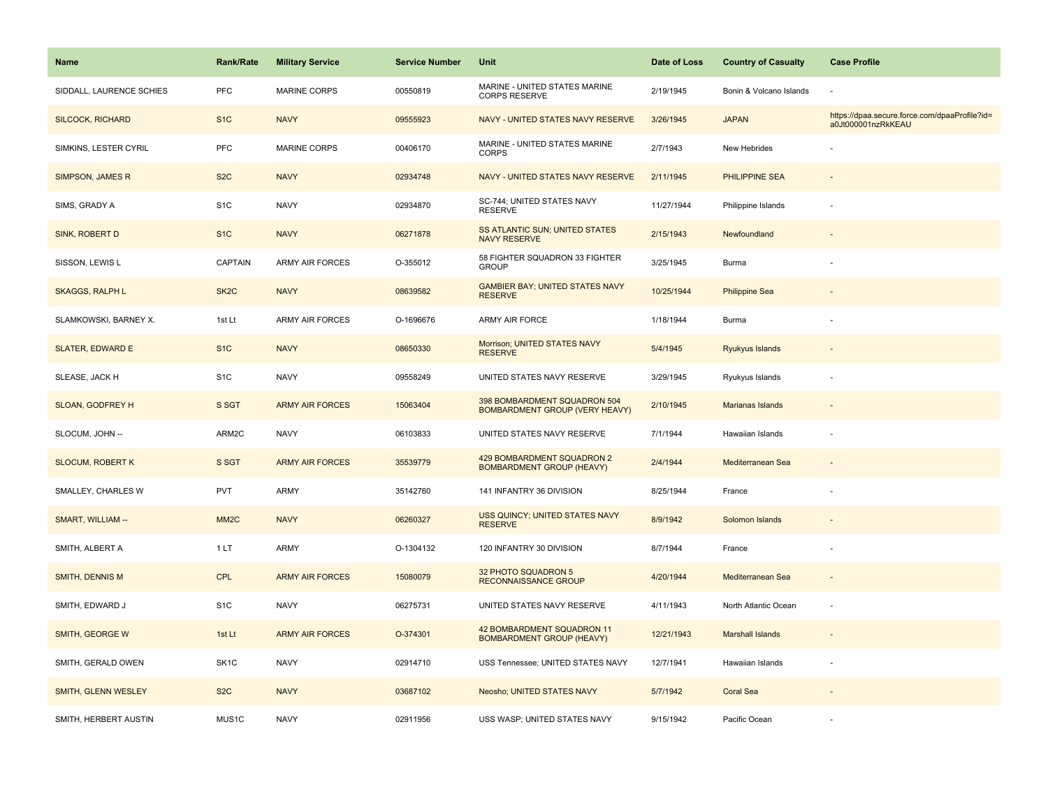| <b>Name</b>              | <b>Rank/Rate</b>  | <b>Military Service</b> | <b>Service Number</b> | Unit                                                                  | Date of Loss | <b>Country of Casualty</b> | <b>Case Profile</b>                                                 |
|--------------------------|-------------------|-------------------------|-----------------------|-----------------------------------------------------------------------|--------------|----------------------------|---------------------------------------------------------------------|
| SIDDALL, LAURENCE SCHIES | PFC               | <b>MARINE CORPS</b>     | 00550819              | MARINE - UNITED STATES MARINE<br><b>CORPS RESERVE</b>                 | 2/19/1945    | Bonin & Volcano Islands    |                                                                     |
| <b>SILCOCK, RICHARD</b>  | S <sub>1</sub> C  | <b>NAVY</b>             | 09555923              | NAVY - UNITED STATES NAVY RESERVE                                     | 3/26/1945    | <b>JAPAN</b>               | https://dpaa.secure.force.com/dpaaProfile?id=<br>a0Jt000001nzRkKEAU |
| SIMKINS, LESTER CYRIL    | <b>PFC</b>        | <b>MARINE CORPS</b>     | 00406170              | MARINE - UNITED STATES MARINE<br><b>CORPS</b>                         | 2/7/1943     | New Hebrides               |                                                                     |
| SIMPSON, JAMES R         | S <sub>2</sub> C  | <b>NAVY</b>             | 02934748              | NAVY - UNITED STATES NAVY RESERVE                                     | 2/11/1945    | <b>PHILIPPINE SEA</b>      |                                                                     |
| SIMS, GRADY A            | S <sub>1</sub> C  | <b>NAVY</b>             | 02934870              | SC-744; UNITED STATES NAVY<br><b>RESERVE</b>                          | 11/27/1944   | Philippine Islands         |                                                                     |
| <b>SINK, ROBERT D</b>    | S <sub>1</sub> C  | <b>NAVY</b>             | 06271878              | <b>SS ATLANTIC SUN; UNITED STATES</b><br><b>NAVY RESERVE</b>          | 2/15/1943    | Newfoundland               |                                                                     |
| SISSON, LEWIS L          | CAPTAIN           | <b>ARMY AIR FORCES</b>  | O-355012              | 58 FIGHTER SQUADRON 33 FIGHTER<br><b>GROUP</b>                        | 3/25/1945    | Burma                      |                                                                     |
| <b>SKAGGS, RALPH L</b>   | SK <sub>2</sub> C | <b>NAVY</b>             | 08639582              | <b>GAMBIER BAY; UNITED STATES NAVY</b><br><b>RESERVE</b>              | 10/25/1944   | <b>Philippine Sea</b>      |                                                                     |
| SLAMKOWSKI, BARNEY X.    | 1st Lt            | <b>ARMY AIR FORCES</b>  | O-1696676             | ARMY AIR FORCE                                                        | 1/18/1944    | Burma                      |                                                                     |
| <b>SLATER, EDWARD E</b>  | S <sub>1</sub> C  | <b>NAVY</b>             | 08650330              | Morrison; UNITED STATES NAVY<br><b>RESERVE</b>                        | 5/4/1945     | Ryukyus Islands            |                                                                     |
| SLEASE, JACK H           | S <sub>1</sub> C  | <b>NAVY</b>             | 09558249              | UNITED STATES NAVY RESERVE                                            | 3/29/1945    | Ryukyus Islands            |                                                                     |
| SLOAN, GODFREY H         | S SGT             | <b>ARMY AIR FORCES</b>  | 15063404              | 398 BOMBARDMENT SQUADRON 504<br><b>BOMBARDMENT GROUP (VERY HEAVY)</b> | 2/10/1945    | Marianas Islands           |                                                                     |
| SLOCUM, JOHN-            | ARM2C             | <b>NAVY</b>             | 06103833              | UNITED STATES NAVY RESERVE                                            | 7/1/1944     | Hawaiian Islands           |                                                                     |
| <b>SLOCUM, ROBERT K</b>  | S SGT             | <b>ARMY AIR FORCES</b>  | 35539779              | 429 BOMBARDMENT SQUADRON 2<br><b>BOMBARDMENT GROUP (HEAVY)</b>        | 2/4/1944     | Mediterranean Sea          |                                                                     |
| SMALLEY, CHARLES W       | PVT               | <b>ARMY</b>             | 35142760              | 141 INFANTRY 36 DIVISION                                              | 8/25/1944    | France                     |                                                                     |
| SMART, WILLIAM --        | MM <sub>2</sub> C | <b>NAVY</b>             | 06260327              | USS QUINCY; UNITED STATES NAVY<br><b>RESERVE</b>                      | 8/9/1942     | Solomon Islands            |                                                                     |
| SMITH, ALBERT A          | 1LT               | <b>ARMY</b>             | O-1304132             | 120 INFANTRY 30 DIVISION                                              | 8/7/1944     | France                     |                                                                     |
| <b>SMITH, DENNIS M</b>   | <b>CPL</b>        | <b>ARMY AIR FORCES</b>  | 15080079              | 32 PHOTO SQUADRON 5<br><b>RECONNAISSANCE GROUP</b>                    | 4/20/1944    | Mediterranean Sea          |                                                                     |
| SMITH, EDWARD J          | S <sub>1</sub> C  | <b>NAVY</b>             | 06275731              | UNITED STATES NAVY RESERVE                                            | 4/11/1943    | North Atlantic Ocean       | ÷,                                                                  |
| SMITH, GEORGE W          | 1st Lt            | <b>ARMY AIR FORCES</b>  | O-374301              | 42 BOMBARDMENT SQUADRON 11<br><b>BOMBARDMENT GROUP (HEAVY)</b>        | 12/21/1943   | <b>Marshall Islands</b>    |                                                                     |
| SMITH, GERALD OWEN       | SK <sub>1</sub> C | <b>NAVY</b>             | 02914710              | USS Tennessee; UNITED STATES NAVY                                     | 12/7/1941    | Hawaiian Islands           | ÷,                                                                  |
| SMITH, GLENN WESLEY      | S <sub>2</sub> C  | <b>NAVY</b>             | 03687102              | Neosho; UNITED STATES NAVY                                            | 5/7/1942     | <b>Coral Sea</b>           |                                                                     |
| SMITH, HERBERT AUSTIN    | MUS1C             | <b>NAVY</b>             | 02911956              | USS WASP; UNITED STATES NAVY                                          | 9/15/1942    | Pacific Ocean              |                                                                     |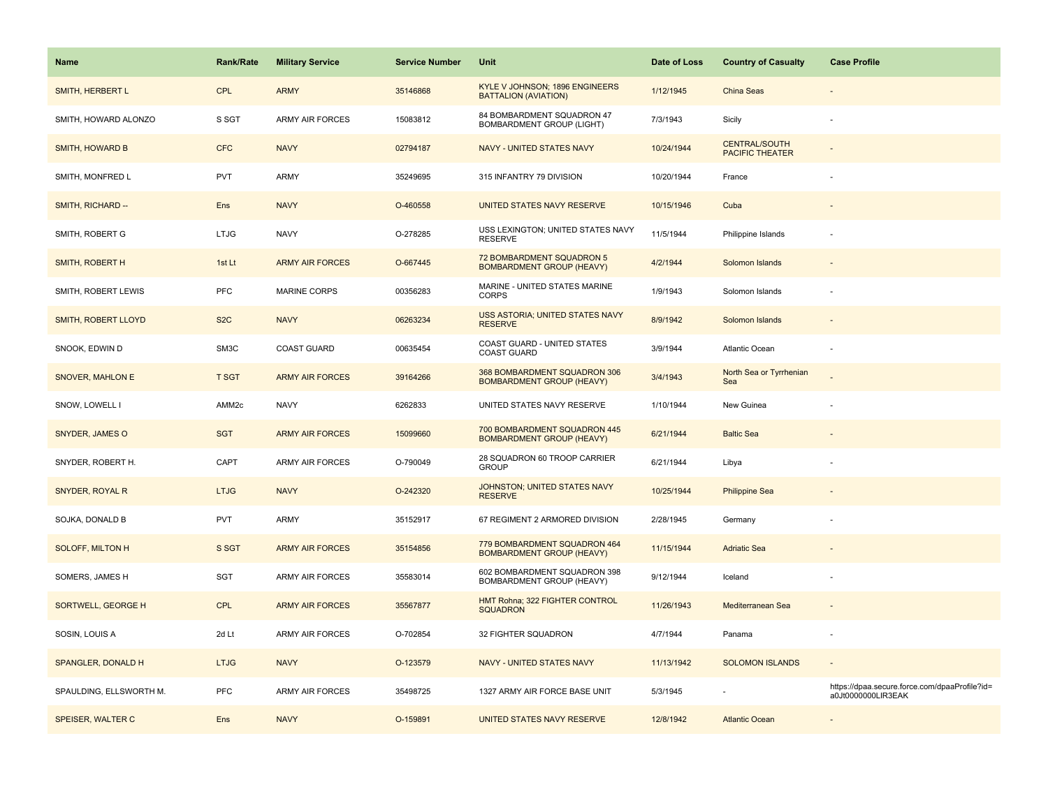| <b>Name</b>               | <b>Rank/Rate</b>  | <b>Military Service</b> | <b>Service Number</b> | Unit                                                             | Date of Loss | <b>Country of Casualty</b>                     | <b>Case Profile</b>                                                 |
|---------------------------|-------------------|-------------------------|-----------------------|------------------------------------------------------------------|--------------|------------------------------------------------|---------------------------------------------------------------------|
| SMITH, HERBERT L          | <b>CPL</b>        | <b>ARMY</b>             | 35146868              | KYLE V JOHNSON; 1896 ENGINEERS<br><b>BATTALION (AVIATION)</b>    | 1/12/1945    | China Seas                                     |                                                                     |
| SMITH, HOWARD ALONZO      | S SGT             | <b>ARMY AIR FORCES</b>  | 15083812              | 84 BOMBARDMENT SQUADRON 47<br>BOMBARDMENT GROUP (LIGHT)          | 7/3/1943     | Sicily                                         |                                                                     |
| <b>SMITH, HOWARD B</b>    | <b>CFC</b>        | <b>NAVY</b>             | 02794187              | <b>NAVY - UNITED STATES NAVY</b>                                 | 10/24/1944   | <b>CENTRAL/SOUTH</b><br><b>PACIFIC THEATER</b> |                                                                     |
| SMITH, MONFRED L          | <b>PVT</b>        | ARMY                    | 35249695              | 315 INFANTRY 79 DIVISION                                         | 10/20/1944   | France                                         |                                                                     |
| SMITH, RICHARD --         | Ens               | <b>NAVY</b>             | O-460558              | UNITED STATES NAVY RESERVE                                       | 10/15/1946   | Cuba                                           |                                                                     |
| SMITH, ROBERT G           | <b>LTJG</b>       | <b>NAVY</b>             | O-278285              | USS LEXINGTON; UNITED STATES NAVY<br><b>RESERVE</b>              | 11/5/1944    | Philippine Islands                             |                                                                     |
| SMITH, ROBERT H           | 1st Lt            | <b>ARMY AIR FORCES</b>  | O-667445              | 72 BOMBARDMENT SQUADRON 5<br><b>BOMBARDMENT GROUP (HEAVY)</b>    | 4/2/1944     | Solomon Islands                                |                                                                     |
| SMITH, ROBERT LEWIS       | PFC               | MARINE CORPS            | 00356283              | MARINE - UNITED STATES MARINE<br><b>CORPS</b>                    | 1/9/1943     | Solomon Islands                                |                                                                     |
| SMITH, ROBERT LLOYD       | S <sub>2</sub> C  | <b>NAVY</b>             | 06263234              | USS ASTORIA; UNITED STATES NAVY<br><b>RESERVE</b>                | 8/9/1942     | Solomon Islands                                |                                                                     |
| SNOOK, EDWIN D            | SM3C              | COAST GUARD             | 00635454              | COAST GUARD - UNITED STATES<br><b>COAST GUARD</b>                | 3/9/1944     | Atlantic Ocean                                 |                                                                     |
| SNOVER, MAHLON E          | <b>T SGT</b>      | <b>ARMY AIR FORCES</b>  | 39164266              | 368 BOMBARDMENT SQUADRON 306<br><b>BOMBARDMENT GROUP (HEAVY)</b> | 3/4/1943     | North Sea or Tyrrhenian<br>Sea                 |                                                                     |
| SNOW, LOWELL I            | AMM <sub>2c</sub> | <b>NAVY</b>             | 6262833               | UNITED STATES NAVY RESERVE                                       | 1/10/1944    | New Guinea                                     |                                                                     |
| SNYDER, JAMES O           | <b>SGT</b>        | <b>ARMY AIR FORCES</b>  | 15099660              | 700 BOMBARDMENT SQUADRON 445<br><b>BOMBARDMENT GROUP (HEAVY)</b> | 6/21/1944    | <b>Baltic Sea</b>                              |                                                                     |
| SNYDER, ROBERT H.         | CAPT              | <b>ARMY AIR FORCES</b>  | O-790049              | 28 SQUADRON 60 TROOP CARRIER<br><b>GROUP</b>                     | 6/21/1944    | Libya                                          |                                                                     |
| SNYDER, ROYAL R           | <b>LTJG</b>       | <b>NAVY</b>             | O-242320              | JOHNSTON; UNITED STATES NAVY<br><b>RESERVE</b>                   | 10/25/1944   | <b>Philippine Sea</b>                          |                                                                     |
| SOJKA, DONALD B           | <b>PVT</b>        | ARMY                    | 35152917              | 67 REGIMENT 2 ARMORED DIVISION                                   | 2/28/1945    | Germany                                        |                                                                     |
| <b>SOLOFF, MILTON H</b>   | S SGT             | <b>ARMY AIR FORCES</b>  | 35154856              | 779 BOMBARDMENT SQUADRON 464<br><b>BOMBARDMENT GROUP (HEAVY)</b> | 11/15/1944   | <b>Adriatic Sea</b>                            |                                                                     |
| SOMERS, JAMES H           | <b>SGT</b>        | <b>ARMY AIR FORCES</b>  | 35583014              | 602 BOMBARDMENT SQUADRON 398<br>BOMBARDMENT GROUP (HEAVY)        | 9/12/1944    | Iceland                                        |                                                                     |
| <b>SORTWELL, GEORGE H</b> | CPL               | <b>ARMY AIR FORCES</b>  | 35567877              | HMT Rohna; 322 FIGHTER CONTROL<br><b>SQUADRON</b>                | 11/26/1943   | Mediterranean Sea                              |                                                                     |
| SOSIN, LOUIS A            | 2d Lt             | <b>ARMY AIR FORCES</b>  | O-702854              | 32 FIGHTER SQUADRON                                              | 4/7/1944     | Panama                                         |                                                                     |
| SPANGLER, DONALD H        | <b>LTJG</b>       | <b>NAVY</b>             | O-123579              | NAVY - UNITED STATES NAVY                                        | 11/13/1942   | <b>SOLOMON ISLANDS</b>                         |                                                                     |
| SPAULDING, ELLSWORTH M.   | <b>PFC</b>        | ARMY AIR FORCES         | 35498725              | 1327 ARMY AIR FORCE BASE UNIT                                    | 5/3/1945     |                                                | https://dpaa.secure.force.com/dpaaProfile?id=<br>a0Jt0000000LIR3EAK |
| SPEISER, WALTER C         | Ens               | <b>NAVY</b>             | O-159891              | UNITED STATES NAVY RESERVE                                       | 12/8/1942    | <b>Atlantic Ocean</b>                          |                                                                     |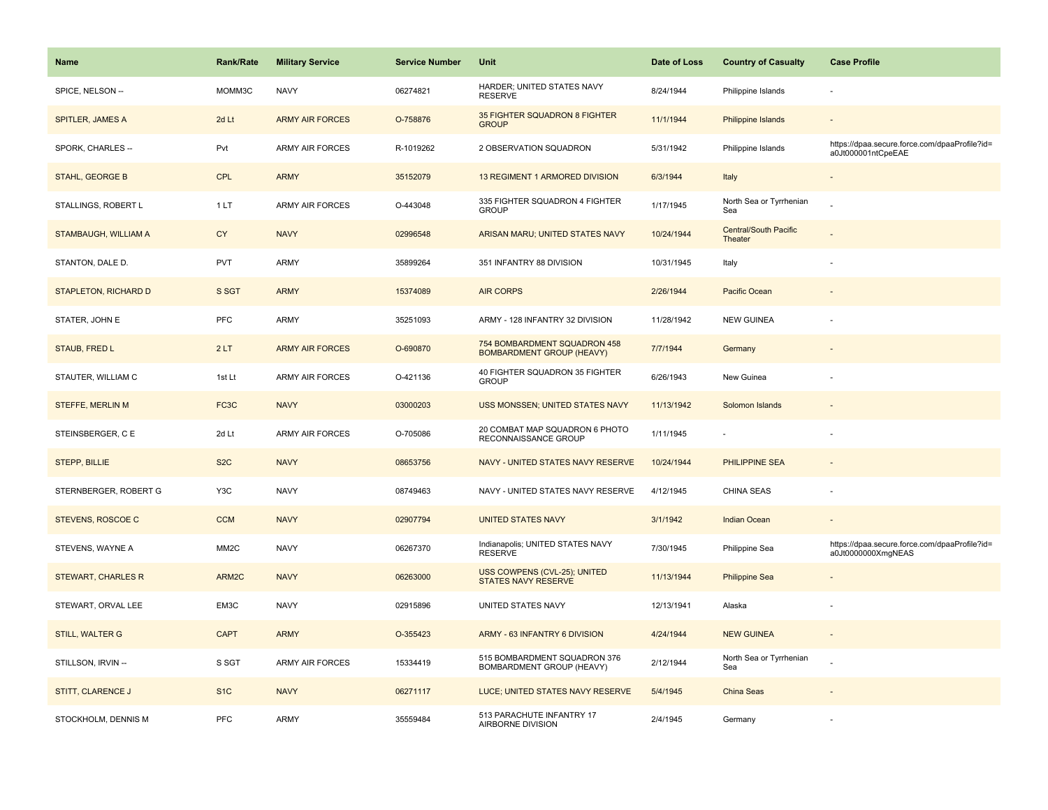| Name                        | <b>Rank/Rate</b>  | <b>Military Service</b> | <b>Service Number</b> | Unit                                                             | Date of Loss | <b>Country of Casualty</b>              | <b>Case Profile</b>                                                 |
|-----------------------------|-------------------|-------------------------|-----------------------|------------------------------------------------------------------|--------------|-----------------------------------------|---------------------------------------------------------------------|
| SPICE, NELSON --            | MOMM3C            | <b>NAVY</b>             | 06274821              | HARDER; UNITED STATES NAVY<br><b>RESERVE</b>                     | 8/24/1944    | Philippine Islands                      |                                                                     |
| SPITLER, JAMES A            | 2d Lt             | <b>ARMY AIR FORCES</b>  | O-758876              | 35 FIGHTER SQUADRON 8 FIGHTER<br><b>GROUP</b>                    | 11/1/1944    | Philippine Islands                      |                                                                     |
| SPORK, CHARLES --           | Pvt               | <b>ARMY AIR FORCES</b>  | R-1019262             | 2 OBSERVATION SQUADRON                                           | 5/31/1942    | Philippine Islands                      | https://dpaa.secure.force.com/dpaaProfile?id=<br>a0Jt000001ntCpeEAE |
| STAHL, GEORGE B             | CPL               | <b>ARMY</b>             | 35152079              | 13 REGIMENT 1 ARMORED DIVISION                                   | 6/3/1944     | Italy                                   |                                                                     |
| STALLINGS, ROBERT L         | 1 LT              | ARMY AIR FORCES         | O-443048              | 335 FIGHTER SQUADRON 4 FIGHTER<br><b>GROUP</b>                   | 1/17/1945    | North Sea or Tyrrhenian<br>Sea          |                                                                     |
| STAMBAUGH, WILLIAM A        | <b>CY</b>         | <b>NAVY</b>             | 02996548              | ARISAN MARU; UNITED STATES NAVY                                  | 10/24/1944   | <b>Central/South Pacific</b><br>Theater |                                                                     |
| STANTON, DALE D.            | <b>PVT</b>        | ARMY                    | 35899264              | 351 INFANTRY 88 DIVISION                                         | 10/31/1945   | Italy                                   |                                                                     |
| <b>STAPLETON, RICHARD D</b> | S SGT             | <b>ARMY</b>             | 15374089              | <b>AIR CORPS</b>                                                 | 2/26/1944    | Pacific Ocean                           |                                                                     |
| STATER, JOHN E              | PFC               | ARMY                    | 35251093              | ARMY - 128 INFANTRY 32 DIVISION                                  | 11/28/1942   | <b>NEW GUINEA</b>                       |                                                                     |
| STAUB, FRED L               | 2LT               | <b>ARMY AIR FORCES</b>  | O-690870              | 754 BOMBARDMENT SQUADRON 458<br><b>BOMBARDMENT GROUP (HEAVY)</b> | 7/7/1944     | Germany                                 |                                                                     |
| STAUTER, WILLIAM C          | 1st Lt            | ARMY AIR FORCES         | O-421136              | 40 FIGHTER SQUADRON 35 FIGHTER<br><b>GROUP</b>                   | 6/26/1943    | New Guinea                              |                                                                     |
| <b>STEFFE, MERLIN M</b>     | FC3C              | <b>NAVY</b>             | 03000203              | USS MONSSEN; UNITED STATES NAVY                                  | 11/13/1942   | Solomon Islands                         |                                                                     |
| STEINSBERGER, C E           | 2d Lt             | <b>ARMY AIR FORCES</b>  | O-705086              | 20 COMBAT MAP SQUADRON 6 PHOTO<br>RECONNAISSANCE GROUP           | 1/11/1945    |                                         |                                                                     |
| <b>STEPP, BILLIE</b>        | S <sub>2</sub> C  | <b>NAVY</b>             | 08653756              | NAVY - UNITED STATES NAVY RESERVE                                | 10/24/1944   | PHILIPPINE SEA                          |                                                                     |
| STERNBERGER, ROBERT G       | Y3C               | <b>NAVY</b>             | 08749463              | NAVY - UNITED STATES NAVY RESERVE                                | 4/12/1945    | CHINA SEAS                              |                                                                     |
| STEVENS, ROSCOE C           | <b>CCM</b>        | <b>NAVY</b>             | 02907794              | <b>UNITED STATES NAVY</b>                                        | 3/1/1942     | Indian Ocean                            |                                                                     |
| STEVENS, WAYNE A            | MM <sub>2</sub> C | <b>NAVY</b>             | 06267370              | Indianapolis; UNITED STATES NAVY<br><b>RESERVE</b>               | 7/30/1945    | Philippine Sea                          | https://dpaa.secure.force.com/dpaaProfile?id=<br>a0Jt0000000XmgNEAS |
| <b>STEWART, CHARLES R</b>   | ARM2C             | <b>NAVY</b>             | 06263000              | USS COWPENS (CVL-25); UNITED<br><b>STATES NAVY RESERVE</b>       | 11/13/1944   | <b>Philippine Sea</b>                   |                                                                     |
| STEWART, ORVAL LEE          | EM3C              | <b>NAVY</b>             | 02915896              | UNITED STATES NAVY                                               | 12/13/1941   | Alaska                                  |                                                                     |
| <b>STILL, WALTER G</b>      | <b>CAPT</b>       | <b>ARMY</b>             | O-355423              | ARMY - 63 INFANTRY 6 DIVISION                                    | 4/24/1944    | <b>NEW GUINEA</b>                       |                                                                     |
| STILLSON, IRVIN --          | S SGT             | ARMY AIR FORCES         | 15334419              | 515 BOMBARDMENT SQUADRON 376<br>BOMBARDMENT GROUP (HEAVY)        | 2/12/1944    | North Sea or Tyrrhenian<br>Sea          |                                                                     |
| <b>STITT, CLARENCE J</b>    | S <sub>1C</sub>   | <b>NAVY</b>             | 06271117              | LUCE; UNITED STATES NAVY RESERVE                                 | 5/4/1945     | China Seas                              |                                                                     |
| STOCKHOLM, DENNIS M         | PFC               | ARMY                    | 35559484              | 513 PARACHUTE INFANTRY 17<br>AIRBORNE DIVISION                   | 2/4/1945     | Germany                                 |                                                                     |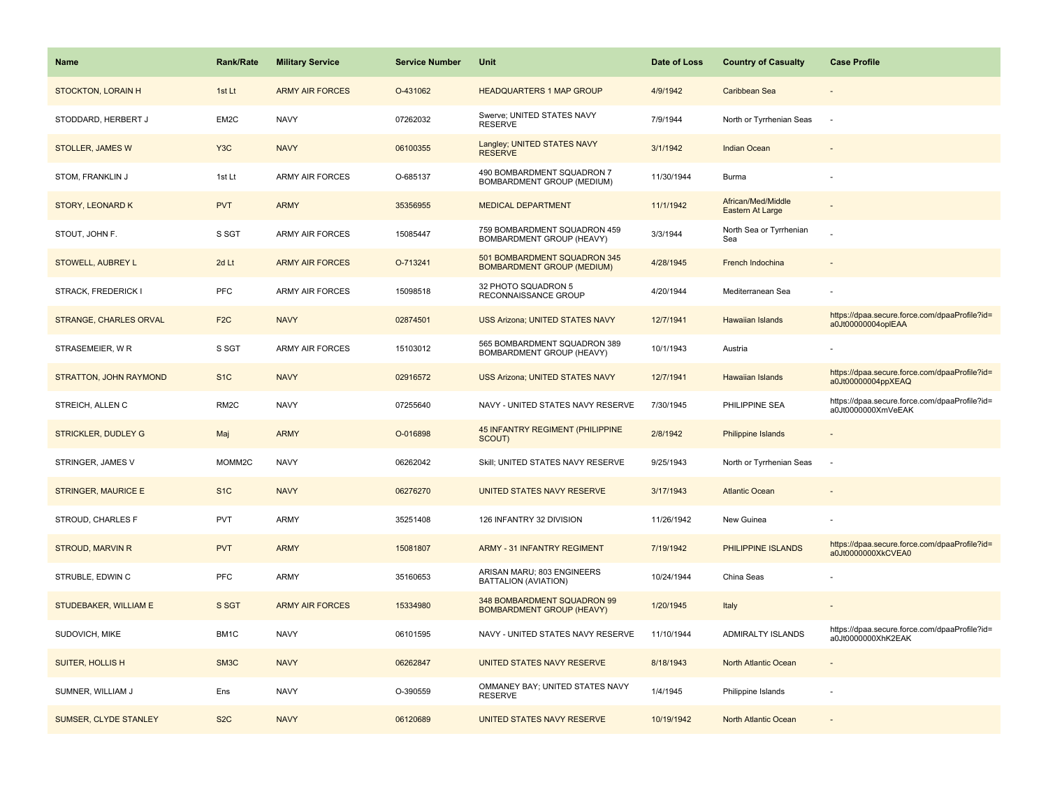| <b>Name</b>                   | <b>Rank/Rate</b>  | <b>Military Service</b> | <b>Service Number</b> | Unit                                                              | Date of Loss | <b>Country of Casualty</b>             | <b>Case Profile</b>                                                 |
|-------------------------------|-------------------|-------------------------|-----------------------|-------------------------------------------------------------------|--------------|----------------------------------------|---------------------------------------------------------------------|
| <b>STOCKTON, LORAIN H</b>     | 1st Lt            | <b>ARMY AIR FORCES</b>  | O-431062              | <b>HEADQUARTERS 1 MAP GROUP</b>                                   | 4/9/1942     | Caribbean Sea                          |                                                                     |
| STODDARD, HERBERT J           | EM2C              | <b>NAVY</b>             | 07262032              | Swerve; UNITED STATES NAVY<br><b>RESERVE</b>                      | 7/9/1944     | North or Tyrrhenian Seas               |                                                                     |
| <b>STOLLER, JAMES W</b>       | Y <sub>3</sub> C  | <b>NAVY</b>             | 06100355              | Langley; UNITED STATES NAVY<br><b>RESERVE</b>                     | 3/1/1942     | <b>Indian Ocean</b>                    |                                                                     |
| STOM, FRANKLIN J              | 1st Lt            | <b>ARMY AIR FORCES</b>  | O-685137              | 490 BOMBARDMENT SQUADRON 7<br>BOMBARDMENT GROUP (MEDIUM)          | 11/30/1944   | Burma                                  |                                                                     |
| <b>STORY, LEONARD K</b>       | <b>PVT</b>        | <b>ARMY</b>             | 35356955              | <b>MEDICAL DEPARTMENT</b>                                         | 11/1/1942    | African/Med/Middle<br>Eastern At Large |                                                                     |
| STOUT, JOHN F.                | S SGT             | <b>ARMY AIR FORCES</b>  | 15085447              | 759 BOMBARDMENT SQUADRON 459<br>BOMBARDMENT GROUP (HEAVY)         | 3/3/1944     | North Sea or Tyrrhenian<br>Sea         |                                                                     |
| STOWELL, AUBREY L             | 2d Lt             | <b>ARMY AIR FORCES</b>  | O-713241              | 501 BOMBARDMENT SQUADRON 345<br><b>BOMBARDMENT GROUP (MEDIUM)</b> | 4/28/1945    | French Indochina                       |                                                                     |
| STRACK, FREDERICK I           | <b>PFC</b>        | <b>ARMY AIR FORCES</b>  | 15098518              | 32 PHOTO SQUADRON 5<br>RECONNAISSANCE GROUP                       | 4/20/1944    | Mediterranean Sea                      |                                                                     |
| <b>STRANGE, CHARLES ORVAL</b> | F <sub>2</sub> C  | <b>NAVY</b>             | 02874501              | <b>USS Arizona: UNITED STATES NAVY</b>                            | 12/7/1941    | <b>Hawaiian Islands</b>                | https://dpaa.secure.force.com/dpaaProfile?id=<br>a0Jt00000004oplEAA |
| STRASEMEIER, W R              | S SGT             | <b>ARMY AIR FORCES</b>  | 15103012              | 565 BOMBARDMENT SQUADRON 389<br>BOMBARDMENT GROUP (HEAVY)         | 10/1/1943    | Austria                                |                                                                     |
| STRATTON, JOHN RAYMOND        | S <sub>1</sub> C  | <b>NAVY</b>             | 02916572              | <b>USS Arizona; UNITED STATES NAVY</b>                            | 12/7/1941    | <b>Hawaiian Islands</b>                | https://dpaa.secure.force.com/dpaaProfile?id=<br>a0Jt00000004ppXEAQ |
| STREICH, ALLEN C              | RM <sub>2</sub> C | <b>NAVY</b>             | 07255640              | NAVY - UNITED STATES NAVY RESERVE                                 | 7/30/1945    | PHILIPPINE SEA                         | https://dpaa.secure.force.com/dpaaProfile?id=<br>a0Jt0000000XmVeEAK |
| <b>STRICKLER, DUDLEY G</b>    | Maj               | <b>ARMY</b>             | O-016898              | <b>45 INFANTRY REGIMENT (PHILIPPINE</b><br>SCOUT)                 | 2/8/1942     | Philippine Islands                     |                                                                     |
| STRINGER, JAMES V             | MOMM2C            | <b>NAVY</b>             | 06262042              | Skill; UNITED STATES NAVY RESERVE                                 | 9/25/1943    | North or Tyrrhenian Seas               | $\sim$                                                              |
| <b>STRINGER, MAURICE E</b>    | S <sub>1C</sub>   | <b>NAVY</b>             | 06276270              | UNITED STATES NAVY RESERVE                                        | 3/17/1943    | <b>Atlantic Ocean</b>                  |                                                                     |
| STROUD, CHARLES F             | <b>PVT</b>        | <b>ARMY</b>             | 35251408              | 126 INFANTRY 32 DIVISION                                          | 11/26/1942   | New Guinea                             |                                                                     |
| <b>STROUD, MARVIN R</b>       | <b>PVT</b>        | <b>ARMY</b>             | 15081807              | <b>ARMY - 31 INFANTRY REGIMENT</b>                                | 7/19/1942    | PHILIPPINE ISLANDS                     | https://dpaa.secure.force.com/dpaaProfile?id=<br>a0Jt0000000XkCVEA0 |
| STRUBLE, EDWIN C              | PFC               | <b>ARMY</b>             | 35160653              | ARISAN MARU; 803 ENGINEERS<br><b>BATTALION (AVIATION)</b>         | 10/24/1944   | China Seas                             |                                                                     |
| STUDEBAKER, WILLIAM E         | S SGT             | <b>ARMY AIR FORCES</b>  | 15334980              | 348 BOMBARDMENT SQUADRON 99<br><b>BOMBARDMENT GROUP (HEAVY)</b>   | 1/20/1945    | Italy                                  |                                                                     |
| SUDOVICH, MIKE                | BM1C              | <b>NAVY</b>             | 06101595              | NAVY - UNITED STATES NAVY RESERVE                                 | 11/10/1944   | ADMIRALTY ISLANDS                      | https://dpaa.secure.force.com/dpaaProfile?id=<br>a0Jt0000000XhK2EAK |
| SUITER, HOLLIS H              | SM <sub>3</sub> C | <b>NAVY</b>             | 06262847              | UNITED STATES NAVY RESERVE                                        | 8/18/1943    | North Atlantic Ocean                   |                                                                     |
| SUMNER, WILLIAM J             | Ens               | <b>NAVY</b>             | O-390559              | OMMANEY BAY; UNITED STATES NAVY<br><b>RESERVE</b>                 | 1/4/1945     | Philippine Islands                     |                                                                     |
| SUMSER, CLYDE STANLEY         | S <sub>2</sub> C  | <b>NAVY</b>             | 06120689              | UNITED STATES NAVY RESERVE                                        | 10/19/1942   | North Atlantic Ocean                   |                                                                     |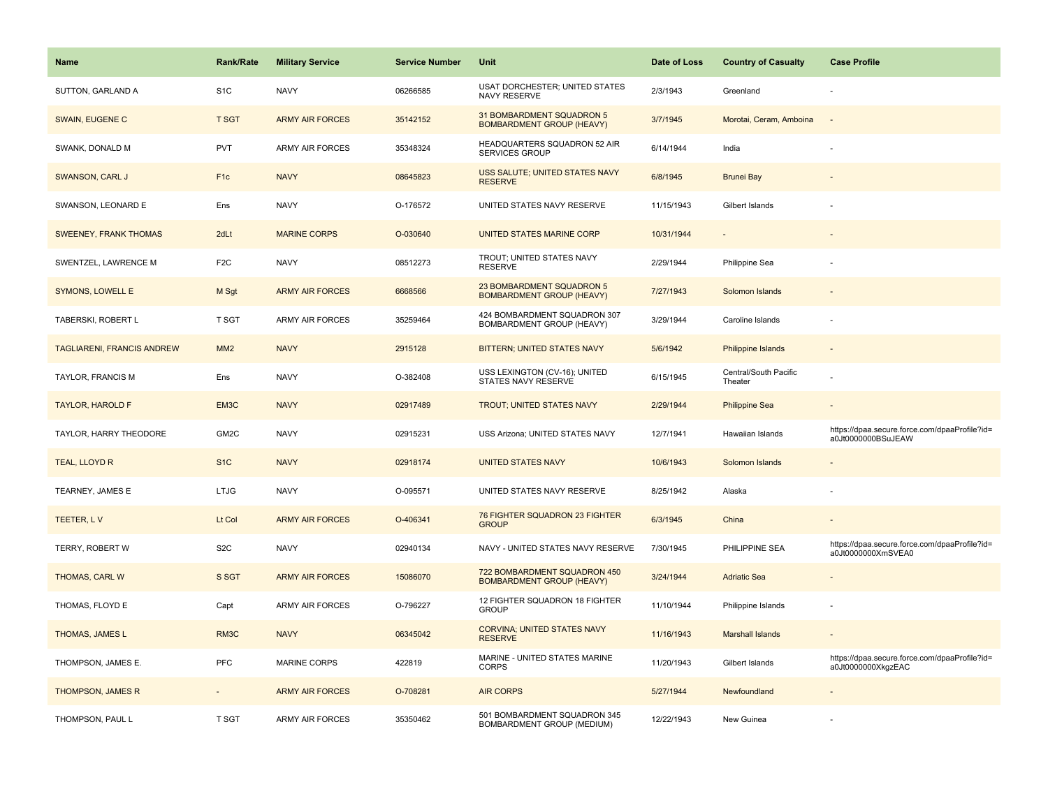| <b>Name</b>                       | <b>Rank/Rate</b>  | <b>Military Service</b> | <b>Service Number</b> | Unit                                                             | Date of Loss | <b>Country of Casualty</b>       | <b>Case Profile</b>                                                 |
|-----------------------------------|-------------------|-------------------------|-----------------------|------------------------------------------------------------------|--------------|----------------------------------|---------------------------------------------------------------------|
| SUTTON, GARLAND A                 | S <sub>1</sub> C  | <b>NAVY</b>             | 06266585              | <b>USAT DORCHESTER; UNITED STATES</b><br>NAVY RESERVE            | 2/3/1943     | Greenland                        |                                                                     |
| SWAIN, EUGENE C                   | <b>T SGT</b>      | <b>ARMY AIR FORCES</b>  | 35142152              | 31 BOMBARDMENT SQUADRON 5<br><b>BOMBARDMENT GROUP (HEAVY)</b>    | 3/7/1945     | Morotai, Ceram, Amboina          | $\sim$                                                              |
| SWANK, DONALD M                   | <b>PVT</b>        | <b>ARMY AIR FORCES</b>  | 35348324              | HEADQUARTERS SQUADRON 52 AIR<br><b>SERVICES GROUP</b>            | 6/14/1944    | India                            |                                                                     |
| SWANSON, CARL J                   | F <sub>1c</sub>   | <b>NAVY</b>             | 08645823              | USS SALUTE; UNITED STATES NAVY<br><b>RESERVE</b>                 | 6/8/1945     | <b>Brunei Bay</b>                |                                                                     |
| SWANSON, LEONARD E                | Ens               | <b>NAVY</b>             | O-176572              | UNITED STATES NAVY RESERVE                                       | 11/15/1943   | Gilbert Islands                  |                                                                     |
| <b>SWEENEY, FRANK THOMAS</b>      | 2dLt              | <b>MARINE CORPS</b>     | O-030640              | UNITED STATES MARINE CORP                                        | 10/31/1944   | $\overline{\phantom{a}}$         |                                                                     |
| SWENTZEL, LAWRENCE M              | F <sub>2</sub> C  | <b>NAVY</b>             | 08512273              | TROUT; UNITED STATES NAVY<br><b>RESERVE</b>                      | 2/29/1944    | Philippine Sea                   |                                                                     |
| <b>SYMONS, LOWELL E</b>           | M Sgt             | <b>ARMY AIR FORCES</b>  | 6668566               | 23 BOMBARDMENT SQUADRON 5<br><b>BOMBARDMENT GROUP (HEAVY)</b>    | 7/27/1943    | Solomon Islands                  |                                                                     |
| TABERSKI, ROBERT L                | T SGT             | ARMY AIR FORCES         | 35259464              | 424 BOMBARDMENT SQUADRON 307<br>BOMBARDMENT GROUP (HEAVY)        | 3/29/1944    | Caroline Islands                 |                                                                     |
| <b>TAGLIARENI, FRANCIS ANDREW</b> | MM <sub>2</sub>   | <b>NAVY</b>             | 2915128               | BITTERN; UNITED STATES NAVY                                      | 5/6/1942     | Philippine Islands               |                                                                     |
| <b>TAYLOR, FRANCIS M</b>          | Ens               | <b>NAVY</b>             | O-382408              | USS LEXINGTON (CV-16); UNITED<br>STATES NAVY RESERVE             | 6/15/1945    | Central/South Pacific<br>Theater |                                                                     |
| <b>TAYLOR, HAROLD F</b>           | EM3C              | <b>NAVY</b>             | 02917489              | TROUT; UNITED STATES NAVY                                        | 2/29/1944    | <b>Philippine Sea</b>            |                                                                     |
| TAYLOR, HARRY THEODORE            | GM <sub>2</sub> C | <b>NAVY</b>             | 02915231              | USS Arizona; UNITED STATES NAVY                                  | 12/7/1941    | Hawaiian Islands                 | https://dpaa.secure.force.com/dpaaProfile?id=<br>a0Jt0000000BSuJEAW |
| TEAL, LLOYD R                     | S <sub>1C</sub>   | <b>NAVY</b>             | 02918174              | <b>UNITED STATES NAVY</b>                                        | 10/6/1943    | Solomon Islands                  |                                                                     |
| TEARNEY, JAMES E                  | <b>LTJG</b>       | <b>NAVY</b>             | O-095571              | UNITED STATES NAVY RESERVE                                       | 8/25/1942    | Alaska                           |                                                                     |
| TEETER, LV                        | Lt Col            | <b>ARMY AIR FORCES</b>  | O-406341              | 76 FIGHTER SQUADRON 23 FIGHTER<br><b>GROUP</b>                   | 6/3/1945     | China                            |                                                                     |
| TERRY, ROBERT W                   | S <sub>2</sub> C  | <b>NAVY</b>             | 02940134              | NAVY - UNITED STATES NAVY RESERVE                                | 7/30/1945    | PHILIPPINE SEA                   | https://dpaa.secure.force.com/dpaaProfile?id=<br>a0Jt0000000XmSVEA0 |
| THOMAS, CARL W                    | S SGT             | <b>ARMY AIR FORCES</b>  | 15086070              | 722 BOMBARDMENT SQUADRON 450<br><b>BOMBARDMENT GROUP (HEAVY)</b> | 3/24/1944    | <b>Adriatic Sea</b>              |                                                                     |
| THOMAS, FLOYD E                   | Capt              | <b>ARMY AIR FORCES</b>  | O-796227              | 12 FIGHTER SQUADRON 18 FIGHTER<br><b>GROUP</b>                   | 11/10/1944   | Philippine Islands               |                                                                     |
| THOMAS, JAMES L                   | RM3C              | <b>NAVY</b>             | 06345042              | <b>CORVINA: UNITED STATES NAVY</b><br><b>RESERVE</b>             | 11/16/1943   | <b>Marshall Islands</b>          |                                                                     |
| THOMPSON, JAMES E.                | <b>PFC</b>        | <b>MARINE CORPS</b>     | 422819                | MARINE - UNITED STATES MARINE<br><b>CORPS</b>                    | 11/20/1943   | Gilbert Islands                  | https://dpaa.secure.force.com/dpaaProfile?id=<br>a0Jt0000000XkgzEAC |
| <b>THOMPSON, JAMES R</b>          |                   | <b>ARMY AIR FORCES</b>  | O-708281              | <b>AIR CORPS</b>                                                 | 5/27/1944    | Newfoundland                     |                                                                     |
| THOMPSON, PAUL L                  | T SGT             | <b>ARMY AIR FORCES</b>  | 35350462              | 501 BOMBARDMENT SQUADRON 345<br>BOMBARDMENT GROUP (MEDIUM)       | 12/22/1943   | New Guinea                       |                                                                     |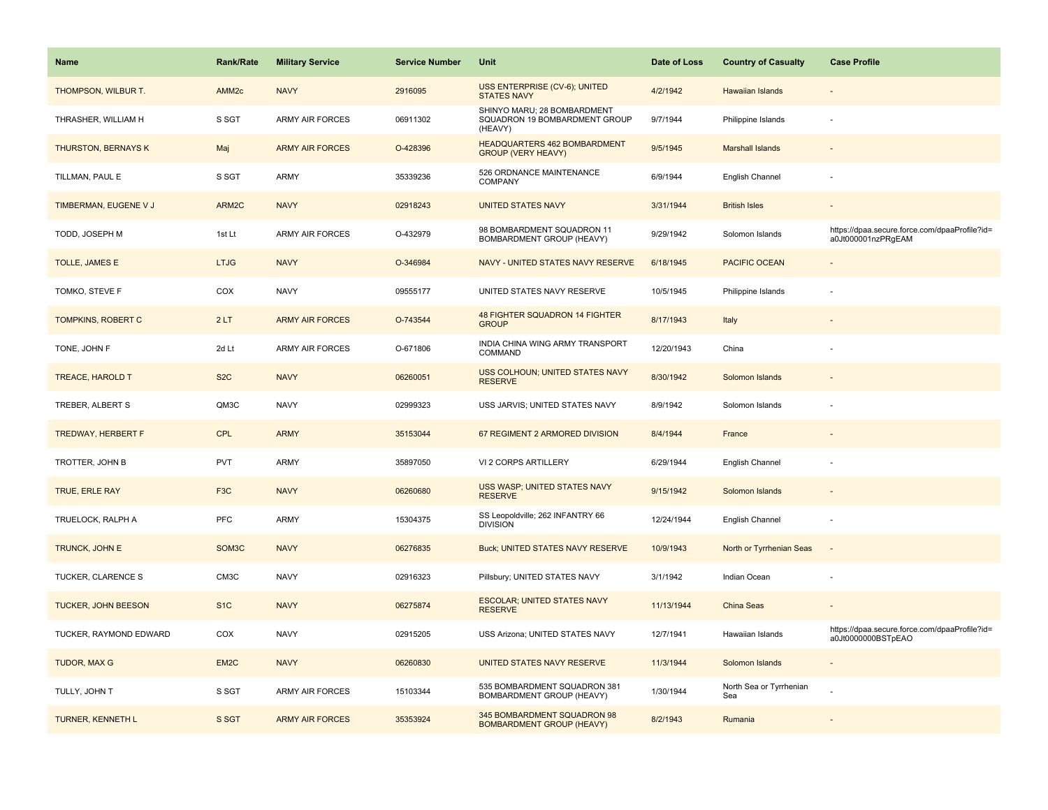| <b>Name</b>                | <b>Rank/Rate</b>   | <b>Military Service</b> | <b>Service Number</b> | Unit                                                                    | Date of Loss | <b>Country of Casualty</b>     | <b>Case Profile</b>                                                 |
|----------------------------|--------------------|-------------------------|-----------------------|-------------------------------------------------------------------------|--------------|--------------------------------|---------------------------------------------------------------------|
| THOMPSON, WILBUR T.        | AMM <sub>2c</sub>  | <b>NAVY</b>             | 2916095               | USS ENTERPRISE (CV-6); UNITED<br><b>STATES NAVY</b>                     | 4/2/1942     | Hawaiian Islands               |                                                                     |
| THRASHER, WILLIAM H        | S SGT              | <b>ARMY AIR FORCES</b>  | 06911302              | SHINYO MARU; 28 BOMBARDMENT<br>SQUADRON 19 BOMBARDMENT GROUP<br>(HEAVY) | 9/7/1944     | Philippine Islands             |                                                                     |
| <b>THURSTON, BERNAYS K</b> | Maj                | <b>ARMY AIR FORCES</b>  | O-428396              | <b>HEADQUARTERS 462 BOMBARDMENT</b><br><b>GROUP (VERY HEAVY)</b>        | 9/5/1945     | <b>Marshall Islands</b>        |                                                                     |
| TILLMAN, PAUL E            | S SGT              | ARMY                    | 35339236              | 526 ORDNANCE MAINTENANCE<br>COMPANY                                     | 6/9/1944     | English Channel                |                                                                     |
| TIMBERMAN, EUGENE V J      | ARM <sub>2</sub> C | <b>NAVY</b>             | 02918243              | <b>UNITED STATES NAVY</b>                                               | 3/31/1944    | <b>British Isles</b>           |                                                                     |
| TODD, JOSEPH M             | 1st Lt             | <b>ARMY AIR FORCES</b>  | O-432979              | 98 BOMBARDMENT SQUADRON 11<br>BOMBARDMENT GROUP (HEAVY)                 | 9/29/1942    | Solomon Islands                | https://dpaa.secure.force.com/dpaaProfile?id=<br>a0Jt000001nzPRgEAM |
| TOLLE, JAMES E             | <b>LTJG</b>        | <b>NAVY</b>             | O-346984              | NAVY - UNITED STATES NAVY RESERVE                                       | 6/18/1945    | <b>PACIFIC OCEAN</b>           |                                                                     |
| TOMKO, STEVE F             | COX                | <b>NAVY</b>             | 09555177              | UNITED STATES NAVY RESERVE                                              | 10/5/1945    | Philippine Islands             |                                                                     |
| <b>TOMPKINS, ROBERT C</b>  | 2LT                | <b>ARMY AIR FORCES</b>  | O-743544              | <b>48 FIGHTER SQUADRON 14 FIGHTER</b><br><b>GROUP</b>                   | 8/17/1943    | Italy                          |                                                                     |
| TONE, JOHN F               | 2d Lt              | <b>ARMY AIR FORCES</b>  | O-671806              | INDIA CHINA WING ARMY TRANSPORT<br>COMMAND                              | 12/20/1943   | China                          |                                                                     |
| <b>TREACE, HAROLD T</b>    | S <sub>2</sub> C   | <b>NAVY</b>             | 06260051              | USS COLHOUN; UNITED STATES NAVY<br><b>RESERVE</b>                       | 8/30/1942    | Solomon Islands                |                                                                     |
| TREBER, ALBERT S           | QM3C               | <b>NAVY</b>             | 02999323              | USS JARVIS; UNITED STATES NAVY                                          | 8/9/1942     | Solomon Islands                |                                                                     |
| TREDWAY, HERBERT F         | <b>CPL</b>         | <b>ARMY</b>             | 35153044              | 67 REGIMENT 2 ARMORED DIVISION                                          | 8/4/1944     | France                         |                                                                     |
| TROTTER, JOHN B            | <b>PVT</b>         | <b>ARMY</b>             | 35897050              | VI 2 CORPS ARTILLERY                                                    | 6/29/1944    | English Channel                |                                                                     |
| <b>TRUE, ERLE RAY</b>      | F <sub>3</sub> C   | <b>NAVY</b>             | 06260680              | USS WASP; UNITED STATES NAVY<br><b>RESERVE</b>                          | 9/15/1942    | Solomon Islands                |                                                                     |
| TRUELOCK, RALPH A          | <b>PFC</b>         | ARMY                    | 15304375              | SS Leopoldville; 262 INFANTRY 66<br><b>DIVISION</b>                     | 12/24/1944   | English Channel                |                                                                     |
| TRUNCK, JOHN E             | SOM <sub>3</sub> C | <b>NAVY</b>             | 06276835              | <b>Buck; UNITED STATES NAVY RESERVE</b>                                 | 10/9/1943    | North or Tyrrhenian Seas       | $\sim$                                                              |
| TUCKER, CLARENCE S         | CM3C               | <b>NAVY</b>             | 02916323              | Pillsbury; UNITED STATES NAVY                                           | 3/1/1942     | Indian Ocean                   |                                                                     |
| <b>TUCKER, JOHN BEESON</b> | S <sub>1C</sub>    | <b>NAVY</b>             | 06275874              | <b>ESCOLAR; UNITED STATES NAVY</b><br><b>RESERVE</b>                    | 11/13/1944   | <b>China Seas</b>              |                                                                     |
| TUCKER, RAYMOND EDWARD     | COX                | <b>NAVY</b>             | 02915205              | USS Arizona; UNITED STATES NAVY                                         | 12/7/1941    | Hawaiian Islands               | https://dpaa.secure.force.com/dpaaProfile?id=<br>a0Jt0000000BSTpEAO |
| TUDOR, MAX G               | EM <sub>2C</sub>   | <b>NAVY</b>             | 06260830              | UNITED STATES NAVY RESERVE                                              | 11/3/1944    | Solomon Islands                |                                                                     |
| TULLY, JOHN T              | S SGT              | ARMY AIR FORCES         | 15103344              | 535 BOMBARDMENT SQUADRON 381<br>BOMBARDMENT GROUP (HEAVY)               | 1/30/1944    | North Sea or Tyrrhenian<br>Sea |                                                                     |
| TURNER, KENNETH L          | S SGT              | <b>ARMY AIR FORCES</b>  | 35353924              | 345 BOMBARDMENT SQUADRON 98<br><b>BOMBARDMENT GROUP (HEAVY)</b>         | 8/2/1943     | Rumania                        |                                                                     |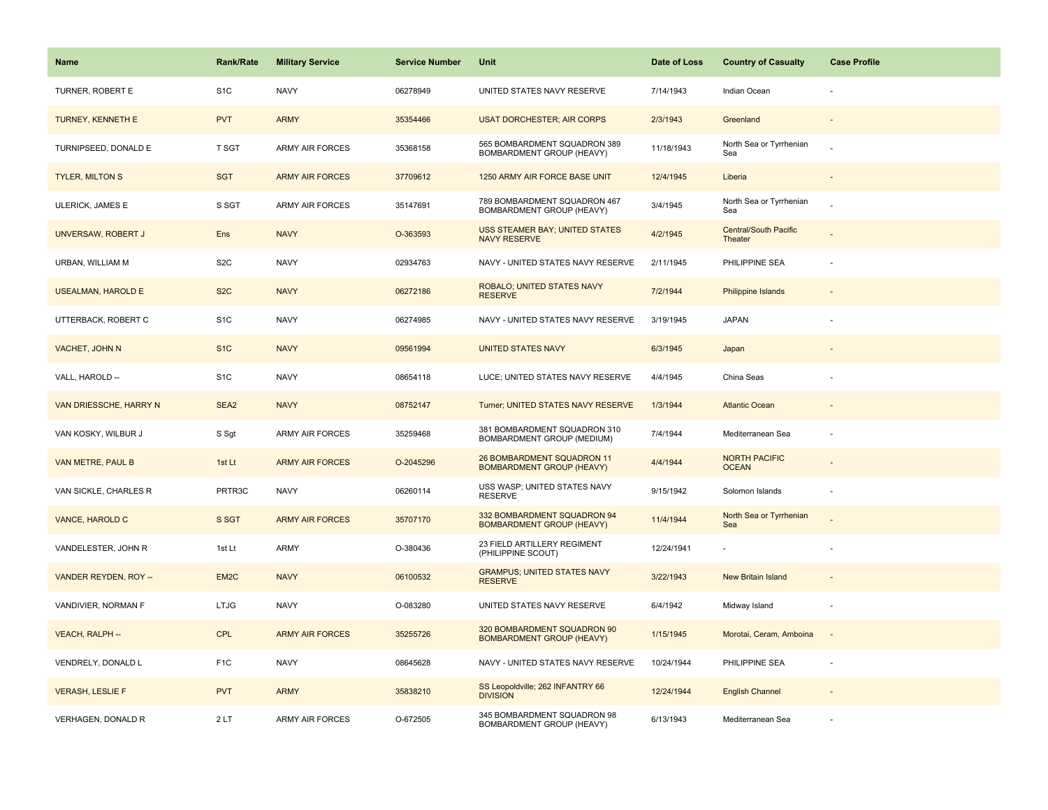| <b>Name</b>               | <b>Rank/Rate</b>  | <b>Military Service</b> | <b>Service Number</b> | Unit                                                            | Date of Loss | <b>Country of Casualty</b>           | <b>Case Profile</b> |
|---------------------------|-------------------|-------------------------|-----------------------|-----------------------------------------------------------------|--------------|--------------------------------------|---------------------|
| TURNER, ROBERT E          | S <sub>1</sub> C  | <b>NAVY</b>             | 06278949              | UNITED STATES NAVY RESERVE                                      | 7/14/1943    | Indian Ocean                         |                     |
| TURNEY, KENNETH E         | <b>PVT</b>        | <b>ARMY</b>             | 35354466              | <b>USAT DORCHESTER; AIR CORPS</b>                               | 2/3/1943     | Greenland                            |                     |
| TURNIPSEED, DONALD E      | <b>T SGT</b>      | ARMY AIR FORCES         | 35368158              | 565 BOMBARDMENT SQUADRON 389<br>BOMBARDMENT GROUP (HEAVY)       | 11/18/1943   | North Sea or Tyrrhenian<br>Sea       |                     |
| <b>TYLER, MILTON S</b>    | <b>SGT</b>        | <b>ARMY AIR FORCES</b>  | 37709612              | 1250 ARMY AIR FORCE BASE UNIT                                   | 12/4/1945    | Liberia                              |                     |
| ULERICK, JAMES E          | S SGT             | <b>ARMY AIR FORCES</b>  | 35147691              | 789 BOMBARDMENT SQUADRON 467<br>BOMBARDMENT GROUP (HEAVY)       | 3/4/1945     | North Sea or Tyrrhenian<br>Sea       |                     |
| UNVERSAW, ROBERT J        | Ens               | <b>NAVY</b>             | O-363593              | <b>USS STEAMER BAY; UNITED STATES</b><br><b>NAVY RESERVE</b>    | 4/2/1945     | Central/South Pacific<br>Theater     |                     |
| URBAN, WILLIAM M          | S <sub>2</sub> C  | <b>NAVY</b>             | 02934763              | NAVY - UNITED STATES NAVY RESERVE                               | 2/11/1945    | PHILIPPINE SEA                       |                     |
| <b>USEALMAN, HAROLD E</b> | S <sub>2</sub> C  | <b>NAVY</b>             | 06272186              | ROBALO; UNITED STATES NAVY<br><b>RESERVE</b>                    | 7/2/1944     | <b>Philippine Islands</b>            |                     |
| UTTERBACK, ROBERT C       | S <sub>1</sub> C  | <b>NAVY</b>             | 06274985              | NAVY - UNITED STATES NAVY RESERVE                               | 3/19/1945    | <b>JAPAN</b>                         |                     |
| VACHET, JOHN N            | S <sub>1</sub> C  | <b>NAVY</b>             | 09561994              | <b>UNITED STATES NAVY</b>                                       | 6/3/1945     | Japan                                |                     |
| VALL, HAROLD --           | S <sub>1</sub> C  | <b>NAVY</b>             | 08654118              | LUCE; UNITED STATES NAVY RESERVE                                | 4/4/1945     | China Seas                           |                     |
| VAN DRIESSCHE, HARRY N    | SEA <sub>2</sub>  | <b>NAVY</b>             | 08752147              | Turner; UNITED STATES NAVY RESERVE                              | 1/3/1944     | <b>Atlantic Ocean</b>                |                     |
| VAN KOSKY, WILBUR J       | S Sgt             | ARMY AIR FORCES         | 35259468              | 381 BOMBARDMENT SQUADRON 310<br>BOMBARDMENT GROUP (MEDIUM)      | 7/4/1944     | Mediterranean Sea                    |                     |
| VAN METRE, PAUL B         | 1st Lt            | <b>ARMY AIR FORCES</b>  | O-2045296             | 26 BOMBARDMENT SQUADRON 11<br><b>BOMBARDMENT GROUP (HEAVY)</b>  | 4/4/1944     | <b>NORTH PACIFIC</b><br><b>OCEAN</b> |                     |
| VAN SICKLE, CHARLES R     | PRTR3C            | <b>NAVY</b>             | 06260114              | USS WASP; UNITED STATES NAVY<br><b>RESERVE</b>                  | 9/15/1942    | Solomon Islands                      |                     |
| VANCE, HAROLD C           | S SGT             | <b>ARMY AIR FORCES</b>  | 35707170              | 332 BOMBARDMENT SQUADRON 94<br><b>BOMBARDMENT GROUP (HEAVY)</b> | 11/4/1944    | North Sea or Tyrrhenian<br>Sea       |                     |
| VANDELESTER, JOHN R       | 1st Lt            | ARMY                    | O-380436              | 23 FIELD ARTILLERY REGIMENT<br>(PHILIPPINE SCOUT)               | 12/24/1941   |                                      |                     |
| VANDER REYDEN, ROY --     | EM <sub>2</sub> C | <b>NAVY</b>             | 06100532              | <b>GRAMPUS; UNITED STATES NAVY</b><br><b>RESERVE</b>            | 3/22/1943    | New Britain Island                   |                     |
| VANDIVIER, NORMAN F       | <b>LTJG</b>       | <b>NAVY</b>             | O-083280              | UNITED STATES NAVY RESERVE                                      | 6/4/1942     | Midway Island                        |                     |
| VEACH, RALPH --           | <b>CPL</b>        | <b>ARMY AIR FORCES</b>  | 35255726              | 320 BOMBARDMENT SQUADRON 90<br><b>BOMBARDMENT GROUP (HEAVY)</b> | 1/15/1945    | Morotai, Ceram, Amboina              | $\sim$              |
| VENDRELY, DONALD L        | F <sub>1</sub> C  | <b>NAVY</b>             | 08645628              | NAVY - UNITED STATES NAVY RESERVE                               | 10/24/1944   | PHILIPPINE SEA                       |                     |
| <b>VERASH, LESLIE F</b>   | <b>PVT</b>        | <b>ARMY</b>             | 35838210              | SS Leopoldville; 262 INFANTRY 66<br><b>DIVISION</b>             | 12/24/1944   | <b>English Channel</b>               |                     |
| VERHAGEN, DONALD R        | 2LT               | ARMY AIR FORCES         | O-672505              | 345 BOMBARDMENT SQUADRON 98<br>BOMBARDMENT GROUP (HEAVY)        | 6/13/1943    | Mediterranean Sea                    |                     |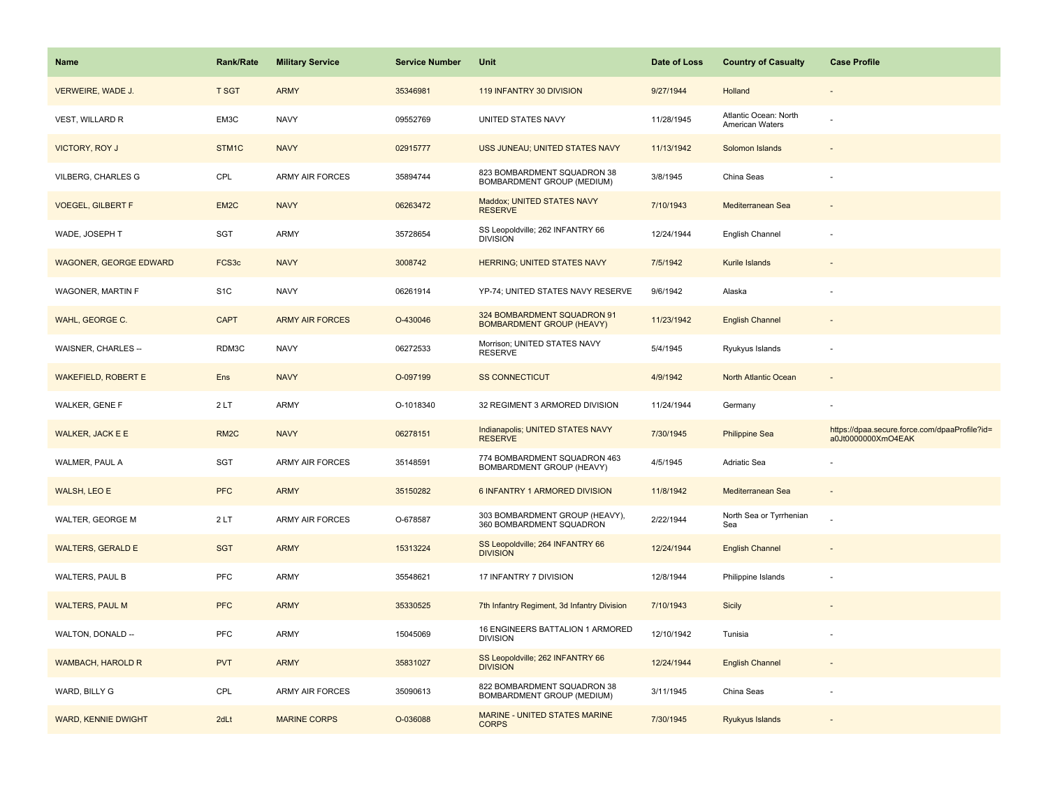| <b>Name</b>                   | <b>Rank/Rate</b>  | <b>Military Service</b> | <b>Service Number</b> | Unit                                                             | Date of Loss | <b>Country of Casualty</b>               | <b>Case Profile</b>                                                 |
|-------------------------------|-------------------|-------------------------|-----------------------|------------------------------------------------------------------|--------------|------------------------------------------|---------------------------------------------------------------------|
| VERWEIRE, WADE J.             | <b>T SGT</b>      | <b>ARMY</b>             | 35346981              | 119 INFANTRY 30 DIVISION                                         | 9/27/1944    | Holland                                  |                                                                     |
| VEST, WILLARD R               | EM3C              | <b>NAVY</b>             | 09552769              | UNITED STATES NAVY                                               | 11/28/1945   | Atlantic Ocean: North<br>American Waters |                                                                     |
| <b>VICTORY, ROY J</b>         | STM1C             | <b>NAVY</b>             | 02915777              | USS JUNEAU; UNITED STATES NAVY                                   | 11/13/1942   | Solomon Islands                          |                                                                     |
| <b>VILBERG, CHARLES G</b>     | CPL               | <b>ARMY AIR FORCES</b>  | 35894744              | 823 BOMBARDMENT SQUADRON 38<br>BOMBARDMENT GROUP (MEDIUM)        | 3/8/1945     | China Seas                               |                                                                     |
| <b>VOEGEL, GILBERT F</b>      | EM2C              | <b>NAVY</b>             | 06263472              | Maddox; UNITED STATES NAVY<br><b>RESERVE</b>                     | 7/10/1943    | Mediterranean Sea                        |                                                                     |
| WADE, JOSEPH T                | SGT               | <b>ARMY</b>             | 35728654              | SS Leopoldville; 262 INFANTRY 66<br><b>DIVISION</b>              | 12/24/1944   | English Channel                          |                                                                     |
| <b>WAGONER, GEORGE EDWARD</b> | FCS3c             | <b>NAVY</b>             | 3008742               | HERRING; UNITED STATES NAVY                                      | 7/5/1942     | Kurile Islands                           |                                                                     |
| WAGONER, MARTIN F             | S <sub>1</sub> C  | <b>NAVY</b>             | 06261914              | YP-74; UNITED STATES NAVY RESERVE                                | 9/6/1942     | Alaska                                   |                                                                     |
| WAHL, GEORGE C.               | <b>CAPT</b>       | <b>ARMY AIR FORCES</b>  | O-430046              | 324 BOMBARDMENT SQUADRON 91<br><b>BOMBARDMENT GROUP (HEAVY)</b>  | 11/23/1942   | <b>English Channel</b>                   |                                                                     |
| WAISNER, CHARLES --           | RDM3C             | <b>NAVY</b>             | 06272533              | Morrison; UNITED STATES NAVY<br><b>RESERVE</b>                   | 5/4/1945     | Ryukyus Islands                          |                                                                     |
| <b>WAKEFIELD, ROBERT E</b>    | Ens               | <b>NAVY</b>             | O-097199              | <b>SS CONNECTICUT</b>                                            | 4/9/1942     | North Atlantic Ocean                     |                                                                     |
| WALKER, GENE F                | 2LT               | <b>ARMY</b>             | O-1018340             | 32 REGIMENT 3 ARMORED DIVISION                                   | 11/24/1944   | Germany                                  |                                                                     |
| <b>WALKER, JACK E E</b>       | RM <sub>2</sub> C | <b>NAVY</b>             | 06278151              | Indianapolis; UNITED STATES NAVY<br><b>RESERVE</b>               | 7/30/1945    | <b>Philippine Sea</b>                    | https://dpaa.secure.force.com/dpaaProfile?id=<br>a0Jt0000000XmO4EAK |
| WALMER, PAUL A                | SGT               | <b>ARMY AIR FORCES</b>  | 35148591              | 774 BOMBARDMENT SQUADRON 463<br>BOMBARDMENT GROUP (HEAVY)        | 4/5/1945     | Adriatic Sea                             |                                                                     |
| WALSH, LEO E                  | <b>PFC</b>        | <b>ARMY</b>             | 35150282              | 6 INFANTRY 1 ARMORED DIVISION                                    | 11/8/1942    | Mediterranean Sea                        | $\sim$                                                              |
| WALTER, GEORGE M              | 2LT               | <b>ARMY AIR FORCES</b>  | O-678587              | 303 BOMBARDMENT GROUP (HEAVY),<br>360 BOMBARDMENT SQUADRON       | 2/22/1944    | North Sea or Tyrrhenian<br>Sea           |                                                                     |
| <b>WALTERS, GERALD E</b>      | <b>SGT</b>        | <b>ARMY</b>             | 15313224              | SS Leopoldville; 264 INFANTRY 66<br><b>DIVISION</b>              | 12/24/1944   | <b>English Channel</b>                   |                                                                     |
| WALTERS, PAUL B               | PFC               | <b>ARMY</b>             | 35548621              | 17 INFANTRY 7 DIVISION                                           | 12/8/1944    | Philippine Islands                       |                                                                     |
| <b>WALTERS, PAUL M</b>        | <b>PFC</b>        | <b>ARMY</b>             | 35330525              | 7th Infantry Regiment, 3d Infantry Division                      | 7/10/1943    | Sicily                                   |                                                                     |
| WALTON, DONALD --             | PFC               | <b>ARMY</b>             | 15045069              | 16 ENGINEERS BATTALION 1 ARMORED<br><b>DIVISION</b>              | 12/10/1942   | Tunisia                                  |                                                                     |
| <b>WAMBACH, HAROLD R</b>      | <b>PVT</b>        | <b>ARMY</b>             | 35831027              | SS Leopoldville; 262 INFANTRY 66<br><b>DIVISION</b>              | 12/24/1944   | <b>English Channel</b>                   |                                                                     |
| WARD, BILLY G                 | CPL               | <b>ARMY AIR FORCES</b>  | 35090613              | 822 BOMBARDMENT SQUADRON 38<br><b>BOMBARDMENT GROUP (MEDIUM)</b> | 3/11/1945    | China Seas                               |                                                                     |
| <b>WARD, KENNIE DWIGHT</b>    | 2dLt              | <b>MARINE CORPS</b>     | O-036088              | MARINE - UNITED STATES MARINE<br><b>CORPS</b>                    | 7/30/1945    | Ryukyus Islands                          |                                                                     |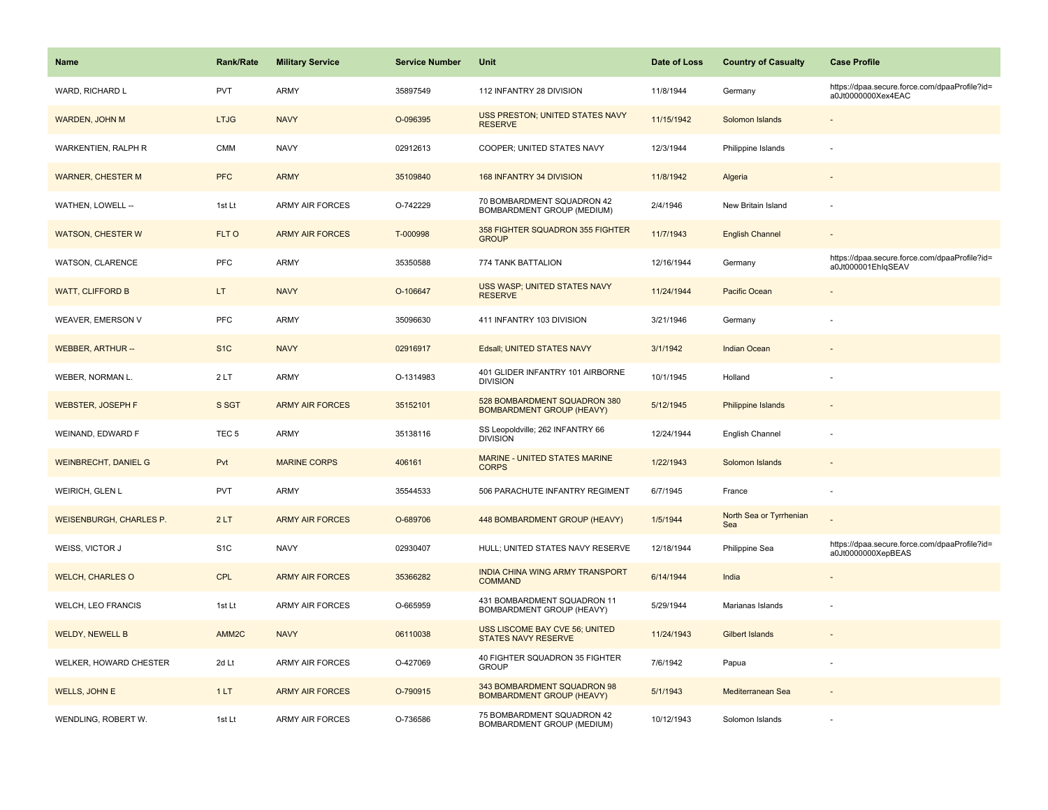| <b>Name</b>                    | Rank/Rate         | <b>Military Service</b> | <b>Service Number</b> | Unit                                                             | Date of Loss | <b>Country of Casualty</b>     | <b>Case Profile</b>                                                 |
|--------------------------------|-------------------|-------------------------|-----------------------|------------------------------------------------------------------|--------------|--------------------------------|---------------------------------------------------------------------|
| WARD, RICHARD L                | <b>PVT</b>        | <b>ARMY</b>             | 35897549              | 112 INFANTRY 28 DIVISION                                         | 11/8/1944    | Germany                        | https://dpaa.secure.force.com/dpaaProfile?id=<br>a0Jt0000000Xex4EAC |
| WARDEN, JOHN M                 | <b>LTJG</b>       | <b>NAVY</b>             | O-096395              | USS PRESTON; UNITED STATES NAVY<br><b>RESERVE</b>                | 11/15/1942   | Solomon Islands                |                                                                     |
| WARKENTIEN, RALPH R            | <b>CMM</b>        | <b>NAVY</b>             | 02912613              | COOPER; UNITED STATES NAVY                                       | 12/3/1944    | Philippine Islands             |                                                                     |
| <b>WARNER, CHESTER M</b>       | <b>PFC</b>        | <b>ARMY</b>             | 35109840              | 168 INFANTRY 34 DIVISION                                         | 11/8/1942    | Algeria                        |                                                                     |
| WATHEN, LOWELL --              | 1st Lt            | <b>ARMY AIR FORCES</b>  | O-742229              | 70 BOMBARDMENT SQUADRON 42<br><b>BOMBARDMENT GROUP (MEDIUM)</b>  | 2/4/1946     | New Britain Island             |                                                                     |
| <b>WATSON, CHESTER W</b>       | FLT O             | <b>ARMY AIR FORCES</b>  | T-000998              | 358 FIGHTER SQUADRON 355 FIGHTER<br><b>GROUP</b>                 | 11/7/1943    | <b>English Channel</b>         |                                                                     |
| WATSON, CLARENCE               | PFC               | ARMY                    | 35350588              | 774 TANK BATTALION                                               | 12/16/1944   | Germany                        | https://dpaa.secure.force.com/dpaaProfile?id=<br>a0Jt000001EhlqSEAV |
| <b>WATT, CLIFFORD B</b>        | LT.               | <b>NAVY</b>             | O-106647              | USS WASP; UNITED STATES NAVY<br><b>RESERVE</b>                   | 11/24/1944   | Pacific Ocean                  |                                                                     |
| WEAVER, EMERSON V              | PFC               | ARMY                    | 35096630              | 411 INFANTRY 103 DIVISION                                        | 3/21/1946    | Germany                        |                                                                     |
| <b>WEBBER, ARTHUR --</b>       | S <sub>1</sub> C  | <b>NAVY</b>             | 02916917              | Edsall; UNITED STATES NAVY                                       | 3/1/1942     | <b>Indian Ocean</b>            |                                                                     |
| WEBER, NORMAN L.               | 2LT               | <b>ARMY</b>             | O-1314983             | 401 GLIDER INFANTRY 101 AIRBORNE<br><b>DIVISION</b>              | 10/1/1945    | Holland                        |                                                                     |
| <b>WEBSTER, JOSEPH F</b>       | S SGT             | <b>ARMY AIR FORCES</b>  | 35152101              | 528 BOMBARDMENT SQUADRON 380<br><b>BOMBARDMENT GROUP (HEAVY)</b> | 5/12/1945    | <b>Philippine Islands</b>      |                                                                     |
| WEINAND, EDWARD F              | TEC <sub>5</sub>  | <b>ARMY</b>             | 35138116              | SS Leopoldville; 262 INFANTRY 66<br><b>DIVISION</b>              | 12/24/1944   | English Channel                |                                                                     |
| <b>WEINBRECHT, DANIEL G</b>    | Pvt               | <b>MARINE CORPS</b>     | 406161                | <b>MARINE - UNITED STATES MARINE</b><br><b>CORPS</b>             | 1/22/1943    | Solomon Islands                |                                                                     |
| WEIRICH, GLEN L                | <b>PVT</b>        | <b>ARMY</b>             | 35544533              | 506 PARACHUTE INFANTRY REGIMENT                                  | 6/7/1945     | France                         |                                                                     |
| <b>WEISENBURGH, CHARLES P.</b> | 2LT               | <b>ARMY AIR FORCES</b>  | O-689706              | 448 BOMBARDMENT GROUP (HEAVY)                                    | 1/5/1944     | North Sea or Tyrrhenian<br>Sea |                                                                     |
| WEISS, VICTOR J                | S <sub>1</sub> C  | <b>NAVY</b>             | 02930407              | HULL; UNITED STATES NAVY RESERVE                                 | 12/18/1944   | Philippine Sea                 | https://dpaa.secure.force.com/dpaaProfile?id=<br>a0Jt0000000XepBEAS |
| <b>WELCH, CHARLES O</b>        | <b>CPL</b>        | <b>ARMY AIR FORCES</b>  | 35366282              | INDIA CHINA WING ARMY TRANSPORT<br><b>COMMAND</b>                | 6/14/1944    | India                          |                                                                     |
| <b>WELCH, LEO FRANCIS</b>      | 1st Lt            | ARMY AIR FORCES         | O-665959              | 431 BOMBARDMENT SQUADRON 11<br>BOMBARDMENT GROUP (HEAVY)         | 5/29/1944    | Marianas Islands               |                                                                     |
| <b>WELDY, NEWELL B</b>         | AMM <sub>2C</sub> | <b>NAVY</b>             | 06110038              | USS LISCOME BAY CVE 56; UNITED<br><b>STATES NAVY RESERVE</b>     | 11/24/1943   | <b>Gilbert Islands</b>         |                                                                     |
| WELKER, HOWARD CHESTER         | 2d Lt             | <b>ARMY AIR FORCES</b>  | O-427069              | 40 FIGHTER SQUADRON 35 FIGHTER<br><b>GROUP</b>                   | 7/6/1942     | Papua                          |                                                                     |
| <b>WELLS, JOHN E</b>           | 1LT               | <b>ARMY AIR FORCES</b>  | O-790915              | 343 BOMBARDMENT SQUADRON 98<br><b>BOMBARDMENT GROUP (HEAVY)</b>  | 5/1/1943     | Mediterranean Sea              |                                                                     |
| WENDLING, ROBERT W.            | 1st Lt            | <b>ARMY AIR FORCES</b>  | O-736586              | 75 BOMBARDMENT SQUADRON 42<br>BOMBARDMENT GROUP (MEDIUM)         | 10/12/1943   | Solomon Islands                |                                                                     |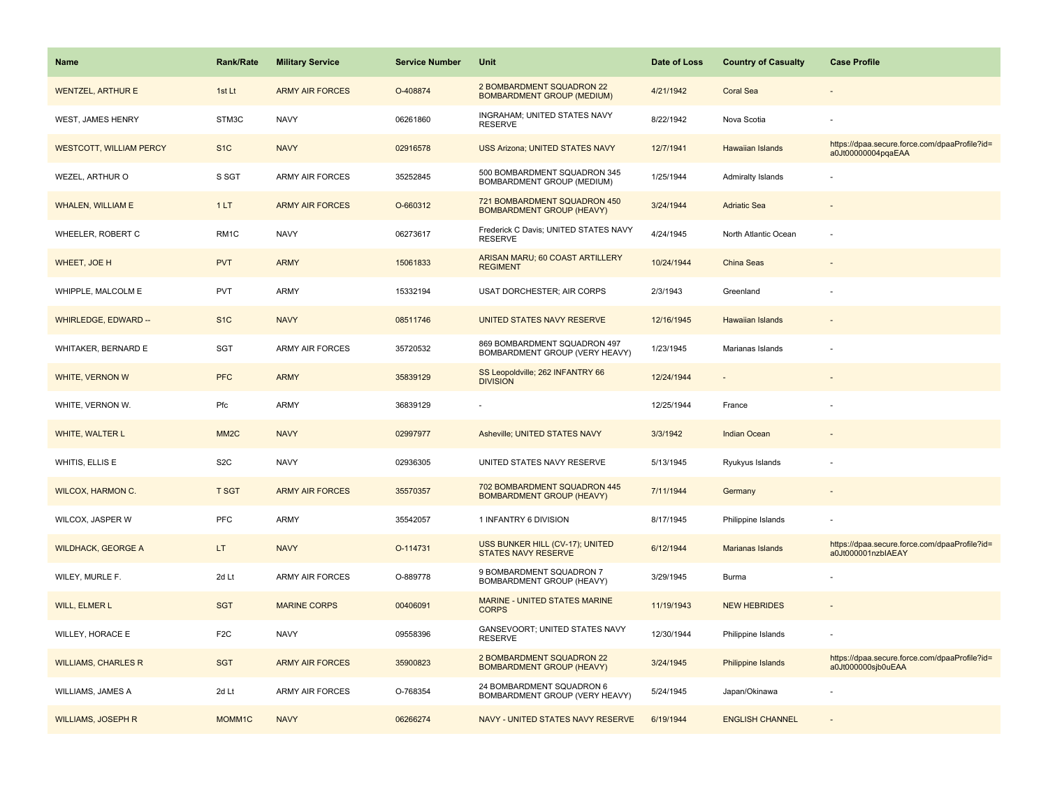| <b>Name</b>                    | <b>Rank/Rate</b>  | <b>Military Service</b> | <b>Service Number</b> | Unit                                                             | Date of Loss | <b>Country of Casualty</b> | <b>Case Profile</b>                                                 |
|--------------------------------|-------------------|-------------------------|-----------------------|------------------------------------------------------------------|--------------|----------------------------|---------------------------------------------------------------------|
| <b>WENTZEL, ARTHUR E</b>       | 1st Lt            | <b>ARMY AIR FORCES</b>  | O-408874              | 2 BOMBARDMENT SQUADRON 22<br><b>BOMBARDMENT GROUP (MEDIUM)</b>   | 4/21/1942    | <b>Coral Sea</b>           |                                                                     |
| WEST, JAMES HENRY              | STM3C             | <b>NAVY</b>             | 06261860              | INGRAHAM; UNITED STATES NAVY<br><b>RESERVE</b>                   | 8/22/1942    | Nova Scotia                |                                                                     |
| <b>WESTCOTT, WILLIAM PERCY</b> | S <sub>1</sub> C  | <b>NAVY</b>             | 02916578              | <b>USS Arizona; UNITED STATES NAVY</b>                           | 12/7/1941    | Hawaiian Islands           | https://dpaa.secure.force.com/dpaaProfile?id=<br>a0Jt00000004pqaEAA |
| WEZEL, ARTHUR O                | S SGT             | <b>ARMY AIR FORCES</b>  | 35252845              | 500 BOMBARDMENT SQUADRON 345<br>BOMBARDMENT GROUP (MEDIUM)       | 1/25/1944    | Admiralty Islands          |                                                                     |
| <b>WHALEN, WILLIAM E</b>       | 1LT               | <b>ARMY AIR FORCES</b>  | O-660312              | 721 BOMBARDMENT SQUADRON 450<br><b>BOMBARDMENT GROUP (HEAVY)</b> | 3/24/1944    | <b>Adriatic Sea</b>        |                                                                     |
| WHEELER, ROBERT C              | RM1C              | <b>NAVY</b>             | 06273617              | Frederick C Davis; UNITED STATES NAVY<br><b>RESERVE</b>          | 4/24/1945    | North Atlantic Ocean       |                                                                     |
| WHEET, JOE H                   | <b>PVT</b>        | <b>ARMY</b>             | 15061833              | ARISAN MARU; 60 COAST ARTILLERY<br><b>REGIMENT</b>               | 10/24/1944   | China Seas                 |                                                                     |
| WHIPPLE, MALCOLM E             | <b>PVT</b>        | ARMY                    | 15332194              | <b>USAT DORCHESTER; AIR CORPS</b>                                | 2/3/1943     | Greenland                  |                                                                     |
| <b>WHIRLEDGE, EDWARD --</b>    | S <sub>1</sub> C  | <b>NAVY</b>             | 08511746              | UNITED STATES NAVY RESERVE                                       | 12/16/1945   | <b>Hawaiian Islands</b>    |                                                                     |
| WHITAKER, BERNARD E            | SGT               | <b>ARMY AIR FORCES</b>  | 35720532              | 869 BOMBARDMENT SQUADRON 497<br>BOMBARDMENT GROUP (VERY HEAVY)   | 1/23/1945    | Marianas Islands           |                                                                     |
| WHITE, VERNON W                | <b>PFC</b>        | <b>ARMY</b>             | 35839129              | SS Leopoldville; 262 INFANTRY 66<br><b>DIVISION</b>              | 12/24/1944   |                            |                                                                     |
| WHITE, VERNON W.               | Pfc               | <b>ARMY</b>             | 36839129              |                                                                  | 12/25/1944   | France                     |                                                                     |
| WHITE, WALTER L                | MM <sub>2</sub> C | <b>NAVY</b>             | 02997977              | Asheville; UNITED STATES NAVY                                    | 3/3/1942     | <b>Indian Ocean</b>        |                                                                     |
| WHITIS, ELLIS E                | S <sub>2</sub> C  | <b>NAVY</b>             | 02936305              | UNITED STATES NAVY RESERVE                                       | 5/13/1945    | Ryukyus Islands            |                                                                     |
| <b>WILCOX, HARMON C.</b>       | <b>T SGT</b>      | <b>ARMY AIR FORCES</b>  | 35570357              | 702 BOMBARDMENT SQUADRON 445<br><b>BOMBARDMENT GROUP (HEAVY)</b> | 7/11/1944    | Germany                    |                                                                     |
| WILCOX, JASPER W               | PFC               | <b>ARMY</b>             | 35542057              | 1 INFANTRY 6 DIVISION                                            | 8/17/1945    | Philippine Islands         |                                                                     |
| <b>WILDHACK, GEORGE A</b>      | LT.               | <b>NAVY</b>             | O-114731              | USS BUNKER HILL (CV-17); UNITED<br><b>STATES NAVY RESERVE</b>    | 6/12/1944    | Marianas Islands           | https://dpaa.secure.force.com/dpaaProfile?id=<br>a0Jt000001nzbIAEAY |
| WILEY, MURLE F.                | 2d Lt             | <b>ARMY AIR FORCES</b>  | O-889778              | 9 BOMBARDMENT SQUADRON 7<br>BOMBARDMENT GROUP (HEAVY)            | 3/29/1945    | Burma                      |                                                                     |
| WILL, ELMER L                  | <b>SGT</b>        | <b>MARINE CORPS</b>     | 00406091              | <b>MARINE - UNITED STATES MARINE</b><br><b>CORPS</b>             | 11/19/1943   | <b>NEW HEBRIDES</b>        |                                                                     |
| WILLEY, HORACE E               | F <sub>2</sub> C  | <b>NAVY</b>             | 09558396              | GANSEVOORT; UNITED STATES NAVY<br><b>RESERVE</b>                 | 12/30/1944   | Philippine Islands         |                                                                     |
| <b>WILLIAMS, CHARLES R</b>     | <b>SGT</b>        | <b>ARMY AIR FORCES</b>  | 35900823              | 2 BOMBARDMENT SQUADRON 22<br><b>BOMBARDMENT GROUP (HEAVY)</b>    | 3/24/1945    | Philippine Islands         | https://dpaa.secure.force.com/dpaaProfile?id=<br>a0Jt000000sjb0uEAA |
| WILLIAMS, JAMES A              | 2d Lt             | ARMY AIR FORCES         | O-768354              | 24 BOMBARDMENT SQUADRON 6<br>BOMBARDMENT GROUP (VERY HEAVY)      | 5/24/1945    | Japan/Okinawa              |                                                                     |
| <b>WILLIAMS, JOSEPH R</b>      | MOMM1C            | <b>NAVY</b>             | 06266274              | NAVY - UNITED STATES NAVY RESERVE                                | 6/19/1944    | <b>ENGLISH CHANNEL</b>     |                                                                     |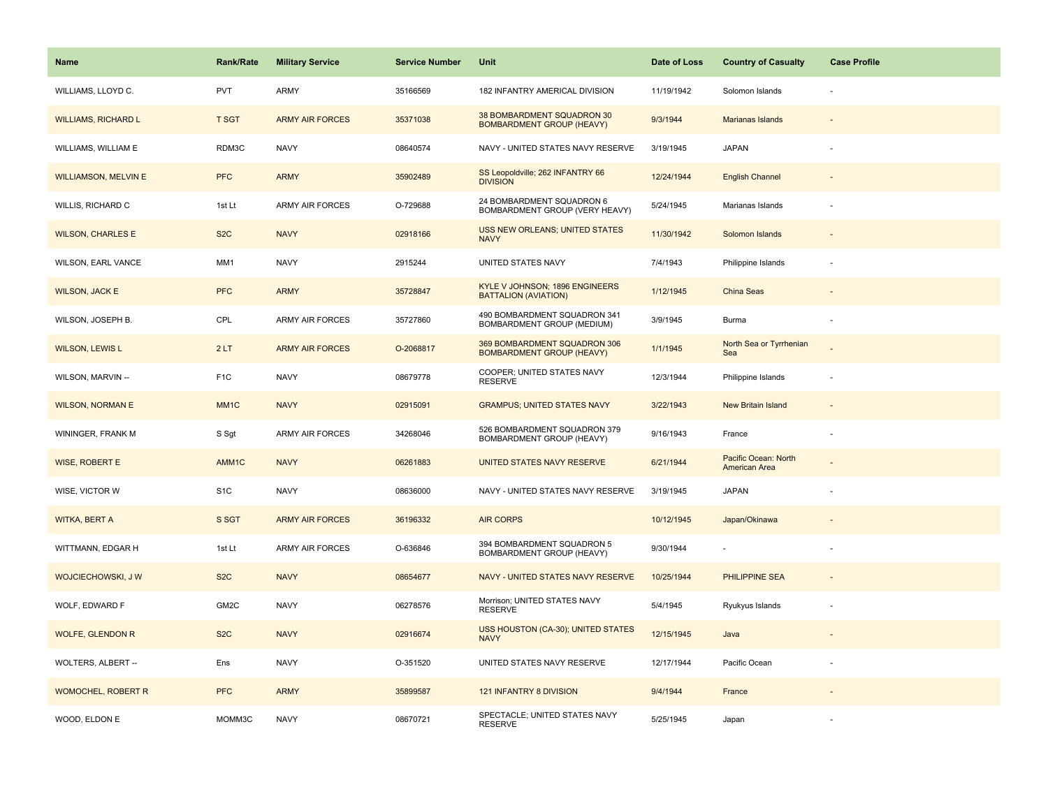| <b>Name</b>                 | <b>Rank/Rate</b>  | <b>Military Service</b> | <b>Service Number</b> | Unit                                                             | Date of Loss | <b>Country of Casualty</b>            | <b>Case Profile</b> |
|-----------------------------|-------------------|-------------------------|-----------------------|------------------------------------------------------------------|--------------|---------------------------------------|---------------------|
| WILLIAMS, LLOYD C.          | <b>PVT</b>        | ARMY                    | 35166569              | 182 INFANTRY AMERICAL DIVISION                                   | 11/19/1942   | Solomon Islands                       |                     |
| <b>WILLIAMS, RICHARD L</b>  | <b>T SGT</b>      | <b>ARMY AIR FORCES</b>  | 35371038              | 38 BOMBARDMENT SQUADRON 30<br><b>BOMBARDMENT GROUP (HEAVY)</b>   | 9/3/1944     | Marianas Islands                      |                     |
| WILLIAMS, WILLIAM E         | RDM3C             | <b>NAVY</b>             | 08640574              | NAVY - UNITED STATES NAVY RESERVE                                | 3/19/1945    | <b>JAPAN</b>                          |                     |
| <b>WILLIAMSON, MELVIN E</b> | <b>PFC</b>        | <b>ARMY</b>             | 35902489              | SS Leopoldville; 262 INFANTRY 66<br><b>DIVISION</b>              | 12/24/1944   | <b>English Channel</b>                |                     |
| WILLIS, RICHARD C           | 1st Lt            | <b>ARMY AIR FORCES</b>  | O-729688              | 24 BOMBARDMENT SQUADRON 6<br>BOMBARDMENT GROUP (VERY HEAVY)      | 5/24/1945    | Marianas Islands                      |                     |
| <b>WILSON, CHARLES E</b>    | S <sub>2</sub> C  | <b>NAVY</b>             | 02918166              | <b>USS NEW ORLEANS; UNITED STATES</b><br><b>NAVY</b>             | 11/30/1942   | Solomon Islands                       |                     |
| WILSON, EARL VANCE          | MM1               | <b>NAVY</b>             | 2915244               | UNITED STATES NAVY                                               | 7/4/1943     | Philippine Islands                    |                     |
| <b>WILSON, JACK E</b>       | <b>PFC</b>        | <b>ARMY</b>             | 35728847              | KYLE V JOHNSON; 1896 ENGINEERS<br><b>BATTALION (AVIATION)</b>    | 1/12/1945    | China Seas                            |                     |
| WILSON, JOSEPH B.           | CPL               | <b>ARMY AIR FORCES</b>  | 35727860              | 490 BOMBARDMENT SQUADRON 341<br>BOMBARDMENT GROUP (MEDIUM)       | 3/9/1945     | Burma                                 |                     |
| <b>WILSON, LEWIS L</b>      | 2LT               | <b>ARMY AIR FORCES</b>  | O-2068817             | 369 BOMBARDMENT SQUADRON 306<br><b>BOMBARDMENT GROUP (HEAVY)</b> | 1/1/1945     | North Sea or Tyrrhenian<br>Sea        |                     |
| WILSON, MARVIN --           | F <sub>1</sub> C  | <b>NAVY</b>             | 08679778              | COOPER; UNITED STATES NAVY<br><b>RESERVE</b>                     | 12/3/1944    | Philippine Islands                    |                     |
| <b>WILSON, NORMAN E</b>     | MM <sub>1</sub> C | <b>NAVY</b>             | 02915091              | <b>GRAMPUS; UNITED STATES NAVY</b>                               | 3/22/1943    | New Britain Island                    |                     |
| WININGER, FRANK M           | S Sgt             | <b>ARMY AIR FORCES</b>  | 34268046              | 526 BOMBARDMENT SQUADRON 379<br>BOMBARDMENT GROUP (HEAVY)        | 9/16/1943    | France                                |                     |
| WISE, ROBERT E              | AMM1C             | <b>NAVY</b>             | 06261883              | UNITED STATES NAVY RESERVE                                       | 6/21/1944    | Pacific Ocean: North<br>American Area |                     |
| WISE, VICTOR W              | S <sub>1</sub> C  | <b>NAVY</b>             | 08636000              | NAVY - UNITED STATES NAVY RESERVE                                | 3/19/1945    | <b>JAPAN</b>                          |                     |
| <b>WITKA, BERT A</b>        | S SGT             | <b>ARMY AIR FORCES</b>  | 36196332              | <b>AIR CORPS</b>                                                 | 10/12/1945   | Japan/Okinawa                         |                     |
| WITTMANN, EDGAR H           | 1st Lt            | ARMY AIR FORCES         | O-636846              | 394 BOMBARDMENT SQUADRON 5<br>BOMBARDMENT GROUP (HEAVY)          | 9/30/1944    |                                       |                     |
| WOJCIECHOWSKI, J W          | S <sub>2</sub> C  | <b>NAVY</b>             | 08654677              | NAVY - UNITED STATES NAVY RESERVE                                | 10/25/1944   | <b>PHILIPPINE SEA</b>                 |                     |
| WOLF, EDWARD F              | GM2C              | <b>NAVY</b>             | 06278576              | Morrison; UNITED STATES NAVY<br><b>RESERVE</b>                   | 5/4/1945     | Ryukyus Islands                       |                     |
| <b>WOLFE, GLENDON R</b>     | S <sub>2</sub> C  | <b>NAVY</b>             | 02916674              | USS HOUSTON (CA-30); UNITED STATES<br><b>NAVY</b>                | 12/15/1945   | Java                                  |                     |
| WOLTERS, ALBERT --          | Ens               | <b>NAVY</b>             | O-351520              | UNITED STATES NAVY RESERVE                                       | 12/17/1944   | Pacific Ocean                         |                     |
| <b>WOMOCHEL, ROBERT R</b>   | <b>PFC</b>        | <b>ARMY</b>             | 35899587              | 121 INFANTRY 8 DIVISION                                          | 9/4/1944     | France                                |                     |
| WOOD, ELDON E               | MOMM3C            | <b>NAVY</b>             | 08670721              | SPECTACLE; UNITED STATES NAVY<br><b>RESERVE</b>                  | 5/25/1945    | Japan                                 |                     |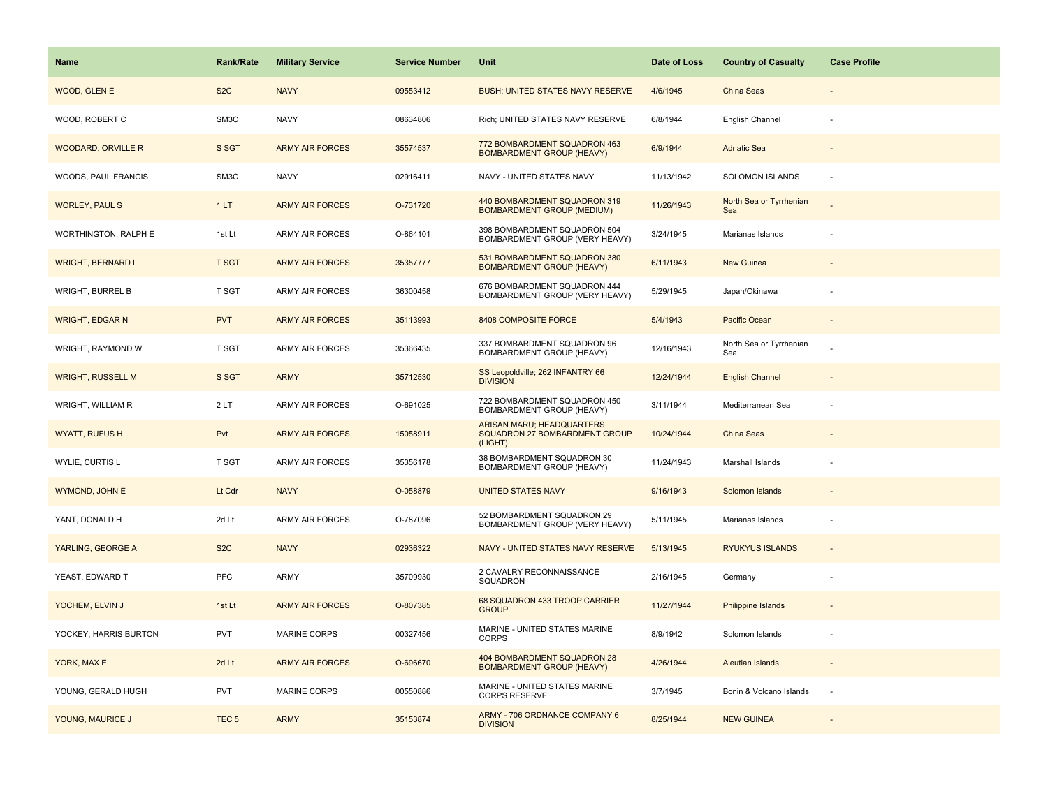| Name                      | <b>Rank/Rate</b> | <b>Military Service</b> | <b>Service Number</b> | Unit                                                                  | Date of Loss | <b>Country of Casualty</b>     | <b>Case Profile</b>      |
|---------------------------|------------------|-------------------------|-----------------------|-----------------------------------------------------------------------|--------------|--------------------------------|--------------------------|
| WOOD, GLEN E              | S <sub>2</sub> C | <b>NAVY</b>             | 09553412              | <b>BUSH; UNITED STATES NAVY RESERVE</b>                               | 4/6/1945     | China Seas                     |                          |
| WOOD, ROBERT C            | SM3C             | <b>NAVY</b>             | 08634806              | Rich; UNITED STATES NAVY RESERVE                                      | 6/8/1944     | English Channel                |                          |
| <b>WOODARD, ORVILLE R</b> | S SGT            | <b>ARMY AIR FORCES</b>  | 35574537              | 772 BOMBARDMENT SQUADRON 463<br><b>BOMBARDMENT GROUP (HEAVY)</b>      | 6/9/1944     | <b>Adriatic Sea</b>            |                          |
| WOODS, PAUL FRANCIS       | SM3C             | <b>NAVY</b>             | 02916411              | NAVY - UNITED STATES NAVY                                             | 11/13/1942   | <b>SOLOMON ISLANDS</b>         |                          |
| <b>WORLEY, PAUL S</b>     | 1LT              | <b>ARMY AIR FORCES</b>  | O-731720              | 440 BOMBARDMENT SQUADRON 319<br><b>BOMBARDMENT GROUP (MEDIUM)</b>     | 11/26/1943   | North Sea or Tyrrhenian<br>Sea |                          |
| WORTHINGTON, RALPH E      | 1st Lt           | <b>ARMY AIR FORCES</b>  | O-864101              | 398 BOMBARDMENT SQUADRON 504<br>BOMBARDMENT GROUP (VERY HEAVY)        | 3/24/1945    | Marianas Islands               |                          |
| <b>WRIGHT, BERNARD L</b>  | <b>T SGT</b>     | <b>ARMY AIR FORCES</b>  | 35357777              | 531 BOMBARDMENT SQUADRON 380<br><b>BOMBARDMENT GROUP (HEAVY)</b>      | 6/11/1943    | New Guinea                     |                          |
| <b>WRIGHT, BURREL B</b>   | T SGT            | <b>ARMY AIR FORCES</b>  | 36300458              | 676 BOMBARDMENT SQUADRON 444<br>BOMBARDMENT GROUP (VERY HEAVY)        | 5/29/1945    | Japan/Okinawa                  |                          |
| <b>WRIGHT, EDGAR N</b>    | <b>PVT</b>       | <b>ARMY AIR FORCES</b>  | 35113993              | 8408 COMPOSITE FORCE                                                  | 5/4/1943     | Pacific Ocean                  |                          |
| WRIGHT, RAYMOND W         | T SGT            | <b>ARMY AIR FORCES</b>  | 35366435              | 337 BOMBARDMENT SQUADRON 96<br>BOMBARDMENT GROUP (HEAVY)              | 12/16/1943   | North Sea or Tyrrhenian<br>Sea |                          |
| <b>WRIGHT, RUSSELL M</b>  | S SGT            | <b>ARMY</b>             | 35712530              | SS Leopoldville; 262 INFANTRY 66<br><b>DIVISION</b>                   | 12/24/1944   | <b>English Channel</b>         |                          |
| WRIGHT, WILLIAM R         | 2LT              | <b>ARMY AIR FORCES</b>  | O-691025              | 722 BOMBARDMENT SQUADRON 450<br>BOMBARDMENT GROUP (HEAVY)             | 3/11/1944    | Mediterranean Sea              |                          |
| <b>WYATT, RUFUS H</b>     | Pvt              | <b>ARMY AIR FORCES</b>  | 15058911              | ARISAN MARU; HEADQUARTERS<br>SQUADRON 27 BOMBARDMENT GROUP<br>(LIGHT) | 10/24/1944   | China Seas                     |                          |
| WYLIE, CURTIS L           | T SGT            | <b>ARMY AIR FORCES</b>  | 35356178              | 38 BOMBARDMENT SQUADRON 30<br><b>BOMBARDMENT GROUP (HEAVY)</b>        | 11/24/1943   | Marshall Islands               |                          |
| WYMOND, JOHN E            | Lt Cdr           | <b>NAVY</b>             | O-058879              | <b>UNITED STATES NAVY</b>                                             | 9/16/1943    | Solomon Islands                |                          |
| YANT, DONALD H            | 2d Lt            | <b>ARMY AIR FORCES</b>  | O-787096              | 52 BOMBARDMENT SQUADRON 29<br>BOMBARDMENT GROUP (VERY HEAVY)          | 5/11/1945    | Marianas Islands               | $\sim$                   |
| YARLING, GEORGE A         | S <sub>2</sub> C | <b>NAVY</b>             | 02936322              | NAVY - UNITED STATES NAVY RESERVE                                     | 5/13/1945    | <b>RYUKYUS ISLANDS</b>         |                          |
| YEAST, EDWARD T           | PFC              | ARMY                    | 35709930              | 2 CAVALRY RECONNAISSANCE<br>SQUADRON                                  | 2/16/1945    | Germany                        | $\overline{\phantom{a}}$ |
| YOCHEM, ELVIN J           | 1st Lt           | <b>ARMY AIR FORCES</b>  | O-807385              | 68 SQUADRON 433 TROOP CARRIER<br><b>GROUP</b>                         | 11/27/1944   | <b>Philippine Islands</b>      |                          |
| YOCKEY, HARRIS BURTON     | <b>PVT</b>       | <b>MARINE CORPS</b>     | 00327456              | MARINE - UNITED STATES MARINE<br><b>CORPS</b>                         | 8/9/1942     | Solomon Islands                |                          |
| YORK, MAX E               | 2d Lt            | <b>ARMY AIR FORCES</b>  | O-696670              | 404 BOMBARDMENT SQUADRON 28<br><b>BOMBARDMENT GROUP (HEAVY)</b>       | 4/26/1944    | <b>Aleutian Islands</b>        |                          |
| YOUNG, GERALD HUGH        | <b>PVT</b>       | <b>MARINE CORPS</b>     | 00550886              | MARINE - UNITED STATES MARINE<br>CORPS RESERVE                        | 3/7/1945     | Bonin & Volcano Islands        | $\overline{\phantom{a}}$ |
| YOUNG, MAURICE J          | TEC <sub>5</sub> | <b>ARMY</b>             | 35153874              | ARMY - 706 ORDNANCE COMPANY 6<br><b>DIVISION</b>                      | 8/25/1944    | <b>NEW GUINEA</b>              |                          |